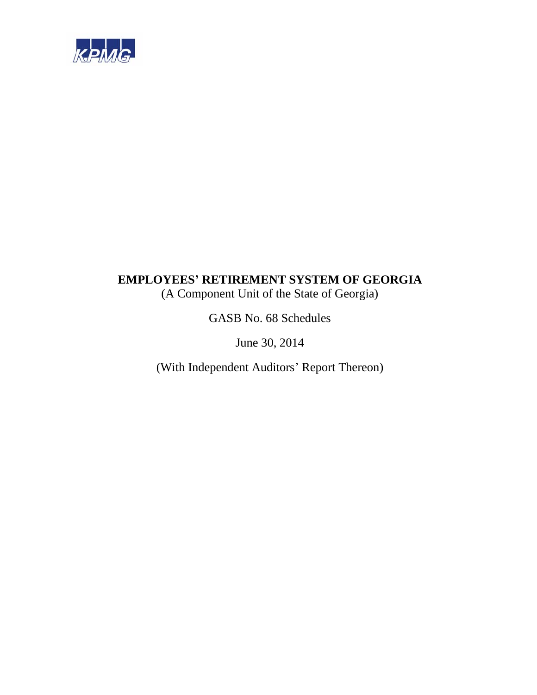

# **EMPLOYEES' RETIREMENT SYSTEM OF GEORGIA**  (A Component Unit of the State of Georgia)

GASB No. 68 Schedules

June 30, 2014

(With Independent Auditors' Report Thereon)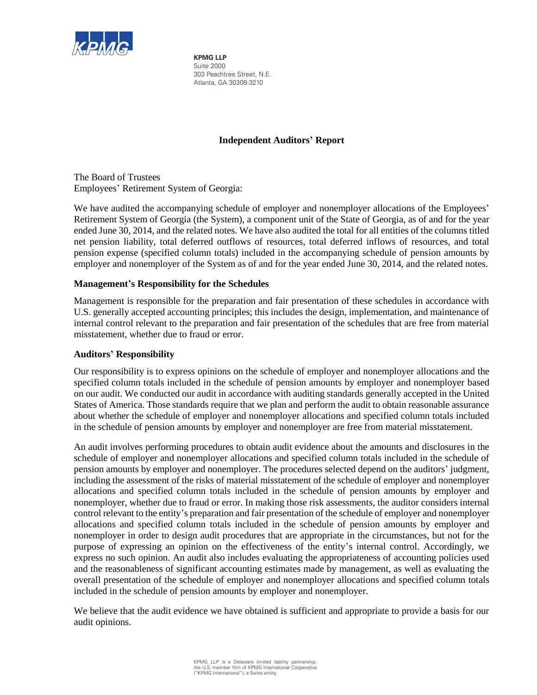

**KPMG LLP** Suite 2000 303 Peachtree Street, N.E. Atlanta, GA 30308-3210

# **Independent Auditors' Report**

The Board of Trustees Employees' Retirement System of Georgia:

We have audited the accompanying schedule of employer and nonemployer allocations of the Employees' Retirement System of Georgia (the System), a component unit of the State of Georgia, as of and for the year ended June 30, 2014, and the related notes. We have also audited the total for all entities of the columns titled net pension liability, total deferred outflows of resources, total deferred inflows of resources, and total pension expense (specified column totals) included in the accompanying schedule of pension amounts by employer and nonemployer of the System as of and for the year ended June 30, 2014, and the related notes.

# **Management's Responsibility for the Schedules**

Management is responsible for the preparation and fair presentation of these schedules in accordance with U.S. generally accepted accounting principles; this includes the design, implementation, and maintenance of internal control relevant to the preparation and fair presentation of the schedules that are free from material misstatement, whether due to fraud or error.

# **Auditors' Responsibility**

Our responsibility is to express opinions on the schedule of employer and nonemployer allocations and the specified column totals included in the schedule of pension amounts by employer and nonemployer based on our audit. We conducted our audit in accordance with auditing standards generally accepted in the United States of America. Those standards require that we plan and perform the audit to obtain reasonable assurance about whether the schedule of employer and nonemployer allocations and specified column totals included in the schedule of pension amounts by employer and nonemployer are free from material misstatement.

An audit involves performing procedures to obtain audit evidence about the amounts and disclosures in the schedule of employer and nonemployer allocations and specified column totals included in the schedule of pension amounts by employer and nonemployer. The procedures selected depend on the auditors' judgment, including the assessment of the risks of material misstatement of the schedule of employer and nonemployer allocations and specified column totals included in the schedule of pension amounts by employer and nonemployer, whether due to fraud or error. In making those risk assessments, the auditor considers internal control relevant to the entity's preparation and fair presentation of the schedule of employer and nonemployer allocations and specified column totals included in the schedule of pension amounts by employer and nonemployer in order to design audit procedures that are appropriate in the circumstances, but not for the purpose of expressing an opinion on the effectiveness of the entity's internal control. Accordingly, we express no such opinion. An audit also includes evaluating the appropriateness of accounting policies used and the reasonableness of significant accounting estimates made by management, as well as evaluating the overall presentation of the schedule of employer and nonemployer allocations and specified column totals included in the schedule of pension amounts by employer and nonemployer.

We believe that the audit evidence we have obtained is sufficient and appropriate to provide a basis for our audit opinions.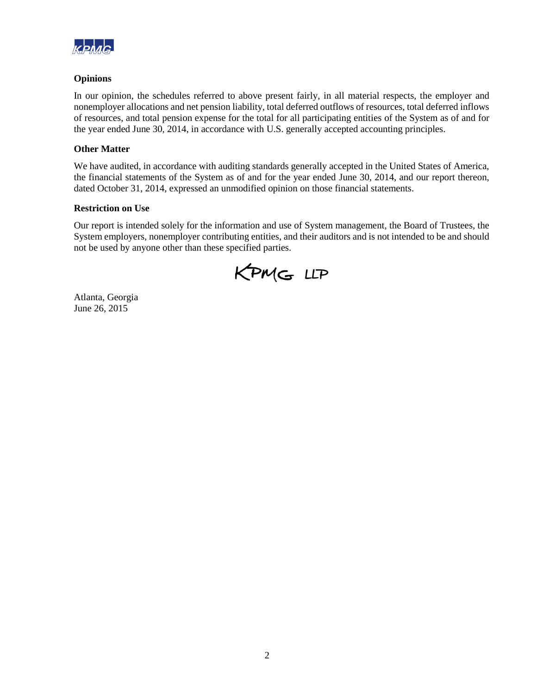

# **Opinions**

In our opinion, the schedules referred to above present fairly, in all material respects, the employer and nonemployer allocations and net pension liability, total deferred outflows of resources, total deferred inflows of resources, and total pension expense for the total for all participating entities of the System as of and for the year ended June 30, 2014, in accordance with U.S. generally accepted accounting principles.

# **Other Matter**

We have audited, in accordance with auditing standards generally accepted in the United States of America, the financial statements of the System as of and for the year ended June 30, 2014, and our report thereon, dated October 31, 2014, expressed an unmodified opinion on those financial statements.

# **Restriction on Use**

Our report is intended solely for the information and use of System management, the Board of Trustees, the System employers, nonemployer contributing entities, and their auditors and is not intended to be and should not be used by anyone other than these specified parties.

KPMG LLP

Atlanta, Georgia June 26, 2015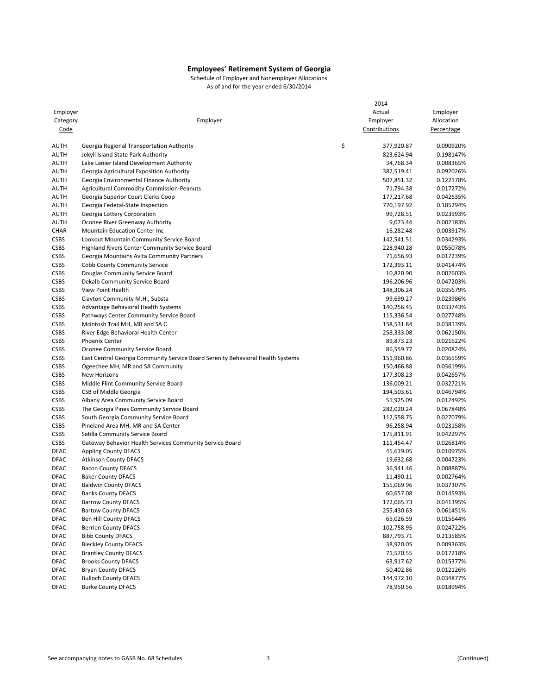|             |                                                                                                                   | 2014                    |                        |
|-------------|-------------------------------------------------------------------------------------------------------------------|-------------------------|------------------------|
| Employer    |                                                                                                                   | Actual                  | Employer               |
| Category    | Employer                                                                                                          | Employer                | Allocation             |
| Code        |                                                                                                                   | Contributions           | Percentage             |
|             |                                                                                                                   |                         |                        |
| <b>AUTH</b> | Georgia Regional Transportation Authority                                                                         | \$<br>377,920.87        | 0.090920%              |
| <b>AUTH</b> | Jekyll Island State Park Authority                                                                                | 823,624.94              | 0.198147%              |
| <b>AUTH</b> | Lake Lanier Island Development Authority                                                                          | 34,768.34               | 0.008365%              |
| <b>AUTH</b> | Georgia Agricultural Exposition Authority                                                                         | 382,519.41              | 0.092026%              |
| <b>AUTH</b> | Georgia Environmental Finance Authority                                                                           | 507,851.32              | 0.122178%              |
| <b>AUTH</b> | <b>Agricultural Commodity Commission-Peanuts</b>                                                                  | 71,794.38               | 0.017272%              |
| <b>AUTH</b> | Georgia Superior Court Clerks Coop                                                                                | 177,217.68              | 0.042635%              |
| <b>AUTH</b> | Georgia Federal-State Inspection                                                                                  | 770,197.92              | 0.185294%              |
| <b>AUTH</b> | Georgia Lottery Corporation                                                                                       | 99,728.51               | 0.023993%              |
| <b>AUTH</b> | Oconee River Greenway Authority                                                                                   | 9,073.44                | 0.002183%              |
| <b>CHAR</b> | Mountain Education Center Inc                                                                                     | 16,282.48               | 0.003917%              |
| <b>CSBS</b> | Lookout Mountain Community Service Board                                                                          | 142,541.51              | 0.034293%              |
| <b>CSBS</b> | <b>Highland Rivers Center Community Service Board</b>                                                             | 228,940.28              | 0.055078%              |
| CSBS        | Georgia Mountains Avita Community Partners                                                                        | 71,656.93               | 0.017239%              |
| <b>CSBS</b> | Cobb County Community Service                                                                                     | 172,393.11              | 0.041474%              |
| <b>CSBS</b> | Douglas Community Service Board                                                                                   | 10,820.90               | 0.002603%              |
| <b>CSBS</b> | Dekalb Community Service Board                                                                                    | 196,206.96              | 0.047203%              |
| <b>CSBS</b> | View Point Health                                                                                                 | 148,306.24              | 0.035679%              |
| <b>CSBS</b> | Clayton Community M.H., Substa                                                                                    | 99,699.27               | 0.023986%              |
| <b>CSBS</b> | Advantage Behavioral Health Systems                                                                               | 140,256.45              | 0.033743%              |
| <b>CSBS</b> | Pathways Center Community Service Board                                                                           | 115,336.54              | 0.027748%              |
| <b>CSBS</b> | Mcintosh Trail MH, MR and SA C                                                                                    | 158,531.84              | 0.038139%              |
| <b>CSBS</b> | River Edge Behavioral Health Center                                                                               | 258,333.08              | 0.062150%              |
| <b>CSBS</b> | <b>Phoenix Center</b>                                                                                             | 89,873.23               | 0.021622%              |
| <b>CSBS</b> |                                                                                                                   | 86,559.77               | 0.020824%              |
| <b>CSBS</b> | Oconee Community Service Board<br>East Central Georgia Community Service Board Serenity Behavioral Health Systems | 151,960.86              | 0.036559%              |
| <b>CSBS</b> |                                                                                                                   | 150,466.88              | 0.036199%              |
| <b>CSBS</b> | Ogeechee MH, MR and SA Community<br><b>New Horizons</b>                                                           | 177,308.23              | 0.042657%              |
| <b>CSBS</b> |                                                                                                                   |                         |                        |
| CSBS        | Middle Flint Community Service Board                                                                              | 136,009.21              | 0.032721%<br>0.046794% |
| <b>CSBS</b> | CSB of Middle Georgia                                                                                             | 194,503.61<br>51,925.09 | 0.012492%              |
| <b>CSBS</b> | Albany Area Community Service Board                                                                               | 282,020.24              | 0.067848%              |
| <b>CSBS</b> | The Georgia Pines Community Service Board                                                                         |                         |                        |
| <b>CSBS</b> | South Georgia Community Service Board                                                                             | 112,558.75<br>96,258.94 | 0.027079%              |
| <b>CSBS</b> | Pineland Area MH, MR and SA Center                                                                                |                         | 0.023158%<br>0.042297% |
| <b>CSBS</b> | Satilla Community Service Board                                                                                   | 175,811.91              |                        |
|             | Gateway Behavior Health Services Community Service Board                                                          | 111,454.47              | 0.026814%              |
| <b>DFAC</b> | <b>Appling County DFACS</b><br><b>Atkinson County DFACS</b>                                                       | 45,619.05<br>19,632.68  | 0.010975%<br>0.004723% |
| <b>DFAC</b> |                                                                                                                   |                         |                        |
| <b>DFAC</b> | <b>Bacon County DFACS</b>                                                                                         | 36,941.46               | 0.008887%              |
| <b>DFAC</b> | <b>Baker County DFACS</b>                                                                                         | 11,490.11               | 0.002764%              |
| <b>DFAC</b> | <b>Baldwin County DFACS</b>                                                                                       | 155,069.96              | 0.037307%              |
| <b>DFAC</b> | <b>Banks County DFACS</b>                                                                                         | 60,657.08               | 0.014593%              |
| DFAC        | <b>Barrow County DFACS</b>                                                                                        | 172,065.73              | 0.041395%              |
| <b>DFAC</b> | <b>Bartow County DFACS</b>                                                                                        | 255,430.63              | 0.061451%              |
| DFAC        | <b>Ben Hill County DFACS</b>                                                                                      | 65,026.59               | 0.015644%              |
| DFAC        | <b>Berrien County DFACS</b>                                                                                       | 102,758.95              | 0.024722%              |
| DFAC        | <b>Bibb County DFACS</b>                                                                                          | 887,793.71              | 0.213585%              |
| DFAC        | <b>Bleckley County DFACS</b>                                                                                      | 38,920.05               | 0.009363%              |
| DFAC        | <b>Brantley County DFACS</b>                                                                                      | 71,570.55               | 0.017218%              |
| DFAC        | <b>Brooks County DFACS</b>                                                                                        | 63,917.62               | 0.015377%              |
| DFAC        | <b>Bryan County DFACS</b>                                                                                         | 50,402.86               | 0.012126%              |
| DFAC        | <b>Bulloch County DFACS</b>                                                                                       | 144,972.10              | 0.034877%              |
| DFAC        | <b>Burke County DFACS</b>                                                                                         | 78,950.56               | 0.018994%              |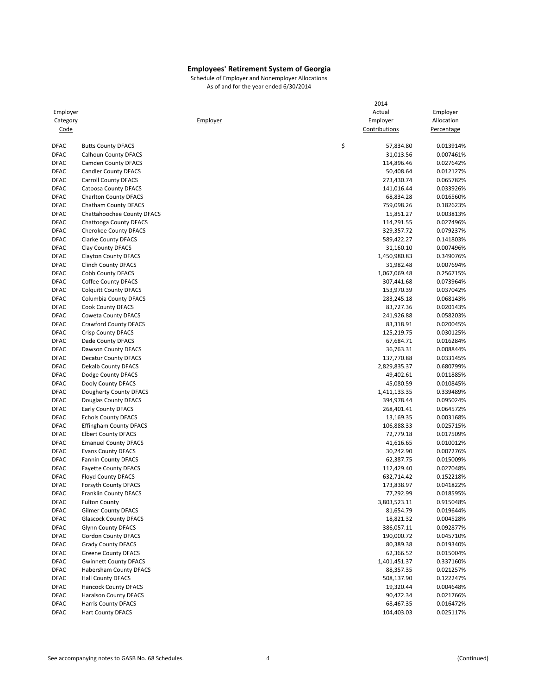|                            |                                                    |          | 2014                   |            |
|----------------------------|----------------------------------------------------|----------|------------------------|------------|
| Employer                   |                                                    |          | Actual                 | Employer   |
| Category                   |                                                    | Employer | Employer               | Allocation |
| Code                       |                                                    |          | Contributions          | Percentage |
|                            |                                                    |          |                        |            |
| <b>DFAC</b>                | <b>Butts County DFACS</b>                          | \$       | 57,834.80              | 0.013914%  |
| <b>DFAC</b>                | <b>Calhoun County DFACS</b>                        |          | 31,013.56              | 0.007461%  |
| <b>DFAC</b>                | <b>Camden County DFACS</b>                         |          | 114,896.46             | 0.027642%  |
| <b>DFAC</b>                | <b>Candler County DFACS</b>                        |          | 50,408.64              | 0.012127%  |
| <b>DFAC</b>                | <b>Carroll County DFACS</b>                        |          | 273,430.74             | 0.065782%  |
| <b>DFAC</b>                | <b>Catoosa County DFACS</b>                        |          | 141,016.44             | 0.033926%  |
| <b>DFAC</b>                | <b>Charlton County DFACS</b>                       |          | 68,834.28              | 0.016560%  |
| <b>DFAC</b>                | Chatham County DFACS                               |          | 759,098.26             | 0.182623%  |
| <b>DFAC</b>                | Chattahoochee County DFACS                         |          | 15,851.27              | 0.003813%  |
| <b>DFAC</b>                | Chattooga County DFACS                             |          | 114,291.55             | 0.027496%  |
| <b>DFAC</b>                | <b>Cherokee County DFACS</b>                       |          | 329,357.72             | 0.079237%  |
| <b>DFAC</b>                | <b>Clarke County DFACS</b>                         |          | 589,422.27             | 0.141803%  |
| <b>DFAC</b>                | Clay County DFACS                                  |          | 31,160.10              | 0.007496%  |
| <b>DFAC</b>                | <b>Clayton County DFACS</b>                        |          | 1,450,980.83           | 0.349076%  |
| <b>DFAC</b>                | <b>Clinch County DFACS</b>                         |          | 31,982.48              | 0.007694%  |
| <b>DFAC</b>                | <b>Cobb County DFACS</b>                           |          | 1,067,069.48           | 0.256715%  |
| <b>DFAC</b>                | <b>Coffee County DFACS</b>                         |          | 307,441.68             | 0.073964%  |
| <b>DFAC</b>                | <b>Colquitt County DFACS</b>                       |          | 153,970.39             | 0.037042%  |
| <b>DFAC</b>                | Columbia County DFACS                              |          | 283,245.18             | 0.068143%  |
| <b>DFAC</b>                | <b>Cook County DFACS</b>                           |          | 83,727.36              | 0.020143%  |
| <b>DFAC</b>                | <b>Coweta County DFACS</b>                         |          | 241,926.88             | 0.058203%  |
| <b>DFAC</b>                | <b>Crawford County DFACS</b>                       |          | 83,318.91              | 0.020045%  |
| <b>DFAC</b>                | <b>Crisp County DFACS</b>                          |          | 125,219.75             | 0.030125%  |
| <b>DFAC</b>                | Dade County DFACS                                  |          | 67,684.71              | 0.016284%  |
| <b>DFAC</b>                | Dawson County DFACS                                |          | 36,763.31              | 0.008844%  |
| <b>DFAC</b>                | <b>Decatur County DFACS</b>                        |          | 137,770.88             | 0.033145%  |
| <b>DFAC</b>                | Dekalb County DFACS                                |          | 2,829,835.37           | 0.680799%  |
| <b>DFAC</b>                | Dodge County DFACS                                 |          | 49,402.61              | 0.011885%  |
| <b>DFAC</b>                | Dooly County DFACS                                 |          | 45,080.59              | 0.010845%  |
| <b>DFAC</b>                | Dougherty County DFACS                             |          | 1,411,133.35           | 0.339489%  |
| <b>DFAC</b>                | Douglas County DFACS                               |          | 394,978.44             | 0.095024%  |
| <b>DFAC</b>                | <b>Early County DFACS</b>                          |          | 268,401.41             | 0.064572%  |
| <b>DFAC</b>                | <b>Echols County DFACS</b>                         |          | 13,169.35              | 0.003168%  |
| <b>DFAC</b>                | <b>Effingham County DFACS</b>                      |          | 106,888.33             | 0.025715%  |
| <b>DFAC</b>                | <b>Elbert County DFACS</b>                         |          | 72,779.18              | 0.017509%  |
| <b>DFAC</b>                | <b>Emanuel County DFACS</b>                        |          | 41,616.65              | 0.010012%  |
| <b>DFAC</b>                | <b>Evans County DFACS</b>                          |          | 30,242.90              | 0.007276%  |
| <b>DFAC</b>                | <b>Fannin County DFACS</b>                         |          | 62,387.75              | 0.015009%  |
| <b>DFAC</b>                | <b>Fayette County DFACS</b>                        |          | 112,429.40             | 0.027048%  |
| <b>DFAC</b>                | <b>Floyd County DFACS</b>                          |          | 632,714.42             | 0.152218%  |
| <b>DFAC</b>                | <b>Forsyth County DFACS</b>                        |          | 173,838.97             | 0.041822%  |
| DFAC                       | <b>Franklin County DFACS</b>                       |          | 77,292.99              | 0.018595%  |
| <b>DFAC</b>                | <b>Fulton County</b>                               |          | 3,803,523.11           | 0.915048%  |
| <b>DFAC</b>                | <b>Gilmer County DFACS</b>                         |          | 81,654.79              | 0.019644%  |
| <b>DFAC</b>                | <b>Glascock County DFACS</b>                       |          | 18,821.32              | 0.004528%  |
| <b>DFAC</b>                | <b>Glynn County DFACS</b>                          |          | 386,057.11             | 0.092877%  |
| DFAC                       | <b>Gordon County DFACS</b>                         |          | 190,000.72             | 0.045710%  |
| DFAC                       | <b>Grady County DFACS</b>                          |          |                        |            |
|                            | <b>Greene County DFACS</b>                         |          | 80,389.38<br>62,366.52 | 0.019340%  |
| DFAC                       | <b>Gwinnett County DFACS</b>                       |          |                        | 0.015004%  |
| <b>DFAC</b><br><b>DFAC</b> |                                                    |          | 1,401,451.37           | 0.337160%  |
|                            | Habersham County DFACS<br><b>Hall County DFACS</b> |          | 88,357.35              | 0.021257%  |
| DFAC                       |                                                    |          | 508,137.90             | 0.122247%  |
| DFAC                       | <b>Hancock County DFACS</b>                        |          | 19,320.44              | 0.004648%  |
| <b>DFAC</b>                | <b>Haralson County DFACS</b>                       |          | 90,472.34              | 0.021766%  |
| DFAC                       | <b>Harris County DFACS</b>                         |          | 68,467.35              | 0.016472%  |
| DFAC                       | <b>Hart County DFACS</b>                           |          | 104,403.03             | 0.025117%  |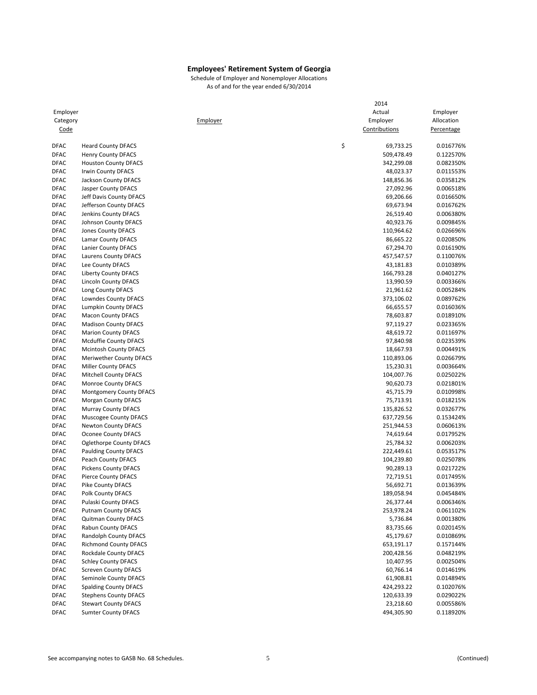|             |                              |          | 2014            |                   |
|-------------|------------------------------|----------|-----------------|-------------------|
| Employer    |                              |          | Actual          | Employer          |
| Category    |                              | Employer | Employer        | Allocation        |
| Code        |                              |          | Contributions   | <b>Percentage</b> |
| <b>DFAC</b> | <b>Heard County DFACS</b>    |          | \$<br>69,733.25 | 0.016776%         |
| <b>DFAC</b> | <b>Henry County DFACS</b>    |          | 509,478.49      | 0.122570%         |
| <b>DFAC</b> | <b>Houston County DFACS</b>  |          | 342,299.08      | 0.082350%         |
| <b>DFAC</b> | Irwin County DFACS           |          | 48,023.37       | 0.011553%         |
| <b>DFAC</b> | Jackson County DFACS         |          | 148,856.36      | 0.035812%         |
| <b>DFAC</b> | Jasper County DFACS          |          | 27,092.96       | 0.006518%         |
| <b>DFAC</b> | Jeff Davis County DFACS      |          | 69,206.66       | 0.016650%         |
| <b>DFAC</b> | Jefferson County DFACS       |          | 69,673.94       | 0.016762%         |
| <b>DFAC</b> | Jenkins County DFACS         |          | 26,519.40       | 0.006380%         |
| <b>DFAC</b> | Johnson County DFACS         |          | 40,923.76       | 0.009845%         |
| <b>DFAC</b> | Jones County DFACS           |          | 110,964.62      | 0.026696%         |
| <b>DFAC</b> | Lamar County DFACS           |          | 86,665.22       | 0.020850%         |
| <b>DFAC</b> | Lanier County DFACS          |          | 67,294.70       | 0.016190%         |
| <b>DFAC</b> | Laurens County DFACS         |          | 457,547.57      | 0.110076%         |
| <b>DFAC</b> | Lee County DFACS             |          | 43,181.83       | 0.010389%         |
| <b>DFAC</b> | Liberty County DFACS         |          | 166,793.28      | 0.040127%         |
| <b>DFAC</b> | Lincoln County DFACS         |          | 13,990.59       | 0.003366%         |
| <b>DFAC</b> | Long County DFACS            |          | 21,961.62       | 0.005284%         |
| <b>DFAC</b> | Lowndes County DFACS         |          | 373,106.02      | 0.089762%         |
| <b>DFAC</b> | <b>Lumpkin County DFACS</b>  |          | 66,655.57       | 0.016036%         |
| <b>DFAC</b> | <b>Macon County DFACS</b>    |          | 78,603.87       | 0.018910%         |
| <b>DFAC</b> | <b>Madison County DFACS</b>  |          | 97,119.27       | 0.023365%         |
| <b>DFAC</b> | <b>Marion County DFACS</b>   |          | 48,619.72       | 0.011697%         |
| <b>DFAC</b> | <b>Mcduffie County DFACS</b> |          | 97,840.98       | 0.023539%         |
| <b>DFAC</b> | <b>Mcintosh County DFACS</b> |          | 18,667.93       | 0.004491%         |
| <b>DFAC</b> | Meriwether County DFACS      |          | 110,893.06      | 0.026679%         |
| <b>DFAC</b> | <b>Miller County DFACS</b>   |          | 15,230.31       | 0.003664%         |
| <b>DFAC</b> | <b>Mitchell County DFACS</b> |          | 104,007.76      | 0.025022%         |
| <b>DFAC</b> | Monroe County DFACS          |          | 90,620.73       | 0.021801%         |
| <b>DFAC</b> | Montgomery County DFACS      |          | 45,715.79       | 0.010998%         |
| <b>DFAC</b> | <b>Morgan County DFACS</b>   |          | 75,713.91       | 0.018215%         |
| <b>DFAC</b> | <b>Murray County DFACS</b>   |          | 135,826.52      | 0.032677%         |
| <b>DFAC</b> | Muscogee County DFACS        |          | 637,729.56      | 0.153424%         |
| <b>DFAC</b> | <b>Newton County DFACS</b>   |          | 251,944.53      | 0.060613%         |
| <b>DFAC</b> | Oconee County DFACS          |          | 74,619.64       | 0.017952%         |
| <b>DFAC</b> | Oglethorpe County DFACS      |          | 25,784.32       | 0.006203%         |
| <b>DFAC</b> | <b>Paulding County DFACS</b> |          | 222,449.61      | 0.053517%         |
| <b>DFAC</b> | Peach County DFACS           |          | 104,239.80      | 0.025078%         |
| <b>DFAC</b> | <b>Pickens County DFACS</b>  |          | 90,289.13       | 0.021722%         |
| <b>DFAC</b> | <b>Pierce County DFACS</b>   |          | 72,719.51       | 0.017495%         |
| <b>DFAC</b> | <b>Pike County DFACS</b>     |          | 56,692.71       | 0.013639%         |
| DFAC        | Polk County DFACS            |          | 189,058.94      | 0.045484%         |
| DFAC        | Pulaski County DFACS         |          | 26,377.44       | 0.006346%         |
| DFAC        | <b>Putnam County DFACS</b>   |          | 253,978.24      | 0.061102%         |
| DFAC        | <b>Quitman County DFACS</b>  |          | 5,736.84        | 0.001380%         |
| <b>DFAC</b> | Rabun County DFACS           |          | 83,735.66       | 0.020145%         |
| DFAC        | Randolph County DFACS        |          | 45,179.67       | 0.010869%         |
| DFAC        | <b>Richmond County DFACS</b> |          | 653,191.17      | 0.157144%         |
| DFAC        | Rockdale County DFACS        |          | 200,428.56      | 0.048219%         |
| DFAC        | <b>Schley County DFACS</b>   |          | 10,407.95       | 0.002504%         |
| DFAC        | <b>Screven County DFACS</b>  |          | 60,766.14       | 0.014619%         |
| DFAC        | Seminole County DFACS        |          | 61,908.81       | 0.014894%         |
| DFAC        | <b>Spalding County DFACS</b> |          | 424,293.22      | 0.102076%         |
| <b>DFAC</b> | <b>Stephens County DFACS</b> |          | 120,633.39      | 0.029022%         |
| DFAC        | <b>Stewart County DFACS</b>  |          | 23,218.60       | 0.005586%         |
| <b>DFAC</b> | <b>Sumter County DFACS</b>   |          | 494,305.90      | 0.118920%         |
|             |                              |          |                 |                   |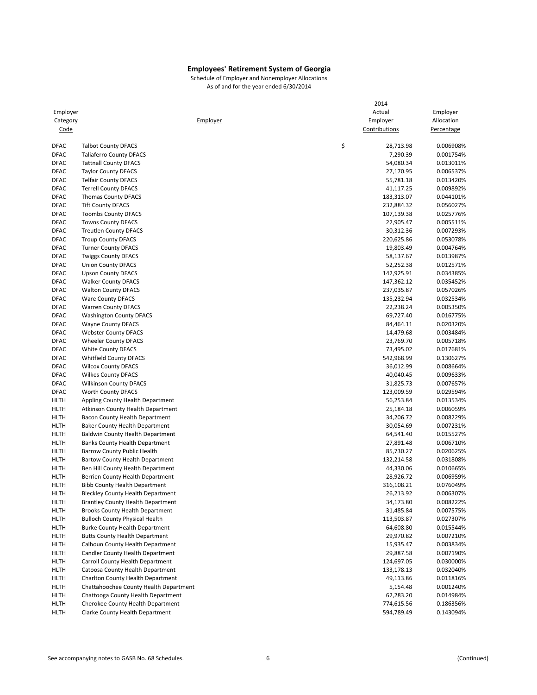|             |                                          | 2014            |            |
|-------------|------------------------------------------|-----------------|------------|
| Employer    |                                          | Actual          | Employer   |
| Category    | Employer                                 | Employer        | Allocation |
| <u>Code</u> |                                          | Contributions   | Percentage |
|             |                                          |                 |            |
| <b>DFAC</b> | <b>Talbot County DFACS</b>               | \$<br>28,713.98 | 0.006908%  |
| <b>DFAC</b> | <b>Taliaferro County DFACS</b>           | 7,290.39        | 0.001754%  |
| <b>DFAC</b> | <b>Tattnall County DFACS</b>             | 54,080.34       | 0.013011%  |
| <b>DFAC</b> | <b>Taylor County DFACS</b>               | 27,170.95       | 0.006537%  |
| <b>DFAC</b> | <b>Telfair County DFACS</b>              | 55,781.18       | 0.013420%  |
| <b>DFAC</b> | <b>Terrell County DFACS</b>              | 41,117.25       | 0.009892%  |
| <b>DFAC</b> | <b>Thomas County DFACS</b>               | 183,313.07      | 0.044101%  |
| <b>DFAC</b> | <b>Tift County DFACS</b>                 | 232,884.32      | 0.056027%  |
| <b>DFAC</b> | <b>Toombs County DFACS</b>               | 107,139.38      | 0.025776%  |
| <b>DFAC</b> | <b>Towns County DFACS</b>                | 22,905.47       | 0.005511%  |
| <b>DFAC</b> | <b>Treutlen County DFACS</b>             | 30,312.36       | 0.007293%  |
| <b>DFAC</b> | <b>Troup County DFACS</b>                | 220,625.86      | 0.053078%  |
| <b>DFAC</b> | <b>Turner County DFACS</b>               | 19,803.49       | 0.004764%  |
| <b>DFAC</b> | <b>Twiggs County DFACS</b>               | 58,137.67       | 0.013987%  |
| <b>DFAC</b> | <b>Union County DFACS</b>                | 52,252.38       | 0.012571%  |
| <b>DFAC</b> | <b>Upson County DFACS</b>                | 142,925.91      | 0.034385%  |
| <b>DFAC</b> | <b>Walker County DFACS</b>               | 147,362.12      | 0.035452%  |
| <b>DFAC</b> | <b>Walton County DFACS</b>               | 237,035.87      | 0.057026%  |
| <b>DFAC</b> | <b>Ware County DFACS</b>                 | 135,232.94      | 0.032534%  |
| <b>DFAC</b> | <b>Warren County DFACS</b>               | 22,238.24       | 0.005350%  |
| <b>DFAC</b> | <b>Washington County DFACS</b>           | 69,727.40       | 0.016775%  |
| <b>DFAC</b> | <b>Wayne County DFACS</b>                | 84,464.11       | 0.020320%  |
| <b>DFAC</b> | <b>Webster County DFACS</b>              | 14,479.68       | 0.003484%  |
| <b>DFAC</b> | <b>Wheeler County DFACS</b>              | 23,769.70       | 0.005718%  |
| <b>DFAC</b> | <b>White County DFACS</b>                | 73,495.02       | 0.017681%  |
| <b>DFAC</b> | <b>Whitfield County DFACS</b>            | 542,968.99      | 0.130627%  |
| <b>DFAC</b> | <b>Wilcox County DFACS</b>               | 36,012.99       | 0.008664%  |
| <b>DFAC</b> | <b>Wilkes County DFACS</b>               | 40,040.45       | 0.009633%  |
| <b>DFAC</b> | <b>Wilkinson County DFACS</b>            | 31,825.73       | 0.007657%  |
| <b>DFAC</b> | Worth County DFACS                       | 123,009.59      | 0.029594%  |
| HLTH        | Appling County Health Department         | 56,253.84       | 0.013534%  |
| HLTH        | Atkinson County Health Department        |                 | 0.006059%  |
| <b>HLTH</b> |                                          | 25,184.18       | 0.008229%  |
|             | Bacon County Health Department           | 34,206.72       |            |
| <b>HLTH</b> | Baker County Health Department           | 30,054.69       | 0.007231%  |
| <b>HLTH</b> | <b>Baldwin County Health Department</b>  | 64,541.40       | 0.015527%  |
| HLTH        | <b>Banks County Health Department</b>    | 27,891.48       | 0.006710%  |
| <b>HLTH</b> | <b>Barrow County Public Health</b>       | 85,730.27       | 0.020625%  |
| HLTH        | <b>Bartow County Health Department</b>   | 132,214.58      | 0.031808%  |
| HLTH        | Ben Hill County Health Department        | 44,330.06       | 0.010665%  |
| HLTH        | Berrien County Health Department         | 28,926.72       | 0.006959%  |
| <b>HLTH</b> | <b>Bibb County Health Department</b>     | 316,108.21      | 0.076049%  |
| HLTH        | <b>Bleckley County Health Department</b> | 26,213.92       | 0.006307%  |
| HLTH        | <b>Brantley County Health Department</b> | 34,173.80       | 0.008222%  |
| <b>HLTH</b> | <b>Brooks County Health Department</b>   | 31,485.84       | 0.007575%  |
| HLTH        | <b>Bulloch County Physical Health</b>    | 113,503.87      | 0.027307%  |
| <b>HLTH</b> | <b>Burke County Health Department</b>    | 64,608.80       | 0.015544%  |
| <b>HLTH</b> | <b>Butts County Health Department</b>    | 29,970.82       | 0.007210%  |
| HLTH        | Calhoun County Health Department         | 15,935.47       | 0.003834%  |
| <b>HLTH</b> | Candler County Health Department         | 29,887.58       | 0.007190%  |
| <b>HLTH</b> | Carroll County Health Department         | 124,697.05      | 0.030000%  |
| HLTH        | Catoosa County Health Department         | 133,178.13      | 0.032040%  |
| HLTH        | Charlton County Health Department        | 49,113.86       | 0.011816%  |
| <b>HLTH</b> | Chattahoochee County Health Department   | 5,154.48        | 0.001240%  |
| <b>HLTH</b> | Chattooga County Health Department       | 62,283.20       | 0.014984%  |
| <b>HLTH</b> | Cherokee County Health Department        | 774,615.56      | 0.186356%  |
| <b>HLTH</b> | Clarke County Health Department          | 594,789.49      | 0.143094%  |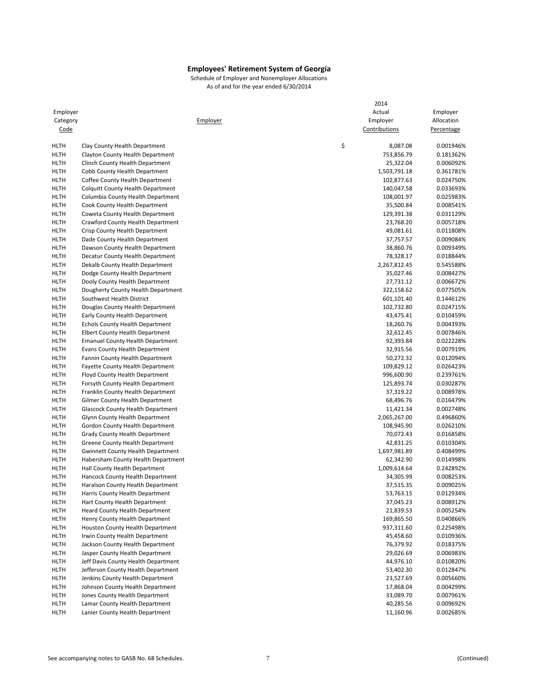|             |                                          | 2014           |            |
|-------------|------------------------------------------|----------------|------------|
| Employer    |                                          | Actual         | Employer   |
| Category    | Employer                                 | Employer       | Allocation |
| <u>Code</u> |                                          | Contributions  | Percentage |
|             |                                          |                |            |
| <b>HLTH</b> | Clay County Health Department            | \$<br>8,087.08 | 0.001946%  |
| HLTH        | Clayton County Health Department         | 753,856.79     | 0.181362%  |
| <b>HLTH</b> | Clinch County Health Department          | 25,322.04      | 0.006092%  |
| <b>HLTH</b> | Cobb County Health Department            | 1,503,791.18   | 0.361781%  |
| <b>HLTH</b> | Coffee County Health Department          | 102,877.63     | 0.024750%  |
| HLTH        | <b>Colquitt County Health Department</b> | 140,047.58     | 0.033693%  |
| HLTH        | Columbia County Health Department        | 108,001.97     | 0.025983%  |
| <b>HLTH</b> | Cook County Health Department            | 35,500.84      | 0.008541%  |
| HLTH        | Coweta County Health Department          | 129,391.38     | 0.031129%  |
| HLTH        | Crawford County Health Department        | 23,768.20      | 0.005718%  |
| HLTH        | Crisp County Health Department           | 49,081.61      | 0.011808%  |
| <b>HLTH</b> | Dade County Health Department            | 37,757.57      | 0.009084%  |
| HLTH        | Dawson County Health Department          | 38,860.76      | 0.009349%  |
| HLTH        | Decatur County Health Department         | 78,328.17      | 0.018844%  |
| HLTH        | Dekalb County Health Department          | 2,267,812.45   | 0.545588%  |
| HLTH        | Dodge County Health Department           | 35,027.46      | 0.008427%  |
| <b>HLTH</b> | Dooly County Health Department           | 27,731.12      | 0.006672%  |
| HLTH        | Dougherty County Health Department       | 322,158.62     | 0.077505%  |
| HLTH        | Southwest Health District                | 601,101.40     | 0.144612%  |
| HLTH        | Douglas County Health Department         | 102,732.80     | 0.024715%  |
| <b>HLTH</b> | Early County Health Department           | 43,475.41      | 0.010459%  |
| <b>HLTH</b> | Echols County Health Department          | 18,260.76      | 0.004393%  |
| <b>HLTH</b> | <b>Elbert County Health Department</b>   | 32,612.45      | 0.007846%  |
| HLTH        | <b>Emanuel County Health Department</b>  | 92,393.84      | 0.022228%  |
| HLTH        | Evans County Health Department           | 32,915.56      | 0.007919%  |
| <b>HLTH</b> | Fannin County Health Department          | 50,272.32      | 0.012094%  |
| HLTH        | Fayette County Health Department         | 109,829.12     | 0.026423%  |
| HLTH        | Floyd County Health Department           | 996,600.90     | 0.239761%  |
| HLTH        | Forsyth County Health Department         | 125,893.74     | 0.030287%  |
| <b>HLTH</b> | Franklin County Health Department        | 37,319.22      | 0.008978%  |
| <b>HLTH</b> | Gilmer County Health Department          | 68,496.76      | 0.016479%  |
| HLTH        | <b>Glascock County Health Department</b> | 11,421.34      | 0.002748%  |
| HLTH        | <b>Glynn County Health Department</b>    | 2,065,267.00   | 0.496860%  |
| HLTH        | Gordon County Health Department          | 108,945.90     | 0.026210%  |
| <b>HLTH</b> | Grady County Health Department           | 70,072.43      | 0.016858%  |
| HLTH        | Greene County Health Department          | 42,831.25      | 0.010304%  |
| HLTH        | <b>Gwinnett County Health Department</b> | 1,697,981.89   | 0.408499%  |
| HLTH        | Habersham County Health Department       | 62,342.90      | 0.014998%  |
| <b>HLTH</b> | Hall County Health Department            | 1,009,614.64   | 0.242892%  |
| <b>HLTH</b> | Hancock County Health Department         | 34,305.99      | 0.008253%  |
| HLTH        | Haralson County Health Department        | 37,515.35      | 0.009025%  |
| HLTH        | Harris County Health Department          | 53,763.15      | 0.012934%  |
| HLTH        | Hart County Health Department            | 37,045.23      | 0.008912%  |
| HLTH        | <b>Heard County Health Department</b>    | 21,839.53      | 0.005254%  |
| HLTH        | Henry County Health Department           | 169,865.50     | 0.040866%  |
| HLTH        | Houston County Health Department         | 937,311.60     | 0.225498%  |
| HLTH        | Irwin County Health Department           | 45,458.60      | 0.010936%  |
| HLTH        | Jackson County Health Department         | 76,379.92      | 0.018375%  |
| HLTH        | Jasper County Health Department          | 29,026.69      | 0.006983%  |
| HLTH        | Jeff Davis County Health Department      | 44,976.10      | 0.010820%  |
| HLTH        | Jefferson County Health Department       | 53,402.30      | 0.012847%  |
| HLTH        | Jenkins County Health Department         | 23,527.69      | 0.005660%  |
| HLTH        | Johnson County Health Department         | 17,868.04      | 0.004299%  |
| HLTH        | Jones County Health Department           | 33,089.70      | 0.007961%  |
| HLTH        | Lamar County Health Department           | 40,285.56      | 0.009692%  |
| HLTH        | Lanier County Health Department          | 11,160.96      | 0.002685%  |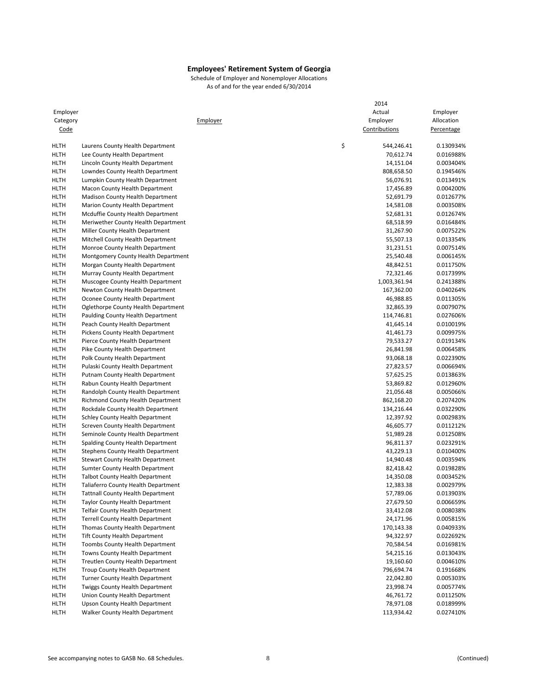|                     |                                                                            | 2014                    |                        |
|---------------------|----------------------------------------------------------------------------|-------------------------|------------------------|
| Employer            |                                                                            | Actual                  | Employer               |
| Category            | Employer                                                                   | Employer                | Allocation             |
| <u>Code</u>         |                                                                            | Contributions           | Percentage             |
| <b>HLTH</b>         | Laurens County Health Department                                           | \$<br>544,246.41        | 0.130934%              |
| HLTH                | Lee County Health Department                                               | 70,612.74               | 0.016988%              |
| <b>HLTH</b>         | Lincoln County Health Department                                           | 14,151.04               | 0.003404%              |
| HLTH                | Lowndes County Health Department                                           | 808,658.50              | 0.194546%              |
| <b>HLTH</b>         | Lumpkin County Health Department                                           | 56,076.91               | 0.013491%              |
| <b>HLTH</b>         | Macon County Health Department                                             | 17,456.89               | 0.004200%              |
| <b>HLTH</b>         | <b>Madison County Health Department</b>                                    | 52,691.79               | 0.012677%              |
| HLTH                | Marion County Health Department                                            | 14,581.08               | 0.003508%              |
| <b>HLTH</b>         | Mcduffie County Health Department                                          | 52,681.31               | 0.012674%              |
| <b>HLTH</b>         | Meriwether County Health Department                                        | 68,518.99               | 0.016484%              |
| <b>HLTH</b>         | Miller County Health Department                                            | 31,267.90               | 0.007522%              |
| <b>HLTH</b>         | Mitchell County Health Department                                          | 55,507.13               | 0.013354%              |
| HLTH                | Monroe County Health Department                                            | 31,231.51               | 0.007514%              |
| <b>HLTH</b>         | Montgomery County Health Department                                        | 25,540.48               | 0.006145%              |
| <b>HLTH</b>         | Morgan County Health Department                                            | 48,842.51               | 0.011750%              |
| <b>HLTH</b>         | Murray County Health Department                                            | 72,321.46               | 0.017399%              |
| <b>HLTH</b>         | Muscogee County Health Department                                          | 1,003,361.94            | 0.241388%              |
| <b>HLTH</b>         | Newton County Health Department                                            | 167,362.00              | 0.040264%              |
| <b>HLTH</b>         | Oconee County Health Department                                            | 46,988.85               | 0.011305%              |
| <b>HLTH</b>         | Oglethorpe County Health Department                                        | 32,865.39               | 0.007907%              |
| HLTH                | Paulding County Health Department                                          | 114,746.81              | 0.027606%              |
| <b>HLTH</b>         | Peach County Health Department                                             | 41,645.14               | 0.010019%              |
| <b>HLTH</b>         | Pickens County Health Department                                           | 41,461.73               | 0.009975%              |
| HLTH                | Pierce County Health Department                                            | 79,533.27               | 0.019134%              |
| <b>HLTH</b>         | Pike County Health Department                                              | 26,841.98               | 0.006458%              |
| <b>HLTH</b>         | Polk County Health Department                                              | 93,068.18               | 0.022390%              |
| <b>HLTH</b>         | Pulaski County Health Department                                           | 27,823.57               | 0.006694%              |
| <b>HLTH</b>         | Putnam County Health Department                                            | 57,625.25               | 0.013863%              |
| HLTH                | Rabun County Health Department                                             | 53,869.82               | 0.012960%              |
| <b>HLTH</b>         | Randolph County Health Department                                          | 21,056.48               | 0.005066%              |
| <b>HLTH</b>         | <b>Richmond County Health Department</b>                                   | 862,168.20              | 0.207420%              |
| <b>HLTH</b>         | Rockdale County Health Department                                          | 134,216.44              | 0.032290%              |
| <b>HLTH</b>         | <b>Schley County Health Department</b>                                     | 12,397.92               | 0.002983%              |
| <b>HLTH</b>         | Screven County Health Department                                           | 46,605.77               | 0.011212%              |
| <b>HLTH</b>         | Seminole County Health Department                                          | 51,989.28               | 0.012508%              |
| HLTH                | Spalding County Health Department                                          | 96,811.37               | 0.023291%              |
| <b>HLTH</b>         | <b>Stephens County Health Department</b>                                   | 43,229.13               | 0.010400%              |
| <b>HLTH</b>         | Stewart County Health Department                                           | 14,940.48               | 0.003594%              |
| <b>HLTH</b>         | <b>Sumter County Health Department</b>                                     | 82,418.42               | 0.019828%              |
| <b>HLTH</b>         | <b>Talbot County Health Department</b>                                     | 14,350.08               | 0.003452%              |
| <b>HLTH</b>         | Taliaferro County Health Department                                        | 12,383.38               | 0.002979%              |
| <b>HLTH</b>         | <b>Tattnall County Health Department</b>                                   | 57,789.06               | 0.013903%<br>0.006659% |
| HLTH                | Taylor County Health Department                                            | 27,679.50               |                        |
| <b>HLTH</b>         | <b>Telfair County Health Department</b>                                    | 33,412.08               | 0.008038%<br>0.005815% |
| HLTH                | <b>Terrell County Health Department</b><br>Thomas County Health Department | 24,171.96<br>170,143.38 | 0.040933%              |
| HLTH<br>HLTH        | <b>Tift County Health Department</b>                                       | 94,322.97               | 0.022692%              |
|                     |                                                                            |                         | 0.016981%              |
| HLTH<br><b>HLTH</b> | <b>Toombs County Health Department</b><br>Towns County Health Department   | 70,584.54<br>54,215.16  | 0.013043%              |
| HLTH                | <b>Treutlen County Health Department</b>                                   | 19,160.60               | 0.004610%              |
| HLTH                | Troup County Health Department                                             | 796,694.74              | 0.191668%              |
| HLTH                | <b>Turner County Health Department</b>                                     | 22,042.80               | 0.005303%              |
| HLTH                | <b>Twiggs County Health Department</b>                                     | 23,998.74               | 0.005774%              |
| <b>HLTH</b>         | Union County Health Department                                             | 46,761.72               | 0.011250%              |
| HLTH                | Upson County Health Department                                             | 78,971.08               | 0.018999%              |
| <b>HLTH</b>         | Walker County Health Department                                            | 113,934.42              | 0.027410%              |
|                     |                                                                            |                         |                        |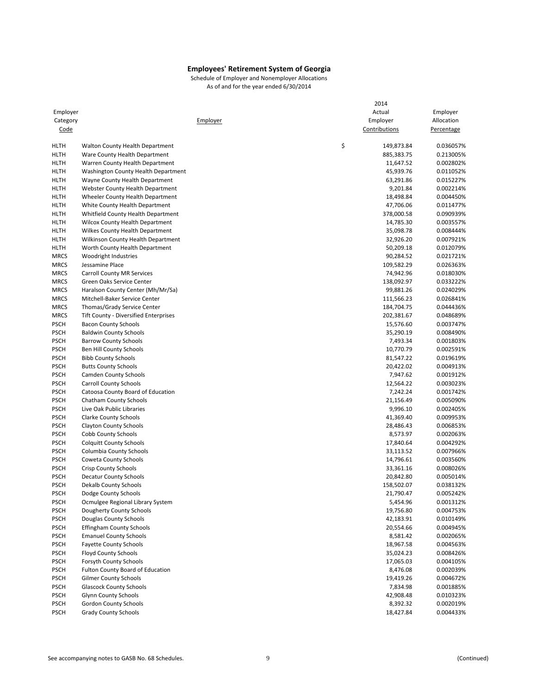|             |                                           |          | 2014             |            |
|-------------|-------------------------------------------|----------|------------------|------------|
| Employer    |                                           |          | Actual           | Employer   |
| Category    |                                           | Employer | Employer         | Allocation |
| Code        |                                           |          | Contributions    | Percentage |
| HLTH        | Walton County Health Department           |          | \$<br>149,873.84 | 0.036057%  |
| HLTH        | Ware County Health Department             |          | 885,383.75       | 0.213005%  |
| HLTH        | Warren County Health Department           |          | 11,647.52        | 0.002802%  |
| HLTH        | Washington County Health Department       |          | 45,939.76        | 0.011052%  |
| HLTH        | Wayne County Health Department            |          | 63,291.86        | 0.015227%  |
| HLTH        | Webster County Health Department          |          | 9,201.84         | 0.002214%  |
| <b>HLTH</b> | Wheeler County Health Department          |          | 18,498.84        | 0.004450%  |
| HLTH        | White County Health Department            |          | 47,706.06        | 0.011477%  |
| HLTH        | Whitfield County Health Department        |          | 378,000.58       | 0.090939%  |
| HLTH        | <b>Wilcox County Health Department</b>    |          | 14,785.30        | 0.003557%  |
| HLTH        | Wilkes County Health Department           |          | 35,098.78        | 0.008444%  |
| <b>HLTH</b> | <b>Wilkinson County Health Department</b> |          | 32,926.20        | 0.007921%  |
| HLTH        | Worth County Health Department            |          | 50,209.18        | 0.012079%  |
| <b>MRCS</b> | Woodright Industries                      |          | 90,284.52        | 0.021721%  |
| <b>MRCS</b> | Jessamine Place                           |          | 109,582.29       | 0.026363%  |
| <b>MRCS</b> | <b>Carroll County MR Services</b>         |          | 74,942.96        | 0.018030%  |
| <b>MRCS</b> | Green Oaks Service Center                 |          | 138,092.97       | 0.033222%  |
| <b>MRCS</b> | Haralson County Center (Mh/Mr/Sa)         |          | 99,881.26        | 0.024029%  |
| <b>MRCS</b> | Mitchell-Baker Service Center             |          | 111,566.23       | 0.026841%  |
| <b>MRCS</b> | Thomas/Grady Service Center               |          | 184,704.75       | 0.044436%  |
| <b>MRCS</b> | Tift County - Diversified Enterprises     |          | 202,381.67       | 0.048689%  |
| <b>PSCH</b> | <b>Bacon County Schools</b>               |          | 15,576.60        | 0.003747%  |
| <b>PSCH</b> | <b>Baldwin County Schools</b>             |          | 35,290.19        | 0.008490%  |
| <b>PSCH</b> | <b>Barrow County Schools</b>              |          | 7,493.34         | 0.001803%  |
| <b>PSCH</b> | Ben Hill County Schools                   |          | 10,770.79        | 0.002591%  |
| <b>PSCH</b> | <b>Bibb County Schools</b>                |          | 81,547.22        | 0.019619%  |
| <b>PSCH</b> | <b>Butts County Schools</b>               |          | 20,422.02        | 0.004913%  |
| <b>PSCH</b> | <b>Camden County Schools</b>              |          | 7,947.62         | 0.001912%  |
| <b>PSCH</b> | <b>Carroll County Schools</b>             |          | 12,564.22        | 0.003023%  |
| <b>PSCH</b> | Catoosa County Board of Education         |          | 7,242.24         | 0.001742%  |
| <b>PSCH</b> | <b>Chatham County Schools</b>             |          | 21,156.49        | 0.005090%  |
| <b>PSCH</b> | Live Oak Public Libraries                 |          | 9,996.10         | 0.002405%  |
| <b>PSCH</b> | <b>Clarke County Schools</b>              |          | 41,369.40        | 0.009953%  |
| <b>PSCH</b> | <b>Clayton County Schools</b>             |          | 28,486.43        | 0.006853%  |
| <b>PSCH</b> | Cobb County Schools                       |          | 8,573.97         | 0.002063%  |
| <b>PSCH</b> | <b>Colquitt County Schools</b>            |          | 17,840.64        | 0.004292%  |
| <b>PSCH</b> | <b>Columbia County Schools</b>            |          | 33,113.52        | 0.007966%  |
| <b>PSCH</b> | <b>Coweta County Schools</b>              |          | 14,796.61        | 0.003560%  |
| <b>PSCH</b> | Crisp County Schools                      |          | 33,361.16        | 0.008026%  |
| <b>PSCH</b> | <b>Decatur County Schools</b>             |          | 20,842.80        | 0.005014%  |
| <b>PSCH</b> | <b>Dekalb County Schools</b>              |          | 158,502.07       | 0.038132%  |
| <b>PSCH</b> | Dodge County Schools                      |          | 21,790.47        | 0.005242%  |
| <b>PSCH</b> | Ocmulgee Regional Library System          |          | 5,454.96         | 0.001312%  |
| <b>PSCH</b> | Dougherty County Schools                  |          | 19,756.80        | 0.004753%  |
| <b>PSCH</b> | Douglas County Schools                    |          | 42,183.91        | 0.010149%  |
| <b>PSCH</b> | <b>Effingham County Schools</b>           |          | 20,554.66        | 0.004945%  |
| <b>PSCH</b> | <b>Emanuel County Schools</b>             |          | 8,581.42         | 0.002065%  |
| <b>PSCH</b> | <b>Fayette County Schools</b>             |          | 18,967.58        | 0.004563%  |
| <b>PSCH</b> | <b>Floyd County Schools</b>               |          | 35,024.23        | 0.008426%  |
| <b>PSCH</b> | Forsyth County Schools                    |          | 17,065.03        | 0.004105%  |
| <b>PSCH</b> | <b>Fulton County Board of Education</b>   |          | 8,476.08         | 0.002039%  |
| <b>PSCH</b> | <b>Gilmer County Schools</b>              |          | 19,419.26        | 0.004672%  |
| <b>PSCH</b> | <b>Glascock County Schools</b>            |          | 7,834.98         | 0.001885%  |
| <b>PSCH</b> | <b>Glynn County Schools</b>               |          | 42,908.48        | 0.010323%  |
| <b>PSCH</b> | Gordon County Schools                     |          | 8,392.32         | 0.002019%  |
| <b>PSCH</b> | <b>Grady County Schools</b>               |          | 18,427.84        | 0.004433%  |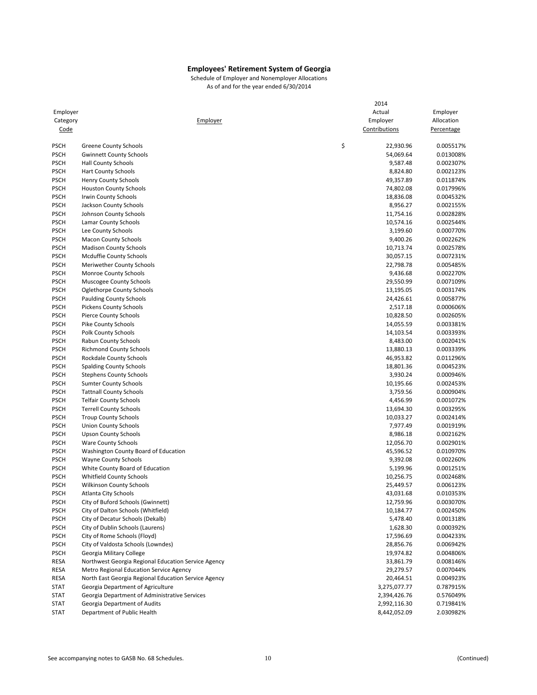| Employer<br>Category       | <u>Employer</u>                                              | 2014<br>Actual<br>Employer | Employer<br>Allocation |
|----------------------------|--------------------------------------------------------------|----------------------------|------------------------|
| Code                       |                                                              | Contributions              | Percentage             |
| <b>PSCH</b>                | <b>Greene County Schools</b>                                 | \$<br>22,930.96            | 0.005517%              |
| <b>PSCH</b>                | <b>Gwinnett County Schools</b>                               | 54,069.64                  | 0.013008%              |
| <b>PSCH</b>                | <b>Hall County Schools</b>                                   | 9,587.48                   | 0.002307%              |
| <b>PSCH</b>                | <b>Hart County Schools</b>                                   | 8,824.80                   | 0.002123%              |
| <b>PSCH</b>                | Henry County Schools                                         | 49,357.89                  | 0.011874%              |
| <b>PSCH</b>                | <b>Houston County Schools</b>                                | 74,802.08                  | 0.017996%              |
| <b>PSCH</b>                | Irwin County Schools                                         | 18,836.08                  | 0.004532%              |
| <b>PSCH</b>                | Jackson County Schools                                       | 8,956.27                   | 0.002155%              |
| <b>PSCH</b>                | Johnson County Schools                                       | 11,754.16                  | 0.002828%              |
| <b>PSCH</b>                | Lamar County Schools                                         | 10,574.16                  | 0.002544%              |
| <b>PSCH</b>                | Lee County Schools                                           | 3,199.60                   | 0.000770%              |
| <b>PSCH</b>                | <b>Macon County Schools</b>                                  | 9,400.26                   | 0.002262%              |
| <b>PSCH</b>                | <b>Madison County Schools</b>                                | 10,713.74                  | 0.002578%              |
| <b>PSCH</b>                | Mcduffie County Schools                                      | 30,057.15                  | 0.007231%              |
| <b>PSCH</b>                | <b>Meriwether County Schools</b>                             | 22,798.78                  | 0.005485%              |
| <b>PSCH</b>                | <b>Monroe County Schools</b>                                 | 9,436.68                   | 0.002270%              |
| <b>PSCH</b>                | Muscogee County Schools                                      | 29,550.99                  | 0.007109%              |
| <b>PSCH</b>                | Oglethorpe County Schools                                    | 13,195.05                  | 0.003174%              |
| <b>PSCH</b>                | <b>Paulding County Schools</b>                               | 24,426.61                  | 0.005877%              |
| <b>PSCH</b>                | <b>Pickens County Schools</b>                                | 2,517.18                   | 0.000606%              |
| <b>PSCH</b>                | <b>Pierce County Schools</b>                                 | 10,828.50                  | 0.002605%              |
| <b>PSCH</b>                | Pike County Schools                                          | 14,055.59                  | 0.003381%              |
| <b>PSCH</b>                | Polk County Schools                                          | 14,103.54                  | 0.003393%              |
| <b>PSCH</b>                | Rabun County Schools                                         | 8,483.00                   | 0.002041%              |
| <b>PSCH</b>                | <b>Richmond County Schools</b>                               | 13,880.13                  | 0.003339%              |
| <b>PSCH</b>                | Rockdale County Schools                                      | 46,953.82                  | 0.011296%              |
| <b>PSCH</b>                | <b>Spalding County Schools</b>                               | 18,801.36                  | 0.004523%              |
| <b>PSCH</b>                | <b>Stephens County Schools</b>                               | 3,930.24                   | 0.000946%              |
| <b>PSCH</b>                | <b>Sumter County Schools</b>                                 | 10,195.66                  | 0.002453%              |
| <b>PSCH</b>                | <b>Tattnall County Schools</b>                               | 3,759.56                   | 0.000904%              |
| <b>PSCH</b><br><b>PSCH</b> | <b>Telfair County Schools</b>                                | 4,456.99                   | 0.001072%<br>0.003295% |
| <b>PSCH</b>                | <b>Terrell County Schools</b><br><b>Troup County Schools</b> | 13,694.30<br>10,033.27     | 0.002414%              |
| <b>PSCH</b>                | <b>Union County Schools</b>                                  | 7,977.49                   | 0.001919%              |
| <b>PSCH</b>                | <b>Upson County Schools</b>                                  | 8,986.18                   | 0.002162%              |
| <b>PSCH</b>                | <b>Ware County Schools</b>                                   | 12,056.70                  | 0.002901%              |
| <b>PSCH</b>                | Washington County Board of Education                         | 45,596.52                  | 0.010970%              |
| <b>PSCH</b>                | <b>Wayne County Schools</b>                                  | 9,392.08                   | 0.002260%              |
| <b>PSCH</b>                | White County Board of Education                              | 5,199.96                   | 0.001251%              |
| <b>PSCH</b>                | <b>Whitfield County Schools</b>                              | 10,256.75                  | 0.002468%              |
| <b>PSCH</b>                | <b>Wilkinson County Schools</b>                              | 25,449.57                  | 0.006123%              |
| <b>PSCH</b>                | Atlanta City Schools                                         | 43,031.68                  | 0.010353%              |
| <b>PSCH</b>                | City of Buford Schools (Gwinnett)                            | 12,759.96                  | 0.003070%              |
| <b>PSCH</b>                | City of Dalton Schools (Whitfield)                           | 10,184.77                  | 0.002450%              |
| <b>PSCH</b>                | City of Decatur Schools (Dekalb)                             | 5,478.40                   | 0.001318%              |
| <b>PSCH</b>                | City of Dublin Schools (Laurens)                             | 1,628.30                   | 0.000392%              |
| <b>PSCH</b>                | City of Rome Schools (Floyd)                                 | 17,596.69                  | 0.004233%              |
| <b>PSCH</b>                | City of Valdosta Schools (Lowndes)                           | 28,856.76                  | 0.006942%              |
| <b>PSCH</b>                | Georgia Military College                                     | 19,974.82                  | 0.004806%              |
| RESA                       | Northwest Georgia Regional Education Service Agency          | 33,861.79                  | 0.008146%              |
| RESA                       | Metro Regional Education Service Agency                      | 29,279.57                  | 0.007044%              |
| RESA                       | North East Georgia Regional Education Service Agency         | 20,464.51                  | 0.004923%              |
| <b>STAT</b>                | Georgia Department of Agriculture                            | 3,275,077.77               | 0.787915%              |
| <b>STAT</b>                | Georgia Department of Administrative Services                | 2,394,426.76               | 0.576049%              |
| <b>STAT</b>                | Georgia Department of Audits                                 | 2,992,116.30               | 0.719841%              |
| <b>STAT</b>                | Department of Public Health                                  | 8,442,052.09               | 2.030982%              |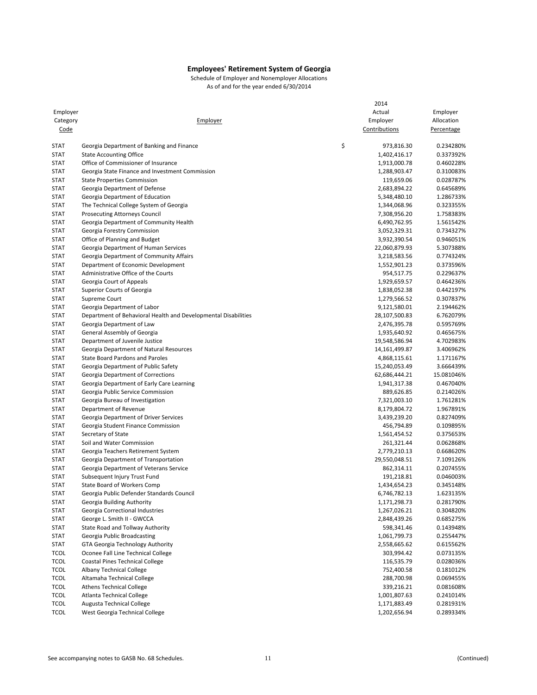|             |                                                                | 2014             |            |
|-------------|----------------------------------------------------------------|------------------|------------|
| Employer    |                                                                | Actual           | Employer   |
| Category    | Employer                                                       | Employer         | Allocation |
| Code        |                                                                | Contributions    | Percentage |
|             |                                                                |                  |            |
| <b>STAT</b> | Georgia Department of Banking and Finance                      | \$<br>973,816.30 | 0.234280%  |
| <b>STAT</b> | <b>State Accounting Office</b>                                 | 1,402,416.17     | 0.337392%  |
| <b>STAT</b> | Office of Commissioner of Insurance                            | 1,913,000.78     | 0.460228%  |
| <b>STAT</b> | Georgia State Finance and Investment Commission                | 1,288,903.47     | 0.310083%  |
| <b>STAT</b> | <b>State Properties Commission</b>                             | 119,659.06       | 0.028787%  |
| <b>STAT</b> | Georgia Department of Defense                                  | 2,683,894.22     | 0.645689%  |
| <b>STAT</b> | Georgia Department of Education                                | 5,348,480.10     | 1.286733%  |
| <b>STAT</b> | The Technical College System of Georgia                        | 1,344,068.96     | 0.323355%  |
| <b>STAT</b> | <b>Prosecuting Attorneys Council</b>                           | 7,308,956.20     | 1.758383%  |
| <b>STAT</b> | Georgia Department of Community Health                         | 6,490,762.95     | 1.561542%  |
| <b>STAT</b> | Georgia Forestry Commission                                    | 3,052,329.31     | 0.734327%  |
| <b>STAT</b> | Office of Planning and Budget                                  | 3,932,390.54     | 0.946051%  |
| <b>STAT</b> | Georgia Department of Human Services                           | 22,060,879.93    | 5.307388%  |
| <b>STAT</b> | Georgia Department of Community Affairs                        | 3,218,583.56     | 0.774324%  |
| <b>STAT</b> | Department of Economic Development                             | 1,552,901.23     | 0.373596%  |
| <b>STAT</b> | Administrative Office of the Courts                            | 954,517.75       | 0.229637%  |
| <b>STAT</b> | Georgia Court of Appeals                                       | 1,929,659.57     | 0.464236%  |
| <b>STAT</b> | Superior Courts of Georgia                                     | 1,838,052.38     | 0.442197%  |
| <b>STAT</b> | Supreme Court                                                  | 1,279,566.52     | 0.307837%  |
| <b>STAT</b> | Georgia Department of Labor                                    | 9,121,580.01     | 2.194462%  |
| <b>STAT</b> | Department of Behavioral Health and Developmental Disabilities | 28,107,500.83    | 6.762079%  |
| <b>STAT</b> | Georgia Department of Law                                      | 2,476,395.78     | 0.595769%  |
| <b>STAT</b> | General Assembly of Georgia                                    | 1,935,640.92     | 0.465675%  |
| <b>STAT</b> | Department of Juvenile Justice                                 | 19,548,586.94    | 4.702983%  |
| <b>STAT</b> | Georgia Department of Natural Resources                        | 14,161,499.87    | 3.406962%  |
| <b>STAT</b> | <b>State Board Pardons and Paroles</b>                         | 4,868,115.61     | 1.171167%  |
| <b>STAT</b> | Georgia Department of Public Safety                            | 15,240,053.49    | 3.666439%  |
| <b>STAT</b> | Georgia Department of Corrections                              | 62,686,444.21    | 15.081046% |
| <b>STAT</b> | Georgia Department of Early Care Learning                      | 1,941,317.38     | 0.467040%  |
| <b>STAT</b> | Georgia Public Service Commission                              | 889,626.85       | 0.214026%  |
| <b>STAT</b> | Georgia Bureau of Investigation                                | 7,321,003.10     | 1.761281%  |
| <b>STAT</b> | Department of Revenue                                          | 8,179,804.72     | 1.967891%  |
| <b>STAT</b> | Georgia Department of Driver Services                          | 3,439,239.20     | 0.827409%  |
| <b>STAT</b> | Georgia Student Finance Commission                             | 456,794.89       | 0.109895%  |
| <b>STAT</b> | Secretary of State                                             | 1,561,454.52     | 0.375653%  |
| <b>STAT</b> | Soil and Water Commission                                      | 261,321.44       | 0.062868%  |
| <b>STAT</b> | Georgia Teachers Retirement System                             | 2,779,210.13     | 0.668620%  |
| <b>STAT</b> | Georgia Department of Transportation                           | 29,550,048.51    | 7.109126%  |
| <b>STAT</b> | Georgia Department of Veterans Service                         | 862,314.11       | 0.207455%  |
| <b>STAT</b> | Subsequent Injury Trust Fund                                   | 191,218.81       | 0.046003%  |
| <b>STAT</b> | State Board of Workers Comp                                    | 1,434,654.23     | 0.345148%  |
| <b>STAT</b> | Georgia Public Defender Standards Council                      | 6,746,782.13     | 1.623135%  |
| STAT        | Georgia Building Authority                                     | 1,171,298.73     | 0.281790%  |
| <b>STAT</b> | Georgia Correctional Industries                                | 1,267,026.21     | 0.304820%  |
| <b>STAT</b> | George L. Smith II - GWCCA                                     | 2,848,439.26     | 0.685275%  |
| <b>STAT</b> | State Road and Tollway Authority                               | 598,341.46       | 0.143948%  |
| <b>STAT</b> | Georgia Public Broadcasting                                    | 1,061,799.73     | 0.255447%  |
| STAT        | GTA Georgia Technology Authority                               | 2,558,665.62     | 0.615562%  |
| <b>TCOL</b> | Oconee Fall Line Technical College                             | 303,994.42       | 0.073135%  |
| <b>TCOL</b> | <b>Coastal Pines Technical College</b>                         | 116,535.79       | 0.028036%  |
| <b>TCOL</b> | <b>Albany Technical College</b>                                | 752,400.58       | 0.181012%  |
| <b>TCOL</b> | Altamaha Technical College                                     | 288,700.98       | 0.069455%  |
| <b>TCOL</b> | <b>Athens Technical College</b>                                | 339,216.21       |            |
| <b>TCOL</b> | Atlanta Technical College                                      |                  | 0.081608%  |
|             |                                                                | 1,001,807.63     | 0.241014%  |
| <b>TCOL</b> | <b>Augusta Technical College</b>                               | 1,171,883.49     | 0.281931%  |
| <b>TCOL</b> | West Georgia Technical College                                 | 1,202,656.94     | 0.289334%  |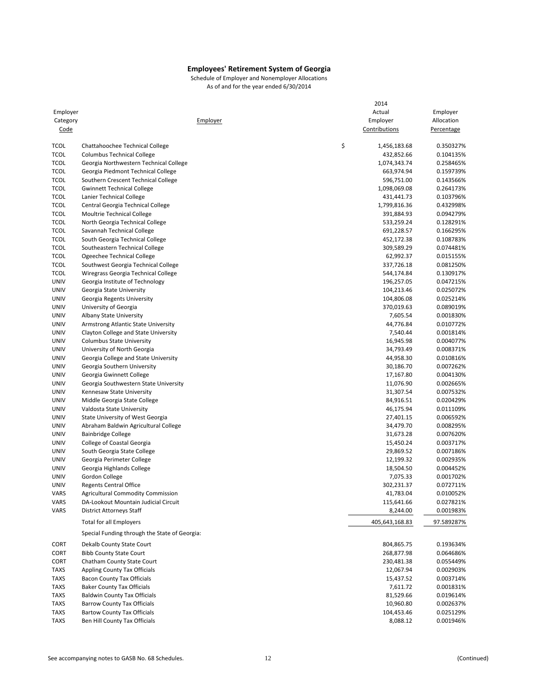| Employer    |                                               |          | 2014<br>Actual     | Employer   |
|-------------|-----------------------------------------------|----------|--------------------|------------|
| Category    |                                               | Employer | Employer           | Allocation |
| <u>Code</u> |                                               |          | Contributions      | Percentage |
|             |                                               |          |                    |            |
| <b>TCOL</b> | Chattahoochee Technical College               |          | \$<br>1,456,183.68 | 0.350327%  |
| <b>TCOL</b> | <b>Columbus Technical College</b>             |          | 432,852.66         | 0.104135%  |
| <b>TCOL</b> | Georgia Northwestern Technical College        |          | 1,074,343.74       | 0.258465%  |
| <b>TCOL</b> | Georgia Piedmont Technical College            |          | 663,974.94         | 0.159739%  |
| <b>TCOL</b> | Southern Crescent Technical College           |          | 596,751.00         | 0.143566%  |
| <b>TCOL</b> | <b>Gwinnett Technical College</b>             |          | 1,098,069.08       | 0.264173%  |
| <b>TCOL</b> | Lanier Technical College                      |          | 431,441.73         | 0.103796%  |
| <b>TCOL</b> | Central Georgia Technical College             |          | 1,799,816.36       | 0.432998%  |
| <b>TCOL</b> | Moultrie Technical College                    |          | 391,884.93         | 0.094279%  |
| <b>TCOL</b> | North Georgia Technical College               |          | 533,259.24         | 0.128291%  |
| <b>TCOL</b> | Savannah Technical College                    |          | 691,228.57         | 0.166295%  |
| <b>TCOL</b> | South Georgia Technical College               |          | 452,172.38         | 0.108783%  |
| <b>TCOL</b> | Southeastern Technical College                |          | 309,589.29         | 0.074481%  |
| <b>TCOL</b> | Ogeechee Technical College                    |          | 62,992.37          | 0.015155%  |
| <b>TCOL</b> | Southwest Georgia Technical College           |          | 337,726.18         | 0.081250%  |
| <b>TCOL</b> | Wiregrass Georgia Technical College           |          | 544,174.84         | 0.130917%  |
| <b>UNIV</b> | Georgia Institute of Technology               |          | 196,257.05         | 0.047215%  |
| <b>UNIV</b> | Georgia State University                      |          | 104,213.46         | 0.025072%  |
| <b>UNIV</b> | Georgia Regents University                    |          | 104,806.08         | 0.025214%  |
| <b>UNIV</b> | University of Georgia                         |          | 370,019.63         | 0.089019%  |
| <b>UNIV</b> | Albany State University                       |          | 7,605.54           | 0.001830%  |
| <b>UNIV</b> | Armstrong Atlantic State University           |          | 44,776.84          | 0.010772%  |
| <b>UNIV</b> | Clayton College and State University          |          | 7,540.44           | 0.001814%  |
| <b>UNIV</b> | <b>Columbus State University</b>              |          | 16,945.98          | 0.004077%  |
| <b>UNIV</b> | University of North Georgia                   |          | 34,793.49          | 0.008371%  |
| <b>UNIV</b> | Georgia College and State University          |          | 44,958.30          | 0.010816%  |
| <b>UNIV</b> | Georgia Southern University                   |          | 30,186.70          | 0.007262%  |
| <b>UNIV</b> | Georgia Gwinnett College                      |          | 17,167.80          | 0.004130%  |
| <b>UNIV</b> | Georgia Southwestern State University         |          | 11,076.90          | 0.002665%  |
| <b>UNIV</b> | Kennesaw State University                     |          | 31,307.54          | 0.007532%  |
| <b>UNIV</b> | Middle Georgia State College                  |          | 84,916.51          | 0.020429%  |
| <b>UNIV</b> | Valdosta State University                     |          | 46,175.94          | 0.011109%  |
| <b>UNIV</b> | State University of West Georgia              |          | 27,401.15          | 0.006592%  |
| <b>UNIV</b> | Abraham Baldwin Agricultural College          |          | 34,479.70          | 0.008295%  |
| <b>UNIV</b> | <b>Bainbridge College</b>                     |          | 31,673.28          | 0.007620%  |
| <b>UNIV</b> | College of Coastal Georgia                    |          | 15,450.24          | 0.003717%  |
| <b>UNIV</b> | South Georgia State College                   |          | 29,869.52          | 0.007186%  |
| UNIV        | Georgia Perimeter College                     |          | 12,199.32          | 0.002935%  |
| <b>UNIV</b> | Georgia Highlands College                     |          | 18,504.50          | 0.004452%  |
| <b>UNIV</b> | Gordon College                                |          | 7,075.33           | 0.001702%  |
| <b>UNIV</b> | <b>Regents Central Office</b>                 |          | 302,231.37         | 0.072711%  |
| VARS        | Agricultural Commodity Commission             |          | 41,783.04          | 0.010052%  |
| VARS        | DA-Lookout Mountain Judicial Circuit          |          | 115,641.66         | 0.027821%  |
| VARS        | <b>District Attorneys Staff</b>               |          | 8,244.00           | 0.001983%  |
|             | Total for all Employers                       |          | 405,643,168.83     | 97.589287% |
|             | Special Funding through the State of Georgia: |          |                    |            |
| <b>CORT</b> | Dekalb County State Court                     |          | 804,865.75         | 0.193634%  |
| CORT        | <b>Bibb County State Court</b>                |          | 268,877.98         | 0.064686%  |
| CORT        | Chatham County State Court                    |          | 230,481.38         | 0.055449%  |
| <b>TAXS</b> | <b>Appling County Tax Officials</b>           |          | 12,067.94          | 0.002903%  |
| <b>TAXS</b> | <b>Bacon County Tax Officials</b>             |          | 15,437.52          | 0.003714%  |
| <b>TAXS</b> | <b>Baker County Tax Officials</b>             |          | 7,611.72           | 0.001831%  |
| <b>TAXS</b> | <b>Baldwin County Tax Officials</b>           |          | 81,529.66          | 0.019614%  |
| <b>TAXS</b> | <b>Barrow County Tax Officials</b>            |          | 10,960.80          | 0.002637%  |
| <b>TAXS</b> | <b>Bartow County Tax Officials</b>            |          | 104,453.46         | 0.025129%  |
| <b>TAXS</b> | Ben Hill County Tax Officials                 |          | 8,088.12           | 0.001946%  |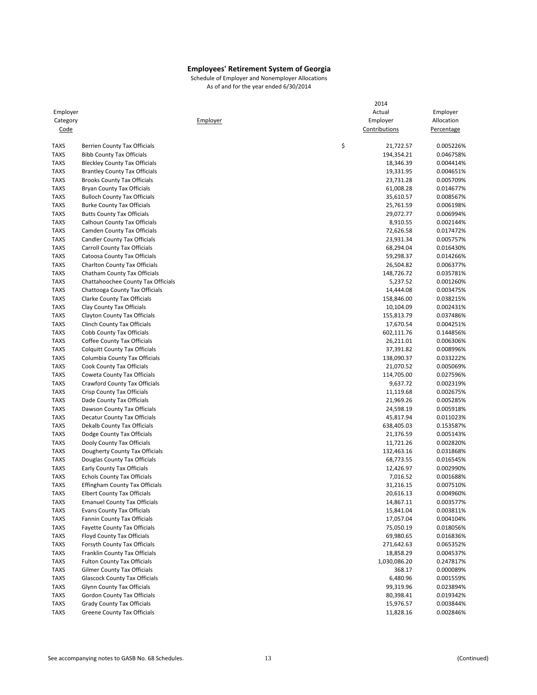| Employer    |                                       | 2014<br>Actual  | Employer   |
|-------------|---------------------------------------|-----------------|------------|
| Category    | Employer                              | Employer        | Allocation |
| Code        |                                       | Contributions   | Percentage |
|             |                                       |                 |            |
| <b>TAXS</b> | <b>Berrien County Tax Officials</b>   | \$<br>21,722.57 | 0.005226%  |
| <b>TAXS</b> | <b>Bibb County Tax Officials</b>      | 194,354.21      | 0.046758%  |
| <b>TAXS</b> | <b>Bleckley County Tax Officials</b>  | 18,346.39       | 0.004414%  |
| <b>TAXS</b> | <b>Brantley County Tax Officials</b>  | 19,331.95       | 0.004651%  |
| <b>TAXS</b> | <b>Brooks County Tax Officials</b>    | 23,731.28       | 0.005709%  |
| <b>TAXS</b> | <b>Bryan County Tax Officials</b>     | 61,008.28       | 0.014677%  |
| <b>TAXS</b> | <b>Bulloch County Tax Officials</b>   | 35,610.57       | 0.008567%  |
| <b>TAXS</b> | <b>Burke County Tax Officials</b>     | 25,761.59       | 0.006198%  |
| <b>TAXS</b> | <b>Butts County Tax Officials</b>     | 29,072.77       | 0.006994%  |
| <b>TAXS</b> | Calhoun County Tax Officials          | 8,910.55        | 0.002144%  |
| <b>TAXS</b> | Camden County Tax Officials           | 72,626.58       | 0.017472%  |
| <b>TAXS</b> | <b>Candler County Tax Officials</b>   | 23,931.34       | 0.005757%  |
| <b>TAXS</b> | <b>Carroll County Tax Officials</b>   | 68,294.04       | 0.016430%  |
| <b>TAXS</b> | Catoosa County Tax Officials          | 59,298.37       | 0.014266%  |
| TAXS        | Charlton County Tax Officials         | 26,504.82       | 0.006377%  |
| <b>TAXS</b> | Chatham County Tax Officials          | 148,726.72      | 0.035781%  |
| <b>TAXS</b> | Chattahoochee County Tax Officials    | 5,237.52        | 0.001260%  |
| <b>TAXS</b> | Chattooga County Tax Officials        | 14,444.08       | 0.003475%  |
| <b>TAXS</b> | <b>Clarke County Tax Officials</b>    | 158,846.00      | 0.038215%  |
| <b>TAXS</b> | Clay County Tax Officials             | 10,104.09       | 0.002431%  |
| <b>TAXS</b> | Clayton County Tax Officials          | 155,813.79      | 0.037486%  |
| <b>TAXS</b> | Clinch County Tax Officials           | 17,670.54       | 0.004251%  |
| <b>TAXS</b> | Cobb County Tax Officials             | 602,111.76      | 0.144856%  |
| <b>TAXS</b> | Coffee County Tax Officials           | 26,211.01       | 0.006306%  |
| <b>TAXS</b> | <b>Colquitt County Tax Officials</b>  | 37,391.82       | 0.008996%  |
| <b>TAXS</b> | Columbia County Tax Officials         | 138,090.37      | 0.033222%  |
| <b>TAXS</b> | Cook County Tax Officials             | 21,070.52       | 0.005069%  |
| <b>TAXS</b> | Coweta County Tax Officials           | 114,705.00      | 0.027596%  |
| <b>TAXS</b> | Crawford County Tax Officials         | 9,637.72        | 0.002319%  |
| <b>TAXS</b> | Crisp County Tax Officials            | 11,119.68       | 0.002675%  |
| <b>TAXS</b> | Dade County Tax Officials             | 21,969.26       | 0.005285%  |
| <b>TAXS</b> | Dawson County Tax Officials           | 24,598.19       | 0.005918%  |
| <b>TAXS</b> | Decatur County Tax Officials          | 45,817.94       | 0.011023%  |
| <b>TAXS</b> | Dekalb County Tax Officials           | 638,405.03      | 0.153587%  |
| <b>TAXS</b> | Dodge County Tax Officials            | 21,376.59       | 0.005143%  |
| <b>TAXS</b> | Dooly County Tax Officials            | 11,721.26       | 0.002820%  |
| <b>TAXS</b> | Dougherty County Tax Officials        | 132,463.16      | 0.031868%  |
| <b>TAXS</b> | Douglas County Tax Officials          | 68,773.55       | 0.016545%  |
| <b>TAXS</b> | Early County Tax Officials            | 12,426.97       | 0.002990%  |
| <b>TAXS</b> | <b>Echols County Tax Officials</b>    | 7,016.52        | 0.001688%  |
| <b>TAXS</b> | <b>Effingham County Tax Officials</b> | 31,216.15       | 0.007510%  |
| TAXS        | Elbert County Tax Officials           | 20,616.13       | 0.004960%  |
| <b>TAXS</b> | <b>Emanuel County Tax Officials</b>   | 14,867.11       | 0.003577%  |
| <b>TAXS</b> | <b>Evans County Tax Officials</b>     | 15,841.04       | 0.003811%  |
| <b>TAXS</b> | Fannin County Tax Officials           | 17,057.04       | 0.004104%  |
| <b>TAXS</b> | <b>Fayette County Tax Officials</b>   | 75,050.19       | 0.018056%  |
| TAXS        | Floyd County Tax Officials            | 69,980.65       | 0.016836%  |
| <b>TAXS</b> | Forsyth County Tax Officials          | 271,642.63      | 0.065352%  |
| <b>TAXS</b> | Franklin County Tax Officials         | 18,858.29       | 0.004537%  |
| <b>TAXS</b> | <b>Fulton County Tax Officials</b>    | 1,030,086.20    | 0.247817%  |
| <b>TAXS</b> | Gilmer County Tax Officials           | 368.17          | 0.000089%  |
| TAXS        | <b>Glascock County Tax Officials</b>  | 6,480.96        | 0.001559%  |
| <b>TAXS</b> | Glynn County Tax Officials            | 99,319.96       | 0.023894%  |
| <b>TAXS</b> | <b>Gordon County Tax Officials</b>    | 80,398.41       | 0.019342%  |
| <b>TAXS</b> | <b>Grady County Tax Officials</b>     | 15,976.57       | 0.003844%  |
| <b>TAXS</b> | <b>Greene County Tax Officials</b>    | 11,828.16       | 0.002846%  |
|             |                                       |                 |            |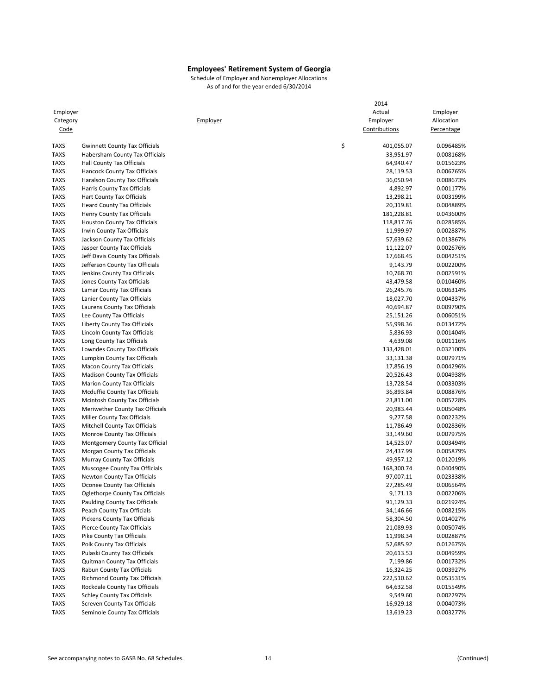|                            |                                                            | 2014                   |                        |
|----------------------------|------------------------------------------------------------|------------------------|------------------------|
| Employer                   |                                                            | Actual                 | Employer               |
| Category                   | Employer                                                   | Employer               | Allocation             |
| Code                       |                                                            | Contributions          | Percentage             |
| <b>TAXS</b>                | <b>Gwinnett County Tax Officials</b>                       | \$<br>401,055.07       | 0.096485%              |
| <b>TAXS</b>                | Habersham County Tax Officials                             | 33,951.97              | 0.008168%              |
| <b>TAXS</b>                | <b>Hall County Tax Officials</b>                           | 64,940.47              | 0.015623%              |
| <b>TAXS</b>                | Hancock County Tax Officials                               | 28,119.53              | 0.006765%              |
| <b>TAXS</b>                | Haralson County Tax Officials                              | 36,050.94              | 0.008673%              |
| <b>TAXS</b>                | Harris County Tax Officials                                | 4,892.97               | 0.001177%              |
| <b>TAXS</b>                | Hart County Tax Officials                                  | 13,298.21              | 0.003199%              |
| <b>TAXS</b>                | <b>Heard County Tax Officials</b>                          | 20,319.81              | 0.004889%              |
| <b>TAXS</b>                | Henry County Tax Officials                                 | 181,228.81             | 0.043600%              |
| <b>TAXS</b>                | <b>Houston County Tax Officials</b>                        | 118,817.76             | 0.028585%              |
| <b>TAXS</b>                | Irwin County Tax Officials                                 | 11,999.97              | 0.002887%              |
| <b>TAXS</b>                | Jackson County Tax Officials                               | 57,639.62              | 0.013867%              |
| <b>TAXS</b>                | Jasper County Tax Officials                                | 11,122.07              | 0.002676%              |
| <b>TAXS</b>                | Jeff Davis County Tax Officials                            | 17,668.45              | 0.004251%              |
| <b>TAXS</b>                | Jefferson County Tax Officials                             | 9,143.79               | 0.002200%              |
| <b>TAXS</b>                | Jenkins County Tax Officials                               | 10,768.70              | 0.002591%              |
| <b>TAXS</b>                | Jones County Tax Officials                                 | 43,479.58              | 0.010460%              |
| <b>TAXS</b>                | Lamar County Tax Officials                                 | 26,245.76              | 0.006314%              |
| <b>TAXS</b>                | Lanier County Tax Officials                                | 18,027.70              | 0.004337%              |
| <b>TAXS</b>                | Laurens County Tax Officials                               | 40,694.87              | 0.009790%              |
| <b>TAXS</b>                | Lee County Tax Officials                                   | 25,151.26              | 0.006051%              |
| <b>TAXS</b>                | Liberty County Tax Officials                               | 55,998.36              | 0.013472%              |
| <b>TAXS</b>                | Lincoln County Tax Officials                               | 5,836.93               | 0.001404%              |
| <b>TAXS</b>                | Long County Tax Officials                                  | 4,639.08               | 0.001116%              |
| <b>TAXS</b>                | Lowndes County Tax Officials                               | 133,428.01             | 0.032100%              |
| <b>TAXS</b>                | Lumpkin County Tax Officials                               | 33,131.38              | 0.007971%              |
| <b>TAXS</b>                | <b>Macon County Tax Officials</b>                          | 17,856.19              | 0.004296%              |
| <b>TAXS</b>                | <b>Madison County Tax Officials</b>                        | 20,526.43              | 0.004938%              |
| <b>TAXS</b>                | <b>Marion County Tax Officials</b>                         | 13,728.54              | 0.003303%              |
| <b>TAXS</b>                | Mcduffie County Tax Officials                              | 36,893.84              | 0.008876%              |
| <b>TAXS</b>                | Mcintosh County Tax Officials                              | 23,811.00              | 0.005728%              |
| <b>TAXS</b>                | Meriwether County Tax Officials                            | 20,983.44              | 0.005048%              |
| <b>TAXS</b>                | Miller County Tax Officials                                | 9,277.58               | 0.002232%              |
| <b>TAXS</b>                | Mitchell County Tax Officials                              | 11,786.49              | 0.002836%              |
| <b>TAXS</b>                | Monroe County Tax Officials                                | 33,149.60              | 0.007975%              |
| <b>TAXS</b>                | Montgomery County Tax Official                             | 14,523.07              | 0.003494%              |
| <b>TAXS</b>                | Morgan County Tax Officials                                | 24,437.99              | 0.005879%              |
| <b>TAXS</b>                | Murray County Tax Officials                                | 49,957.12              | 0.012019%              |
| <b>TAXS</b>                | Muscogee County Tax Officials                              | 168,300.74             | 0.040490%              |
| <b>TAXS</b>                | <b>Newton County Tax Officials</b>                         | 97,007.11              | 0.023338%              |
| <b>TAXS</b>                | Oconee County Tax Officials                                | 27,285.49              | 0.006564%              |
| TAXS                       | Oglethorpe County Tax Officials                            | 9,171.13               | 0.002206%              |
| <b>TAXS</b><br><b>TAXS</b> | Paulding County Tax Officials                              | 91,129.33              | 0.021924%<br>0.008215% |
| <b>TAXS</b>                | Peach County Tax Officials<br>Pickens County Tax Officials | 34,146.66              |                        |
|                            |                                                            | 58,304.50<br>21,089.93 | 0.014027%              |
| <b>TAXS</b><br><b>TAXS</b> | Pierce County Tax Officials<br>Pike County Tax Officials   |                        | 0.005074%              |
| <b>TAXS</b>                | Polk County Tax Officials                                  | 11,998.34<br>52,685.92 | 0.002887%<br>0.012675% |
| <b>TAXS</b>                | Pulaski County Tax Officials                               |                        | 0.004959%              |
| <b>TAXS</b>                | <b>Quitman County Tax Officials</b>                        | 20,613.53<br>7,199.86  | 0.001732%              |
| <b>TAXS</b>                | Rabun County Tax Officials                                 | 16,324.25              | 0.003927%              |
| <b>TAXS</b>                | Richmond County Tax Officials                              | 222,510.62             | 0.053531%              |
| <b>TAXS</b>                | Rockdale County Tax Officials                              | 64,632.58              | 0.015549%              |
| <b>TAXS</b>                | <b>Schley County Tax Officials</b>                         | 9,549.60               | 0.002297%              |
| <b>TAXS</b>                | <b>Screven County Tax Officials</b>                        | 16,929.18              | 0.004073%              |
| <b>TAXS</b>                | Seminole County Tax Officials                              | 13,619.23              | 0.003277%              |
|                            |                                                            |                        |                        |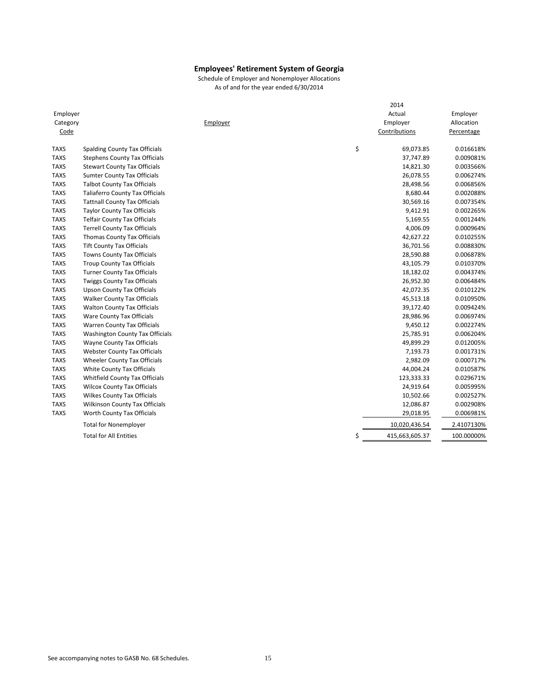| Employer<br>Category<br>Code | Employer                               | 2014<br>Actual<br>Employer<br>Contributions | Employer<br>Allocation<br>Percentage |
|------------------------------|----------------------------------------|---------------------------------------------|--------------------------------------|
| <b>TAXS</b>                  | Spalding County Tax Officials          | \$<br>69,073.85                             | 0.016618%                            |
| <b>TAXS</b>                  | <b>Stephens County Tax Officials</b>   | 37,747.89                                   | 0.009081%                            |
| <b>TAXS</b>                  | <b>Stewart County Tax Officials</b>    | 14,821.30                                   | 0.003566%                            |
| <b>TAXS</b>                  | <b>Sumter County Tax Officials</b>     | 26,078.55                                   | 0.006274%                            |
| <b>TAXS</b>                  | <b>Talbot County Tax Officials</b>     | 28,498.56                                   | 0.006856%                            |
| <b>TAXS</b>                  | <b>Taliaferro County Tax Officials</b> | 8,680.44                                    | 0.002088%                            |
| <b>TAXS</b>                  | <b>Tattnall County Tax Officials</b>   | 30,569.16                                   | 0.007354%                            |
| <b>TAXS</b>                  | <b>Taylor County Tax Officials</b>     | 9,412.91                                    | 0.002265%                            |
| <b>TAXS</b>                  | <b>Telfair County Tax Officials</b>    | 5,169.55                                    | 0.001244%                            |
| <b>TAXS</b>                  | <b>Terrell County Tax Officials</b>    | 4,006.09                                    | 0.000964%                            |
| <b>TAXS</b>                  | Thomas County Tax Officials            | 42,627.22                                   | 0.010255%                            |
| <b>TAXS</b>                  | <b>Tift County Tax Officials</b>       | 36,701.56                                   | 0.008830%                            |
| <b>TAXS</b>                  | Towns County Tax Officials             | 28,590.88                                   | 0.006878%                            |
| <b>TAXS</b>                  | <b>Troup County Tax Officials</b>      | 43,105.79                                   | 0.010370%                            |
| <b>TAXS</b>                  | <b>Turner County Tax Officials</b>     | 18,182.02                                   | 0.004374%                            |
| <b>TAXS</b>                  | <b>Twiggs County Tax Officials</b>     | 26,952.30                                   | 0.006484%                            |
| <b>TAXS</b>                  | <b>Upson County Tax Officials</b>      | 42,072.35                                   | 0.010122%                            |
| <b>TAXS</b>                  | <b>Walker County Tax Officials</b>     | 45,513.18                                   | 0.010950%                            |
| <b>TAXS</b>                  | <b>Walton County Tax Officials</b>     | 39,172.40                                   | 0.009424%                            |
| <b>TAXS</b>                  | Ware County Tax Officials              | 28,986.96                                   | 0.006974%                            |
| <b>TAXS</b>                  | Warren County Tax Officials            | 9,450.12                                    | 0.002274%                            |
| <b>TAXS</b>                  | Washington County Tax Officials        | 25,785.91                                   | 0.006204%                            |
| <b>TAXS</b>                  | Wayne County Tax Officials             | 49,899.29                                   | 0.012005%                            |
| <b>TAXS</b>                  | <b>Webster County Tax Officials</b>    | 7,193.73                                    | 0.001731%                            |
| <b>TAXS</b>                  | Wheeler County Tax Officials           | 2,982.09                                    | 0.000717%                            |
| <b>TAXS</b>                  | White County Tax Officials             | 44,004.24                                   | 0.010587%                            |
| <b>TAXS</b>                  | Whitfield County Tax Officials         | 123,333.33                                  | 0.029671%                            |
| <b>TAXS</b>                  | <b>Wilcox County Tax Officials</b>     | 24,919.64                                   | 0.005995%                            |
| <b>TAXS</b>                  | <b>Wilkes County Tax Officials</b>     | 10,502.66                                   | 0.002527%                            |
| <b>TAXS</b>                  | Wilkinson County Tax Officials         | 12,086.87                                   | 0.002908%                            |
| <b>TAXS</b>                  | Worth County Tax Officials             | 29,018.95                                   | 0.006981%                            |
|                              | <b>Total for Nonemployer</b>           | 10,020,436.54                               | 2.4107130%                           |
|                              | <b>Total for All Entities</b>          | \$<br>415,663,605.37                        | 100.00000%                           |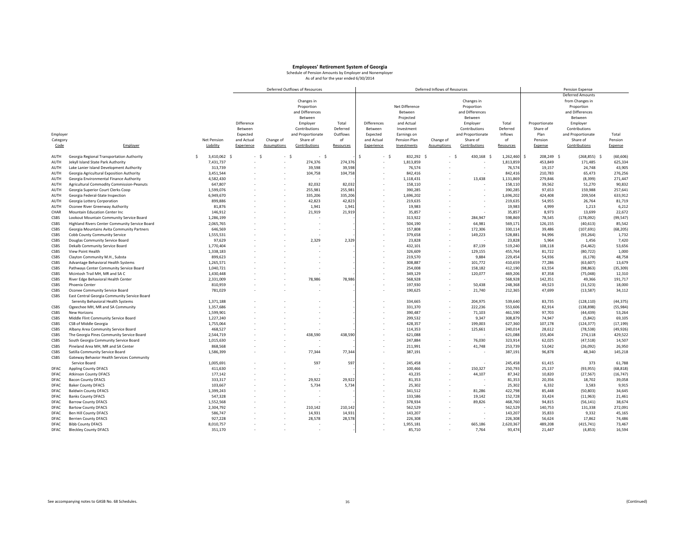|             |                                                |    |                    |            |             | Deferred Outflows of Resources |           |             |                |            | Deferred Inflows of Resources |                   |           |                  | Pension Expense         |           |
|-------------|------------------------------------------------|----|--------------------|------------|-------------|--------------------------------|-----------|-------------|----------------|------------|-------------------------------|-------------------|-----------|------------------|-------------------------|-----------|
|             |                                                |    |                    |            |             |                                |           |             |                |            |                               |                   |           |                  | <b>Deferred Amounts</b> |           |
|             |                                                |    |                    |            |             | Changes in                     |           |             |                |            |                               | Changes in        |           |                  | from Changes in         |           |
|             |                                                |    |                    |            |             | Proportion                     |           |             | Net Difference |            |                               | Proportion        |           |                  | Proportion              |           |
|             |                                                |    |                    |            |             | and Differences                |           |             | Between        |            |                               | and Differences   |           |                  | and Differences         |           |
|             |                                                |    |                    |            |             | Between                        |           |             | Projected      |            |                               | Between           |           |                  | Between                 |           |
|             |                                                |    |                    | Difference |             | Employer                       | Total     | Differences | and Actual     |            |                               | Employer          | Total     | Proportionate    | Employer                |           |
|             |                                                |    |                    | Between    |             | Contributions                  | Deferred  | Between     | Investment     |            |                               | Contributions     | Deferred  | Share of         | Contributions           |           |
| Employer    |                                                |    |                    | Expected   |             | and Proportionate              | Outflows  | Expected    | Earnings on    |            |                               | and Proportionate | Inflows   | Plan             | and Proportionate       | Total     |
| Category    |                                                |    | <b>Net Pension</b> | and Actual | Change of   | Share of                       | of        | and Actual  | Pension Plan   |            | Change of                     | Share of          | of        | Pension          | Share of                | Pension   |
| Code        | Employer                                       |    | Liability          | Experience | Assumptions | Contributions                  | Resources | Experience  | Investments    |            | Assumptions                   | Contributions     | Resources | Expense          | Contributions           | Expense   |
|             |                                                |    |                    |            |             |                                |           |             |                |            |                               |                   |           |                  |                         |           |
| AUTH        | Georgia Regional Transportation Authority      | s. | 3,410,062 \$       | $-5$       | - \$        | $-5$                           |           | -S          | - \$           | 832,292 \$ | - \$                          | 430,168<br>s.     | 1,262,460 | \$<br>208,249 \$ | $(268, 855)$ \$         | (60, 606) |
| AUTH        | Jekyll Island State Park Authority             |    | 7,431,737          |            |             | 274.376                        | 274.37    |             |                | 1.813.859  |                               |                   | 1.813.85  | 453.849          | 171.485                 | 625,334   |
| AUTH        | Lake Lanier Island Development Authority       |    | 313,739            |            |             | 39,598                         | 39,59     |             |                | 76,574     |                               |                   | 76,57     | 19,157           | 24,748                  | 43,905    |
| AUTH        | Georgia Agricultural Exposition Authority      |    | 3,451,544          |            |             | 104,758                        | 104,758   |             |                | 842,416    |                               |                   | 842,41    | 210,783          | 65,473                  | 276,256   |
| AUTH        | Georgia Environmental Finance Authority        |    | 4,582,430          |            |             |                                |           |             |                | 1,118,431  |                               | 13,438            | 1,131,869 | 279,846          | (8, 399)                | 271,447   |
| AUTH        | Agricultural Commodity Commission-Peanuts      |    | 647,807            |            |             | 82,032                         | 82,03     |             |                | 158,110    |                               |                   | 158,110   | 39,562           | 51,270                  | 90,832    |
| AUTH        | Georgia Superior Court Clerks Coop             |    | 1,599,076          |            |             | 255,981                        | 255,98    |             |                | 390,285    |                               |                   | 390,285   | 97,653           | 159,988                 | 257,641   |
| AUTH        | Georgia Federal-State Inspection               |    | 6,949,670          |            |             | 335,206                        | 335,20    |             |                | 1,696,202  |                               |                   | 1,696,202 | 424,408          | 209,504                 | 633,912   |
| AUTH        | Georgia Lottery Corporation                    |    | 899,886            |            |             | 42,823                         | 42,82     |             |                | 219,635    |                               |                   | 219,63    | 54,955           | 26,764                  | 81,719    |
| AUTH        | Oconee River Greenway Authority                |    | 81,876             |            |             | 1,941                          | 1,94      |             |                | 19,983     |                               | ÷.                | 19,983    | 4,999            | 1,213                   | 6,212     |
| CHAR        | Mountain Education Center Inc                  |    | 146,912            |            |             | 21,919                         | 21,919    |             |                | 35,857     |                               |                   | 35,857    | 8,973            | 13,699                  | 22,672    |
| CSBS        | Lookout Mountain Community Service Board       |    | 1,286,199          |            |             |                                |           |             |                | 313,922    |                               | 284,947           | 598,869   | 78,545           | (178,092)               | (99, 547) |
| CSBS        | Highland Rivers Center Community Service Board |    | 2,065,765          |            |             | ٠                              |           |             |                | 504,190    |                               | 64,981            | 569,17    | 126,155          | (40, 613)               | 85,542    |
| CSBS        | Georgia Mountains Avita Community Partners     |    | 646,569            |            |             |                                |           |             |                | 157.808    |                               | 172.306           | 330,114   | 39,486           | (107, 691)              | (68, 205) |
| CSBS        | Cobb County Community Service                  |    | 1,555,531          |            |             |                                |           |             |                | 379,658    |                               | 149,223           | 528,883   | 94,996           | (93, 264)               | 1,732     |
| CSBS        | Douglas Community Service Board                |    | 97,629             |            |             | 2,329                          | 2,329     |             |                | 23,828     |                               |                   | 23,828    | 5,964            | 1,456                   | 7,420     |
| CSBS        | Dekalb Community Service Board                 |    | 1,770,404          |            |             |                                |           |             |                | 432,101    |                               | 87,139            | 519,240   | 108,118          | (54, 462)               | 53,656    |
| CSBS        | View Point Health                              |    | 1,338,183          |            |             |                                |           |             |                | 326,609    |                               | 129,155           | 455,764   | 81,722           | (80, 722)               | 1,000     |
| CSBS        | Clayton Community M.H., Substa                 |    | 899,623            |            |             |                                |           |             |                | 219,570    |                               | 9,884             | 229,454   | 54,936           | (6, 178)                | 48,758    |
| CSBS        | Advantage Behavioral Health Systems            |    | 1,265,571          |            |             |                                |           |             |                | 308,887    |                               | 101,772           | 410,659   | 77,286           | (63, 607)               | 13,679    |
| CSBS        | Pathways Center Community Service Board        |    | 1,040,721          |            |             |                                |           |             |                | 254.008    |                               | 158.182           | 412,190   | 63,554           | (98, 863)               | (35, 309) |
| CSBS        | Mcintosh Trail MH, MR and SA C                 |    | 1,430,448          |            |             |                                |           |             |                | 349,129    |                               | 120,077           | 469,206   | 87,358           | (75, 048)               | 12,310    |
| CSBS        | River Edge Behavioral Health Center            |    | 2,331,009          |            |             | 78,986                         | 78,986    |             |                | 568,928    |                               |                   | 568,928   | 142,351          | 49,366                  | 191,717   |
| CSBS        | <b>Phoenix Center</b>                          |    | 810,959            |            |             |                                |           |             |                | 197,930    |                               | 50,438            | 248,368   | 49,523           | (31, 523)               | 18,000    |
| CSBS        | Oconee Community Service Board                 |    | 781,029            |            |             |                                |           |             |                | 190,625    |                               | 21,740            | 212,365   | 47,699           | (13,587)                | 34,112    |
| CSBS        | East Central Georgia Community Service Board   |    |                    |            |             |                                |           |             |                |            |                               |                   |           |                  |                         |           |
|             | Serenity Behavioral Health Systems             |    | 1,371,188          |            |             |                                |           |             |                | 334,665    |                               | 204,975           | 539,640   | 83,735           | (128, 110)              | (44, 375) |
| CSBS        | Ogeechee MH, MR and SA Community               |    | 1,357,686          |            |             |                                |           |             |                | 331.370    |                               | 222.236           | 553,606   | 82.914           | (138, 898)              | (55, 984) |
| CSBS        | New Horizons                                   |    | 1,599,901          |            |             |                                |           |             |                | 390,487    |                               | 71,103            | 461,590   | 97,703           | (44, 439)               | 53,264    |
| CSBS        | Middle Flint Community Service Board           |    | 1,227,240          |            |             |                                |           |             |                | 299,532    |                               | 9,347             | 308,879   | 74,947           | (5, 842)                | 69,105    |
| CSBS        | CSB of Middle Georgia                          |    | 1,755,064          |            |             |                                |           |             |                | 428,357    |                               | 199,003           | 627,360   | 107,178          | (124, 377)              | (17, 199) |
| CSBS        | Albany Area Community Service Board            |    | 468,527            |            |             |                                |           |             |                | 114,353    |                               | 125,661           | 240,01    | 28,612           | (78, 538)               | (49, 926) |
| CSBS        | The Georgia Pines Community Service Board      |    | 2,544,719          |            |             | 438,590                        | 438,590   |             |                | 621,088    |                               |                   | 621,088   | 155,404          | 274,118                 | 429,522   |
| CSBS        | South Georgia Community Service Board          |    | 1,015,630          |            |             |                                |           |             |                | 247,884    |                               | 76,030            | 323,914   | 62,025           | (47, 518)               | 14,507    |
| CSBS        | Pineland Area MH, MR and SA Center             |    | 868,568            |            |             |                                |           |             |                | 211,991    |                               | 41,748            | 253,739   | 53,042           | (26,092)                | 26,950    |
| CSBS        | Satilla Community Service Board                |    | 1,586,399          |            |             | 77,344                         | 77,344    |             |                | 387,191    |                               |                   | 387,191   | 96,878           | 48,340                  | 145,218   |
| CSBS        | Gateway Behavior Health Services Community     |    |                    |            |             |                                |           |             |                |            |                               |                   |           |                  |                         |           |
|             | Service Board                                  |    | 1,005,691          |            |             | 597                            | 597       |             |                | 245,458    |                               |                   | 245,458   | 61,415           | 373                     | 61,788    |
| DFAC        | <b>Appling County DFACS</b>                    |    | 411,630            |            |             |                                |           |             |                | 100,466    |                               | 150,327           | 250,793   | 25,137           | (93, 955)               | (68, 818) |
| DFAC        | <b>Atkinson County DFACS</b>                   |    | 177.142            |            |             |                                |           |             |                | 43.235     |                               | 44,107            | 87,342    | 10,820           | (27, 567)               | (16, 747) |
| DFAC        | <b>Bacon County DFACS</b>                      |    | 333,317            |            |             | 29,922                         | 29,92     |             |                | 81,353     |                               |                   | 81,353    | 20,356           | 18,702                  | 39,058    |
| DFAC        | <b>Baker County DFACS</b>                      |    | 103,667            |            |             | 5,734                          | 5,734     |             |                | 25,302     |                               |                   | 25,302    | 6,332            | 3,583                   | 9,915     |
| DFAC        | <b>Baldwin County DFACS</b>                    |    | 1,399,243          |            |             |                                |           |             |                | 341,512    |                               | 81,286            | 422,798   | 85,448           | (50, 803)               | 34,645    |
| DFAC        | <b>Banks County DFACS</b>                      |    | 547,328            |            |             |                                |           |             |                | 133,586    |                               | 19,142            | 152,728   | 33,424           | (11, 963)               | 21,461    |
| DFAC        | <b>Barrow County DFACS</b>                     |    | 1,552,568          |            |             |                                |           |             |                | 378,934    |                               | 89,826            | 468,760   | 94,815           | (56, 141)               | 38,674    |
| DFAC        | <b>Bartow County DFACS</b>                     |    | 2,304,792          |            |             | 210,142                        | 210,14    |             |                | 562,529    |                               |                   | 562,529   | 140,753          | 131,338                 | 272,091   |
| DFAC        | <b>Ben Hill County DFACS</b>                   |    | 586.747            |            |             | 14.931                         | 14.93     |             |                | 143.207    |                               |                   | 143.20    | 35,833           | 9,332                   | 45,165    |
| DFAC        | <b>Berrien County DFACS</b>                    |    | 927,228            |            |             | 28,578                         | 28,57     |             |                | 226,308    |                               |                   | 226,308   | 56,624           | 17,862                  | 74,486    |
| <b>DFAC</b> | <b>Bibb County DFACS</b>                       |    | 8,010,757          |            |             |                                |           |             |                | 1,955,181  |                               | 665.186           | 2,620,367 | 489.208          | (415, 741)              | 73,467    |
| DFAC        | <b>Bleckley County DFACS</b>                   |    | 351,170            |            |             |                                |           |             |                | 85,710     |                               | 7,764             | 93,474    | 21,447           | (4, 853)                | 16,594    |
|             |                                                |    |                    |            |             |                                |           |             |                |            |                               |                   |           |                  |                         |           |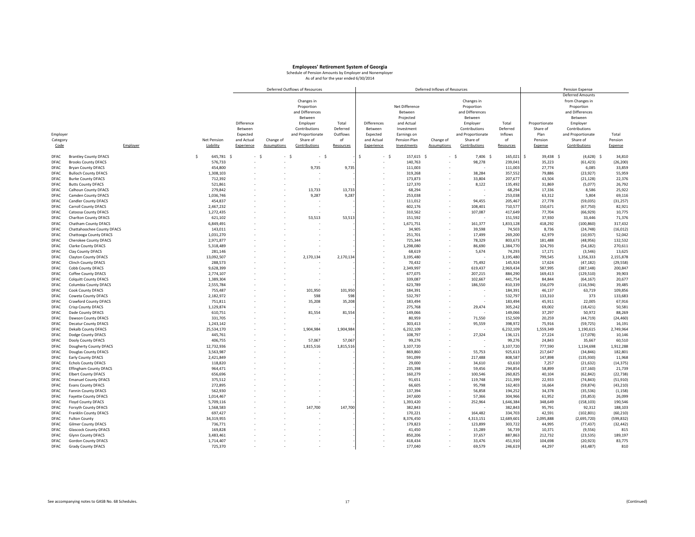|             |                               |             |            |                    | Deferred Outflows of Resources |           |                    |                | Deferred Inflows of Resources |                   |           |                   | Pension Expense         |            |
|-------------|-------------------------------|-------------|------------|--------------------|--------------------------------|-----------|--------------------|----------------|-------------------------------|-------------------|-----------|-------------------|-------------------------|------------|
|             |                               |             |            |                    |                                |           |                    |                |                               |                   |           |                   | <b>Deferred Amounts</b> |            |
|             |                               |             |            |                    | Changes in                     |           |                    |                |                               | Changes in        |           |                   | from Changes in         |            |
|             |                               |             |            |                    | Proportion                     |           |                    | Net Difference |                               | Proportion        |           |                   | Proportion              |            |
|             |                               |             |            |                    | and Differences                |           |                    | Between        |                               | and Differences   |           |                   | and Differences         |            |
|             |                               |             |            |                    | Between                        |           |                    | Projected      |                               | Between           |           |                   | Between                 |            |
|             |                               |             | Difference |                    | Employer                       | Total     | <b>Differences</b> | and Actual     |                               | Employer          | Total     | Proportionate     | Employer                |            |
|             |                               |             | Between    |                    | Contributions                  | Deferred  | Between            | Investment     |                               | Contributions     | Deferred  | Share of          | Contributions           |            |
| Employer    |                               |             | Expected   |                    | and Proportionate              | Outflows  | Expected           | Earnings on    |                               | and Proportionate | Inflows   | Plan              | and Proportionate       | Total      |
| Category    |                               | Net Pension | and Actual | Change of          | Share of                       | of        | and Actual         | Pension Plan   | Change of                     | Share of          | of        | Pension           | Share of                | Pension    |
|             |                               | Liability   | Experience |                    | Contributions                  |           | Experience         |                | Assumptions                   |                   |           |                   | Contributions           |            |
| Code        | Employer                      |             |            | <b>Assumptions</b> |                                | Resources |                    | Investments    |                               | Contributions     | Resources | Expense           |                         | Expense    |
| DFAC        | <b>Brantley County DFACS</b>  | \$          | 645,781 \$ | - \$               | $-5$<br>$-5$                   |           | \$<br>- \$         | 157,615 \$     |                               | - \$<br>7,406 \$  | 165,021   | Š.<br>39,438 \$   | $(4,628)$ \$            | 34,810     |
| DFAC        | <b>Brooks County DFACS</b>    |             | 576,733    |                    | $\overline{\phantom{a}}$       |           |                    | 140,763        | ٠                             | 98,278            | 239,041   | 35,223            | (61, 423)               | (26, 200)  |
| DFAC        | <b>Bryan County DFACS</b>     |             | 454,800    |                    | 9,735                          | 9,735     |                    | 111,003        |                               |                   | 111,00    | 27,774            | 6,085                   | 33,859     |
|             |                               |             |            |                    |                                |           |                    |                | ٠                             |                   |           |                   |                         |            |
| DFAC        | <b>Bulloch County DFACS</b>   |             | 1,308,103  |                    |                                |           |                    | 319,268        |                               | 38,284            | 357,552   | 79,886            | (23, 927)               | 55,959     |
| DFAC        | <b>Burke County DFACS</b>     |             | 712,392    |                    |                                |           |                    | 173.873        |                               | 33.804            | 207,677   | 43,504            | (21, 128)               | 22,376     |
| DFAC        | <b>Butts County DFACS</b>     |             | 521,861    |                    |                                |           |                    | 127,370        |                               | 8,122             | 135,492   | 31,869            | (5,077)                 | 26,792     |
| DFAC        | Calhoun County DFACS          |             | 279,842    |                    | 13,733                         | 13,733    |                    | 68,294         |                               |                   | 68,294    | 17,336            | 8,586                   | 25,922     |
| DFAC        | <b>Camden County DFACS</b>    |             | 1,036,746  |                    | 9,287                          | 9,28      |                    | 253,038        |                               |                   | 253,038   | 63,312            | 5,804                   | 69,116     |
| DFAC        | Candler County DFACS          |             | 454,837    |                    |                                |           |                    | 111,012        |                               | 94,455            | 205,467   | 27,778            | (59, 035)               | (31, 257)  |
| DFAC        | Carroll County DFACS          |             | 2,467,232  |                    |                                |           |                    | 602,176        |                               | 108,401           | 710,577   | 150,671           | (67, 750)               | 82,921     |
| DFAC        | <b>Catoosa County DFACS</b>   |             | 1,272,435  |                    |                                |           |                    | 310,562        | ٠                             | 107,087           | 417,649   | 77,704            | (66, 929)               | 10,775     |
| DFAC        | <b>Charlton County DFACS</b>  |             | 621,102    |                    | 53,513                         | 53,513    |                    | 151,592        |                               |                   | 151,592   | 37,930            | 33,446                  | 71,376     |
| DFAC        | Chatham County DFACS          |             | 6,849,491  |                    |                                |           |                    | 1,671,751      |                               | 161,377           | 1,833,128 | 418,292           | (100, 860)              | 317,432    |
| DFAC        | Chattahoochee County DFACS    |             | 143,011    |                    |                                |           |                    | 34,905         |                               | 39,598            | 74,50     | 8,736             | (24, 748)               | (16, 012)  |
| DFAC        | Chattooga County DFACS        |             | 1,031,270  |                    |                                |           |                    | 251,701        |                               | 17,499            | 269,200   | 62,979            | (10, 937)               | 52,042     |
| DFAC        | Cherokee County DFACS         |             | 2,971,877  |                    |                                |           |                    | 725,344        |                               | 78,329            | 803,673   | 181,488           | (48, 956)               | 132,532    |
| DFAC        | <b>Clarke County DFACS</b>    |             | 5,318,489  |                    |                                |           |                    | 1,298,080      |                               | 86,690            | 1,384,770 | 324,793           | (54, 182)               | 270,611    |
| DFAC        | Clay County DFACS             |             | 281,146    |                    |                                |           |                    | 68,619         |                               | 5,674             | 74,293    | 17,171            | (3, 546)                | 13,625     |
| DFAC        | <b>Clayton County DFACS</b>   | 13,092,507  |            |                    | 2,170,134                      | 2,170,134 |                    | 3,195,480      |                               |                   | 3,195,480 | 799,545           | 1,356,333               | 2,155,878  |
| DFAC        | <b>Clinch County DFACS</b>    |             | 288,573    |                    |                                |           |                    | 70,432         |                               | 75,492            | 145,92    | 17,624            | (47, 182)               | (29, 558)  |
| DFAC        | Cobb County DFACS             |             | 9,628,399  |                    |                                |           |                    | 2,349,997      |                               | 619,437           | 2,969,434 | 587,995           | (387, 148)              | 200,847    |
| <b>DFAC</b> |                               |             |            |                    |                                |           |                    | 677,075        |                               | 207,215           | 884,290   |                   |                         |            |
| DFAC        | Coffee County DFACS           |             | 2,774,107  |                    |                                |           |                    | 339,087        |                               | 102,667           | 441,754   | 169,413<br>84,844 | (129, 510)              | 39,903     |
|             | <b>Colquitt County DFACS</b>  |             | 1,389,304  |                    |                                |           |                    |                | ٠                             |                   |           |                   | (64, 167)               | 20,677     |
| DFAC        | Columbia County DFACS         |             | 2,555,784  |                    |                                |           |                    | 623,789        |                               | 186,550           | 810,339   | 156,079           | (116, 594)              | 39,485     |
| DFAC        | Cook County DFACS             |             | 755,487    |                    | 101,950                        | 101,950   |                    | 184,391        |                               |                   | 184,391   | 46,137            | 63,719                  | 109,856    |
| DFAC        | Coweta County DFACS           |             | 2,182,972  |                    | 598                            | 598       |                    | 532,797        |                               |                   | 532,79    | 133,310           | 373                     | 133,683    |
| DFAC        | Crawford County DFACS         |             | 751,811    |                    | 35,208                         | 35,208    |                    | 183,494        |                               |                   | 183,494   | 45,911            | 22,005                  | 67,916     |
| DFAC        | <b>Crisp County DFACS</b>     |             | 1,129,874  |                    |                                |           |                    | 275,768        |                               | 29,474            | 305,242   | 69,002            | (18, 421)               | 50,581     |
| DFAC        | Dade County DFACS             |             | 610,751    |                    | 81,554                         | 81,554    |                    | 149,066        |                               |                   | 149,066   | 37,297            | 50,972                  | 88,269     |
| <b>DFAC</b> | Dawson County DFACS           |             | 331,705    |                    |                                |           |                    | 80,959         |                               | 71,550            | 152,509   | 20,259            | (44, 719)               | (24, 460)  |
| DFAC        | <b>Decatur County DFACS</b>   |             | 1,243,142  |                    |                                |           |                    | 303,413        |                               | 95,559            | 398,972   | 75,916            | (59, 725)               | 16,191     |
| <b>DFAC</b> | <b>Dekalb County DFACS</b>    | 25,534,170  |            |                    | 1,904,984                      | 1,904,984 |                    | 6,232,109      |                               |                   | 6,232,109 | 1,559,349         | 1,190,615               | 2,749,964  |
| DFAC        | Dodge County DFACS            |             | 445,761    |                    |                                |           |                    | 108,797        |                               | 27,324            | 136,12:   | 27,224            | (17, 078)               | 10,146     |
| DFAC        | Dooly County DFACS            |             | 406,755    |                    | 57,067                         | 57,067    |                    | 99,276         |                               |                   | 99,27     | 24,843            | 35,667                  | 60,510     |
| DFAC        | Dougherty County DFACS        | 12,732,936  |            |                    | 1,815,516                      | 1,815,516 |                    | 3,107,720      |                               | $\sim$            | 3,107,720 | 777,590           | 1,134,698               | 1,912,288  |
| DFAC        | <b>Douglas County DFACS</b>   | 3,563,987   |            |                    |                                |           |                    | 869,860        |                               | 55,753            | 925,61    | 217,647           | (34, 846)               | 182,801    |
| DFAC        | <b>Early County DFACS</b>     |             | 2,421,849  |                    |                                |           |                    | 591,099        | ٠                             | 217,488           | 808,587   | 147,898           | (135,930)               | 11,968     |
| <b>DFAC</b> | <b>Echols County DFACS</b>    |             | 118,820    |                    |                                |           |                    | 29,000         |                               | 34,610            | 63,610    | 7,257             | (21, 632)               | (14, 375)  |
| DFAC        | <b>Effingham County DFACS</b> |             | 964,471    |                    |                                |           |                    | 235,398        |                               | 59,456            | 294,85    | 58,899            | (37, 160)               | 21,739     |
| DFAC        | <b>Elbert County DFACS</b>    |             | 656,696    |                    |                                |           |                    | 160,279        |                               | 100,546           | 260,825   | 40,104            | (62, 842)               | (22, 738)  |
| DFAC        | <b>Emanuel County DFACS</b>   |             | 375,512    |                    |                                |           |                    | 91,651         |                               | 119,748           | 211,399   | 22,933            | (74, 843)               | (51, 910)  |
| DFAC        | <b>Evans County DFACS</b>     |             | 272,895    |                    |                                |           |                    | 66,605         |                               | 95,798            | 162,403   | 16,664            | (59, 874)               | (43, 210)  |
| DFAC        | Fannin County DFACS           |             | 562,930    |                    |                                |           |                    | 137,394        |                               | 56,858            | 194,252   | 34,378            | (35, 536)               | (1, 158)   |
| DFAC        | <b>Fayette County DFACS</b>   |             | 1,014,467  |                    |                                |           |                    | 247,600        |                               | 57,366            | 304,966   | 61,952            | (35, 853)               | 26,099     |
| <b>DFAC</b> | Floyd County DFACS            |             | 5,709,116  |                    |                                |           |                    | 1,393,420      |                               | 252,964           | 1,646,384 | 348,649           | (158, 103)              | 190,546    |
| <b>DFAC</b> | Forsyth County DFACS          |             | 1,568,583  |                    | 147.700                        | 147,700   |                    | 382,843        |                               |                   | 382,843   | 95,791            | 92,312                  | 188,103    |
| DFAC        | Franklin County DFACS         |             | 697,427    |                    |                                |           |                    | 170,221        |                               | 164,482           | 334,70    | 42,591            | (102, 801)              | (60, 210)  |
| DFAC        | <b>Fulton County</b>          | 34,319,955  |            |                    |                                |           |                    | 8,376,450      |                               | 4,313,151         | 12,689,60 | 2,095,888         | (2,695,720)             | (599, 832) |
| DFAC        | <b>Gilmer County DFACS</b>    |             | 736,771    |                    |                                |           |                    | 179,823        |                               | 123,899           | 303,722   | 44,995            | (77, 437)               | (32, 442)  |
| DFAC        | <b>Glascock County DFACS</b>  |             | 169,828    |                    |                                |           |                    | 41,450         |                               | 15,289            | 56,739    | 10,371            | (9, 556)                | 815        |
| <b>DFAC</b> | Glynn County DFACS            |             | 3,483,461  |                    |                                |           |                    | 850,206        |                               | 37,657            | 887,863   | 212,732           | (23, 535)               | 189,197    |
| DFAC        | <b>Gordon County DFACS</b>    |             | 1,714,407  |                    |                                |           |                    | 418,434        |                               | 33,476            | 451,910   | 104,698           | (20, 923)               | 83,775     |
| DFAC        | Grady County DFACS            |             | 725,370    |                    |                                |           |                    | 177,040        |                               | 69,579            | 246,619   | 44,297            | (43, 487)               | 810        |
|             |                               |             |            |                    |                                |           |                    |                |                               |                   |           |                   |                         |            |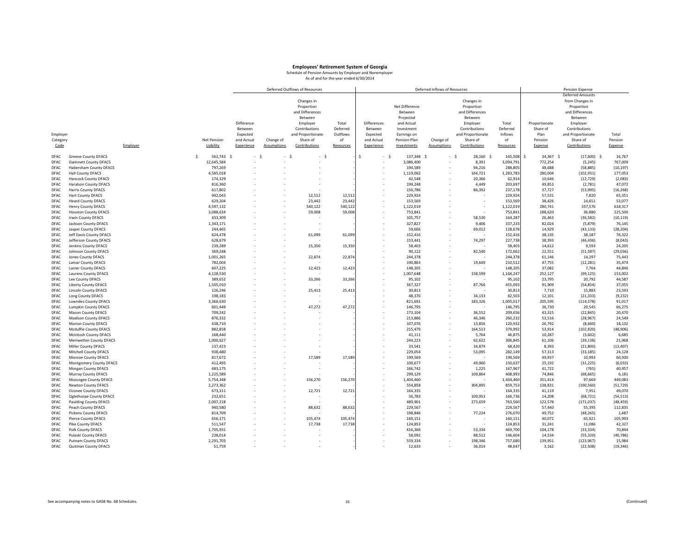|              |                              |          |                      |                      |            |                    | Deferred Outflows of Resources |           |                    |                    | Deferred Inflows of Resources |                   |                    |                           | Pension Expense         |           |
|--------------|------------------------------|----------|----------------------|----------------------|------------|--------------------|--------------------------------|-----------|--------------------|--------------------|-------------------------------|-------------------|--------------------|---------------------------|-------------------------|-----------|
|              |                              |          |                      |                      |            |                    |                                |           |                    |                    |                               |                   |                    |                           | <b>Deferred Amounts</b> |           |
|              |                              |          |                      |                      |            |                    | Changes in                     |           |                    |                    |                               | Changes in        |                    |                           | from Changes in         |           |
|              |                              |          |                      |                      |            |                    | Proportion                     |           |                    | Net Difference     |                               | Proportion        |                    |                           | Proportion              |           |
|              |                              |          |                      |                      |            |                    | and Differences                |           |                    | Between            |                               | and Differences   |                    |                           | and Differences         |           |
|              |                              |          |                      |                      |            |                    | Between                        |           |                    | Projected          |                               | Between           |                    |                           | Between                 |           |
|              |                              |          |                      |                      | Difference |                    | Employer                       | Total     | <b>Differences</b> | and Actual         |                               | Employer          | Total              | Proportionate             | Employer                |           |
|              |                              |          |                      |                      | Between    |                    | Contributions                  | Deferred  | Between            | Investment         |                               | Contributions     | Deferred           | Share of                  | Contributions           |           |
| Employer     |                              |          |                      |                      | Expected   |                    | and Proportionate              | Outflows  | Expected           | Earnings on        |                               | and Proportionate | Inflows            | Plan                      | and Proportionate       | Total     |
| Category     |                              |          |                      | <b>Net Pension</b>   | and Actual | Change of          | Share of                       | of        | and Actual         | Pension Plan       | Change of                     | Share of          | of                 | Pension                   | Share of                | Pension   |
|              |                              |          |                      |                      |            |                    |                                |           |                    |                    |                               |                   |                    |                           |                         |           |
| Code         |                              | Employer |                      | Liability            | Experience | <b>Assumptions</b> | Contributions                  | Resources | Experience         | Investments        | <b>Assumptions</b>            | Contributions     | Resources          | Expense                   | Contributions           | Expense   |
| DFAC         | <b>Greene County DFACS</b>   |          | $\tilde{\mathbf{S}}$ | 562,743 \$           | - \$       | $-5$               | - \$                           |           | Ś                  | 137,348 \$<br>- \$ |                               | 28,160 \$<br>- 5  | 165,508            | $\mathsf{S}$<br>34,367 \$ | $(17,600)$ \$           | 16,767    |
| DFAC         | <b>Gwinnett County DFACS</b> |          |                      | 12,645,584           |            |                    |                                |           |                    | 3,086,400          |                               | 8,391             | 3,094,791          | 772,254                   | (5, 245)                | 767,009   |
| DFAC         | Habersham County DFACS       |          |                      | 797,269              |            |                    |                                |           |                    | 194,589            |                               | 94,216            | 288,805            | 48,688                    | (58, 885)               | (10, 197) |
| DFAC         | Hall County DFACS            |          |                      | 4,585,018            |            |                    |                                |           | $\sim$             | 1,119,062          | ٠                             | 164,721           | 1,283,783          | 280,004                   | (102, 951)              | 177,053   |
| DFAC         | <b>Hancock County DFACS</b>  |          |                      | 174,329              |            |                    |                                |           |                    | 42,548             |                               | 20,366            | 62,914             | 10,646                    | (12, 729)               | (2,083)   |
| DFAC         | <b>Haralson County DFACS</b> |          |                      | 816,360              |            |                    |                                |           |                    | 199,248            |                               | 4,449             | 203,697            | 49,853                    | (2,781)                 | 47,072    |
| <b>DFAC</b>  | <b>Harris County DFACS</b>   |          |                      | 617,802              |            |                    |                                |           |                    | 150,786            |                               | 86,392            | 237,178            | 37,727                    | (53,995)                | (16, 268) |
| DFAC         | <b>Hart County DFACS</b>     |          |                      | 942,043              |            |                    | 12,512                         | 12,512    |                    | 229,924            |                               |                   | 229,924            | 57,531                    | 7,820                   | 65,351    |
| <b>DFAC</b>  | <b>Heard County DFACS</b>    |          |                      | 629,204              |            |                    | 23,442                         | 23,442    |                    | 153,569            |                               |                   | 153,569            | 38,426                    | 14,651                  | 53,077    |
| DFAC         | <b>Henry County DFACS</b>    |          |                      | 4,597,132            |            |                    | 540,122                        | 540,122   |                    | 1,122,019          |                               |                   | 1,122,019          | 280,741                   | 337,576                 | 618,317   |
| DFAC         | <b>Houston County DFACS</b>  |          |                      | 3,088,634            |            |                    | 59,008                         | 59,008    |                    | 753,841            | ÷.                            |                   | 753,843            | 188,620                   | 36,880                  | 225,500   |
| <b>DFAC</b>  | Irwin County DFACS           |          |                      | 433,309              |            |                    |                                |           |                    | 105,757            |                               | 58,530            | 164,287            | 26,463                    | (36, 582)               | (10, 119) |
| DFAC         | Jackson County DFACS         |          |                      | 1,343,171            |            |                    |                                |           |                    | 327,827            |                               | 9,406             | 337,233            | 82,024                    | (5, 879)                | 76,145    |
|              |                              |          |                      |                      |            |                    |                                |           |                    |                    |                               |                   |                    |                           |                         |           |
| DFAC<br>DFAC | Jasper County DFACS          |          |                      | 244,465              |            |                    |                                |           |                    | 59,666             |                               | 69,012<br>٠       | 128,678<br>152,416 | 14,929                    | (43, 133)               | (28, 204) |
|              | Jeff Davis County DFACS      |          |                      | 624,478              |            |                    | 61,099                         | 61,099    |                    | 152,416            |                               |                   |                    | 38,135                    | 38,187                  | 76,322    |
| DFAC         | Jefferson County DFACS       |          |                      | 628,679              |            |                    |                                |           |                    | 153,441            |                               | 74,297            | 227,738            | 38,393                    | (46, 436)               | (8,043)   |
| <b>DFAC</b>  | <b>Jenkins County DFACS</b>  |          |                      | 239,289              |            |                    | 15,350                         | 15,350    |                    | 58,403             |                               |                   | 58,403             | 14,612                    | 9,593                   | 24,205    |
| DFAC         | <b>Johnson County DFACS</b>  |          |                      | 369,248              |            |                    |                                |           |                    | 90,122             |                               | 82,540            | 172,662            | 22,551                    | (51, 587)               | (29, 036) |
| DFAC         | <b>Jones County DFACS</b>    |          |                      | 1,001,265            |            |                    | 22,874                         | 22,874    |                    | 244,378            |                               |                   | 244,378            | 61,146                    | 14,297                  | 75,443    |
| DFAC         | Lamar County DFACS           |          |                      | 782,004              |            |                    |                                |           |                    | 190,863            |                               | 19,649            | 210,51             | 47,755                    | (12, 281)               | 35,474    |
| DFAC         | <b>Lanier County DFACS</b>   |          |                      | 607,225              |            |                    | 12,423                         | 12,423    |                    | 148,205            |                               |                   | 148,205            | 37,082                    | 7,764                   | 44,846    |
| DFAC         | <b>Laurens County DFACS</b>  |          |                      | 4,128,530            |            |                    |                                |           |                    | 1,007,648          |                               | 158,599           | 1,166,247          | 252,127                   | (99, 125)               | 153,002   |
| <b>DFAC</b>  | Lee County DFACS             |          |                      | 389,652              |            |                    | 33,266                         | 33,266    |                    | 95,102             |                               |                   | 95,102             | 23,795                    | 20,792                  | 44,587    |
| DFAC         | <b>Liberty County DFACS</b>  |          |                      | 1,505,010            |            |                    |                                |           |                    | 367,327            |                               | 87,766            | 455,093            | 91,909                    | (54, 854)               | 37,055    |
| DFAC         | <b>Lincoln County DFACS</b>  |          |                      | 126,246              |            |                    | 25,413                         | 25,413    |                    | 30,813             |                               |                   | 30,81              | 7,710                     | 15,883                  | 23,593    |
| DFAC         | Long County DFACS            |          |                      | 198.183              |            |                    |                                |           |                    | 48.370             |                               | 34.133            | 82.503             | 12,101                    | (21, 333)               | (9, 232)  |
| DFAC         | Lowndes County DFACS         |          |                      | 3,366,630            |            |                    |                                |           |                    | 821,691            |                               | 183,326           | 1,005,01           | 205,595                   | (114, 578)              | 91,017    |
| <b>DFAC</b>  | <b>Lumpkin County DFACS</b>  |          |                      | 601,449              |            |                    | 47,272                         | 47,272    |                    | 146,795            |                               |                   | 146,795            | 36,730                    | 29,545                  | 66,275    |
| DFAC         | Macon County DFACS           |          |                      | 709,242              |            |                    |                                |           |                    | 173,104            |                               | 36,552            | 209,656            | 43,315                    | (22, 845)               | 20,470    |
| DFAC         | <b>Madison County DFACS</b>  |          |                      | 876,332              |            |                    |                                |           |                    | 213,886            | ٠                             | 46,346            | 260,232            | 53,516                    | (28, 967)               | 24,549    |
| <b>DFAC</b>  | <b>Marion County DFACS</b>   |          |                      | 438,710              |            |                    |                                |           |                    | 107,076            |                               | 13,856            | 120,932            | 26,792                    | (8,660)                 | 18,132    |
| DFAC         | Mcduffie County DFACS        |          |                      | 882,858              |            |                    |                                |           |                    | 215,479            |                               | 164,513           | 379,992            | 53,914                    | (102, 820)              | (48,906)  |
| DFAC         | <b>Mcintosh County DFACS</b> |          |                      | 168,440              |            |                    |                                |           |                    | 41,111             |                               | 5,764             | 46,87              | 10,287                    | (3,602)                 | 6,685     |
| <b>DFAC</b>  | Meriwether County DFACS      |          |                      | 1,000,627            |            |                    |                                |           |                    | 244,223            |                               | 62,622            | 306,845            | 61,106                    | (39, 138)               | 21,968    |
| <b>DFAC</b>  | Miller County DFACS          |          |                      | 137,423              |            |                    |                                |           |                    | 33,541             |                               | 34,879            | 68,420             | 8,393                     | (21, 800)               | (13, 407) |
| DFAC         | Mitchell County DFACS        |          |                      | 938,480              |            |                    |                                |           |                    | 229.054            |                               | 53.095            | 282.149            | 57,313                    | (33, 185)               | 24,128    |
| DFAC         | Monroe County DFACS          |          |                      | 817,672              |            |                    | 17,589                         | 17,589    |                    | 199,569            |                               |                   | 199,569            | 49,937                    | 10,993                  | 60,930    |
| DFAC         | Montgomery County DFACS      |          |                      | 412,493              |            |                    |                                |           |                    | 100,677            |                               | 49,960            | 150,637            | 25,192                    | (31, 225)               | (6,033)   |
| DFAC         | Morgan County DFACS          |          |                      | 683,175              |            |                    |                                |           |                    | 166,742            |                               | 1,225             | 167,967            | 41,722                    | (765)                   | 40,957    |
| DFAC         | Murray County DFACS          |          |                      | 1,225,589            |            |                    |                                |           |                    | 299,129            |                               | 109,864           | 408,993            | 74,846                    | (68, 665)               | 6,181     |
| <b>DFAC</b>  | Muscogee County DFACS        |          |                      | 5,754,348            |            |                    | 156,270                        | 156,270   |                    | 1,404,460          |                               |                   | 1,404,460          | 351,414                   | 97,669                  | 449,083   |
| DFAC         | Newton County DFACS          |          |                      | 2,273,362            |            |                    |                                |           |                    | 554,858            |                               | 304,895           | 859,753            | 138,831                   | (190, 560)              | (51, 729) |
| DFAC         | Oconee County DFACS          |          |                      | 673,311              |            |                    | 12,721                         | 12,721    | $\sim$             | 164,335            |                               |                   | 164,335            | 41,119                    | 7,951                   | 49,070    |
| DFAC         | Oglethorpe County DFACS      |          |                      | 232.651              |            |                    |                                |           |                    | 56,783             |                               | 109.953           | 166,736            | 14,208                    | (68, 721)               | (54, 513) |
| DFAC         | <b>Paulding County DFACS</b> |          |                      | 2,007,218            |            |                    |                                |           |                    | 489,901            |                               | 273,659           | 763,560            | 122,578                   | (171, 037)              | (48, 459) |
| DFAC         | Peach County DFACS           |          |                      | 940,580              |            |                    | 88,632                         | 88,632    |                    | 229,567            |                               |                   | 229,567            | 57,440                    | 55,395                  | 112,835   |
| DFAC         | <b>Pickens County DFACS</b>  |          |                      | 814,709              |            |                    |                                |           |                    | 198,846            |                               | 77,224            | 276,070            | 49,752                    | (48, 265)               | 1,487     |
| <b>DFAC</b>  | Pierce County DFACS          |          |                      | 656,171              |            |                    | 105,474                        | 105,474   |                    | 160,151            |                               |                   | 160,15:            | 40,072                    | 65,921                  | 105,993   |
| DFAC         | Pike County DFACS            |          |                      | 511,547              |            |                    | 17,738                         | 17,738    |                    | 124,853            |                               |                   | 124,853            | 31,241                    | 11,086                  | 42,327    |
| DFAC         | Polk County DFACS            |          |                      | 1,705,931            |            |                    |                                |           |                    | 416,366            |                               | 53,334            | 469,700            | 104,178                   | (33, 334)               | 70,844    |
| DFAC         |                              |          |                      |                      |            |                    |                                |           |                    |                    |                               |                   |                    |                           |                         | (40, 786) |
| DFAC         | Pulaski County DFACS         |          |                      | 238,014<br>2.291.703 |            |                    |                                |           |                    | 58,092<br>559.334  |                               | 88,512<br>198.346 | 146,604<br>757.680 | 14,534<br>139.951         | (55, 320)<br>(123, 967) | 15,984    |
|              | <b>Putnam County DFACS</b>   |          |                      |                      |            |                    |                                |           |                    |                    |                               |                   |                    |                           |                         |           |
| DFAC         | Quitman County DFACS         |          |                      | 51,759               |            |                    |                                |           |                    | 12,633             |                               | 36,014            | 48,647             | 3,162                     | (22, 508)               | (19, 346) |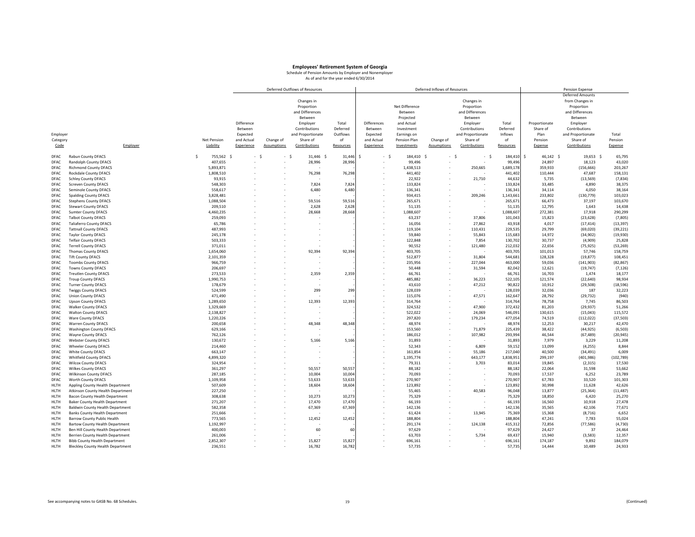|              |                                          |                    |             |            |                    | Deferred Outflows of Resources |           |                      |                | Deferred Inflows of Resources |                   |           |                 | Pension Expense         |            |
|--------------|------------------------------------------|--------------------|-------------|------------|--------------------|--------------------------------|-----------|----------------------|----------------|-------------------------------|-------------------|-----------|-----------------|-------------------------|------------|
|              |                                          |                    |             |            |                    |                                |           |                      |                |                               |                   |           |                 | <b>Deferred Amounts</b> |            |
|              |                                          |                    |             |            |                    | Changes in                     |           |                      |                |                               | Changes in        |           |                 | from Changes in         |            |
|              |                                          |                    |             |            |                    | Proportion                     |           |                      | Net Difference |                               | Proportion        |           |                 | Proportion              |            |
|              |                                          |                    |             |            |                    | and Differences                |           |                      | Between        |                               | and Differences   |           |                 | and Differences         |            |
|              |                                          |                    |             |            |                    | Between                        |           |                      | Projected      |                               | Between           |           |                 | Between                 |            |
|              |                                          |                    |             | Difference |                    | Employer                       | Total     | <b>Differences</b>   | and Actual     |                               | Employer          | Total     | Proportionate   | Employer                |            |
|              |                                          |                    |             | Between    |                    | Contributions                  | Deferred  | Between              | Investment     |                               | Contributions     | Deferred  | Share of        | Contributions           |            |
| Employer     |                                          |                    |             | Expected   |                    | and Proportionate              | Outflows  | Expected             | Earnings on    |                               | and Proportionate | Inflows   | Plan            | and Proportionate       | Total      |
|              |                                          |                    |             |            |                    |                                |           |                      |                |                               |                   |           |                 |                         |            |
| Category     |                                          |                    | Net Pension | and Actual | Change of          | Share of                       | of        | and Actual           | Pension Plan   | Change of                     | Share of          | of        | Pension         | Share of                | Pension    |
| Code         | Employer                                 |                    | Liability   | Experience | <b>Assumptions</b> | Contributions                  | Resources | Experience           | Investments    | <b>Assumptions</b>            | Contributions     | Resources | Expense         | Contributions           | Expense    |
| DFAC         | Rabun County DFACS                       | $\mathbf{\hat{S}}$ | 755,562 \$  | - \$       | - \$               | 31,446 \$                      | 31,446    | - \$<br>$\mathsf{S}$ | 184,410 \$     |                               | - \$<br>$-5$      | 184,410   | \$<br>46,142 \$ | 19,653 \$               | 65,795     |
| DFAC         | Randolph County DFACS                    |                    | 407,655     |            |                    | 28,996                         | 28,99     |                      | 99,496         |                               |                   | 99,496    | 24,897          | 18,123                  | 43,020     |
| DFAC         | <b>Richmond County DFACS</b>             |                    | 5,893,871   |            |                    |                                |           |                      | 1,438,513      |                               | 250,665           | 1,689,178 | 359,933         | (156, 666)              | 203,267    |
| DFAC         | <b>Rockdale County DFACS</b>             |                    | 1.808.510   |            |                    | 76,298                         | 76,298    |                      | 441.402        |                               |                   | 441,402   | 110,444         | 47,687                  | 158,131    |
| DFAC         | <b>Schley County DFACS</b>               |                    | 93,915      |            |                    |                                |           |                      | 22,922         |                               | 21,710            | 44,63     | 5,735           | (13, 569)               | (7, 834)   |
| DFAC         | <b>Screven County DFACS</b>              |                    | 548,303     |            |                    | 7,824                          | 7,824     |                      | 133,824        |                               |                   | 133,82    | 33,485          | 4,890                   | 38,375     |
| DFAC         | Seminole County DFACS                    |                    | 558,617     |            |                    | 6,480                          | 6,480     |                      | 136,341        |                               |                   | 136,34    | 34,114          | 4,050                   | 38,164     |
|              |                                          |                    | 3,828,481   |            |                    |                                |           |                      | 934,415        |                               | 209,246           | 1,143,66  | 233,802         | (130, 779)              | 103,023    |
| DFAC<br>DFAC | <b>Spalding County DFACS</b>             |                    | 1,088,504   |            |                    | 59,516                         | 59,516    |                      | 265,671        |                               |                   | 265,67    | 66,473          | 37,197                  | 103,670    |
|              | <b>Stephens County DFACS</b>             |                    |             |            |                    |                                |           |                      |                |                               |                   |           |                 |                         |            |
| DFAC         | <b>Stewart County DFACS</b>              |                    | 209,510     |            |                    | 2,628                          | 2,628     |                      | 51,135         |                               |                   | 51,13     | 12,795          | 1,643                   | 14,438     |
| DFAC         | <b>Sumter County DFACS</b>               |                    | 4,460,235   |            |                    | 28,668                         | 28,668    |                      | 1,088,607      |                               |                   | 1,088,60  | 272,381         | 17,918                  | 290,299    |
| DFAC         | <b>Talbot County DFACS</b>               |                    | 259,093     |            |                    |                                |           |                      | 63,237         |                               | 37,806            | 101,04    | 15,823          | (23, 628)               | (7, 805)   |
| DFAC         | <b>Taliaferro County DFACS</b>           |                    | 65,786      |            |                    |                                |           |                      | 16,056         |                               | 27,862            | 43,918    | 4,017           | (17, 414)               | (13, 397)  |
| DFAC         | <b>Tattnall County DFACS</b>             |                    | 487,993     |            |                    |                                |           |                      | 119,104        |                               | 110,431           | 229,53    | 29,799          | (69, 020)               | (39, 221)  |
| DFAC         | <b>Taylor County DFACS</b>               |                    | 245,178     |            |                    |                                |           |                      | 59,840         |                               | 55,843            | 115,683   | 14,972          | (34, 902)               | (19,930)   |
| DFAC         | <b>Telfair County DFACS</b>              |                    | 503,333     |            |                    |                                |           |                      | 122,848        |                               | 7,854             | 130,702   | 30,737          | (4,909)                 | 25,828     |
| DFAC         | <b>Terrell County DFACS</b>              |                    | 371,011     |            |                    |                                |           |                      | 90.552         |                               | 121,480           | 212,032   | 22,656          | (75, 925)               | (53, 269)  |
| DFAC         | <b>Thomas County DFACS</b>               |                    | 1,654,060   |            |                    | 92,394                         | 92,394    |                      | 403,705        |                               |                   | 403,705   | 101,013         | 57,746                  | 158,759    |
| DFAC         | <b>Tift County DFACS</b>                 |                    | 2,101,359   |            |                    |                                |           |                      | 512,877        |                               | 31,804            | 544,683   | 128,328         | (19, 877)               | 108,451    |
| DFAC         | <b>Toombs County DFACS</b>               |                    | 966,759     |            |                    |                                |           |                      | 235,956        |                               | 227,044           | 463,000   | 59,036          | (141, 903)              | (82, 867)  |
| DFAC         | <b>Towns County DFACS</b>                |                    | 206,697     |            |                    |                                |           |                      | 50,448         |                               | 31,594            | 82,04     | 12,621          | (19, 747)               | (7, 126)   |
| DFAC         | <b>Treutlen County DFACS</b>             |                    | 273,533     |            |                    | 2,359                          | 2,359     |                      | 66,761         |                               |                   | 66,761    | 16,703          | 1,474                   | 18,177     |
| DFAC         | <b>Troup County DFACS</b>                |                    | 1,990,753   |            |                    |                                |           |                      | 485,882        |                               | 36,223            | 522,105   | 121,574         | (22, 640)               | 98,934     |
| DFAC         | <b>Turner County DFACS</b>               |                    | 178,679     |            |                    |                                |           |                      | 43,610         |                               | 47,212            | 90,822    | 10,912          | (29, 508)               | (18, 596)  |
| <b>DFAC</b>  | <b>Twiggs County DFACS</b>               |                    | 524,599     |            |                    | 299                            | 299       |                      | 128,039        |                               |                   | 128,03    | 32,036          | 187                     | 32,223     |
| DFAC         | <b>Union County DFACS</b>                |                    | 471,490     |            |                    |                                |           |                      | 115,076        |                               | 47,571            | 162,64    | 28,792          | (29, 732)               | (940)      |
| DFAC         | <b>Upson County DFACS</b>                |                    | 1,289,650   |            |                    | 12,393                         | 12,393    |                      | 314,764        |                               |                   | 314,764   | 78,758          | 7,745                   | 86,503     |
| DFAC         | <b>Walker County DFACS</b>               |                    | 1,329,669   |            |                    |                                |           |                      | 324.532        |                               | 47,900            | 372,432   | 81,203          | (29, 937)               | 51,266     |
| DFAC         | <b>Walton County DFACS</b>               |                    | 2,138,827   |            |                    |                                |           |                      | 522,022        |                               | 24,069            | 546,09:   | 130,615         | (15, 043)               | 115,572    |
| <b>DFAC</b>  | Ware County DFACS                        |                    | 1,220,226   |            |                    |                                |           |                      | 297,820        |                               | 179,234           | 477,054   | 74,519          | (112, 022)              | (37,503)   |
| DFAC         | Warren County DFACS                      |                    | 200,658     |            |                    | 48,348                         | 48,348    |                      | 48,974         |                               |                   | 48,97     | 12,253          | 30,217                  | 42,470     |
| DFAC         | <b>Washington County DFACS</b>           |                    | 629,166     |            |                    |                                |           |                      | 153,560        |                               | 71,879            | 225,439   | 38,422          | (44, 925)               | (6, 503)   |
| DFAC         | Wayne County DFACS                       |                    | 762,126     |            |                    |                                |           |                      | 186,012        |                               | 107,982           | 293,994   | 46,544          | (67, 489)               | (20, 945)  |
| DFAC         | <b>Webster County DFACS</b>              |                    | 130,672     |            |                    | 5,166                          | 5,166     |                      | 31,893         |                               |                   | 31,893    | 7,979           | 3,229                   | 11,208     |
| DFAC         | <b>Wheeler County DFACS</b>              |                    | 214,460     |            |                    |                                |           |                      | 52,343         |                               | 6,809             | 59,15     | 13,099          | (4, 255)                | 8,844      |
| DFAC         | White County DFACS                       |                    | 663,147     |            |                    |                                |           |                      | 161,854        |                               | 55,186            | 217,040   | 40,500          | (34, 491)               | 6,009      |
| DFAC         | <b>Whitfield County DFACS</b>            |                    | 4,899,320   |            |                    |                                |           |                      | 1,195,774      |                               | 643,177           | 1,838,953 | 299,197         | (401, 986)              | (102, 789) |
| DFAC         | <b>Wilcox County DFACS</b>               |                    | 324,954     |            |                    |                                |           |                      | 79,311         |                               | 3,703             | 83,01     | 19,845          | (2, 315)                | 17,530     |
| DFAC         | <b>Wilkes County DFACS</b>               |                    | 361,297     |            |                    | 50,557                         | 50,557    |                      | 88,182         |                               |                   | 88,182    | 22,064          | 31,598                  | 53,662     |
| DFAC         | Wilkinson County DFACS                   |                    | 287,185     |            |                    | 10,004                         | 10,004    |                      | 70,093         |                               |                   | 70,093    | 17,537          | 6,252                   | 23,789     |
| <b>DFAC</b>  | Worth County DFACS                       |                    | 1,109,958   |            |                    | 53,633                         | 53,633    |                      | 270,907        |                               |                   | 270,907   | 67,783          | 33,520                  | 101,303    |
| HLTH         | Appling County Health Department         |                    | 507,609     |            |                    | 18,604                         | 18,604    |                      | 123,892        |                               |                   | 123,892   | 30,998          | 11,628                  | 42,626     |
| <b>HLTH</b>  |                                          |                    | 227,250     |            |                    |                                |           |                      | 55,465         |                               | 40,583            | 96,048    | 13,877          | (25, 364)               | (11, 487)  |
|              | Atkinson County Health Department        |                    | 308,638     |            |                    | 10,273                         | 10,273    |                      | 75,329         |                               |                   |           | 18,850          | 6,420                   |            |
| HLTH         | Bacon County Health Department           |                    |             |            |                    |                                |           |                      |                |                               |                   | 75,329    |                 |                         | 25,270     |
| HLTH         | <b>Baker County Health Department</b>    |                    | 271,207     |            |                    | 17,470                         | 17,470    |                      | 66,193         |                               |                   | 66,193    | 16,560          | 10,918                  | 27,478     |
| HLTH         | Baldwin County Health Department         |                    | 582,358     |            |                    | 67,369                         | 67,369    |                      | 142,136        |                               |                   | 142,136   | 35,565          | 42,106                  | 77,671     |
| HLTH         | <b>Banks County Health Department</b>    |                    | 251,666     |            |                    |                                |           |                      | 61,424         |                               | 13,945            | 75,369    | 15,368          | (8, 716)                | 6,652      |
| HLTH         | <b>Barrow County Public Health</b>       |                    | 773,565     |            |                    | 12,452                         | 12,452    |                      | 188,804        |                               |                   | 188,804   | 47,241          | 7,783                   | 55,024     |
| HLTH         | <b>Bartow County Health Department</b>   |                    | 1,192,997   |            |                    |                                |           |                      | 291,174        |                               | 124,138           | 415,312   | 72,856          | (77, 586)               | (4, 730)   |
| HLTH         | Ben Hill County Health Department        |                    | 400,003     |            |                    | 60                             | 60        |                      | 97,629         |                               |                   | 97,629    | 24,427          | 37                      | 24,464     |
| HLTH         | Berrien County Health Department         |                    | 261,006     |            |                    |                                |           |                      | 63,703         |                               | 5,734             | 69,437    | 15,940          | (3,583)                 | 12,357     |
| <b>HLTH</b>  | <b>Bibb County Health Department</b>     |                    | 2.852.307   |            |                    | 15.827                         | 15,827    |                      | 696.161        |                               |                   | 696,161   | 174.187         | 9.892                   | 184,079    |
| HLTH         | <b>Bleckley County Health Department</b> |                    | 236,551     |            |                    | 16,782                         | 16,782    |                      | 57,735         |                               |                   | 57,735    | 14,444          | 10,489                  | 24,933     |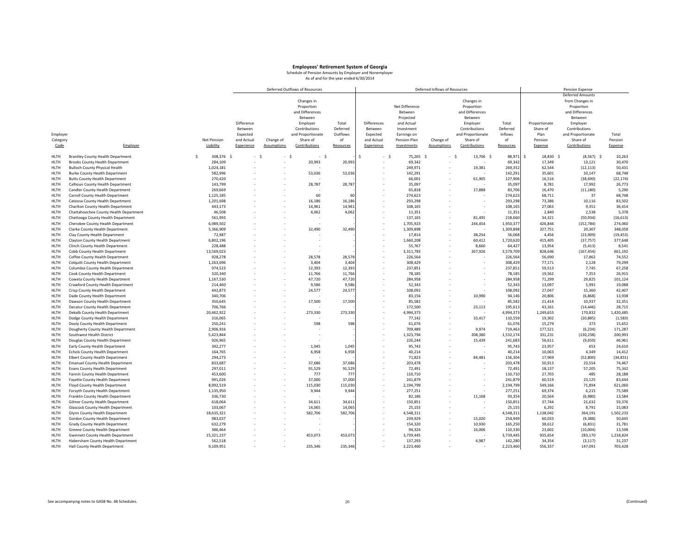|             |                                          |    |             |            |             | Deferred Outflows of Resources |           |             |                   | Deferred Inflows of Resources |                   |           |                 | Pension Expense         |           |
|-------------|------------------------------------------|----|-------------|------------|-------------|--------------------------------|-----------|-------------|-------------------|-------------------------------|-------------------|-----------|-----------------|-------------------------|-----------|
|             |                                          |    |             |            |             |                                |           |             |                   |                               |                   |           |                 | <b>Deferred Amounts</b> |           |
|             |                                          |    |             |            |             | Changes in                     |           |             |                   |                               | Changes in        |           |                 | from Changes in         |           |
|             |                                          |    |             |            |             | Proportion                     |           |             | Net Difference    |                               | Proportion        |           |                 | Proportion              |           |
|             |                                          |    |             |            |             | and Differences                |           |             | Between           |                               | and Differences   |           |                 | and Differences         |           |
|             |                                          |    |             |            |             | Between                        |           |             | Projected         |                               | Between           |           |                 | Between                 |           |
|             |                                          |    |             | Difference |             |                                |           |             |                   |                               |                   |           |                 |                         |           |
|             |                                          |    |             |            |             | Employer                       | Total     | Differences | and Actual        |                               | Employer          | Total     | Proportionate   | Employer                |           |
|             |                                          |    |             | Between    |             | Contributions                  | Deferred  | Between     | Investment        |                               | Contributions     | Deferred  | Share of        | Contributions           |           |
| Employer    |                                          |    |             | Expected   |             | and Proportionate              | Outflows  | Expected    | Earnings on       |                               | and Proportionate | Inflows   | Plan            | and Proportionate       | Total     |
| Category    |                                          |    | Net Pension | and Actual | Change of   | Share of                       | of        | and Actual  | Pension Plan      | Change of                     | Share of          | of        | Pension         | Share of                | Pension   |
| Code        | Employer                                 |    | Liability   | Experience | Assumptions | Contributions                  | Resources | Experience  | Investments       | <b>Assumptions</b>            | Contributions     | Resources | Expense         | Contributions           | Expense   |
| <b>HLTH</b> | <b>Brantley County Health Department</b> | -Ś | 308.376 \$  | $-5$       | - \$        | $-5$                           |           |             | - \$<br>75.265 \$ | $-5$                          | 13.706 \$         | 88.971    | \$<br>18,830 \$ | $(8,567)$ \$            | 10,263    |
| HLTH        | <b>Brooks County Health Department</b>   |    | 284,109     |            |             | 20,993                         | 20,99     |             | 69,342            |                               |                   | 69,342    | 17,349          | 13,121                  | 30,470    |
| HLTH        | <b>Bulloch County Physical Health</b>    |    | 1,024,181   |            |             |                                |           |             | 249,971           |                               | 19,381            | 269,352   | 62,544          | (12, 113)               | 50,431    |
| HLTH        | <b>Burke County Health Department</b>    |    | 582,996     |            |             | 53,036                         | 53,036    |             | 142,291           |                               |                   | 142,291   | 35,601          | 33,147                  | 68,748    |
| HLTH        | <b>Butts County Health Department</b>    |    | 270,420     |            |             |                                |           |             | 66,001            |                               | 61,905            | 127,906   | 16,516          | (38, 690)               | (22, 174) |
| HLTH        | Calhoun County Health Department         |    | 143,799     |            |             | 28,787                         | 28,787    |             | 35,097            |                               |                   | 35,097    | 8,781           | 17,992                  | 26,773    |
| HLTH        | Candler County Health Department         |    | 269,669     |            |             |                                |           |             | 65,818            |                               | 17,888            | 83,706    | 16,470          | (11, 180)               | 5,290     |
| HLTH        | Carroll County Health Department         |    | 1,125,185   |            |             | 60                             |           |             | 274,623           |                               |                   | 274,623   | 68,711          | 37                      | 68,748    |
| HLTH        | Catoosa County Health Department         |    | 1,201,698   |            |             | 16,186                         | 16,186    |             | 293.298           |                               |                   | 293,298   | 73,386          | 10,116                  | 83,502    |
|             |                                          |    |             |            |             |                                |           |             |                   |                               |                   |           |                 |                         |           |
| HLTH        | Charlton County Health Department        |    | 443,173     |            |             | 14,961                         | 14,961    |             | 108,165           |                               |                   | 108,165   | 27,063          | 9,351                   | 36,414    |
| <b>HLTH</b> | Chattahoochee County Health Department   |    | 46,508      |            |             | 4,062                          | 4,062     |             | 11.351            |                               |                   | 11.351    | 2,840           | 2,538                   | 5,378     |
| HLTH        | Chattooga County Health Department       |    | 561,993     |            |             |                                |           |             | 137,165           |                               | 81,495            | 218,66    | 34,321          | (50, 934)               | (16, 613) |
| <b>HLTH</b> | Cherokee County Health Department        |    | 6,989,502   |            |             |                                |           |             | 1,705,923         |                               | 244,454           | 1,950,377 | 426,844         | (152, 784)              | 274,060   |
| HLTH        | Clarke County Health Department          |    | 5,366,909   |            |             | 32,490                         | 32,490    |             | 1,309,898         |                               |                   | 1,309,898 | 327,751         | 20,307                  | 348,058   |
| <b>HLTH</b> | Clay County Health Department            |    | 72,987      |            |             |                                |           |             | 17,814            |                               | 38,254            | 56,068    | 4,456           | (23,909)                | (19, 453) |
| HLTH        | Clayton County Health Department         |    | 6,802,196   |            |             |                                |           |             | 1,660,208         |                               | 60,412            | 1,720,620 | 415,405         | (37, 757)               | 377,648   |
| HLTH        | Clinch County Health Department          |    | 228,488     |            |             |                                |           |             | 55,767            |                               | 8,660             | 64,427    | 13,954          | (5, 413)                | 8,541     |
| HLTH        | Cobb County Health Department            |    | 13,569,023  |            |             |                                |           |             | 3,311,783         |                               | 267,926           | 3,579,709 | 828,646         | (167, 454)              | 661,192   |
| <b>HLTH</b> | Coffee County Health Department          |    | 928,278     |            |             | 28.578                         | 28,578    |             | 226,564           |                               |                   | 226,564   | 56,690          | 17,862                  | 74,552    |
| HLTH        | Colquitt County Health Department        |    | 1,263,696   |            |             | 3,404                          | 3,40      |             | 308,429           |                               |                   | 308,429   | 77,171          | 2,128                   | 79,299    |
| HLTH        |                                          |    | 974,523     |            |             | 12,393                         | 12,393    |             | 237,851           |                               |                   | 237,853   | 59,513          | 7,745                   | 67,258    |
|             | Columbia County Health Department        |    |             |            |             |                                |           |             |                   |                               |                   |           |                 |                         |           |
| HLTH        | Cook County Health Department            |    | 320,340     |            |             | 11,766                         | 11,766    |             | 78,185            |                               |                   | 78,185    | 19,562          | 7,353                   | 26,915    |
| HLTH        | Coweta County Health Department          |    | 1,167,530   |            |             | 47,720                         | 47,720    |             | 284,958           |                               |                   | 284,958   | 71,299          | 29,825                  | 101,124   |
| HLTH        | Crawford County Health Department        |    | 214,460     |            |             | 9,586                          | 9,586     |             | 52,343            |                               |                   | 52,34     | 13,097          | 5,991                   | 19,088    |
| <b>HLTH</b> | Crisp County Health Department           |    | 442,873     |            |             | 24,577                         | 24,57     |             | 108,092           |                               |                   | 108,092   | 27,047          | 15,360                  | 42,407    |
| HLTH        | Dade County Health Department            |    | 340,706     |            |             |                                |           |             | 83,156            |                               | 10,990            | 94,146    | 20,806          | (6, 868)                | 13,938    |
| HLTH        | Dawson County Health Department          |    | 350,645     |            |             | 17,500                         | 17,500    |             | 85,582            |                               |                   | 85,582    | 21,414          | 10,937                  | 32,351    |
| HLTH        | Decatur County Health Department         |    | 706,766     |            |             |                                |           |             | 172,500           |                               | 23,113            | 195,61    | 43,161          | (14, 446)               | 28,715    |
| HLTH        | Dekalb County Health Department          |    | 20,462,922  |            |             | 273,330                        | 273,330   |             | 4,994,373         |                               |                   | 4,994,373 | 1,249,653       | 170,832                 | 1,420,485 |
| HLTH        | Dodge County Health Department           |    | 316,065     |            |             |                                |           |             | 77,142            |                               | 33,417            | 110,559   | 19,302          | (20, 885)               | (1, 583)  |
| <b>HLTH</b> | Dooly County Health Department           |    | 250,241     |            |             | 598                            | 598       |             | 61,076            |                               |                   | 61,07     | 15,279          | 373                     | 15,652    |
| <b>HLTH</b> | Dougherty County Health Department       |    | 2,906,916   |            |             |                                |           |             | 709,489           |                               | 9,974             | 719,463   | 177,521         | (6, 234)                | 171,287   |
| HLTH        | Southwest Health District                |    | 5,423,844   |            |             |                                |           |             | 1,323,794         |                               | 208,380           | 1,532,174 | 331,231         | (130, 238)              | 200,993   |
| HLTH        | Douglas County Health Department         |    | 926,965     |            |             |                                |           |             | 226,244           |                               | 15,439            | 241,683   | 56,611          | (9,650)                 | 46,961    |
|             |                                          |    | 392,277     |            |             | 1,045                          | 1,045     |             | 95,743            |                               |                   | 95,743    | 23,957          | 653                     | 24,610    |
| HLTH        | Early County Health Department           |    |             |            |             |                                |           |             |                   |                               |                   |           |                 |                         |           |
| HLTH        | <b>Echols County Health Department</b>   |    | 164,765     |            |             | 6,958                          | 6,958     |             | 40,214            |                               |                   | 40,21     | 10,063          | 4,349                   | 14,412    |
| HLTH        | Elbert County Health Department          |    | 294.273     |            |             |                                |           |             | 71,823            |                               | 84,481            | 156,304   | 17,969          | (52,800)                | (34, 831) |
| HLTH        | <b>Emanuel County Health Department</b>  |    | 833,687     |            |             | 37,686                         | 37,686    |             | 203,478           |                               |                   | 203,478   | 50,913          | 23,554                  | 74,467    |
| HLTH        | <b>Evans County Health Department</b>    |    | 297,011     |            |             | 91,529                         | 91,529    |             | 72,491            |                               |                   | 72,491    | 18,137          | 57,205                  | 75,342    |
| HLTH        | Fannin County Health Department          |    | 453,600     |            |             | 777                            | 777       |             | 110,710           |                               |                   | 110,710   | 27,703          | 485                     | 28,188    |
| HLTH        | Fayette County Health Department         |    | 991,026     |            |             | 37,000                         | 37,000    |             | 241,879           |                               |                   | 241,87    | 60,519          | 23,125                  | 83,644    |
| HLTH        | Floyd County Health Department           |    | 8,992,519   |            |             | 115,030                        | 115,030   |             | 2,194,799         |                               |                   | 2,194,799 | 549,166         | 71,894                  | 621,060   |
| HLTH        | Forsyth County Health Department         |    | 1,135,950   |            |             | 9,944                          | 9,944     |             | 277,251           |                               |                   | 277,251   | 69,374          | 6,215                   | 75,589    |
| <b>HLTH</b> | Franklin County Health Department        |    | 336,730     |            |             |                                |           |             | 82,186            |                               | 11,168            | 93,354    | 20,564          | (6,980)                 | 13,584    |
| HLTH        | Gilmer County Health Department          |    | 618,064     |            |             | 34,611                         | 34,61     |             | 150,851           |                               |                   | 150,85    | 37,744          | 21,632                  | 59,376    |
| HLTH        | Glascock County Health Department        |    | 103,067     |            |             | 14,065                         | 14,06     |             | 25,155            |                               |                   | 25,155    | 6,292           | 8,791                   | 15,083    |
|             |                                          |    |             |            |             |                                | 582,706   |             |                   |                               |                   |           |                 |                         |           |
| HLTH        | Glynn County Health Department           |    | 18,635,321  |            |             | 582,706                        |           |             | 4,548,311         |                               |                   | 4,548,31  | 1,138,042       | 364,191                 | 1,502,233 |
| HLTH        | Gordon County Health Department          |    | 983,037     |            |             |                                |           |             | 239,929           |                               | 15,020            | 254,949   | 60,033          | (9, 388)                | 50,645    |
| HLTH        | Grady County Health Department           |    | 632,279     |            |             |                                |           |             | 154,320           |                               | 10,930            | 165,250   | 38,612          | (6, 831)                | 31,781    |
| <b>HLTH</b> | Greene County Health Department          |    | 386,464     |            |             |                                |           |             | 94,324            |                               | 16,006            | 110,330   | 23,602          | (10,004)                | 13,598    |
| <b>HLTH</b> | <b>Gwinnett County Health Department</b> |    | 15,321,237  |            |             | 453,073                        | 453,073   |             | 3,739,445         |                               |                   | 3,739,445 | 935,654         | 283,170                 | 1,218,824 |
| HLTH        | Habersham County Health Department       |    | 562,518     |            |             |                                |           |             | 137,293           |                               | 4,987             | 142,280   | 34,354          | (3, 117)                | 31,237    |
| <b>HLTH</b> | Hall County Health Department            |    | 9,109,951   |            |             | 235.346                        | 235,346   |             | 2,223,460         |                               |                   | 2,223,460 | 556.337         | 147.091                 | 703,428   |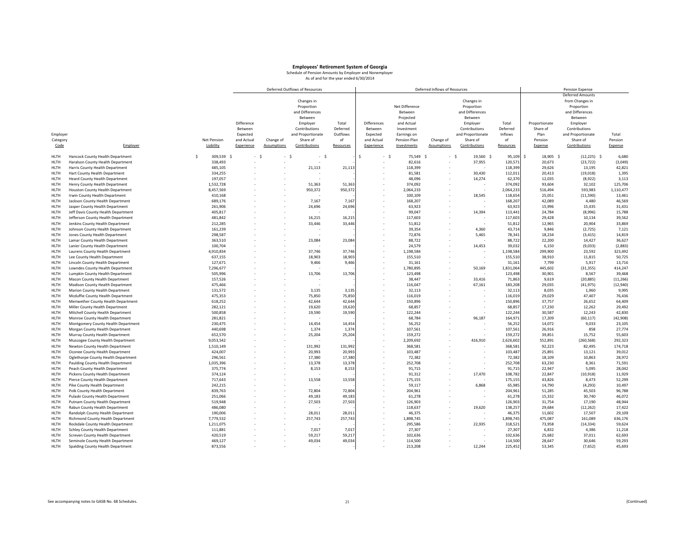|             |                                       |             |            |            |                    | Deferred Outflows of Resources |           |             |                   | Deferred Inflows of Resources |                   |           |                 | Pension Expense   |           |
|-------------|---------------------------------------|-------------|------------|------------|--------------------|--------------------------------|-----------|-------------|-------------------|-------------------------------|-------------------|-----------|-----------------|-------------------|-----------|
|             |                                       |             |            |            |                    |                                |           |             |                   |                               |                   |           |                 | Deferred Amounts  |           |
|             |                                       |             |            |            |                    | Changes in                     |           |             |                   |                               | Changes in        |           |                 | from Changes in   |           |
|             |                                       |             |            |            |                    | Proportion                     |           |             | Net Difference    |                               | Proportion        |           |                 | Proportion        |           |
|             |                                       |             |            |            |                    | and Differences                |           |             | Between           |                               | and Differences   |           |                 | and Differences   |           |
|             |                                       |             |            |            |                    |                                |           |             |                   |                               |                   |           |                 |                   |           |
|             |                                       |             |            |            |                    | Between                        |           |             | Projected         |                               | Between           |           |                 | Between           |           |
|             |                                       |             |            | Difference |                    | Employer                       | Total     | Differences | and Actual        |                               | Employer          | Total     | Proportionate   | Employer          |           |
|             |                                       |             |            | Between    |                    | Contributions                  | Deferred  | Between     | Investment        |                               | Contributions     | Deferred  | Share of        | Contributions     |           |
| Employer    |                                       |             |            | Expected   |                    | and Proportionate              | Outflows  | Expected    | Earnings on       |                               | and Proportionate | Inflows   | Plan            | and Proportionate | Total     |
| Category    |                                       | Net Pension |            | and Actual | Change of          | Share of                       | of        | and Actual  | Pension Plan      | Change of                     | Share of          | of        | Pension         | Share of          | Pension   |
| Code        | Employer                              | Liability   |            | Experience | <b>Assumptions</b> | Contributions                  | Resources | Experience  | Investments       | <b>Assumptions</b>            | Contributions     | Resources | Expense         | Contributions     | Expense   |
|             |                                       |             |            |            |                    |                                |           |             |                   |                               |                   |           |                 |                   |           |
| HLTH        | Hancock County Health Department      | <b>S</b>    | 309,539 \$ | - \$       | - \$               | - \$                           |           |             | - \$<br>75,549 \$ | $-5$                          | 19,560 \$         | 95,109    | \$<br>18,905 \$ | $(12, 225)$ \$    | 6,680     |
| HLTH        | Haralson County Health Department     |             | 338,493    |            |                    |                                |           |             | 82,616            |                               | 37,955            | 120,571   | 20,673          | (23, 722)         | (3,049)   |
| HLTH        | Harris County Health Department       |             | 485,105    |            |                    | 21,113                         | 21,11     |             | 118,399           |                               |                   | 118,399   | 29,626          | 13,195            | 42,821    |
| <b>HLTH</b> | Hart County Health Department         |             | 334.255    |            |                    |                                |           |             | 81,581            |                               | 30.430            | 112,011   | 20,413          | (19, 018)         | 1,395     |
| HLTH        | <b>Heard County Health Department</b> |             | 197,057    |            |                    |                                |           |             | 48,096            |                               | 14,274            | 62,370    | 12,035          | (8,922)           | 3,113     |
| HLTH        | Henry County Health Department        |             | 1,532,728  |            |                    | 51,363                         | 51,363    |             | 374,092           |                               |                   | 374,092   | 93,604          | 32,102            | 125,706   |
| HLTH        | Houston County Health Department      |             | 8,457,569  |            |                    | 950,372                        | 950,372   |             | 2,064,233         |                               |                   | 2,064,233 | 516,494         | 593,983           | 1,110,477 |
| HLTH        | Irwin County Health Department        |             | 410,168    |            |                    |                                |           |             | 100,109           |                               | 18,545            | 118,65    | 25,051          | (11, 590)         | 13,461    |
| HLTH        | Jackson County Health Department      |             | 689,176    |            |                    | 7,167                          | 7,16      |             | 168,207           |                               |                   | 168,20    | 42,089          | 4,480             | 46,569    |
|             |                                       |             |            |            |                    |                                |           |             |                   |                               |                   |           |                 |                   |           |
| HLTH        | Jasper County Health Department       |             | 261,906    |            |                    | 24,696                         | 24,696    |             | 63,923            |                               |                   | 63,923    | 15,996          | 15,435            | 31,431    |
| HLTH        | Jeff Davis County Health Department   |             | 405,817    |            |                    |                                |           |             | 99,047            |                               | 14,394            | 113,441   | 24,784          | (8,996)           | 15,788    |
| HLTH        | Jefferson County Health Department    |             | 481,842    |            |                    | 16,215                         | 16,21     |             | 117,603           |                               |                   | 117,603   | 29,428          | 10,134            | 39,562    |
| HLTH        | Jenkins County Health Department      |             | 212,285    |            |                    | 33,446                         | 33,446    |             | 51,812            |                               |                   | 51,812    | 12,965          | 20,904            | 33,869    |
| HLTH        | Johnson County Health Department      |             | 161,239    |            |                    |                                |           |             | 39,354            |                               | 4,360             | 43,714    | 9,846           | (2, 725)          | 7,121     |
| HLTH        | Jones County Health Department        |             | 298,587    |            |                    |                                |           |             | 72,876            |                               | 5,465             | 78,341    | 18,234          | (3, 415)          | 14,819    |
| HLTH        | Lamar County Health Department        |             | 363,510    |            |                    | 23,084                         | 23,084    |             | 88,722            |                               |                   | 88,722    | 22,200          | 14,427            | 36,627    |
| <b>HLTH</b> | Lanier County Health Department       |             | 100,704    |            |                    |                                |           |             | 24.579            |                               | 14,453            | 39,032    | 6,150           | (9,033)           | (2,883)   |
| HLTH        | Laurens County Health Department      |             | 4,910,834  |            |                    | 37,746                         | 37,746    |             | 1,198,584         |                               |                   | 1,198,584 | 299,900         | 23,592            | 323,492   |
| HLTH        | Lee County Health Department          |             | 637,155    |            |                    | 18,903                         | 18,90     |             | 155,510           |                               |                   | 155,51    | 38,910          | 11,815            | 50,725    |
| HLTH        | Lincoln County Health Department      |             | 127,671    |            |                    | 9,466                          | 9,466     |             | 31,161            |                               |                   | 31,161    | 7,799           | 5,917             | 13,716    |
| HLTH        | Lowndes County Health Department      |             | 7,296,677  |            |                    |                                |           |             | 1,780,895         |                               | 50,169            | 1,831,064 | 445,602         | (31, 355)         | 414,247   |
|             |                                       |             |            |            |                    |                                |           |             |                   |                               |                   |           |                 |                   |           |
| HLTH        | Lumpkin County Health Department      |             | 505,996    |            |                    | 13,706                         | 13,706    |             | 123,498           |                               |                   | 123,498   | 30,901          | 8,567             | 39,468    |
| HLTH        | Macon County Health Department        |             | 157,526    |            |                    |                                |           |             | 38,447            |                               | 33,416            | 71,863    | 9,619           | (20, 885)         | (11, 266) |
| HLTH        | Madison County Health Department      |             | 475,466    |            |                    |                                |           |             | 116,047           |                               | 67,161            | 183,208   | 29,035          | (41, 975)         | (12,940)  |
| HLTH        | Marion County Health Department       |             | 131,572    |            |                    | 3,135                          | 3,13      |             | 32,113            |                               |                   | 32,113    | 8,035           | 1,960             | 9,995     |
| <b>HLTH</b> | Mcduffie County Health Department     |             | 475,353    |            |                    | 75,850                         | 75,85     |             | 116,019           |                               |                   | 116,019   | 29,029          | 47,407            | 76,436    |
| HLTH        | Meriwether County Health Department   |             | 618,252    |            |                    | 42,644                         | 42,644    |             | 150,896           |                               |                   | 150,896   | 37,757          | 26,652            | 64,409    |
| HLTH        | Miller County Health Department       |             | 282,121    |            |                    | 19,620                         | 19,62     |             | 68,857            |                               |                   | 68,857    | 17,230          | 12,262            | 29,492    |
| HLTH        | Mitchell County Health Department     |             | 500,858    |            |                    | 19,590                         | 19,590    |             | 122,244           |                               |                   | 122,244   | 30,587          | 12,243            | 42,830    |
| HLTH        | Monroe County Health Department       |             | 281,821    |            |                    |                                |           |             | 68,784            |                               | 96,187            | 164,971   | 17,209          | (60, 117)         | (42,908)  |
| HLTH        | Montgomery County Health Department   |             | 230,475    |            |                    | 14,454                         | 14,454    |             | 56,252            |                               |                   | 56,252    | 14,072          | 9,033             | 23,105    |
| HLTH        | Morgan County Health Department       |             | 440,698    |            |                    | 1,374                          | 1,37      |             | 107,561           |                               |                   | 107,561   | 26,916          | 858               | 27,774    |
| HLTH        | Murray County Health Department       |             | 652,570    |            |                    | 25,204                         | 25,204    |             | 159,272           |                               |                   | 159,272   | 39,851          | 15,752            | 55,603    |
| HLTH        | Muscogee County Health Department     |             | 9,053,542  |            |                    |                                |           |             | 2,209,692         |                               | 416,910           | 2,626,602 | 552,891         | (260, 568)        | 292,323   |
| HLTH        | Newton County Health Department       |             | 1,510,149  |            |                    | 131,992                        | 131,992   |             | 368,581           |                               |                   | 368,581   | 92,223          | 82,495            | 174,718   |
| HLTH        | Oconee County Health Department       |             | 424,007    |            |                    | 20,993                         | 20,993    |             | 103,487           |                               |                   | 103,487   | 25,891          | 13,121            | 39,012    |
| HLTH        | Oglethorpe County Health Department   |             | 296,561    |            |                    | 17,380                         | 17,380    |             | 72,382            |                               |                   | 72,382    | 18,109          | 10,863            | 28,972    |
| HLTH        |                                       |             |            |            |                    | 13,378                         |           |             | 252,708           |                               |                   |           | 63,230          | 8,361             | 71,591    |
|             | Paulding County Health Department     |             | 1,035,396  |            |                    |                                | 13,378    |             |                   |                               |                   | 252,708   |                 |                   |           |
| HLTH        | Peach County Health Department        |             | 375,774    |            |                    | 8,153                          | 8,153     |             | 91,715            |                               |                   | 91,715    | 22,947          | 5,095             | 28,042    |
| HLTH        | Pickens County Health Department      |             | 374,124    |            |                    |                                |           |             | 91,312            |                               | 17,470            | 108,782   | 22,847          | (10, 918)         | 11,929    |
| HLTH        | Pierce County Health Department       |             | 717,643    |            |                    | 13,558                         | 13,558    |             | 175,155           |                               |                   | 175,155   | 43,826          | 8,473             | 52,299    |
| HLTH        | Pike County Health Department         |             | 242,215    |            |                    |                                |           |             | 59,117            |                               | 6,868             | 65,985    | 14,790          | (4, 293)          | 10,497    |
| HLTH        | Polk County Health Department         |             | 839,763    |            |                    | 72,804                         | 72,804    |             | 204,961           |                               |                   | 204,961   | 51,285          | 45,503            | 96,788    |
| HLTH        | Pulaski County Health Department      |             | 251,066    |            |                    | 49,183                         | 49,18     |             | 61,278            |                               |                   | 61,278    | 15,332          | 30,740            | 46,072    |
| HLTH        | Putnam County Health Department       |             | 519,948    |            |                    | 27,503                         | 27,503    |             | 126,903           |                               |                   | 126,903   | 31,754          | 17,190            | 48,944    |
| HLTH        | Rabun County Health Department        |             | 486,080    |            |                    |                                |           |             | 118,637           |                               | 19,620            | 138,25    | 29,684          | (12, 262)         | 17,422    |
| HLTH        | Randolph County Health Department     |             | 190,006    |            |                    | 28,011                         | 28,01     |             | 46,375            |                               |                   | 46,37     | 11,602          | 17,507            | 29,109    |
| HLTH        | Richmond County Health Department     |             | 7,779,532  |            |                    | 257,743                        | 257,743   |             | 1,898,745         |                               |                   | 1,898,745 | 475,087         | 161,089           | 636,176   |
| <b>HLTH</b> | Rockdale County Health Department     |             | 1,211,075  |            |                    |                                |           |             | 295,586           |                               | 22,935            | 318,521   | 73,958          | (14, 334)         | 59,624    |
| HLTH        | Schley County Health Department       |             | 111,881    |            |                    | 7,017                          | 7,01      |             | 27,307            |                               |                   | 27,30     | 6,832           | 4,386             | 11,218    |
| HLTH        |                                       |             | 420,519    |            |                    | 59,217                         | 59,21     |             | 102,636           |                               |                   | 102,636   | 25,682          | 37,011            | 62,693    |
| <b>HLTH</b> | Screven County Health Department      |             | 469.127    |            |                    | 49.034                         |           |             | 114.500           |                               |                   |           | 28.647          |                   | 59,293    |
|             | Seminole County Health Department     |             |            |            |                    |                                | 49,034    |             |                   |                               |                   | 114,500   |                 | 30,646            |           |
| <b>HLTH</b> | Spalding County Health Department     |             | 873,556    |            |                    |                                |           |             | 213,208           |                               | 12,244            | 225,452   | 53,345          | (7,652)           | 45,693    |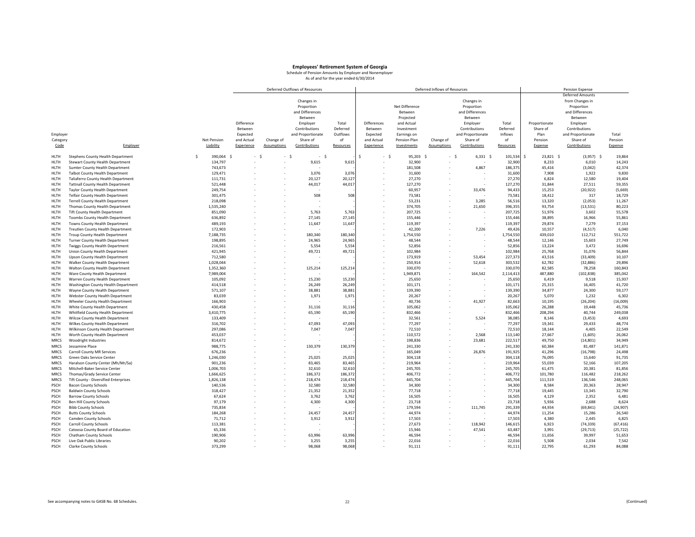|                            |                                                                      |    |                        |            |                    | Deferred Outflows of Resources |                 |                    |                    | Deferred Inflows of Resources |                    |                    |                  | Pension Expense         |                   |
|----------------------------|----------------------------------------------------------------------|----|------------------------|------------|--------------------|--------------------------------|-----------------|--------------------|--------------------|-------------------------------|--------------------|--------------------|------------------|-------------------------|-------------------|
|                            |                                                                      |    |                        |            |                    |                                |                 |                    |                    |                               |                    |                    |                  | <b>Deferred Amounts</b> |                   |
|                            |                                                                      |    |                        |            |                    | Changes in                     |                 |                    |                    |                               | Changes in         |                    |                  | from Changes in         |                   |
|                            |                                                                      |    |                        |            |                    | Proportion                     |                 |                    | Net Difference     |                               | Proportion         |                    |                  | Proportion              |                   |
|                            |                                                                      |    |                        |            |                    | and Differences                |                 |                    | Between            |                               | and Differences    |                    |                  | and Differences         |                   |
|                            |                                                                      |    |                        |            |                    | Between                        |                 |                    | Projected          |                               | Between            |                    |                  | Between                 |                   |
|                            |                                                                      |    |                        | Difference |                    | Employer                       | Total           | <b>Differences</b> | and Actual         |                               | Employer           | Total              | Proportionate    | Employer                |                   |
|                            |                                                                      |    |                        | Between    |                    | Contributions                  | Deferred        | Between            | Investment         |                               | Contributions      | Deferred           | Share of         | Contributions           |                   |
| Employer                   |                                                                      |    |                        | Expected   |                    | and Proportionate              | Outflows        | Expected           | Earnings on        |                               | and Proportionate  | Inflows            | Plan             | and Proportionate       | Total             |
| Category                   |                                                                      |    | Net Pension            | and Actual | Change of          | Share of                       | of              | and Actual         | Pension Plan       | Change of                     | Share of           | of                 | Pension          | Share of                | Pension           |
| Code                       | Employer                                                             |    | Liability              | Experience | <b>Assumptions</b> | Contributions                  | Resources       | Experience         | Investments        | <b>Assumptions</b>            | Contributions      | Resources          | Expense          | Contributions           | Expense           |
|                            |                                                                      |    |                        |            |                    |                                |                 |                    |                    |                               |                    |                    |                  |                         |                   |
| HLTH                       | Stephens County Health Department                                    | Š. | 390,064 \$             | $-5$       |                    | $\sim$<br>$\sim$<br>- \$       |                 |                    | - \$<br>95,203 \$  | ÷.                            | $6,331$ \$<br>- \$ | 101,534            | Ś<br>23,821 \$   | $(3,957)$ \$<br>6,010   | 19,864            |
| HLTH<br>HLTH               | Stewart County Health Department                                     |    | 134,797<br>743,673     |            |                    | 9,615                          | 9,61            |                    | 32,900<br>181.508  |                               | 4,867              | 32,900<br>186,375  | 8,233<br>45,416  | (3,042)                 | 14,243<br>42,374  |
|                            | Sumter County Health Department                                      |    |                        |            |                    |                                | 3,076           |                    |                    |                               |                    |                    |                  |                         |                   |
| HLTH                       | <b>Talbot County Health Department</b>                               |    | 129,471<br>111,731     |            |                    | 3,076<br>20,127                |                 |                    | 31,600<br>27,270   |                               |                    | 31,600<br>27,270   | 7,908            | 1,922<br>12,580         | 9,830<br>19,404   |
| <b>HLTH</b>                | Taliaferro County Health Department                                  |    |                        |            |                    |                                | 20,12           |                    |                    |                               |                    |                    | 6,824            |                         |                   |
| HLTH                       | <b>Tattnall County Health Department</b>                             |    | 521,448                |            |                    | 44,017                         | 44,01           |                    | 127,270            |                               | 33,476             | 127,270            | 31,844           | 27,511<br>(20, 922)     | 59,355<br>(5,669) |
| HLTH                       | Taylor County Health Department                                      |    | 249,754                |            |                    |                                |                 |                    | 60,957             |                               |                    | 94,433             | 15,253           |                         |                   |
| HLTH                       | <b>Telfair County Health Department</b>                              |    | 301,475<br>218,098     |            |                    | 508                            | 508             |                    | 73,581<br>53,231   |                               | 3,285              | 73,581<br>56,516   | 18,412<br>13,320 | 317<br>(2,053)          | 18,729<br>11,267  |
| HLTH<br>HLTH               | <b>Terrell County Health Department</b>                              |    |                        |            |                    |                                |                 |                    | 374,705            |                               |                    |                    |                  |                         |                   |
|                            | Thomas County Health Department                                      |    | 1,535,240              |            |                    |                                |                 |                    | 207.725            |                               | 21,650             | 396,355            | 93,754           | (13, 531)               | 80,223<br>55,578  |
| <b>HLTH</b>                | Tift County Health Department                                        |    | 851,090                |            |                    | 5,763                          | 5,76            |                    |                    |                               |                    | 207,725            | 51,976           | 3,602                   |                   |
| HLTH                       | Toombs County Health Department                                      |    | 636,892                |            |                    | 27,145                         | 27,145          |                    | 155,446            |                               |                    | 155,446            | 38,895           | 16,966                  | 55,861            |
| <b>HLTH</b>                | Towns County Health Department                                       |    | 489.193                |            |                    | 11,647                         | 11,64           |                    | 119.397            |                               |                    | 119,397            | 29,874           | 7,279                   | 37,153            |
| HLTH                       | Treutlen County Health Department                                    |    | 172,903                |            |                    |                                |                 |                    | 42,200             |                               | 7,226              | 49,426             | 10,557           | (4, 517)                | 6,040             |
| HLTH                       | Troup County Health Department                                       |    | 7,188,735              |            |                    | 180,340                        | 180,34          |                    | 1,754,550          |                               |                    | 1,754,550          | 439,010          | 112,712                 | 551,722           |
| HLTH                       | Turner County Health Department                                      |    | 198,895                |            |                    | 24,965                         | 24,96           |                    | 48,544             |                               |                    | 48,544             | 12,146           | 15,603                  | 27,749            |
| HLTH                       | Twiggs County Health Department                                      |    | 216,561                |            |                    | 5,554                          | 5,55            |                    | 52,856             |                               |                    | 52,856             | 13,224           | 3,472                   | 16,696            |
| <b>HLTH</b>                | Union County Health Department                                       |    | 421,945                |            |                    | 49,721                         | 49,72           |                    | 102,984            |                               |                    | 102,984            | 25,768           | 31,076                  | 56,844            |
| HLTH                       | <b>Upson County Health Department</b>                                |    | 712,580                |            |                    |                                |                 |                    | 173,919            |                               | 53,454             | 227,373            | 43,516           | (33, 409)               | 10,107            |
| HLTH                       | Walker County Health Department                                      |    | 1,028,044              |            |                    |                                |                 |                    | 250,914            |                               | 52,618             | 303,532            | 62,782           | (32, 886)               | 29,896            |
| HLTH                       | Walton County Health Department                                      |    | 1,352,360              |            |                    | 125,214                        | 125,214         |                    | 330,070            |                               |                    | 330,070            | 82,585           | 78,258                  | 160,843           |
| HLTH                       | Ware County Health Department                                        |    | 7,989,004              |            |                    |                                |                 |                    | 1,949,871          |                               | 164,542            | 2,114,413          | 487,880          | (102, 838)              | 385,042           |
| HLTH                       | Warren County Health Department                                      |    | 105,092                |            |                    | 15,230                         | 15,23           |                    | 25,650             |                               |                    | 25,650             | 6,419            | 9,518                   | 15,937            |
| HLTH                       | Washington County Health Department                                  |    | 414,518                |            |                    | 26,249                         | 26,24           |                    | 101,171            |                               |                    | 101,171            | 25,315           | 16,405                  | 41,720            |
| HLTH                       | Wayne County Health Department                                       |    | 571,107                |            |                    | 38,881                         | 38,88           |                    | 139,390            |                               |                    | 139,390            | 34,877           | 24,300                  | 59,177            |
| HLTH                       | Webster County Health Department                                     |    | 83,039                 |            |                    | 1,971                          | 1,97            |                    | 20,267             |                               |                    | 20,267             | 5,070            | 1,232                   | 6,302             |
| HLTH                       | Wheeler County Health Department                                     |    | 166,903                |            |                    |                                |                 |                    | 40,736             |                               | 41,927             | 82,663             | 10,195           | (26, 204)               | (16,009)          |
| HLTH                       | White County Health Department                                       |    | 430,458                |            |                    | 31,116                         | 31,11           |                    | 105,062            |                               |                    | 105,062            | 26,288           | 19,448                  | 45,736            |
| HLTH                       | Whitfield County Health Department                                   |    | 3,410,775              |            |                    | 65,190                         | 65,190          |                    | 832,466            |                               |                    | 832,466            | 208,294          | 40,744                  | 249,038           |
| HLTH                       | Wilcox County Health Department                                      |    | 133,409                |            |                    |                                |                 |                    | 32,561             |                               | 5,524              | 38,085             | 8,146            | (3, 453)                | 4,693             |
| <b>HLTH</b>                | Wilkes County Health Department                                      |    | 316,702                |            |                    | 47,093                         | 47,093          |                    | 77,297             |                               |                    | 77,297             | 19,341           | 29,433                  | 48,774            |
| HLTH                       | Wilkinson County Health Department                                   |    | 297,086                |            |                    | 7,047                          | 7,04            |                    | 72,510             |                               |                    | 72,510             | 18,144           | 4,405                   | 22,549            |
| HLTH<br><b>MRCS</b>        | Worth County Health Department                                       |    | 453,037<br>814,672     |            |                    |                                |                 |                    | 110,572<br>198,836 |                               | 2,568<br>23,681    | 113,140<br>222,517 | 27,667<br>49,750 | (1,605)<br>(14, 801)    | 26,062<br>34,949  |
|                            | Woodright Industries                                                 |    |                        |            |                    |                                |                 |                    |                    |                               |                    |                    |                  |                         |                   |
| <b>MRCS</b><br><b>MRCS</b> | Jessamine Place                                                      |    | 988,775<br>676,236     |            |                    | 130,379                        | 130,379         |                    | 241,330<br>165.049 |                               | 26,876             | 241,330<br>191,925 | 60,384<br>41,296 | 81,487<br>(16, 798)     | 141,871<br>24,498 |
|                            | Carroll County MR Services                                           |    |                        |            |                    |                                |                 |                    |                    |                               |                    |                    |                  |                         |                   |
| MRCS<br><b>MRCS</b>        | Green Oaks Service Center                                            |    | 1,246,030              |            |                    | 25,025<br>83,465               | 25,02           |                    | 304,118<br>219,964 |                               |                    | 304,118<br>219,964 | 76,095           | 15,640<br>52,166        | 91,735<br>107,205 |
|                            | Haralson County Center (Mh/Mr/Sa)                                    |    | 901,236                |            |                    |                                | 83,46           |                    |                    |                               |                    |                    | 55,039<br>61,475 | 20,381                  |                   |
| MRCS                       | Mitchell-Baker Service Center                                        |    | 1,006,703<br>1,666,625 |            |                    | 32,610<br>186,372              | 32,61<br>186,37 |                    | 245,705<br>406,772 |                               |                    | 245,705<br>406,772 | 101,780          | 116,482                 | 81,856<br>218,262 |
| MRCS                       | Thomas/Grady Service Center                                          |    |                        |            |                    |                                |                 |                    | 445,704            |                               |                    |                    |                  |                         |                   |
| MRCS                       | Tift County - Diversified Enterprises<br><b>Bacon County Schools</b> |    | 1,826,138<br>140,536   |            |                    | 218,474<br>32,580              | 218,47<br>32,58 |                    | 34,300             |                               |                    | 445,704<br>34,300  | 111,519<br>8,584 | 136,546<br>20,363       | 248,065<br>28,947 |
| PSCH                       |                                                                      |    |                        |            |                    |                                |                 |                    |                    |                               |                    |                    |                  |                         |                   |
| PSCH<br>PSCH               | <b>Baldwin County Schools</b>                                        |    | 318,427                |            |                    | 21,352                         | 21,35           |                    | 77,718             |                               |                    | 77,718             | 19,445           | 13,345<br>2,352         | 32,790            |
|                            | <b>Barrow County Schools</b>                                         |    | 67,624                 |            |                    | 3,762                          | 3,76            |                    | 16,505             |                               |                    | 16,505             | 4,129            |                         | 6,481             |
| PSCH                       | <b>Ben Hill County Schools</b>                                       |    | 97,179                 |            |                    | 4,300                          | 4,300           |                    | 23,718             |                               |                    | 23,718             | 5,936            | 2,688                   | 8,624             |
| PSCH                       | <b>Bibb County Schools</b>                                           |    | 735,834                |            |                    |                                |                 |                    | 179,594            |                               | 111,745            | 291,339            | 44,934           | (69, 841)               | (24, 907)         |
| PSCH                       | <b>Butts County Schools</b>                                          |    | 184,268                |            |                    | 24,457                         | 24,45           |                    | 44,974             |                               |                    | 44,974             | 11,254           | 15,286                  | 26,540            |
| PSCH                       | <b>Camden County Schools</b>                                         |    | 71,712                 |            |                    | 3,912                          | 3,912           |                    | 17,503             |                               |                    | 17,503             | 4,380            | 2,445                   | 6,825             |
| PSCH                       | Carroll County Schools                                               |    | 113,381                |            |                    |                                |                 |                    | 27,673             |                               | 118,942            | 146,615            | 6,923            | (74, 339)               | (67, 416)         |
| PSCH                       | Catoosa County Board of Education                                    |    | 65,336                 |            |                    |                                |                 |                    | 15,946             |                               | 47,541             | 63,487             | 3,991            | (29, 713)               | (25, 722)         |
| PSCH<br>PSCH               | Chatham County Schools                                               |    | 190,906<br>90.202      |            |                    | 63,996<br>3.255                | 63,99           |                    | 46,594<br>22.016   |                               |                    | 46,594             | 11,656           | 39,997<br>2.034         | 51,653<br>7,542   |
|                            | Live Oak Public Libraries                                            |    |                        |            |                    |                                | 3,255           |                    |                    |                               |                    | 22,016             | 5,508            |                         |                   |
| PSCH                       | Clarke County Schools                                                |    | 373,299                |            |                    | 98,068                         | 98,068          |                    | 91,111             |                               |                    | 91,111             | 22,795           | 61,293                  | 84,088            |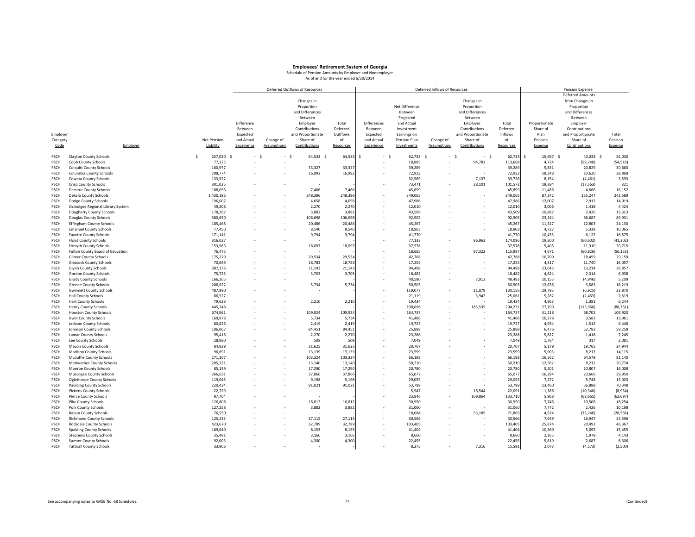|              |                                  |    |             |            |                    | Deferred Outflows of Resources |           |             |                | Deferred Inflows of Resources |                   |           |                 | Pension Expense         |           |
|--------------|----------------------------------|----|-------------|------------|--------------------|--------------------------------|-----------|-------------|----------------|-------------------------------|-------------------|-----------|-----------------|-------------------------|-----------|
|              |                                  |    |             |            |                    |                                |           |             |                |                               |                   |           |                 | <b>Deferred Amounts</b> |           |
|              |                                  |    |             |            |                    | Changes in                     |           |             |                |                               | Changes in        |           |                 | from Changes in         |           |
|              |                                  |    |             |            |                    | Proportion                     |           |             | Net Difference |                               | Proportion        |           |                 | Proportion              |           |
|              |                                  |    |             |            |                    | and Differences                |           |             | Between        |                               | and Differences   |           |                 | and Differences         |           |
|              |                                  |    |             |            |                    | Between                        |           |             | Projected      |                               | Between           |           |                 | Between                 |           |
|              |                                  |    |             | Difference |                    | Employer                       | Total     | Differences | and Actual     |                               | Employer          | Total     | Proportionate   | Employer                |           |
|              |                                  |    |             | Between    |                    | Contributions                  | Deferred  | Between     | Investment     |                               | Contributions     | Deferred  | Share of        | Contributions           |           |
|              |                                  |    |             |            |                    |                                |           |             |                |                               |                   | Inflows   |                 |                         |           |
| Employer     |                                  |    |             | Expected   |                    | and Proportionate              | Outflows  | Expected    | Earnings on    |                               | and Proportionate |           | Plan            | and Proportionate       | Total     |
| Category     |                                  |    | Net Pension | and Actual | Change of          | Share of                       | of        | and Actual  | Pension Plan   | Change of                     | Share of          | of        | Pension         | Share of                | Pension   |
| Code         | Employer                         |    | Liability   | Experience | <b>Assumptions</b> | Contributions                  | Resources | Experience  | Investments    | <b>Assumptions</b>            | Contributions     | Resources | Expense         | Contributions           | Expense   |
| PSCH         | <b>Clayton County Schools</b>    | -Ś | 257,030 \$  | $-5$       | - \$               | 64,533 \$                      | 64,533 \$ | - \$        | 62,733 \$      | $-5$                          | $-5$              | 62,733    | \$<br>15,697 \$ | 40,333 \$               | 56,030    |
| PSCH         | Cobb County Schools              |    | 77,375      |            |                    |                                |           |             | 18,885         |                               | 94,783            | 113,668   | 4,724           | (59, 240)               | (54, 516) |
| PSCH         | <b>Colquitt County Schools</b>   |    | 160,977     |            |                    | 33,327                         | 33,32     |             | 39,289         |                               |                   | 39,289    | 9,831           | 20,829                  | 30,660    |
| PSCH         | Columbia County Schools          |    | 298,774     |            |                    | 16,992                         | 16,992    |             | 72,922         |                               |                   | 72,922    | 18,248          | 10,620                  | 28,868    |
| PSCH         | Coweta County Schools            |    | 133,522     |            |                    |                                |           |             | 32,589         |                               | 7,137             | 39,726    | 8,154           | (4, 461)                | 3,693     |
| PSCH         | Crisp County Schools             |    | 301,025     |            |                    |                                |           |             | 73,471         |                               | 28,101            | 101,572   | 18,384          | (17, 563)               | 821       |
| PSCH         | <b>Decatur County Schools</b>    |    | 188,056     |            |                    | 7,466                          | 7,466     |             | 45,899         |                               |                   | 45,899    | 11,486          | 4,666                   | 16,152    |
|              |                                  |    |             |            |                    | 248,396                        | 248,396   |             |                |                               |                   |           | 87,342          | 155,247                 | 242,589   |
| PSCH         | <b>Dekalb County Schools</b>     |    | 1,430,186   |            |                    |                                |           |             | 349,065        |                               |                   | 349,065   |                 | 2,912                   |           |
| PSCH         | Dodge County Schools             |    | 196,607     |            |                    | 4,658                          | 4,658     |             | 47,986         |                               |                   | 47,986    | 12,007          |                         | 14,919    |
| PSCH         | Ocmulgee Regional Library System |    | 49,208      |            |                    | 2,270                          | 2,270     |             | 12,010         |                               |                   | 12,01     | 3,006           | 1,418                   | 4,424     |
| PSCH         | Dougherty County Schools         |    | 178,267     |            |                    | 3,882                          | 3,88      |             | 43,509         |                               |                   | 43,509    | 10,887          | 2,426                   | 13,313    |
| PSCH         | Douglas County Schools           |    | 380,650     |            |                    | 106,698                        | 106,698   |             | 92,905         |                               |                   | 92,905    | 23,244          | 66,687                  | 89,931    |
| PSCH         | <b>Effingham County Schools</b>  |    | 185,468     |            |                    | 20,486                         | 20,486    |             | 45,267         |                               |                   | 45,267    | 11,327          | 12,803                  | 24,130    |
| PSCH         | <b>Emanuel County Schools</b>    |    | 77,450      |            |                    | 8,540                          | 8,540     |             | 18,903         |                               |                   | 18,903    | 4,727           | 5,338                   | 10,065    |
| PSCH         | <b>Fayette County Schools</b>    |    | 171,141     |            |                    | 9,794                          | 9,79      |             | 41,770         |                               |                   | 41,770    | 10,453          | 6,122                   | 16,575    |
| PSCH         | Floyd County Schools             |    | 316,027     |            |                    |                                |           |             | 77,133         |                               | 96,963            | 174,096   | 19,300          | (60, 602)               | (41, 302) |
| PSCH         | Forsyth County Schools           |    | 153,963     |            |                    | 18,097                         | 18,097    |             | 37,578         |                               |                   | 37,578    | 9,405           | 11,310                  | 20,715    |
| PSCH         | Fulton County Board of Education |    | 76,475      |            |                    |                                |           |             | 18,665         |                               | 97,322            | 115,987   | 4,671           | (60, 826)               | (56, 155) |
| PSCH         | <b>Gilmer County Schools</b>     |    | 175,229     |            |                    | 29,534                         | 29,534    |             | 42,768         |                               |                   | 42,768    | 10,700          | 18,459                  | 29,159    |
| PSCH         | <b>Glascock County Schools</b>   |    | 70,699      |            |                    | 18,783                         | 18,783    |             | 17,255         |                               |                   | 17,255    | 4,317           | 11,740                  | 16,057    |
| PSCH         | <b>Glynn County Schools</b>      |    | 387,176     |            |                    | 21,143                         | 21,14     |             | 94,498         |                               |                   | 94,498    | 23,643          | 13,214                  | 36,857    |
| PSCH         | <b>Gordon County Schools</b>     |    | 75,725      |            |                    | 3,703                          | 3,703     |             | 18,482         |                               |                   | 18,482    | 4,624           | 2,314                   | 6,938     |
| PSCH         | <b>Grady County Schools</b>      |    | 166,265     |            |                    |                                |           |             | 40,580         |                               | 7,913             | 48,493    | 10,155          | (4,946)                 | 5,209     |
| PSCH         | <b>Greene County Schools</b>     |    | 206,922     |            |                    | 5,734                          | 5,734     |             | 50,503         |                               |                   | 50,503    | 12,636          | 3,583                   | 16,219    |
| PSCH         | <b>Gwinnett County Schools</b>   |    | 487,880     |            |                    |                                |           |             | 119,077        |                               | 11,079            | 130,156   | 29,795          | (6,925)                 | 22,870    |
| PSCH         | <b>Hall County Schools</b>       |    | 86,527      |            |                    |                                |           |             | 21,119         |                               | 3,942             | 25,061    | 5,282           | (2, 463)                | 2,819     |
| PSCH         | <b>Hart County Schools</b>       |    | 79,626      |            |                    | 2,210                          | 2,210     |             | 19,434         |                               |                   | 19,434    | 4,863           | 1,381                   | 6,244     |
|              |                                  |    | 445,348     |            |                    |                                |           |             | 108,696        |                               | 185,535           |           | 27,199          | (115,960)               | (88, 761) |
| PSCH<br>PSCH | <b>Henry County Schools</b>      |    | 674.961     |            |                    | 109.924                        | 109,924   |             | 164.737        |                               |                   | 294,23:   |                 |                         |           |
|              | <b>Houston County Schools</b>    |    |             |            |                    |                                |           |             |                |                               |                   | 164,737   | 41,218          | 68,702                  | 109,920   |
| PSCH         | <b>Irwin County Schools</b>      |    | 169,978     |            |                    | 5,734                          | 5,73      |             | 41,486         |                               |                   | 41,486    | 10,378          | 3,583                   | 13,961    |
| PSCH         | Jackson County Schools           |    | 80,826      |            |                    | 2,419                          | 2,41      |             | 19,727         |                               |                   | 19,727    | 4,934           | 1,512                   | 6,446     |
| PSCH         | <b>Johnson County Schools</b>    |    | 106,067     |            |                    | 84,451                         | 84,45     |             | 25,888         |                               |                   | 25,888    | 6,476           | 52,782                  | 59,258    |
| PSCH         | Lamar County Schools             |    | 95,416      |            |                    | 2,270                          | 2,270     |             | 23,288         |                               |                   | 23,288    | 5,827           | 1,418                   | 7,245     |
| PSCH         | Lee County Schools               |    | 28,880      |            |                    | 508                            | 508       |             | 7,049          |                               |                   | 7,049     | 1,764           | 317                     | 2,081     |
| PSCH         | <b>Macon County Schools</b>      |    | 84,839      |            |                    | 31,625                         | 31,625    |             | 20,707         |                               |                   | 20,707    | 5,179           | 19,765                  | 24,944    |
| PSCH         | <b>Madison County Schools</b>    |    | 96,691      |            |                    | 13,139                         | 13,139    |             | 23,599         |                               |                   | 23,599    | 5,903           | 8,212                   | 14,115    |
| PSCH         | Mcduffie County Schools          |    | 271,207     |            |                    | 103,324                        | 103,32    |             | 66,193         |                               |                   | 66,193    | 16,562          | 64,578                  | 81,140    |
| PSCH         | Meriwether County Schools        |    | 205,721     |            |                    | 13,140                         | 13,140    |             | 50,210         |                               |                   | 50,21     | 12,562          | 8,212                   | 20,774    |
| PSCH         | Monroe County Schools            |    | 85,139      |            |                    | 17,290                         | 17,290    |             | 20,780         |                               |                   | 20,780    | 5,201           | 10,807                  | 16,008    |
| PSCH         | Muscogee County Schools          |    | 266,631     |            |                    | 37,866                         | 37,86     |             | 65,077         |                               |                   | 65,07     | 16,284          | 23,666                  | 39,950    |
| PSCH         | Oglethorpe County Schools        |    | 119,045     |            |                    | 9,198                          | 9,198     |             | 29,055         |                               |                   | 29,055    | 7,272           | 5,748                   | 13,020    |
| PSCH         | <b>Paulding County Schools</b>   |    | 220,424     |            |                    | 91,021                         | 91,021    |             | 53,799         |                               |                   | 53,799    | 13,460          | 56,888                  | 70,348    |
| PSCH         | <b>Pickens County Schools</b>    |    | 22,729      |            |                    |                                |           |             | 5,547          |                               | 16,544            | 22,09:    | 1,386           | (10, 340)               | (8,954)   |
| PSCH         | <b>Pierce County Schools</b>     |    | 97,704      |            |                    |                                |           |             | 23,846         |                               | 109,864           | 133,710   | 5,968           | (68, 665)               | (62, 697) |
| PSCH         | <b>Pike County Schools</b>       |    | 126,808     |            |                    | 16,812                         | 16,812    |             | 30,950         |                               |                   | 30,950    | 7,746           | 10,508                  | 18,254    |
| PSCH         | Polk County Schools              |    | 127,258     |            |                    | 3,882                          | 3,882     |             | 31,060         |                               |                   | 31,060    | 7,772           | 2,426                   | 10,198    |
| PSCH         | Rabun County Schools             |    | 76,550      |            |                    |                                |           |             | 18,684         |                               | 53,185            | 71,869    | 4,674           | (33, 240)               | (28, 566) |
| PSCH         | <b>Richmond County Schools</b>   |    | 125.233     |            |                    | 27.115                         | 27,115    |             | 30,566         |                               |                   | 30,566    | 7,649           | 16,947                  | 24,596    |
| PSCH         | Rockdale County Schools          |    | 423,670     |            |                    | 32,789                         | 32,789    |             | 103,405        |                               |                   | 103,405   | 25,874          | 20,493                  | 46,367    |
| PSCH         | <b>Spalding County Schools</b>   |    | 169,640     |            |                    | 8,153                          | 8,15      |             | 41,404         |                               |                   | 41,404    | 10,360          | 5,095                   | 15,455    |
| PSCH         | <b>Stephens County Schools</b>   |    | 35,481      |            |                    | 3,166                          | 3,166     |             | 8,660          |                               |                   | 8,660     | 2,165           | 1,978                   | 4,143     |
| PSCH         | <b>Sumter County Schools</b>     |    | 92,003      |            |                    | 4,300                          | 4,300     |             | 22,455         |                               |                   | 22,455    | 5,619           | 2,687                   | 8,306     |
| PSCH         | <b>Tattnall County Schools</b>   |    | 33,906      |            |                    |                                |           |             | 8.275          |                               | 7,316             | 15,591    | 2.073           | (4, 573)                | (2,500)   |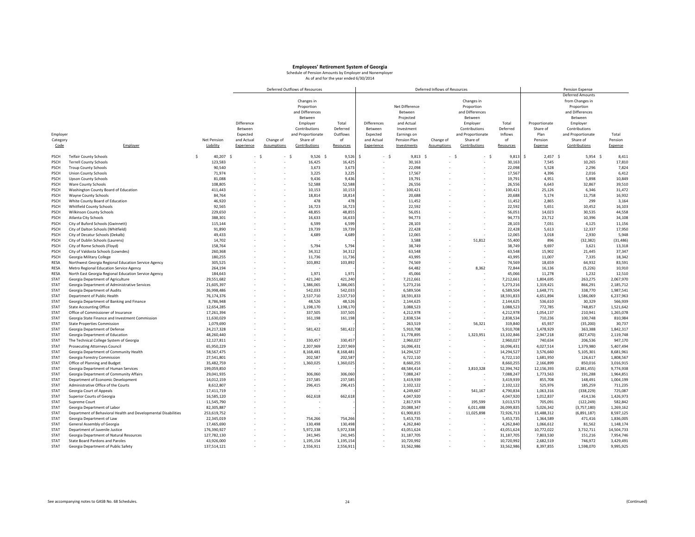|             |                                                                |    |             |            |                          | Deferred Outflows of Resources |           |             |                | Deferred Inflows of Resources |                   |            |                 | Pension Expense         |            |
|-------------|----------------------------------------------------------------|----|-------------|------------|--------------------------|--------------------------------|-----------|-------------|----------------|-------------------------------|-------------------|------------|-----------------|-------------------------|------------|
|             |                                                                |    |             |            |                          |                                |           |             |                |                               |                   |            |                 | <b>Deferred Amounts</b> |            |
|             |                                                                |    |             |            |                          | Changes in                     |           |             |                |                               | Changes in        |            |                 | from Changes in         |            |
|             |                                                                |    |             |            |                          | Proportion                     |           |             | Net Difference |                               | Proportion        |            |                 | Proportion              |            |
|             |                                                                |    |             |            |                          | and Differences                |           |             | Between        |                               | and Differences   |            |                 | and Differences         |            |
|             |                                                                |    |             |            |                          |                                |           |             |                |                               |                   |            |                 |                         |            |
|             |                                                                |    |             |            |                          | Between                        |           |             | Projected      |                               | Between           |            |                 | Between                 |            |
|             |                                                                |    |             | Difference |                          | Employer                       | Total     | Differences | and Actual     |                               | Employer          | Total      | Proportionate   | Employer                |            |
|             |                                                                |    |             | Between    |                          | Contributions                  | Deferred  | Between     | Investment     |                               | Contributions     | Deferred   | Share of        | Contributions           |            |
| Employer    |                                                                |    |             | Expected   |                          | and Proportionate              | Outflows  | Expected    | Earnings on    |                               | and Proportionate | Inflows    | Plan            | and Proportionate       | Total      |
| Category    |                                                                |    | Net Pension | and Actual | Change of                | Share of                       | of        | and Actual  | Pension Plan   | Change of                     | Share of          | of         | Pension         | Share of                | Pension    |
| Code        | Employer                                                       |    | Liability   | Experience | <b>Assumptions</b>       | Contributions                  | Resources | Experience  | Investments    | <b>Assumptions</b>            | Contributions     | Resources  | Expense         | Contributions           | Expense    |
|             |                                                                |    |             |            |                          |                                |           |             |                |                               |                   |            |                 |                         |            |
| PSCH        | <b>Telfair County Schools</b>                                  | Š. | 40,207 \$   | $-5$       | - \$                     | $9,526$ \$                     | 9,526     | - \$<br>Š.  | $9,813$ \$     | $-5$                          | $-5$              | 9,813      | Ś<br>$2,457$ \$ | $5,954$ \$              | 8,411      |
| PSCH        | <b>Terrell County Schools</b>                                  |    | 123,583     |            | $\overline{\phantom{a}}$ | 16,425                         | 16,42     |             | 30.163         |                               |                   | 30,163     | 7,545           | 10,265                  | 17,810     |
|             |                                                                |    |             |            |                          |                                |           |             |                |                               |                   |            |                 |                         |            |
| PSCH        | <b>Troup County Schools</b>                                    |    | 90,540      |            |                          | 3,673                          | 3,673     |             | 22,098         |                               |                   | 22,098     | 5,528           | 2,296                   | 7,824      |
| PSCH        | <b>Union County Schools</b>                                    |    | 71.974      |            |                          | 3,225                          | 3,225     |             | 17.567         |                               |                   | 17,567     | 4,396           | 2.016                   | 6,412      |
| PSCH        | <b>Upson County Schools</b>                                    |    | 81,088      |            |                          | 9,436                          | 9,43      |             | 19,791         |                               |                   | 19,791     | 4,951           | 5,898                   | 10,849     |
| PSCH        | Ware County Schools                                            |    | 108,805     |            |                          | 52,588                         | 52,588    |             | 26,556         |                               |                   | 26,55      | 6,643           | 32,867                  | 39,510     |
| PSCH        | Washington County Board of Education                           |    | 411,443     |            |                          | 10,153                         | 10,153    |             | 100,421        |                               |                   | 100,421    | 25,126          | 6,346                   | 31,472     |
| <b>PSCH</b> | <b>Wayne County Schools</b>                                    |    | 84,764      |            |                          | 18,814                         | 18,81     |             | 20,688         |                               |                   | 20,688     | 5,174           | 11,758                  | 16,932     |
| <b>PSCH</b> | White County Board of Education                                |    | 46,920      |            |                          | 478                            | 478       |             | 11,452         |                               |                   | 11,452     | 2,865           | 299                     | 3,164      |
| PSCH        | Whitfield County Schools                                       |    | 92,565      |            |                          | 16,723                         | 16,723    |             | 22,592         |                               |                   | 22,592     | 5,651           | 10,452                  | 16,103     |
| PSCH        |                                                                |    | 229,650     |            |                          | 48,855                         | 48,855    |             | 56,051         |                               |                   | 56,051     | 14,023          | 30,535                  | 44,558     |
|             | <b>Wilkinson County Schools</b>                                |    |             |            |                          |                                |           |             |                |                               |                   |            |                 |                         |            |
| PSCH        | <b>Atlanta City Schools</b>                                    |    | 388,301     |            |                          | 16,633                         | 16,633    |             | 94,773         |                               |                   | 94,77      | 23,712          | 10,396                  | 34,108     |
| PSCH        | City of Buford Schools (Gwinnett)                              |    | 115,144     |            |                          | 6,599                          | 6,599     |             | 28,103         |                               |                   | 28,103     | 7,031           | 4,125                   | 11,156     |
| PSCH        | City of Dalton Schools (Whitfield)                             |    | 91,890      |            |                          | 19,739                         | 19,739    |             | 22.428         |                               |                   | 22,428     | 5,613           | 12,337                  | 17,950     |
| PSCH        | City of Decatur Schools (Dekalb)                               |    | 49,433      |            |                          | 4,689                          | 4,689     |             | 12,065         |                               |                   | 12,065     | 3,018           | 2,930                   | 5,948      |
| PSCH        | City of Dublin Schools (Laurens)                               |    | 14,702      |            |                          |                                |           |             | 3,588          |                               | 51,812            | 55,400     | 896             | (32, 382)               | (31, 486)  |
| PSCH        | City of Rome Schools (Floyd)                                   |    | 158.764     |            |                          | 5.794                          | 5,794     |             | 38.749         |                               |                   | 38.749     | 9,697           | 3,621                   | 13,318     |
| PSCH        | City of Valdosta Schools (Lowndes)                             |    | 260,368     |            |                          | 34,312                         | 34,31     |             | 63,548         |                               |                   | 63,548     | 15,902          | 21,445                  | 37,347     |
| PSCH        | Georgia Military College                                       |    | 180,255     |            |                          | 11,736                         | 11,73     |             | 43,995         |                               |                   | 43,995     | 11,007          | 7,335                   | 18,342     |
|             |                                                                |    |             |            |                          |                                |           |             |                |                               |                   |            |                 |                         |            |
| RESA        | Northwest Georgia Regional Education Service Agency            |    | 305,525     |            |                          | 103,892                        | 103,892   |             | 74,569         |                               |                   | 74,569     | 18,659          | 64,932                  | 83,591     |
| RESA        | Metro Regional Education Service Agency                        |    | 264,194     |            |                          |                                |           |             | 64,482         |                               | 8,362             | 72,844     | 16,136          | (5, 226)                | 10,910     |
| RESA        | North East Georgia Regional Education Service Agency           |    | 184,643     |            |                          | 1,971                          | 1,971     |             | 45,066         |                               |                   | 45,066     | 11,278          | 1,232                   | 12,510     |
| <b>STAT</b> | Georgia Department of Agriculture                              |    | 29,551,682  |            |                          | 421,240                        | 421,240   |             | 7,212,661      |                               |                   | 7,212,661  | 1,804,695       | 263,275                 | 2,067,970  |
| <b>STAT</b> | Georgia Department of Administrative Services                  |    | 21,605,397  |            |                          | 1,386,065                      | 1,386,065 |             | 5,273,216      |                               |                   | 5,273,216  | 1,319,421       | 866,291                 | 2,185,712  |
| STAT        | Georgia Department of Audits                                   |    | 26,998,486  |            |                          | 542,033                        | 542,033   |             | 6,589,504      |                               |                   | 6,589,504  | 1,648,771       | 338,770                 | 1,987,541  |
| <b>STAT</b> | Department of Public Health                                    |    | 76,174,376  |            |                          | 2,537,710                      | 2,537,71  |             | 18,591,833     |                               |                   | 18,591,83  | 4,651,894       | 1,586,069               | 6,237,963  |
| <b>STAT</b> | Georgia Department of Banking and Finance                      |    | 8,786,948   |            |                          | 48,526                         | 48,52     |             | 2,144,625      |                               |                   | 2,144,62   | 536,610         | 30,329                  | 566,939    |
| <b>STAT</b> | <b>State Accounting Office</b>                                 |    | 12,654,285  |            |                          | 1,198,170                      | 1,198,17  |             | 3,088,523      |                               |                   | 3,088,52   | 772,785         | 748,857                 | 1,521,642  |
|             |                                                                |    |             |            |                          |                                |           |             |                |                               |                   |            |                 |                         |            |
| <b>STAT</b> | Office of Commissioner of Insurance                            |    | 17,261,394  |            |                          | 337,505                        | 337,505   |             | 4,212,978      |                               |                   | 4,212,978  | 1,054,137       | 210,941                 | 1,265,078  |
| STAT        | Georgia State Finance and Investment Commission                |    | 11,630,029  |            |                          | 161,198                        | 161,198   |             | 2,838,534      |                               |                   | 2,838,534  | 710,236         | 100,748                 | 810,984    |
| <b>STAT</b> | <b>State Properties Commission</b>                             |    | 1,079,690   |            |                          |                                |           |             | 263,519        |                               | 56,321            | 319,840    | 65,937          | (35, 200)               | 30,737     |
| <b>STAT</b> | Georgia Department of Defense                                  |    | 24,217,328  |            |                          | 581,422                        | 581,422   |             | 5,910,708      |                               |                   | 5,910,708  | 1,478,929       | 363,388                 | 1,842,317  |
| <b>STAT</b> | Georgia Department of Education                                |    | 48,260,440  |            |                          |                                |           |             | 11,778,895     |                               | 1,323,951         | 13,102,846 | 2,947,218       | (827, 470)              | 2,119,748  |
| <b>STAT</b> | The Technical College System of Georgia                        |    | 12,127,811  |            |                          | 330,457                        | 330,45    |             | 2,960,027      |                               |                   | 2,960,02   | 740,634         | 206,536                 | 947,170    |
| <b>STAT</b> | <b>Prosecuting Attorneys Council</b>                           |    | 65,950,229  |            |                          | 2,207,969                      | 2,207,969 |             | 16,096,431     |                               |                   | 16,096,431 | 4,027,514       | 1,379,980               | 5,407,494  |
| <b>STAT</b> | Georgia Department of Community Health                         |    | 58,567,475  |            |                          | 8,168,481                      | 8,168,481 |             | 14,294,527     |                               |                   | 14,294,52  | 3,576,660       | 5,105,301               | 8,681,961  |
| <b>STAT</b> | Georgia Forestry Commission                                    |    | 27,541,801  |            |                          | 202,587                        | 202,58    |             | 6,722,110      |                               |                   | 6,722,11   | 1,681,950       | 126,617                 | 1,808,567  |
|             |                                                                |    |             |            |                          |                                |           |             |                |                               |                   |            |                 |                         |            |
| STAT        | Office of Planning and Budget                                  |    | 35,482,759  |            |                          | 1,360,025                      | 1,360,025 |             | 8,660,255      |                               |                   | 8,660,25   | 2,166,899       | 850,016                 | 3,016,915  |
| <b>STAT</b> | Georgia Department of Human Services                           |    | 199,059,850 |            |                          |                                |           |             | 48,584,414     |                               | 3,810,328         | 52,394,742 | 12,156,393      | (2, 381, 455)           | 9,774,938  |
| <b>STAT</b> | Georgia Department of Community Affairs                        |    | 29,041,935  |            |                          | 306,060                        | 306,06    |             | 7,088,247      |                               |                   | 7,088,24   | 1,773,563       | 191,288                 | 1,964,851  |
| <b>STAT</b> | Department of Economic Development                             |    | 14,012,159  |            |                          | 237.585                        | 237,58    |             | 3,419,939      |                               |                   | 3,419,939  | 855,708         | 148,491                 | 1,004,199  |
| <b>STAT</b> | Administrative Office of the Courts                            |    | 8,612,807   |            |                          | 296,415                        | 296,415   |             | 2,102,122      |                               |                   | 2,102,122  | 525,976         | 185,259                 | 711,235    |
| STAT        | Georgia Court of Appeals                                       |    | 17,411,719  |            |                          |                                |           |             | 4,249,667      |                               | 541,167           | 4,790,834  | 1,063,316       | (338, 229)              | 725,087    |
| STAT        | Superior Courts of Georgia                                     |    | 16,585,120  |            |                          | 662,618                        | 662,61    |             | 4,047,920      |                               |                   | 4,047,920  | 1,012,837       | 414,136                 | 1,426,973  |
| <b>STAT</b> | Supreme Court                                                  |    | 11,545,790  |            |                          |                                |           |             | 2,817,974      |                               | 195,599           | 3,013,57   | 705,091         | (122, 249)              | 582,842    |
| <b>STAT</b> | Georgia Department of Labor                                    |    | 82,305,887  |            |                          |                                |           |             | 20,088,347     |                               | 6,011,488         | 26,099,83  | 5,026,342       | (3,757,180)             | 1,269,162  |
|             |                                                                |    |             |            |                          |                                |           |             |                |                               |                   |            |                 |                         |            |
| <b>STAT</b> | Department of Behavioral Health and Developmental Disabilities |    | 253,619,752 |            |                          |                                |           |             | 61,900,815     |                               | 11,025,898        | 72,926,71  | 15,488,312      | (6,891,187)             | 8,597,125  |
| <b>STAT</b> | Georgia Department of Law                                      |    | 22,345,019  |            |                          | 754,266                        | 754,266   |             | 5,453,735      |                               |                   | 5,453,73   | 1,364,589       | 471,416                 | 1,836,005  |
| STAT        | General Assembly of Georgia                                    |    | 17,465,690  |            |                          | 130,498                        | 130,498   |             | 4,262,840      |                               |                   | 4,262,840  | 1,066,612       | 81,562                  | 1,148,174  |
| <b>STAT</b> | Department of Juvenile Justice                                 |    | 176,390,927 |            |                          | 5,972,338                      | 5,972,33  |             | 43,051,624     |                               |                   | 43,051,624 | 10,772,022      | 3,732,711               | 14,504,733 |
| <b>STAT</b> | Georgia Department of Natural Resources                        |    | 127,782,130 |            |                          | 241,945                        | 241,94    |             | 31,187,705     |                               |                   | 31,187,705 | 7,803,530       | 151,216                 | 7,954,746  |
| <b>STAT</b> | State Board Pardons and Paroles                                |    | 43,926,000  |            |                          | 1,195,154                      | 1,195,154 |             | 10,720,992     |                               |                   | 10,720,992 | 2.682.519       | 746,972                 | 3,429,491  |
| STAT        | Georgia Department of Public Safety                            |    | 137,514,121 |            |                          | 2,556,911                      | 2,556,911 |             | 33,562,986     |                               |                   | 33,562,986 | 8,397,855       | 1,598,070               | 9,995,925  |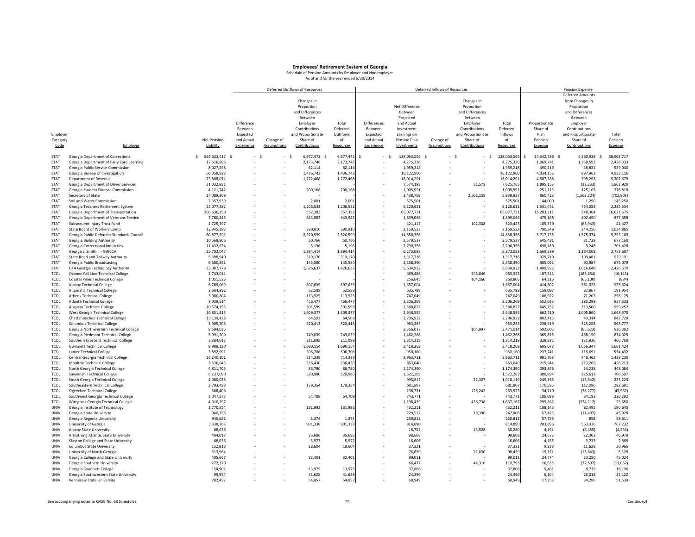|             |                                                                        |    |                        |            |                    | Deferred Outflows of Resources |           |             |                         | Deferred Inflows of Resources |                   |                        |                     | Pension Expense         |            |
|-------------|------------------------------------------------------------------------|----|------------------------|------------|--------------------|--------------------------------|-----------|-------------|-------------------------|-------------------------------|-------------------|------------------------|---------------------|-------------------------|------------|
|             |                                                                        |    |                        |            |                    |                                |           |             |                         |                               |                   |                        |                     | <b>Deferred Amounts</b> |            |
|             |                                                                        |    |                        |            |                    | Changes in                     |           |             |                         |                               | Changes in        |                        |                     | from Changes in         |            |
|             |                                                                        |    |                        |            |                    | Proportion                     |           |             | Net Difference          |                               | Proportion        |                        |                     | Proportion              |            |
|             |                                                                        |    |                        |            |                    | and Differences                |           |             | <b>Between</b>          |                               | and Differences   |                        |                     | and Differences         |            |
|             |                                                                        |    |                        |            |                    | Between                        |           |             | Projected               |                               | Between           |                        |                     | Between                 |            |
|             |                                                                        |    |                        | Difference |                    | Employer                       | Total     | Differences | and Actual              |                               | Employer          | Total                  | Proportionate       | Employer                |            |
|             |                                                                        |    |                        | Between    |                    | Contributions                  | Deferred  | Between     | Investment              |                               | Contributions     | Deferred               | Share of            | Contributions           |            |
| Employer    |                                                                        |    |                        | Expected   |                    | and Proportionate              | Outflows  | Expected    | Earnings on             |                               | and Proportionate | Inflows                | Plan                | and Proportionate       | Total      |
| Category    |                                                                        |    | Net Pension            | and Actual | Change of          | Share of                       | of        | and Actual  | Pension Plan            | Change of                     | Share of          | of                     | Pension             | Share of                | Pension    |
| Code        | Employer                                                               |    | Liability              | Experience | <b>Assumptions</b> | Contributions                  | Resources | Experience  | Investments             | <b>Assumptions</b>            | Contributions     | Resources              | Expense             | Contributions           | Expense    |
|             |                                                                        |    |                        |            |                    |                                |           |             |                         |                               |                   |                        |                     |                         |            |
| <b>STAT</b> | Georgia Department of Corrections                                      | Ś. | 565,632,417 \$         | - S        | - \$               | 6,977,472 \$                   | 6,977,472 | .s<br>- \$  | 138,053,565 \$          |                               | $-5$<br>$-5$      | 138,053,565            | 34,542,789 \$<br>\$ | 4,360,928 \$            | 38,903,717 |
| <b>STAT</b> | Georgia Department of Early Care Learning                              |    | 17,516,886             |            |                    | 2,173,746                      | 2,173,746 |             | 4,275,336               |                               |                   | 4,275,33               | 1,069,741           | 1,358,592               | 2,428,333  |
| <b>STAT</b> | Georgia Public Service Commission                                      |    | 8,027,298              |            |                    | 62,114                         | 62,114    |             | 1,959,218               |                               |                   | 1,959,218              | 490,219             | 38,821                  | 529,040    |
| STAT        | Georgia Bureau of Investigation                                        |    | 66,058,922             |            |                    | 1,436,742                      | 1,436,742 |             | 16,122,960              |                               |                   | 16,122,960             | 4,034,153           | 897,963                 | 4,932,116  |
| <b>STAT</b> | Department of Revenue                                                  |    | 73,808,074             |            |                    | 1,272,468                      | 1,272,468 |             | 18,014,291              |                               |                   | 18,014,29              | 4,507,386           | 795,293                 | 5,302,679  |
| <b>STAT</b> | Georgia Department of Driver Services                                  |    | 31,032,951             |            |                    |                                |           |             | 7,574,193               |                               | 51,572            | 7,625,76               | 1,895,153           | (32, 233)               | 1,862,920  |
| <b>STAT</b> | Georgia Student Finance Commission                                     |    | 4,121,742              |            |                    | 200,168                        | 200,168   |             | 1,005,991               |                               |                   | 1,005,99               | 251,713             | 125,105                 | 376,818    |
| <b>STAT</b> | Secretary of State                                                     |    | 14,089,309             |            |                    |                                |           |             | 3,438,769               |                               | 2,501,158         | 5,939,92               | 860,423             | (1,563,224)             | (702, 801) |
| <b>STAT</b> | Soil and Water Commission                                              |    | 2,357,939              |            |                    | 2,001                          | 2,001     |             | 575,501                 |                               |                   | 575,50                 | 144,000             | 1,250                   | 145,250    |
| <b>STAT</b> | Georgia Teachers Retirement System                                     |    | 25,077,382             |            |                    | 1,206,532                      | 1,206,532 |             | 6,120,621               |                               |                   | 6,120,62               | 1,531,451           | 754,083                 | 2,285,534  |
| <b>STAT</b> | Georgia Department of Transportation                                   |    | 266,636,159            |            |                    | 557,382                        | 557,382   |             | 65,077,721              |                               |                   | 65,077,721             | 16,283,211          | 348,364                 | 16,631,575 |
| <b>STAT</b> |                                                                        |    |                        |            |                    |                                |           |             |                         |                               |                   |                        |                     | 402,490                 | 877,658    |
| <b>STAT</b> | Georgia Department of Veterans Service<br>Subsequent Injury Trust Fund |    | 7,780,845<br>1,725,397 |            |                    | 643,983                        | 643,983   |             | 1,899,066<br>421,117    |                               | 102,308           | 1,899,066              | 475,168<br>105,370  | (63, 943)               | 41,427     |
|             |                                                                        |    |                        |            |                    | 390,810                        |           |             |                         |                               |                   | 523,425                |                     |                         |            |
| <b>STAT</b> | State Board of Workers Comp                                            |    | 12,945,183             |            |                    |                                | 390,810   |             | 3,159,523               |                               |                   | 3,159,52               | 790,549             | 244,256                 | 1,034,805  |
| <b>STAT</b> | Georgia Public Defender Standards Council                              |    | 60,877,593             |            |                    | 2,520,599<br>50,766            | 2,520,599 |             | 14,858,356<br>2,579,537 |                               |                   | 14,858,356<br>2,579,53 | 3,717,735           | 1,575,374<br>31,729     | 5,293,109  |
| <b>STAT</b> | Georgia Building Authority                                             |    | 10,568,866             |            |                    |                                | 50,766    |             |                         |                               |                   |                        | 645,431             |                         | 677,160    |
| <b>STAT</b> | Georgia Correctional Industries                                        |    | 11,432,634             |            |                    | 5,196                          | 5,196     |             | 2,790,356               |                               |                   | 2,790,35               | 698,180             | 3,248                   | 701,428    |
| <b>STAT</b> | George L. Smith II - GWCCA                                             |    | 25,702,047             |            |                    | 1,894,414                      | 1,894,41  |             | 6,273,083               |                               |                   | 6,273,08               | 1,569,599           | 1,184,008               | 2,753,607  |
| <b>STAT</b> | State Road and Tollway Authority                                       |    | 5,398,940              |            |                    | 319.170                        | 319,17    |             | 1,317,716               |                               |                   | 1,317,71               | 329,710             | 199,481                 | 529,191    |
| <b>STAT</b> | Georgia Public Broadcasting                                            |    | 9,580,841              |            |                    | 145,580                        | 145,580   |             | 2,338,390               |                               |                   | 2,338,39               | 585,092             | 90,987                  | 676,079    |
| <b>STAT</b> | GTA Georgia Technology Authority                                       |    | 23,087,379             |            |                    | 1,626,637                      | 1,626,637 |             | 5,634,922               |                               |                   | 5,634,92               | 1,409,922           | 1,016,648               | 2,426,570  |
| <b>TCOL</b> | Oconee Fall Line Technical College                                     |    | 2,743,014              |            |                    |                                |           |             | 669,486                 |                               | 293,846           | 963,33                 | 167,511             | (183, 654)              | (16, 143)  |
| <b>TCOL</b> | <b>Coastal Pines Technical College</b>                                 |    | 1,051,523              |            |                    |                                |           |             | 256,645                 |                               | 104,160           | 360,80                 | 64,216              | (65, 100)               | (884)      |
| <b>TCOL</b> | <b>Albany Technical College</b>                                        |    | 6,789,069              |            |                    | 897,635                        | 897,635   |             | 1,657,004               |                               |                   | 1,657,004              | 414,602             | 561,022                 | 975,624    |
| <b>TCOL</b> | Altamaha Technical College                                             |    | 2,604,992              |            |                    | 52,588                         | 52,588    |             | 635,799                 |                               |                   | 635,799                | 159,087             | 32,867                  | 191,954    |
| <b>TCOL</b> | <b>Athens Technical College</b>                                        |    | 3,060,804              |            |                    | 113,925                        | 113,925   |             | 747,049                 |                               |                   | 747,049                | 186,922             | 71,203                  | 258,125    |
| <b>TCOL</b> | <b>Atlanta Technical College</b>                                       |    | 9,039,514              |            |                    | 456,477                        | 456,477   |             | 2,206,269               |                               |                   | 2,206,26               | 552,035             | 285,298                 | 837,333    |
| <b>TCOL</b> | Augusta Technical College                                              |    | 10,574,155             |            |                    | 501,599                        | 501,59    |             | 2,580,827               |                               |                   | 2,580,82               | 645,752             | 313,500                 | 959,252    |
| <b>TCOL</b> | West Georgia Technical College                                         |    | 10,851,813             |            |                    | 1,609,377                      | 1,609,37  |             | 2,648,595               |                               |                   | 2,648,59               | 662,710             | 1,005,860               | 1,668,570  |
| <b>TCOL</b> | Chattahoochee Technical College                                        |    | 13,139,428             |            |                    | 64,503                         | 64,503    |             | 3,206,932               |                               |                   | 3,206,93               | 802,415             | 40,314                  | 842,729    |
| <b>TCOL</b> | <b>Columbus Technical College</b>                                      |    | 3,905,706              |            |                    | 520,413                        | 520,413   |             | 953,263                 |                               |                   | 953,26                 | 238,519             | 325,258                 | 563,777    |
| <b>TCOL</b> | Georgia Northwestern Technical College                                 |    | 9,694,035              |            |                    |                                |           |             | 2,366,017               |                               | 104,997           | 2,471,014              | 592,005             | (65, 623)               | 526,382    |
| <b>TCOL</b> | Georgia Piedmont Technical College                                     |    | 5,991,200              |            |                    | 749,039                        | 749,039   |             | 1,462,268               |                               |                   | 1,462,268              | 365,875             | 468,150                 | 834,025    |
| <b>TCOL</b> | Southern Crescent Technical College                                    |    | 5,384,612              |            |                    | 211,098                        | 211,098   |             | 1,314,219               |                               |                   | 1,314,219              | 328,832             | 131,936                 | 460,768    |
| TCOL        | <b>Gwinnett Technical College</b>                                      |    | 9,908,120              |            |                    | 1,690,154                      | 1,690,154 |             | 2,418,269               |                               |                   | 2,418,269              | 605,077             | 1,056,347               | 1,661,424  |
| <b>TCOL</b> | <b>Lanier Technical College</b>                                        |    | 3,892,991              |            |                    | 506,706                        | 506,706   |             | 950,160                 |                               |                   | 950,160                | 237,741             | 316,691                 | 554,432    |
| <b>TCOL</b> | Central Georgia Technical College                                      |    | 16,240,101             |            |                    | 714,339                        | 714,339   |             | 3,963,711               |                               |                   | 3,963,711              | 991,768             | 446,462                 | 1,438,230  |
| <b>TCOL</b> | Moultrie Technical College                                             |    | 3,536,045              |            |                    | 336,430                        | 336,430   |             | 863,040                 |                               |                   | 863,040                | 215,944             | 210,269                 | 426,213    |
| <b>TCOL</b> | North Georgia Technical College                                        |    | 4,811,705              |            |                    | 86,780                         | 86,780    |             | 1,174,390               |                               |                   | 1,174,39               | 293,846             | 54,238                  | 348,084    |
| <b>TCOL</b> | Savannah Technical College                                             |    | 6,237,090              |            |                    | 520,980                        | 520,980   |             | 1,522,283               |                               |                   | 1,522,28               | 380.894             | 325,613                 | 706,507    |
| <b>TCOL</b> | South Georgia Technical College                                        |    | 4,080,035              |            |                    |                                |           |             | 995,812                 |                               | 22,307            | 1,018,11               | 249,165             | (13, 942)               | 235,223    |
| <b>TCOL</b> | Southeastern Technical College                                         |    | 2,793,498              |            |                    | 179,354                        | 179,354   |             | 681,807                 |                               |                   | 681,80                 | 170,595             | 112,096                 | 282,691    |
| <b>TCOL</b> | Ogeechee Technical College                                             |    | 568,406                |            |                    |                                |           |             | 138,731                 |                               | 125,242           | 263,97                 | 34,710              | (78, 277)               | (43, 567)  |
| <b>TCOL</b> | Southwest Georgia Technical College                                    |    | 3,047,377              |            |                    | 54,708                         | 54,708    |             | 743,771                 |                               |                   | 743,77                 | 186,099             | 34,193                  | 220,292    |
| TCOL        | Wiregrass Georgia Technical College                                    |    | 4,910,197              |            |                    |                                |           |             | 1,198,429               |                               | 438,738           | 1,637,16               | 299,862             | (274, 212)              | 25,650     |
| UNIV        | Georgia Institute of Technology                                        |    | 1,770,854              |            |                    | 131,992                        | 131,992   |             | 432,211                 |                               |                   | 432,211                | 108,145             | 82,495                  | 190,640    |
| UNIV        | Georgia State University                                               |    | 940,355                |            |                    |                                |           |             | 229.512                 |                               | 18,396            | 247,908                | 57,425              | (11, 497)               | 45,928     |
| UNIV        | Georgia Regents University                                             |    | 945,681                |            |                    | 1,374                          | 1,374     |             | 230,812                 |                               |                   | 230,81                 | 57,753              | 858                     | 58,611     |
| UNIV        | University of Georgia                                                  |    | 3,338,763              |            |                    | 901,338                        | 901,33    |             | 814,890                 |                               |                   | 814,89                 | 203,896             | 563,336                 | 767,232    |
| UNIV        | Albany State University                                                |    | 68,636                 |            |                    |                                |           |             | 16,752                  |                               | 13,528            | 30,28                  | 4,191               | (8, 455)                | (4, 264)   |
| UNIV        | Armstrong Atlantic State University                                    |    | 404,017                |            |                    | 35,686                         | 35,686    |             | 98,608                  |                               |                   | 98,608                 | 24,675              | 22,303                  | 46,978     |
| UNIV        | Clayton College and State University                                   |    | 68,036                 |            |                    | 5,972                          | 5,972     |             | 16.606                  |                               |                   | 16,606                 | 4,155               | 3,733                   | 7,888      |
| UNIV        | <b>Columbus State University</b>                                       |    | 152,913                |            |                    | 18,604                         | 18,604    |             | 37,321                  |                               |                   | 37,321                 | 9,338               | 11,628                  | 20,966     |
| UNIV        | University of North Georgia                                            |    | 313,964                |            |                    |                                |           |             | 76,629                  |                               | 21,830            | 98,459                 | 19,171              | (13, 643)               | 5,528      |
| UNIV        | Georgia College and State University                                   |    | 405,667                |            |                    | 32,401                         | 32,401    |             | 99,011                  |                               |                   | 99,011                 | 24,774              | 20,250                  | 45,024     |
| UNIV        | Georgia Southern University                                            |    | 272,370                |            |                    |                                |           |             | 66,477                  |                               | 44,316            | 110,793                | 16,635              | (27, 697)               | (11,062)   |
| UNIV        | Georgia Gwinnett College                                               |    | 154,901                |            |                    | 13.975                         | 13,975    |             | 37,806                  |                               |                   | 37,806                 | 9,461               | 8,735                   | 18,196     |
| UNIV        | Georgia Southwestern State University                                  |    | 99,954                 |            |                    | 41,628                         | 41,628    |             | 24,396                  |                               |                   | 24,396                 | 6,104               | 26,018                  | 32,122     |
| UNIV        | Kennesaw State University                                              |    | 282,497                |            |                    | 54,857                         | 54,857    |             | 68,949                  |                               |                   | 68,949                 | 17,253              | 34,286                  | 51,539     |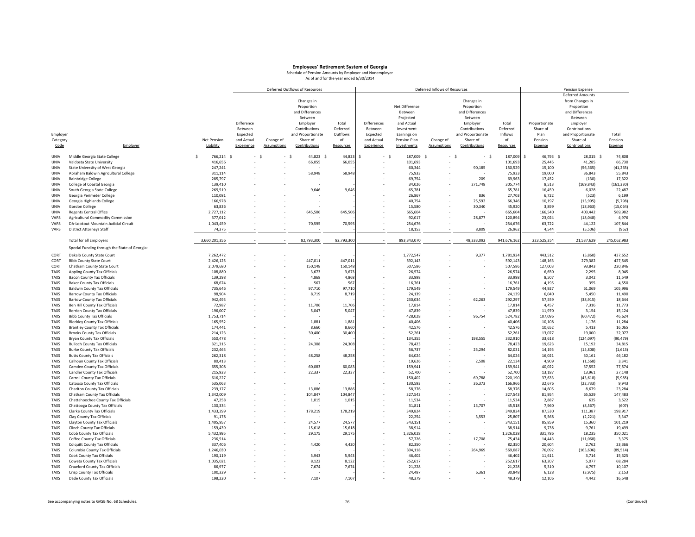|          |                                               |                 |            |                    | Deferred Outflows of Resources |            |             |                | Deferred Inflows of Resources |                   |             |                 | <b>Pension Expense</b>  |             |
|----------|-----------------------------------------------|-----------------|------------|--------------------|--------------------------------|------------|-------------|----------------|-------------------------------|-------------------|-------------|-----------------|-------------------------|-------------|
|          |                                               |                 |            |                    |                                |            |             |                |                               |                   |             |                 | <b>Deferred Amounts</b> |             |
|          |                                               |                 |            |                    | Changes in                     |            |             |                |                               | Changes in        |             |                 | from Changes in         |             |
|          |                                               |                 |            |                    | Proportion                     |            |             | Net Difference |                               | Proportion        |             |                 | Proportion              |             |
|          |                                               |                 |            |                    | and Differences                |            |             | Between        |                               | and Differences   |             |                 | and Differences         |             |
|          |                                               |                 |            |                    | Between                        |            |             | Projected      |                               | Between           |             |                 | Between                 |             |
|          |                                               |                 | Difference |                    | Employer                       | Total      | Differences | and Actual     |                               | Employer          | Total       | Proportionate   | Employer                |             |
|          |                                               |                 |            |                    |                                | Deferred   |             |                |                               |                   | Deferred    | Share of        |                         |             |
|          |                                               |                 | Between    |                    | Contributions                  |            | Between     | Investment     |                               | Contributions     |             |                 | Contributions           |             |
| Employer |                                               |                 | Expected   |                    | and Proportionate              | Outflows   | Expected    | Earnings on    |                               | and Proportionate | Inflows     | Plan            | and Proportionate       | Total       |
| Category |                                               | Net Pension     | and Actual | Change of          | Share of                       | of         | and Actual  | Pension Plan   | Change of                     | Share of          | of          | Pension         | Share of                | Pension     |
| Code     | Employer                                      | Liability       | Experience | <b>Assumptions</b> | Contributions                  | Resources  | Experience  | Investments    | <b>Assumptions</b>            | Contributions     | Resources   | Expense         | Contributions           | Expense     |
|          |                                               |                 |            |                    |                                |            |             |                |                               |                   |             |                 |                         |             |
| UNIV     | Middle Georgia State College                  | Ś<br>766,214 \$ | - \$       | - \$               | 44,823 \$                      | 44,823     | \$<br>- \$  | 187,009 \$     |                               | - \$<br>- \$      | 187,009     | \$<br>46,793 \$ | 28,015 \$               | 74,808      |
| UNIV     | Valdosta State University                     | 416,656         |            |                    | 66,055                         | 66,05      |             | 101,693        |                               |                   | 101,693     | 25,445          | 41,285                  | 66,730      |
| UNIV     | State University of West Georgia              | 247,241         |            |                    |                                |            |             | 60,344         |                               | 90,185            | 150,529     | 15,100          | (56, 365)               | (41, 265)   |
| UNIV     | Abraham Baldwin Agricultural College          | 311,114         |            |                    | 58,948                         | 58,948     |             | 75,933         |                               |                   | 75,93       | 19,000          | 36,843                  | 55,843      |
| UNIV     | <b>Bainbridge College</b>                     | 285,797         |            |                    |                                |            |             | 69,754         |                               | 209               | 69,963      | 17,452          | (130)                   | 17,322      |
| UNIV     | College of Coastal Georgia                    | 139,410         |            |                    |                                |            |             | 34,026         |                               | 271,748           | 305,774     | 8,513           | (169, 843)              | (161, 330)  |
| UNIV     | South Georgia State College                   | 269,519         |            |                    | 9,646                          | 9,646      |             | 65,781         |                               |                   | 65,781      | 16,459          | 6,028                   | 22,487      |
| UNIV     | Georgia Perimeter College                     | 110,081         |            |                    |                                |            |             | 26,867         |                               | 836               | 27,703      | 6,722           | (523)                   | 6,199       |
| UNIV     | Georgia Highlands College                     | 166,978         |            |                    |                                |            |             | 40,754         |                               | 25,592            | 66,346      | 10,197          | (15, 995)               | (5,798)     |
| UNIV     | Gordon College                                | 63,836          |            |                    |                                |            |             | 15,580         |                               | 30,340            | 45,920      | 3,899           | (18, 963)               | (15,064)    |
| UNIV     | <b>Regents Central Office</b>                 | 2,727,112       |            |                    | 645,506                        | 645,506    |             | 665,604        |                               |                   | 665,604     | 166,540         | 403,442                 | 569,982     |
| VARS     | Agricultural Commodity Commission             | 377,012         |            |                    |                                |            |             | 92,017         |                               | 28,877            | 120,89      | 23,024          | (18, 048)               | 4,976       |
| VARS     | DA-Lookout Mountain Judicial Circuit          | 1,043,459       |            |                    | 70,595                         | 70,595     |             | 254,676        |                               |                   | 254,67      | 63,722          | 44,122                  | 107,844     |
| VARS     | <b>District Attorneys Staff</b>               | 74,375          |            |                    |                                |            |             | 18,153         |                               | 8,809             | 26,962      | 4,544           | (5, 506)                | (962)       |
|          |                                               |                 |            |                    |                                |            |             |                |                               |                   |             |                 |                         |             |
|          | <b>Total for all Employers</b>                | 3,660,201,356   |            |                    | 82,793,300                     | 82,793,300 |             | 893,343,070    |                               | 48,333,092        | 941,676,162 | 223,525,354     | 21,537,629              | 245,062,983 |
|          |                                               |                 |            |                    |                                |            |             |                |                               |                   |             |                 |                         |             |
|          | Special Funding through the State of Georgia: |                 |            |                    |                                |            |             |                |                               |                   |             |                 |                         |             |
| CORT     | Dekalb County State Court                     | 7,262,472       |            |                    |                                |            |             | 1,772,547      |                               | 9,377             | 1,781,924   | 443,512         | (5,860)                 | 437,652     |
| CORT     | <b>Bibb County State Court</b>                | 2,426,125       |            |                    | 447,011                        | 447,01     |             | 592,143        |                               |                   | 592,14      | 148,163         | 279,382                 | 427,545     |
| CORT     | Chatham County State Court                    | 2,079,680       |            |                    | 150,148                        | 150,148    |             | 507,586        |                               |                   | 507,586     | 127,003         | 93,843                  | 220,846     |
| TAXS     | Appling County Tax Officials                  | 108,880         |            |                    | 3,673                          | 3,67       |             | 26,574         |                               |                   | 26,574      | 6,650           | 2,295                   | 8,945       |
| TAXS     | <b>Bacon County Tax Officials</b>             | 139,298         |            |                    | 4,868                          | 4,86       |             | 33,998         |                               |                   | 33,998      | 8,507           | 3,042                   | 11,549      |
| TAXS     | <b>Baker County Tax Officials</b>             | 68,674          |            |                    | 567                            | 567        |             | 16,761         |                               |                   | 16,761      | 4,195           | 355                     | 4,550       |
| TAXS     | <b>Baldwin County Tax Officials</b>           | 735,646         |            |                    | 97,710                         | 97,710     |             | 179,549        |                               |                   | 179,549     | 44,927          | 61,069                  | 105,996     |
| TAXS     | <b>Barrow County Tax Officials</b>            | 98,904          |            |                    | 8,719                          | 8,71       |             | 24,139         |                               |                   | 24,139      | 6,040           | 5,450                   | 11,490      |
| TAXS     | <b>Bartow County Tax Officials</b>            | 942,493         |            |                    |                                |            |             | 230,034        |                               | 62,263            | 292,297     | 57,559          | (38, 915)               | 18,644      |
| TAXS     | Ben Hill County Tax Officials                 | 72,987          |            |                    | 11,706                         | 11,706     |             | 17,814         |                               |                   | 17,814      | 4,457           | 7,316                   | 11,773      |
| TAXS     | <b>Berrien County Tax Officials</b>           | 196,007         |            |                    | 5,047                          | 5,047      |             | 47,839         |                               |                   | 47,839      | 11,970          | 3,154                   | 15,124      |
| TAXS     | <b>Bibb County Tax Officials</b>              | 1,753,714       |            |                    |                                |            |             | 428,028        |                               | 96,754            | 524,782     | 107,096         | (60, 472)               | 46,624      |
| TAXS     | <b>Bleckley County Tax Officials</b>          | 165,552         |            |                    | 1,881                          | 1,881      |             | 40,406         |                               |                   | 40,406      | 10,108          | 1,176                   | 11,284      |
| TAXS     | <b>Brantley County Tax Officials</b>          | 174,441         |            |                    | 8,660                          | 8,660      |             | 42,576         |                               |                   | 42,576      | 10,652          | 5,413                   | 16,065      |
| TAXS     | <b>Brooks County Tax Officials</b>            | 214,123         |            |                    | 30,400                         | 30,400     |             | 52,261         |                               |                   | 52,261      | 13,077          | 19,000                  | 32,077      |
|          |                                               |                 |            |                    |                                |            |             |                |                               | 198,555           | 332,91      |                 |                         | (90, 479)   |
| TAXS     | <b>Bryan County Tax Officials</b>             | 550,478         |            |                    |                                |            |             | 134,355        |                               |                   |             | 33,618          | (124, 097)              |             |
| TAXS     | <b>Bulloch County Tax Officials</b>           | 321,315         |            |                    | 24,308                         | 24,308     |             | 78,423         |                               |                   | 78,42       | 19,623          | 15,192                  | 34,815      |
| TAXS     | <b>Burke County Tax Officials</b>             | 232,463         |            |                    |                                |            |             | 56,737         |                               | 25,294            | 82,031      | 14,195          | (15, 808)               | (1,613)     |
| TAXS     | <b>Butts County Tax Officials</b>             | 262,318         |            |                    | 48,258                         | 48,258     |             | 64,024         |                               |                   | 64,024      | 16,021          | 30,161                  | 46,182      |
| TAXS     | Calhoun County Tax Officials                  | 80,413          |            |                    |                                |            |             | 19,626         |                               | 2,508             | 22,134      | 4,909           | (1, 568)                | 3,341       |
| TAXS     | Camden County Tax Officials                   | 655,308         |            |                    | 60,083                         | 60,08      |             | 159,941        |                               |                   | 159,941     | 40,022          | 37,552                  | 77,574      |
| TAXS     | Candler County Tax Officials                  | 215,923         |            |                    | 22,337                         | 22,33      |             | 52,700         |                               |                   | 52,700      | 13,187          | 13,961                  | 27,148      |
| TAXS     | Carroll County Tax Officials                  | 616,227         |            |                    |                                |            |             | 150,402        |                               | 69,788            | 220,190     | 37,633          | (43, 618)               | (5,985)     |
| TAXS     | Catoosa County Tax Officials                  | 535,063         |            |                    |                                |            |             | 130,593        |                               | 36,373            | 166,966     | 32,676          | (22, 733)               | 9,943       |
| TAXS     | Charlton County Tax Officials                 | 239,177         |            |                    | 13,886                         | 13,886     |             | 58,376         |                               |                   | 58,37       | 14,605          | 8,679                   | 23,284      |
| TAXS     | Chatham County Tax Officials                  | 1,342,009       |            |                    | 104,847                        | 104,84     |             | 327,543        |                               |                   | 327,54      | 81,954          | 65,529                  | 147,483     |
| TAXS     | Chattahoochee County Tax Officials            | 47,258          |            |                    | 1,015                          | 1,015      |             | 11,534         |                               |                   | 11,534      | 2,887           | 635                     | 3,522       |
| TAXS     | Chattooga County Tax Officials                | 130,334         |            |                    |                                |            |             | 31,811         |                               | 13,707            | 45,518      | 7,960           | (8, 567)                | (607)       |
| TAXS     | Clarke County Tax Officials                   | 1,433,299       |            |                    | 178,219                        | 178,219    |             | 349,824        |                               |                   | 349,824     | 87,530          | 111,387                 | 198,917     |
| TAXS     | Clay County Tax Officials                     | 91,178          |            |                    |                                |            |             | 22,254         |                               | 3,553             | 25,807      | 5,568           | (2, 221)                | 3,347       |
| TAXS     | Clayton County Tax Officials                  | 1,405,957       |            |                    | 24,577                         | 24,577     |             | 343,151        |                               |                   | 343,151     | 85,859          | 15,360                  | 101,219     |
| TAXS     | Clinch County Tax Officials                   | 159,439         |            |                    | 15,618                         | 15,61      |             | 38,914         |                               |                   | 38,91       | 9,738           | 9,761                   | 19,499      |
| TAXS     | Cobb County Tax Officials                     | 5,432,995       |            |                    | 29,175                         | 29,17      |             | 1,326,028      |                               |                   | 1,326,02    | 331,786         | 18,235                  | 350,021     |
| TAXS     | Coffee County Tax Officials                   | 236,514         |            |                    |                                |            |             | 57,726         |                               | 17,708            | 75,434      | 14,443          | (11,068)                | 3,375       |
| TAXS     | <b>Colquitt County Tax Officials</b>          | 337,406         |            |                    | 4,420                          | 4,420      |             | 82,350         |                               |                   | 82,35       | 20,604          | 2,762                   | 23,366      |
| TAXS     | Columbia County Tax Officials                 | 1,246,030       |            |                    |                                |            |             | 304,118        |                               | 264,969           | 569,087     | 76,092          | (165, 606)              | (89, 514)   |
| TAXS     | Cook County Tax Officials                     | 190,119         |            |                    | 5,943                          | 5,94       |             | 46,402         |                               |                   | 46,402      | 11,611          | 3,714                   | 15,325      |
| TAXS     | Coweta County Tax Officials                   | 1,035,021       |            |                    | 8,122                          | 8,12       |             | 252,617        |                               |                   | 252,61      | 63,207          | 5,077                   | 68,284      |
| TAXS     | Crawford County Tax Officials                 | 86,977          |            |                    | 7,674                          | 7,67       |             | 21,228         |                               |                   | 21,228      | 5,310           | 4,797                   | 10,107      |
| TAXS     | Crisp County Tax Officials                    | 100,329         |            |                    |                                |            |             | 24,487         |                               | 6,361             | 30,848      | 6,128           | (3,975)                 | 2,153       |
| TAXS     | Dade County Tax Officials                     | 198,220         |            |                    | 7,107                          | 7,107      |             | 48,379         |                               |                   | 48,379      | 12,106          | 4,442                   | 16,548      |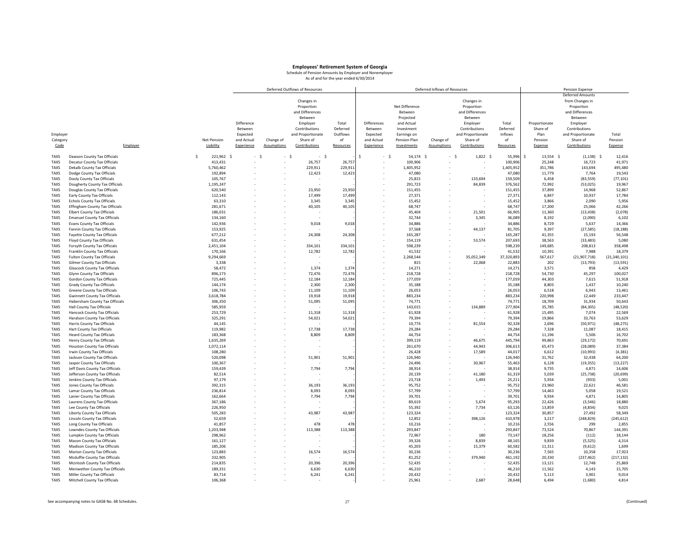|                     |                                                                     |                    |                      |            |                    | Deferred Outflows of Resources |                 |             |                   | Deferred Inflows of Resources |                   |                   |                  | <b>Pension Expense</b>  |                     |
|---------------------|---------------------------------------------------------------------|--------------------|----------------------|------------|--------------------|--------------------------------|-----------------|-------------|-------------------|-------------------------------|-------------------|-------------------|------------------|-------------------------|---------------------|
|                     |                                                                     |                    |                      |            |                    |                                |                 |             |                   |                               |                   |                   |                  | <b>Deferred Amounts</b> |                     |
|                     |                                                                     |                    |                      |            |                    | Changes in                     |                 |             |                   |                               | Changes in        |                   |                  | from Changes in         |                     |
|                     |                                                                     |                    |                      |            |                    | Proportion                     |                 |             | Net Difference    |                               | Proportion        |                   |                  | Proportion              |                     |
|                     |                                                                     |                    |                      |            |                    | and Differences                |                 |             | <b>Between</b>    |                               | and Differences   |                   |                  | and Differences         |                     |
|                     |                                                                     |                    |                      |            |                    | Between                        |                 |             | Projected         |                               | Between           |                   |                  | Between                 |                     |
|                     |                                                                     |                    |                      | Difference |                    | Employer                       | Total           | Differences | and Actual        |                               | Employer          | Total             | Proportionate    | Employer                |                     |
|                     |                                                                     |                    |                      | Between    |                    | Contributions                  | Deferred        | Between     | Investment        |                               | Contributions     | Deferred          | Share of         | Contributions           |                     |
| Employer            |                                                                     |                    |                      | Expected   |                    | and Proportionate              | Outflows<br>of  | Expected    | Earnings on       |                               | and Proportionate | Inflows<br>of     | Plan<br>Pension  | and Proportionate       | Total<br>Pension    |
| Category            |                                                                     |                    | Net Pension          | and Actual | Change of          | Share of                       |                 | and Actual  | Pension Plan      | Change of                     | Share of          |                   |                  | Share of                |                     |
| Code                | Employer                                                            |                    | Liability            | Experience | <b>Assumptions</b> | Contributions                  | Resources       | Experience  | Investments       | <b>Assumptions</b>            | Contributions     | Resources         | Expense          | Contributions           | Expense             |
| TAXS                | Dawson County Tax Officials                                         | $\hat{\mathbf{S}}$ | 221,962<br>.S        | $-5$       |                    | $\sim$<br>- \$<br>×.           |                 |             | 54,174<br>- \$    | $-5$<br>- 5                   | $1,822$ \$        | 55,996            | 13,554<br>Ś      | (1, 138)<br>$\leq$      | 12,416              |
| TAXS                | Decatur County Tax Officials                                        |                    | 413,431              |            |                    | 26,757                         | 26,75           |             | 100,906           |                               |                   | 100,906           | 25,248           | 16,723                  | 41,971              |
| <b>TAXS</b>         | Dekalb County Tax Officials                                         |                    | 5,760,462            |            |                    | 229,911                        | 229,91          |             | 1,405,952         |                               |                   | 1,405,952         | 351,786          | 143,694                 | 495,480             |
| <b>TAXS</b>         | Dodge County Tax Officials                                          |                    | 192,894              |            |                    | 12,423                         | 12,42           |             | 47,080            |                               |                   | 47,080            | 11,779           | 7,764                   | 19,543              |
| <b>TAXS</b>         | Dooly County Tax Officials                                          |                    | 105,767              |            |                    |                                |                 |             | 25,815            |                               | 133,694           | 159,509           | 6,458            | (83, 559)               | (77, 101)           |
| <b>TAXS</b>         | Dougherty County Tax Officials                                      |                    | 1,195,247            |            |                    |                                |                 |             | 291,723           |                               | 84,839            | 376,562           | 72,992           | (53,025)                | 19,967              |
| <b>TAXS</b>         | Douglas County Tax Officials                                        |                    | 620,540              |            |                    | 23.950                         | 23,950          |             | 151.455           |                               |                   | 151,455           | 37,899           | 14,968                  | 52,867              |
| <b>TAXS</b>         | Early County Tax Officials                                          |                    | 112,143              |            |                    | 17,499                         | 17,49           |             | 27,371            |                               |                   | 27,37             | 6,847            | 10,937                  | 17,784              |
| <b>TAXS</b>         | <b>Echols County Tax Officials</b>                                  |                    | 63,310               |            |                    | 3,345                          | 3,345           |             | 15.452            |                               |                   | 15,45             | 3,866            | 2,090                   | 5,956               |
| TAXS                | Effingham County Tax Officials                                      |                    | 281,671              |            |                    | 40,105                         | 40,10           |             | 68,747            |                               |                   | 68,747            | 17,200           | 25,066                  | 42,266              |
| <b>TAXS</b>         | <b>Elbert County Tax Officials</b>                                  |                    | 186,031              |            |                    |                                |                 |             | 45,404            |                               | 21,501            | 66,905            | 11,360           | (13, 438)               | (2,078)             |
| <b>TAXS</b>         | <b>Emanuel County Tax Officials</b>                                 |                    | 134,160              |            |                    |                                |                 |             | 32,744            |                               | 3,345             | 36,089            | 8,192            | (2,090)                 | 6,102               |
| <b>TAXS</b>         | <b>Evans County Tax Officials</b>                                   |                    | 142.936              |            |                    | 9,018                          | 9,018           |             | 34,886            |                               |                   | 34,886            | 8.729            | 5,637                   | 14,366              |
| <b>TAXS</b>         | Fannin County Tax Officials                                         |                    | 153,925              |            |                    |                                |                 |             | 37,568            |                               | 44,137            | 81,705            | 9,397            | (27, 585)               | (18, 188)           |
| <b>TAXS</b>         | Fayette County Tax Officials                                        |                    | 677,212              |            |                    | 24,308                         | 24,308          |             | 165,287           |                               |                   | 165,287           | 41,355           | 15,193                  | 56,548              |
| <b>TAXS</b>         | Floyd County Tax Officials                                          |                    | 631,454              |            |                    |                                |                 |             | 154,119           |                               | 53,574            | 207,693           | 38,563           | (33, 483)               | 5,080               |
| <b>TAXS</b>         | Forsyth County Tax Officials                                        |                    | 2,451,104            |            |                    | 334,101                        | 334,101         |             | 598,239           |                               |                   | 598,239           | 149,685          | 208,813                 | 358,498             |
| <b>TAXS</b>         | Franklin County Tax Officials                                       |                    | 170,166              |            |                    | 12,782                         | 12,782          |             | 41,532            |                               |                   | 41,532            | 10,391           | 7,988                   | 18,379              |
| <b>TAXS</b>         | Fulton County Tax Officials                                         |                    | 9,294,669            |            |                    |                                |                 |             | 2,268,544         |                               | 35,052,349        | 37,320,893        | 567,617          | (21,907,718)            | (21, 340, 101)      |
| <b>TAXS</b>         | <b>Gilmer County Tax Officials</b>                                  |                    | 3,338                |            |                    |                                |                 |             | 815               |                               | 22,068            | 22,88             | 202              | (13, 793)               | (13, 591)           |
| TAXS                | <b>Glascock County Tax Officials</b>                                |                    | 58,472               |            |                    | 1,374                          | 1,37            |             | 14,271            |                               |                   | 14,27             | 3,571            | 858                     | 4,429               |
| <b>TAXS</b>         | Glynn County Tax Officials                                          |                    | 896,173              |            |                    | 72,476                         | 72,47           |             | 218,728           |                               |                   | 218,728           | 54,730           | 45,297                  | 100,027             |
| <b>TAXS</b>         | Gordon County Tax Officials                                         |                    | 725.445              |            |                    | 12,184                         | 12,18           |             | 177,059           |                               |                   | 177,059           | 44,303           | 7,615                   | 51,918              |
| <b>TAXS</b>         | Grady County Tax Officials                                          |                    | 144,174              |            |                    | 2,300                          | 2,300           |             | 35,188            |                               |                   | 35,188            | 8,803            | 1,437                   | 10,240              |
| <b>TAXS</b><br>TAXS | Greene County Tax Officials<br><b>Gwinnett County Tax Officials</b> |                    | 106,743<br>3,618,784 |            |                    | 11,109<br>19,918               | 11,10<br>19,918 |             | 26,053<br>883,234 |                               |                   | 26,053<br>883,234 | 6,518<br>220,998 | 6,943<br>12,449         | 13,461<br>233,447   |
| <b>TAXS</b>         | Habersham County Tax Officials                                      |                    | 306,350              |            |                    | 51,095                         | 51,095          |             | 74.771            |                               |                   | 74.771            | 18,709           | 31,934                  | 50,643              |
| <b>TAXS</b>         | Hall County Tax Officials                                           |                    | 585,959              |            |                    |                                |                 |             | 143,015           |                               | 134,889           | 277,904           | 35,785           | (84, 305)               | (48, 520)           |
| <b>TAXS</b>         | Hancock County Tax Officials                                        |                    | 253,729              |            |                    | 11,318                         | 11,31           |             | 61,928            |                               |                   | 61,928            | 15,495           | 7,074                   | 22,569              |
| <b>TAXS</b>         | Haralson County Tax Officials                                       |                    | 325,291              |            |                    | 54,021                         | 54,02           |             | 79,394            |                               |                   | 79,394            | 19,866           | 33,763                  | 53,629              |
| <b>TAXS</b>         | Harris County Tax Officials                                         |                    | 44,145               |            |                    |                                |                 |             | 10,774            |                               | 81,554            | 92,328            | 2,696            | (50, 971)               | (48, 275)           |
| <b>TAXS</b>         | Hart County Tax Officials                                           |                    | 119.982              |            |                    | 17.738                         | 17,738          |             | 29.284            |                               |                   | 29.284            | 7.328            | 11,087                  | 18,415              |
| <b>TAXS</b>         | <b>Heard County Tax Officials</b>                                   |                    | 183,368              |            |                    | 8,809                          | 8,809           |             | 44,754            |                               |                   | 44,754            | 11,196           | 5,506                   | 16,702              |
| TAXS                | Henry County Tax Officials                                          |                    | 1,635,269            |            |                    |                                |                 |             | 399,119           |                               | 46,675            | 445,794           | 99,863           | (29, 172)               | 70,691              |
| <b>TAXS</b>         | <b>Houston County Tax Officials</b>                                 |                    | 1,072,114            |            |                    |                                |                 |             | 261,670           |                               | 44,943            | 306,613           | 65,473           | (28,089)                | 37,384              |
| <b>TAXS</b>         | Irwin County Tax Officials                                          |                    | 108,280              |            |                    |                                |                 |             | 26,428            |                               | 17,589            | 44,017            | 6,612            | (10, 993)               | (4, 381)            |
| <b>TAXS</b>         | Jackson County Tax Officials                                        |                    | 520,098              |            |                    | 51,901                         | 51,901          |             | 126,940           |                               |                   | 126,940           | 31,762           | 32,438                  | 64,200              |
| <b>TAXS</b>         | Jasper County Tax Officials                                         |                    | 100,367              |            |                    |                                |                 |             | 24,496            |                               | 30,967            | 55,463            | 6,128            | (19, 355)               | (13, 227)           |
| <b>TAXS</b>         | Jeff Davis County Tax Officials                                     |                    | 159,439              |            |                    | 7,794                          | 7,794           |             | 38,914            |                               |                   | 38,914            | 9,735            | 4,871                   | 14,606              |
| <b>TAXS</b>         | Jefferson County Tax Officials                                      |                    | 82,514               |            |                    |                                |                 |             | 20,139            |                               | 41,180            | 61,31             | 5,039            | (25, 738)               | (20, 699)           |
| <b>TAXS</b>         | Jenkins County Tax Officials                                        |                    | 97,179               |            |                    |                                |                 |             | 23,718            |                               | 1,493             | 25,21             | 5,934            | (933)                   | 5,001               |
| <b>TAXS</b>         | Jones County Tax Officials                                          |                    | 392,315              |            |                    | 36,193                         | 36,19           |             | 95,752            |                               |                   | 95,752            | 23,960           | 22,621                  | 46,581              |
| <b>TAXS</b>         | Lamar County Tax Officials                                          |                    | 236,814              |            |                    | 8,093                          | 8,09            |             | 57,799            |                               |                   | 57,799            | 14,463           | 5,058                   | 19,521              |
| <b>TAXS</b>         | Lanier County Tax Officials                                         |                    | 162,664              |            |                    | 7,794                          | 7,79            |             | 39,701            |                               |                   | 39,701            | 9,934            | 4,871                   | 14,805              |
| <b>TAXS</b>         | Laurens County Tax Officials                                        |                    | 367,186              |            |                    |                                |                 |             | 89,619            |                               | 5,674             | 95,293            | 22,426           | (3, 546)                | 18,880              |
| TAXS                | Lee County Tax Officials                                            |                    | 226,950              |            |                    |                                |                 |             | 55,392            |                               | 7,734             | 63,126            | 13,859           | (4, 834)                | 9,025               |
| TAXS                | Liberty County Tax Officials                                        |                    | 505,283              |            |                    | 43,987                         | 43,98           |             | 123,324           |                               |                   | 123,324           | 30,857           | 27,492                  | 58,349              |
| <b>TAXS</b>         | Lincoln County Tax Officials                                        |                    | 52,659               |            |                    | 478                            | 47              |             | 12,852            |                               | 398,126           | 410,978           | 3,217            | (248, 829)<br>299       | (245, 612)<br>2,855 |
| TAXS<br><b>TAXS</b> | Long County Tax Officials                                           |                    | 41,857<br>1,203,948  |            |                    | 113,388                        | 113,38          |             | 10,216<br>293,847 |                               |                   | 10,21<br>293,84   | 2,556<br>73,524  | 70,867                  |                     |
| <b>TAXS</b>         | Lowndes County Tax Officials<br>Lumpkin County Tax Officials        |                    | 298,962              |            |                    |                                |                 |             | 72,967            |                               | 180               | 73,147            | 18,256           | (112)                   | 144,391<br>18,144   |
| <b>TAXS</b>         | Macon County Tax Officials                                          |                    | 161.127              |            |                    |                                |                 |             | 39.326            |                               | 8.839             | 48.165            | 9.839            | (5, 525)                | 4,314               |
| <b>TAXS</b>         | Madison County Tax Officials                                        |                    | 185,206              |            |                    |                                |                 |             | 45,203            |                               | 15,379            | 60,582            | 11,311           | (9,612)                 | 1,699               |
| <b>TAXS</b>         | Marion County Tax Officials                                         |                    | 123,883              |            |                    | 16,574                         | 16,57           |             | 30,236            |                               |                   | 30,236            | 7,565            | 10,358                  | 17,923              |
| <b>TAXS</b>         | Mcduffie County Tax Officials                                       |                    | 332,905              |            |                    |                                |                 |             | 81,252            |                               | 379,940           | 461,192           | 20,330           | (237, 462)              | (217, 132)          |
| <b>TAXS</b>         | Mcintosh County Tax Officials                                       |                    | 214,835              |            |                    | 20,396                         | 20,39           |             | 52,435            |                               |                   | 52,435            | 13,121           | 12,748                  | 25,869              |
| <b>TAXS</b>         | Meriwether County Tax Officials                                     |                    | 189,331              |            |                    | 6,630                          | 6,63            |             | 46,210            |                               |                   | 46,210            | 11,562           | 4,143                   | 15,705              |
| <b>TAXS</b>         | Miller County Tax Officials                                         |                    | 83,714               |            |                    | 6,241                          | 6,24            |             | 20,432            |                               |                   | 20,432            | 5,113            | 3,901                   | 9,014               |
| TAXS                | Mitchell County Tax Officials                                       |                    | 106,368              |            |                    |                                |                 |             | 25,961            |                               | 2,687             | 28,648            | 6,494            | (1,680)                 | 4,814               |
|                     |                                                                     |                    |                      |            |                    |                                |                 |             |                   |                               |                   |                   |                  |                         |                     |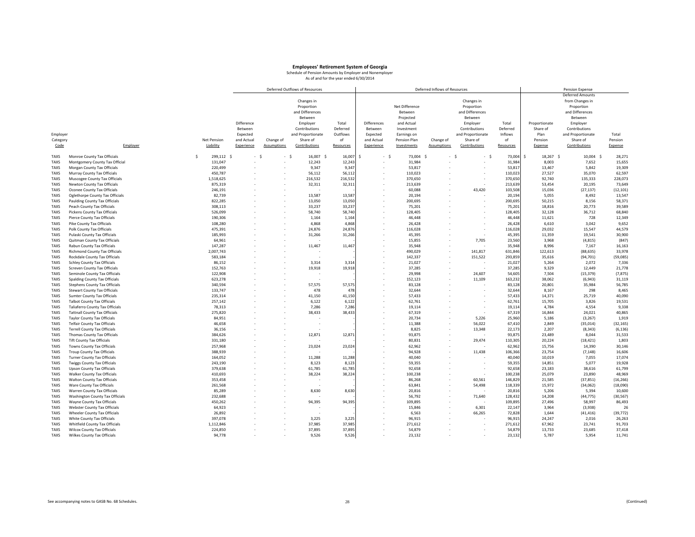|             |                                      |   |                |            |                    | Deferred Outflows of Resources |           |                          |                | Deferred Inflows of Resources |                   |           |                    | <b>Pension Expense</b>  |           |
|-------------|--------------------------------------|---|----------------|------------|--------------------|--------------------------------|-----------|--------------------------|----------------|-------------------------------|-------------------|-----------|--------------------|-------------------------|-----------|
|             |                                      |   |                |            |                    |                                |           |                          |                |                               |                   |           |                    | <b>Deferred Amounts</b> |           |
|             |                                      |   |                |            |                    | Changes in                     |           |                          |                |                               | Changes in        |           |                    | from Changes in         |           |
|             |                                      |   |                |            |                    | Proportion                     |           |                          | Net Difference |                               | Proportion        |           |                    | Proportion              |           |
|             |                                      |   |                |            |                    | and Differences                |           |                          | Between        |                               | and Differences   |           |                    | and Differences         |           |
|             |                                      |   |                |            |                    | Between                        |           |                          | Projected      |                               | Between           |           |                    | Between                 |           |
|             |                                      |   |                | Difference |                    | Employer                       | Total     | Differences              | and Actual     |                               | Employer          | Total     | Proportionate      | Employer                |           |
|             |                                      |   |                |            |                    |                                |           |                          |                |                               |                   |           |                    |                         |           |
|             |                                      |   |                | Between    |                    | Contributions                  | Deferred  | Between                  | Investment     |                               | Contributions     | Deferred  | Share of           | Contributions           |           |
| Employer    |                                      |   |                | Expected   |                    | and Proportionate              | Outflows  | Expected                 | Earnings on    |                               | and Proportionate | Inflows   | Plan               | and Proportionate       | Total     |
| Category    |                                      |   | Net Pension    | and Actual | Change of          | Share of                       | of        | and Actual               | Pension Plan   | Change of                     | Share of          | of        | Pension            | Share of                | Pension   |
| Code        | Employer                             |   | Liability      | Experience | <b>Assumptions</b> | Contributions                  | Resources | Experience               | Investments    | <b>Assumptions</b>            | Contributions     | Resources | Expense            | Contributions           | Expense   |
|             |                                      |   |                |            |                    |                                |           |                          |                |                               |                   |           |                    |                         |           |
| <b>TAXS</b> | Monroe County Tax Officials          | Ś | 299,112<br>- s | $-5$       | - \$               | 16,007<br>.s                   | 16,007    |                          | 73,004<br>- \$ | - 5<br>÷.                     | - \$<br>- \$      | 73,004    | Ś<br>18,267<br>- Ś | 10,004 \$               | 28,271    |
| <b>TAXS</b> | Montgomery County Tax Official       |   | 131,047        |            |                    | 12,243                         | 12,24     |                          | 31,984         |                               |                   | 31,984    | 8,003              | 7,652                   | 15,655    |
| <b>TAXS</b> | Morgan County Tax Officials          |   | 220,499        |            |                    | 9,347                          | 9,347     |                          | 53,817         |                               |                   | 53,817    | 13,467             | 5,842                   | 19,309    |
| <b>TAXS</b> | Murray County Tax Officials          |   | 450,787        |            |                    | 56,112                         | 56,11     |                          | 110,023        |                               |                   | 110,02    | 27,527             | 35,070                  | 62,597    |
| <b>TAXS</b> | Muscogee County Tax Officials        |   | 1,518,625      |            |                    | 216,532                        | 216,532   |                          | 370,650        |                               |                   | 370,650   | 92,740             | 135,333                 | 228,073   |
| <b>TAXS</b> | Newton County Tax Officials          |   | 875,319        |            |                    | 32,311                         | 32,311    | $\overline{\phantom{a}}$ | 213,639        |                               |                   | 213,639   | 53,454             | 20,195                  | 73,649    |
| <b>TAXS</b> | Oconee County Tax Officials          |   | 246,191        |            |                    |                                |           |                          | 60,088         |                               | 43,420            | 103,508   | 15,036             | (27, 137)               | (12, 101) |
| <b>TAXS</b> | Oglethorpe County Tax Officials      |   | 82.739         |            |                    | 13.587                         | 13,587    |                          | 20,194         |                               |                   | 20,19     | 5,055              | 8.492                   | 13,547    |
| <b>TAXS</b> | <b>Paulding County Tax Officials</b> |   | 822,285        |            |                    | 13,050                         | 13,050    |                          | 200,695        |                               |                   | 200,69    | 50,215             | 8,156                   | 58,371    |
| <b>TAXS</b> | Peach County Tax Officials           |   | 308,113        |            |                    | 33,237                         | 33,237    |                          | 75,201         |                               |                   | 75,201    | 18,816             | 20,773                  | 39,589    |
| <b>TAXS</b> |                                      |   |                |            |                    | 58,740                         | 58,740    |                          |                |                               |                   |           |                    | 36,712                  |           |
|             | <b>Pickens County Tax Officials</b>  |   | 526,099        |            |                    |                                |           |                          | 128,405        |                               |                   | 128,405   | 32,128             |                         | 68,840    |
| <b>TAXS</b> | Pierce County Tax Officials          |   | 190,306        |            |                    | 1,164                          | 1,164     |                          | 46,448         |                               |                   | 46,448    | 11,621             | 728                     | 12,349    |
| <b>TAXS</b> | Pike County Tax Officials            |   | 108,280        |            |                    | 4,868                          | 4,868     |                          | 26,428         |                               |                   | 26,428    | 6,610              | 3,042                   | 9,652     |
| <b>TAXS</b> | Polk County Tax Officials            |   | 475,391        |            |                    | 24,876                         | 24,876    |                          | 116,028        |                               | ÷.                | 116,02    | 29,032             | 15,547                  | 44,579    |
| <b>TAXS</b> | Pulaski County Tax Officials         |   | 185,993        |            |                    | 31,266                         | 31,266    |                          | 45,395         |                               |                   | 45,395    | 11,359             | 19,541                  | 30,900    |
| <b>TAXS</b> | Quitman County Tax Officials         |   | 64.961         |            |                    |                                |           |                          | 15.855         |                               | 7,705             | 23,560    | 3,968              | (4, 815)                | (847)     |
| <b>TAXS</b> | Rabun County Tax Officials           |   | 147,287        |            |                    | 11,467                         | 11,467    |                          | 35,948         |                               |                   | 35,948    | 8,996              | 7,167                   | 16,163    |
| <b>TAXS</b> | <b>Richmond County Tax Officials</b> |   | 2,007,743      |            |                    |                                |           |                          | 490,029        |                               | 141,817           | 631,846   | 122,613            | (88, 635)               | 33,978    |
| <b>TAXS</b> | Rockdale County Tax Officials        |   | 583,184        |            |                    |                                |           |                          | 142,337        |                               | 151,522           | 293,859   | 35,616             | (94, 701)               | (59,085)  |
| <b>TAXS</b> | <b>Schley County Tax Officials</b>   |   | 86,152         |            |                    | 3,314                          | 3,314     |                          | 21,027         |                               |                   | 21,027    | 5,264              | 2,072                   | 7,336     |
| <b>TAXS</b> | Screven County Tax Officials         |   | 152,763        |            |                    | 19,918                         | 19,918    |                          | 37,285         |                               |                   | 37,285    | 9,329              | 12,449                  | 21,778    |
| <b>TAXS</b> | Seminole County Tax Officials        |   | 122,908        |            |                    |                                |           |                          | 29,998         |                               | 24,607            | 54,605    | 7,504              | (15, 379)               | (7, 875)  |
| <b>TAXS</b> | Spalding County Tax Officials        |   | 623,278        |            |                    | ٠                              |           |                          | 152,123        |                               | 11,109            | 163,232   | 38,062             | (6, 943)                | 31,119    |
| <b>TAXS</b> | <b>Stephens County Tax Officials</b> |   | 340,594        |            |                    | 57,575                         | 57,575    |                          | 83,128         |                               |                   | 83,128    | 20,801             | 35,984                  | 56,785    |
| <b>TAXS</b> | <b>Stewart County Tax Officials</b>  |   | 133,747        |            |                    | 478                            | 478       |                          | 32.644         |                               |                   | 32,644    | 8,167              | 298                     | 8,465     |
|             |                                      |   |                |            |                    |                                |           |                          |                |                               |                   |           |                    |                         |           |
| <b>TAXS</b> | <b>Sumter County Tax Officials</b>   |   | 235,314        |            |                    | 41,150                         | 41,150    |                          | 57,433         |                               |                   | 57,43     | 14,371             | 25,719                  | 40,090    |
| <b>TAXS</b> | <b>Talbot County Tax Officials</b>   |   | 257,142        |            |                    | 6,122                          | 6,122     |                          | 62,761         |                               |                   | 62,761    | 15,705             | 3,826                   | 19,531    |
| <b>TAXS</b> | Taliaferro County Tax Officials      |   | 78,313         |            |                    | 7,286                          | 7,286     |                          | 19,114         |                               |                   | 19,11     | 4,784              | 4,554                   | 9,338     |
| <b>TAXS</b> | <b>Tattnall County Tax Officials</b> |   | 275,820        |            |                    | 38,433                         | 38,433    |                          | 67,319         |                               |                   | 67,319    | 16,844             | 24,021                  | 40,865    |
| <b>TAXS</b> | <b>Taylor County Tax Officials</b>   |   | 84,951         |            |                    |                                |           |                          | 20,734         |                               | 5,226             | 25,960    | 5,186              | (3, 267)                | 1,919     |
| <b>TAXS</b> | <b>Telfair County Tax Officials</b>  |   | 46,658         |            |                    |                                |           |                          | 11,388         |                               | 56,022            | 67,410    | 2,849              | (35, 014)               | (32, 165) |
| <b>TAXS</b> | <b>Terrell County Tax Officials</b>  |   | 36,156         |            |                    |                                |           |                          | 8,825          |                               | 13,348            | 22,173    | 2,207              | (8, 343)                | (6, 136)  |
| <b>TAXS</b> | Thomas County Tax Officials          |   | 384,626        |            |                    | 12,871                         | 12,871    |                          | 93,875         |                               |                   | 93,87     | 23,489             | 8,044                   | 31,533    |
| <b>TAXS</b> | <b>Tift County Tax Officials</b>     |   | 331,180        |            |                    |                                |           |                          | 80,831         |                               | 29,474            | 110,305   | 20,224             | (18, 421)               | 1,803     |
| <b>TAXS</b> | Towns County Tax Officials           |   | 257,968        |            |                    | 23,024                         | 23,024    |                          | 62,962         |                               |                   | 62,962    | 15,756             | 14,390                  | 30,146    |
| <b>TAXS</b> | Troup County Tax Officials           |   | 388,939        |            |                    |                                |           |                          | 94,928         |                               | 11,438            | 106,366   | 23,754             | (7, 148)                | 16,606    |
| <b>TAXS</b> | <b>Turner County Tax Officials</b>   |   | 164,052        |            |                    | 11,288                         | 11,288    |                          | 40,040         |                               |                   | 40,040    | 10,019             | 7,055                   | 17,074    |
| <b>TAXS</b> | <b>Twiggs County Tax Officials</b>   |   | 243,190        |            |                    | 8,123                          | 8,123     |                          | 59,355         |                               |                   | 59,355    | 14,851             | 5,077                   | 19,928    |
| <b>TAXS</b> | Upson County Tax Officials           |   | 379,638        |            |                    | 61,785                         | 61,785    |                          | 92,658         |                               |                   | 92,658    | 23,183             | 38,616                  | 61,799    |
| <b>TAXS</b> | Walker County Tax Officials          |   | 410,693        |            |                    | 38,224                         | 38,224    |                          | 100,238        |                               |                   | 100,23    | 25,079             | 23,890                  | 48,969    |
| <b>TAXS</b> | Walton County Tax Officials          |   | 353,458        |            |                    |                                |           |                          | 86,268         |                               | 60,561            | 146,829   | 21,585             | (37, 851)               | (16, 266) |
| <b>TAXS</b> | Ware County Tax Officials            |   | 261,568        |            |                    |                                |           |                          | 63,841         |                               | 54,498            | 118,339   | 15,972             | (34, 062)               | (18,090)  |
| <b>TAXS</b> | Warren County Tax Officials          |   | 85,289         |            |                    | 8,630                          |           |                          | 20,816         |                               |                   |           | 5,206              | 5,394                   |           |
|             |                                      |   |                |            |                    |                                | 8,630     |                          |                |                               |                   | 20,816    |                    |                         | 10,600    |
| <b>TAXS</b> | Washington County Tax Officials      |   | 232,688        |            |                    |                                |           |                          | 56,792         |                               | 71,640            | 128,432   | 14,208             | (44, 775)               | (30, 567) |
| <b>TAXS</b> | Wayne County Tax Officials           |   | 450,262        |            |                    | 94,395                         | 94,395    |                          | 109,895        |                               |                   | 109,895   | 27,496             | 58,997                  | 86,493    |
| <b>TAXS</b> | <b>Webster County Tax Officials</b>  |   | 64,923         |            |                    |                                |           |                          | 15,846         |                               | 6,301             | 22,147    | 3,964              | (3,938)                 | 26        |
| <b>TAXS</b> | Wheeler County Tax Officials         |   | 26,892         |            |                    |                                |           |                          | 6,563          |                               | 66,265            | 72,828    | 1,644              | (41, 416)               | (39, 772) |
| <b>TAXS</b> | White County Tax Officials           |   | 397,078        |            |                    | 3,225                          | 3,225     |                          | 96,915         |                               |                   | 96,915    | 24,247             | 2,016                   | 26,263    |
| <b>TAXS</b> | Whitfield County Tax Officials       |   | 1,112,846      |            |                    | 37,985                         | 37,985    |                          | 271,612        |                               |                   | 271,612   | 67,962             | 23,741                  | 91,703    |
| TAXS        | <b>Wilcox County Tax Officials</b>   |   | 224,850        |            |                    | 37,895                         | 37,895    |                          | 54,879         |                               |                   | 54,879    | 13,733             | 23,685                  | 37,418    |
| TAXS        | Wilkes County Tax Officials          |   | 94.778         |            |                    | 9,526                          | 9,526     |                          | 23,132         |                               |                   | 23,132    | 5,787              | 5,954                   | 11,741    |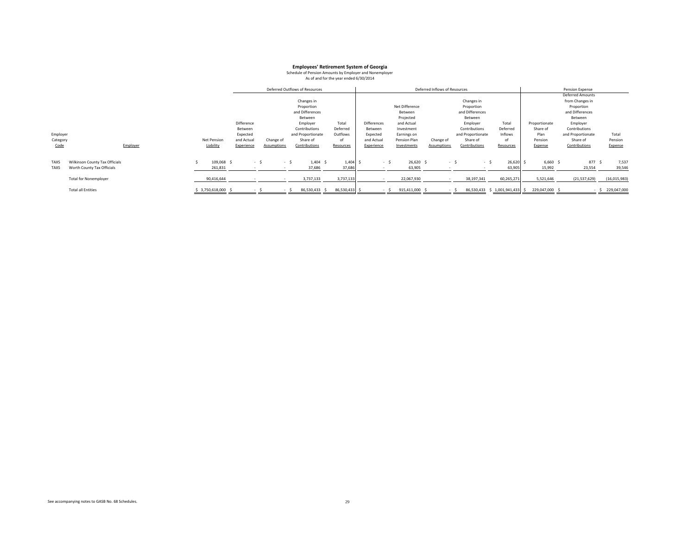|             |                                |                     |            |             | Deferred Outflows of Resources |            |                    |                | Deferred Inflows of Resources |                   |                                |                | Pension Expense         |              |
|-------------|--------------------------------|---------------------|------------|-------------|--------------------------------|------------|--------------------|----------------|-------------------------------|-------------------|--------------------------------|----------------|-------------------------|--------------|
|             |                                |                     |            |             |                                |            |                    |                |                               |                   |                                |                | <b>Deferred Amounts</b> |              |
|             |                                |                     |            |             | Changes in                     |            |                    |                |                               | Changes in        |                                |                | from Changes in         |              |
|             |                                |                     |            |             | Proportion                     |            |                    | Net Difference |                               | Proportion        |                                |                | Proportion              |              |
|             |                                |                     |            |             | and Differences                |            |                    | Between        |                               | and Differences   |                                |                | and Differences         |              |
|             |                                |                     |            |             | Between                        |            |                    | Projected      |                               | Between           |                                |                | Between                 |              |
|             |                                |                     | Difference |             | Employer                       | Total      | <b>Differences</b> | and Actual     |                               | Employer          | Total                          | Proportionate  | Employer                |              |
|             |                                |                     | Between    |             | Contributions                  | Deferred   | Between            | Investment     |                               | Contributions     | Deferred                       | Share of       | Contributions           |              |
| Employer    |                                |                     | Expected   |             | and Proportionate              | Outflows   | Expected           | Earnings on    |                               | and Proportionate | Inflows                        | Plan           | and Proportionate       | Total        |
| Category    |                                | Net Pension         | and Actual | Change of   | Share of                       | of         | and Actual         | Pension Plan   | Change of                     | Share of          | of                             | Pension        | Share of                | Pension      |
| Code        | Employer                       | Liability           | Experience | Assumptions | Contributions                  | Resources  | Experience         | Investments    | <b>Assumptions</b>            | Contributions     | Resources                      | Expense        | Contributions           | Expense      |
|             |                                |                     |            |             |                                |            |                    |                |                               |                   |                                |                |                         |              |
| TAXS        | Wilkinson County Tax Officials | 109,068 \$          | $-5$       | - 5         | $1,404$ \$                     | $1,404$ \$ | - \$               | $26,620$ \$    | $-5$                          | - \$              | 26,620                         | $6,660$ \$     | 877 \$                  | 7,537        |
| <b>TAXS</b> | Worth County Tax Officials     | 261,831             |            |             | 37,686                         | 37,686     |                    | 63,905         |                               |                   | 63,905                         | 15,992         | 23,554                  | 39,546       |
|             | <b>Total for Nonemployer</b>   | 90,416,644          |            |             | 3,737,133                      | 3,737,133  |                    | 22,067,930     |                               | 38,197,341        | 60,265,271                     | 5,521,646      | (21,537,629)            | (16,015,983) |
|             | <b>Total all Entities</b>      | \$ 3,750,618,000 \$ |            |             | 86,530,433<br>- 5              | 86,530,433 | $-5$               | 915,411,000 \$ | $-5$                          |                   | 86,530,433 \$ 1,001,941,433 \$ | 229,047,000 \$ | - S                     | 229,047,000  |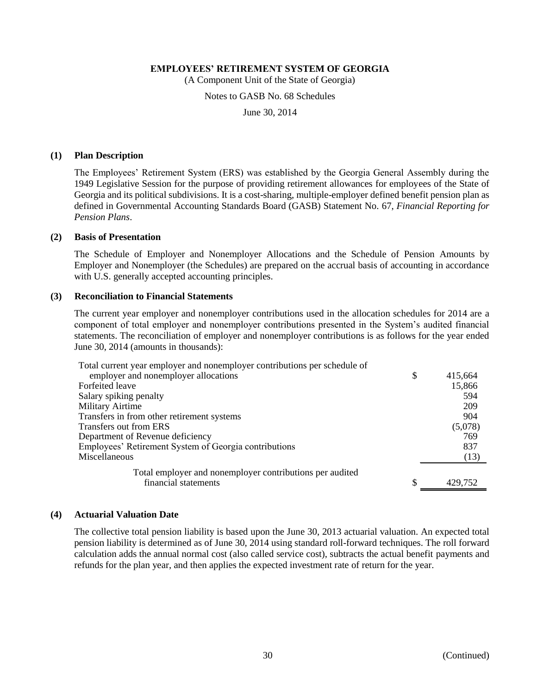(A Component Unit of the State of Georgia)

#### Notes to GASB No. 68 Schedules

June 30, 2014

#### **(1) Plan Description**

The Employees' Retirement System (ERS) was established by the Georgia General Assembly during the 1949 Legislative Session for the purpose of providing retirement allowances for employees of the State of Georgia and its political subdivisions. It is a cost-sharing, multiple-employer defined benefit pension plan as defined in Governmental Accounting Standards Board (GASB) Statement No. 67, *Financial Reporting for Pension Plans*.

### **(2) Basis of Presentation**

The Schedule of Employer and Nonemployer Allocations and the Schedule of Pension Amounts by Employer and Nonemployer (the Schedules) are prepared on the accrual basis of accounting in accordance with U.S. generally accepted accounting principles.

#### **(3) Reconciliation to Financial Statements**

The current year employer and nonemployer contributions used in the allocation schedules for 2014 are a component of total employer and nonemployer contributions presented in the System's audited financial statements. The reconciliation of employer and nonemployer contributions is as follows for the year ended June 30, 2014 (amounts in thousands):

| Total current year employer and nonemployer contributions per schedule of |               |
|---------------------------------------------------------------------------|---------------|
| employer and nonemployer allocations                                      | \$<br>415,664 |
| Forfeited leave                                                           | 15,866        |
| Salary spiking penalty                                                    | 594           |
| <b>Military Airtime</b>                                                   | 209           |
| Transfers in from other retirement systems                                | 904           |
| Transfers out from ERS                                                    | (5,078)       |
| Department of Revenue deficiency                                          | 769           |
| Employees' Retirement System of Georgia contributions                     | 837           |
| Miscellaneous                                                             | (13)          |
| Total employer and nonemployer contributions per audited                  |               |
| financial statements                                                      | \$<br>429,752 |

#### **(4) Actuarial Valuation Date**

The collective total pension liability is based upon the June 30, 2013 actuarial valuation. An expected total pension liability is determined as of June 30, 2014 using standard roll-forward techniques. The roll forward calculation adds the annual normal cost (also called service cost), subtracts the actual benefit payments and refunds for the plan year, and then applies the expected investment rate of return for the year.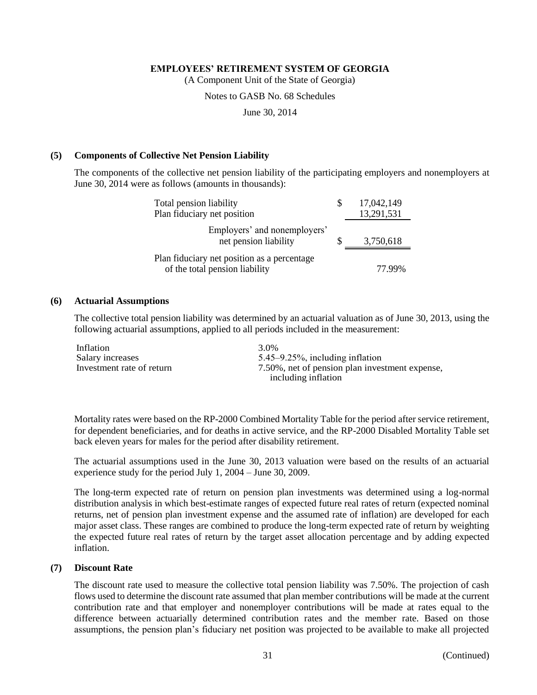(A Component Unit of the State of Georgia)

Notes to GASB No. 68 Schedules

June 30, 2014

#### **(5) Components of Collective Net Pension Liability**

The components of the collective net pension liability of the participating employers and nonemployers at June 30, 2014 were as follows (amounts in thousands):

| Total pension liability                                                       | 17,042,149 |
|-------------------------------------------------------------------------------|------------|
| Plan fiduciary net position                                                   | 13,291,531 |
| Employers' and nonemployers'<br>net pension liability                         | 3,750,618  |
| Plan fiduciary net position as a percentage<br>of the total pension liability | 77 99%     |

#### **(6) Actuarial Assumptions**

The collective total pension liability was determined by an actuarial valuation as of June 30, 2013, using the following actuarial assumptions, applied to all periods included in the measurement:

| Inflation                 | 3.0 <sub>%</sub>                               |
|---------------------------|------------------------------------------------|
| Salary increases          | $5.45 - 9.25\%$ , including inflation          |
| Investment rate of return | 7.50%, net of pension plan investment expense, |
|                           | including inflation                            |

Mortality rates were based on the RP-2000 Combined Mortality Table for the period after service retirement, for dependent beneficiaries, and for deaths in active service, and the RP-2000 Disabled Mortality Table set back eleven years for males for the period after disability retirement.

The actuarial assumptions used in the June 30, 2013 valuation were based on the results of an actuarial experience study for the period July 1, 2004 – June 30, 2009.

The long-term expected rate of return on pension plan investments was determined using a log-normal distribution analysis in which best-estimate ranges of expected future real rates of return (expected nominal returns, net of pension plan investment expense and the assumed rate of inflation) are developed for each major asset class. These ranges are combined to produce the long-term expected rate of return by weighting the expected future real rates of return by the target asset allocation percentage and by adding expected inflation.

#### **(7) Discount Rate**

The discount rate used to measure the collective total pension liability was 7.50%. The projection of cash flows used to determine the discount rate assumed that plan member contributions will be made at the current contribution rate and that employer and nonemployer contributions will be made at rates equal to the difference between actuarially determined contribution rates and the member rate. Based on those assumptions, the pension plan's fiduciary net position was projected to be available to make all projected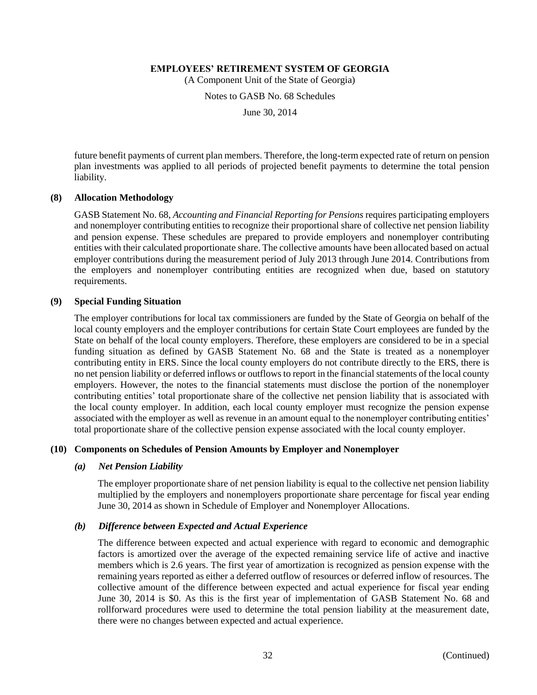(A Component Unit of the State of Georgia)

Notes to GASB No. 68 Schedules

June 30, 2014

future benefit payments of current plan members. Therefore, the long-term expected rate of return on pension plan investments was applied to all periods of projected benefit payments to determine the total pension liability.

#### **(8) Allocation Methodology**

GASB Statement No. 68, *Accounting and Financial Reporting for Pensions* requires participating employers and nonemployer contributing entities to recognize their proportional share of collective net pension liability and pension expense. These schedules are prepared to provide employers and nonemployer contributing entities with their calculated proportionate share. The collective amounts have been allocated based on actual employer contributions during the measurement period of July 2013 through June 2014. Contributions from the employers and nonemployer contributing entities are recognized when due, based on statutory requirements.

# **(9) Special Funding Situation**

The employer contributions for local tax commissioners are funded by the State of Georgia on behalf of the local county employers and the employer contributions for certain State Court employees are funded by the State on behalf of the local county employers. Therefore, these employers are considered to be in a special funding situation as defined by GASB Statement No. 68 and the State is treated as a nonemployer contributing entity in ERS. Since the local county employers do not contribute directly to the ERS, there is no net pension liability or deferred inflows or outflows to report in the financial statements of the local county employers. However, the notes to the financial statements must disclose the portion of the nonemployer contributing entities' total proportionate share of the collective net pension liability that is associated with the local county employer. In addition, each local county employer must recognize the pension expense associated with the employer as well as revenue in an amount equal to the nonemployer contributing entities' total proportionate share of the collective pension expense associated with the local county employer.

# **(10) Components on Schedules of Pension Amounts by Employer and Nonemployer**

#### *(a) Net Pension Liability*

The employer proportionate share of net pension liability is equal to the collective net pension liability multiplied by the employers and nonemployers proportionate share percentage for fiscal year ending June 30, 2014 as shown in Schedule of Employer and Nonemployer Allocations.

# *(b) Difference between Expected and Actual Experience*

The difference between expected and actual experience with regard to economic and demographic factors is amortized over the average of the expected remaining service life of active and inactive members which is 2.6 years. The first year of amortization is recognized as pension expense with the remaining years reported as either a deferred outflow of resources or deferred inflow of resources. The collective amount of the difference between expected and actual experience for fiscal year ending June 30, 2014 is \$0. As this is the first year of implementation of GASB Statement No. 68 and rollforward procedures were used to determine the total pension liability at the measurement date, there were no changes between expected and actual experience.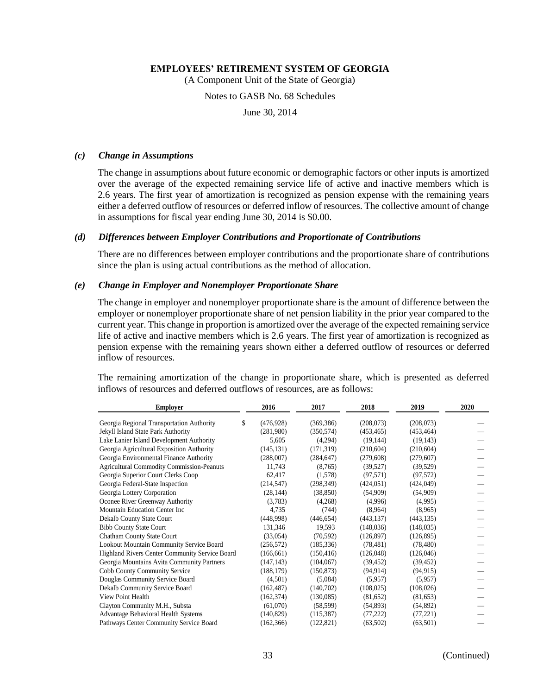(A Component Unit of the State of Georgia)

#### Notes to GASB No. 68 Schedules

June 30, 2014

#### *(c) Change in Assumptions*

The change in assumptions about future economic or demographic factors or other inputs is amortized over the average of the expected remaining service life of active and inactive members which is 2.6 years. The first year of amortization is recognized as pension expense with the remaining years either a deferred outflow of resources or deferred inflow of resources. The collective amount of change in assumptions for fiscal year ending June 30, 2014 is \$0.00.

### *(d) Differences between Employer Contributions and Proportionate of Contributions*

There are no differences between employer contributions and the proportionate share of contributions since the plan is using actual contributions as the method of allocation.

#### *(e) Change in Employer and Nonemployer Proportionate Share*

The change in employer and nonemployer proportionate share is the amount of difference between the employer or nonemployer proportionate share of net pension liability in the prior year compared to the current year. This change in proportion is amortized over the average of the expected remaining service life of active and inactive members which is 2.6 years. The first year of amortization is recognized as pension expense with the remaining years shown either a deferred outflow of resources or deferred inflow of resources.

The remaining amortization of the change in proportionate share, which is presented as deferred inflows of resources and deferred outflows of resources, are as follows:

| <b>Employer</b>                                  | 2016             | 2017       | 2018       | 2019       | 2020 |
|--------------------------------------------------|------------------|------------|------------|------------|------|
| Georgia Regional Transportation Authority        | \$<br>(476, 928) | (369, 386) | (208,073)  | (208, 073) |      |
| Jekyll Island State Park Authority               | (281,980)        | (350, 574) | (453, 465) | (453, 464) |      |
| Lake Lanier Island Development Authority         | 5,605            | (4,294)    | (19, 144)  | (19, 143)  |      |
| Georgia Agricultural Exposition Authority        | (145, 131)       | (171, 319) | (210,604)  | (210, 604) |      |
| Georgia Environmental Finance Authority          | (288,007)        | (284, 647) | (279, 608) | (279,607)  |      |
| <b>Agricultural Commodity Commission-Peanuts</b> | 11,743           | (8,765)    | (39,527)   | (39, 529)  |      |
| Georgia Superior Court Clerks Coop               | 62,417           | (1,578)    | (97, 571)  | (97, 572)  |      |
| Georgia Federal-State Inspection                 | (214, 547)       | (298, 349) | (424, 051) | (424, 049) |      |
| Georgia Lottery Corporation                      | (28, 144)        | (38, 850)  | (54,909)   | (54,909)   |      |
| Oconee River Greenway Authority                  | (3,783)          | (4,268)    | (4,996)    | (4,995)    |      |
| Mountain Education Center Inc                    | 4,735            | (744)      | (8,964)    | (8,965)    |      |
| Dekalb County State Court                        | (448,998)        | (446, 654) | (443, 137) | (443, 135) |      |
| <b>Bibb County State Court</b>                   | 131,346          | 19,593     | (148, 036) | (148, 035) |      |
| <b>Chatham County State Court</b>                | (33,054)         | (70, 592)  | (126, 897) | (126, 895) |      |
| Lookout Mountain Community Service Board         | (256, 572)       | (185, 336) | (78, 481)  | (78, 480)  |      |
| Highland Rivers Center Community Service Board   | (166, 661)       | (150, 416) | (126,048)  | (126,046)  |      |
| Georgia Mountains Avita Community Partners       | (147, 143)       | (104, 067) | (39, 452)  | (39, 452)  |      |
| Cobb County Community Service                    | (188, 179)       | (150, 873) | (94, 914)  | (94, 915)  |      |
| Douglas Community Service Board                  | (4,501)          | (5,084)    | (5,957)    | (5,957)    |      |
| Dekalb Community Service Board                   | (162, 487)       | (140,702)  | (108, 025) | (108, 026) |      |
| View Point Health                                | (162, 374)       | (130,085)  | (81,652)   | (81, 653)  |      |
| Clayton Community M.H., Substa                   | (61,070)         | (58, 599)  | (54, 893)  | (54, 892)  |      |
| <b>Advantage Behavioral Health Systems</b>       | (140, 829)       | (115,387)  | (77, 222)  | (77, 221)  |      |
| Pathways Center Community Service Board          | (162, 366)       | (122, 821) | (63,502)   | (63, 501)  |      |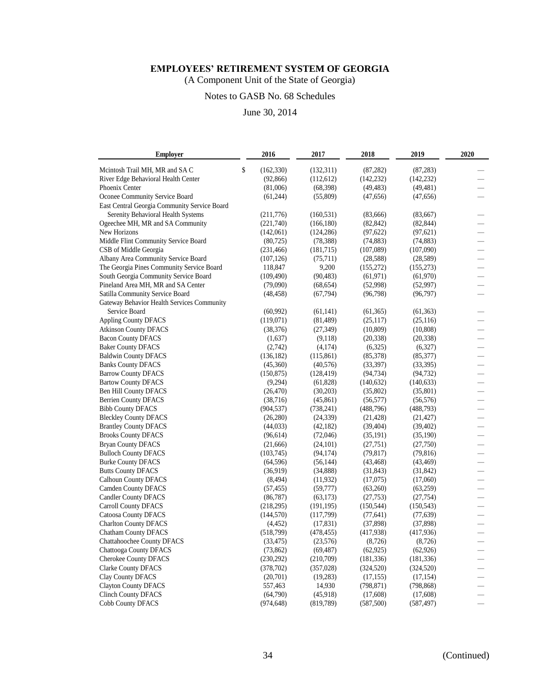(A Component Unit of the State of Georgia)

# Notes to GASB No. 68 Schedules

| <b>Employer</b>                              | 2016             | 2017       | 2018       | 2019       | 2020                     |
|----------------------------------------------|------------------|------------|------------|------------|--------------------------|
| Mcintosh Trail MH, MR and SA C               | \$<br>(162, 330) | (132, 311) | (87, 282)  | (87, 283)  |                          |
| River Edge Behavioral Health Center          | (92,866)         | (112, 612) | (142, 232) | (142, 232) |                          |
| Phoenix Center                               | (81,006)         | (68, 398)  | (49, 483)  | (49, 481)  |                          |
| Oconee Community Service Board               | (61, 244)        | (55,809)   | (47, 656)  | (47, 656)  |                          |
| East Central Georgia Community Service Board |                  |            |            |            |                          |
| Serenity Behavioral Health Systems           | (211,776)        | (160, 531) | (83,666)   | (83,667)   |                          |
| Ogeechee MH, MR and SA Community             | (221,740)        | (166, 180) | (82, 842)  | (82, 844)  |                          |
| New Horizons                                 | (142,061)        | (124, 286) | (97, 622)  | (97, 621)  |                          |
| Middle Flint Community Service Board         | (80, 725)        | (78, 388)  | (74, 883)  | (74, 883)  |                          |
| CSB of Middle Georgia                        | (231, 466)       | (181, 715) | (107,089)  | (107,090)  |                          |
| Albany Area Community Service Board          | (107, 126)       | (75,711)   | (28, 588)  | (28, 589)  |                          |
| The Georgia Pines Community Service Board    | 118,847          | 9,200      | (155,272)  | (155, 273) | $\overline{\phantom{0}}$ |
| South Georgia Community Service Board        | (109, 490)       | (90, 483)  | (61, 971)  | (61,970)   |                          |
| Pineland Area MH, MR and SA Center           | (79,090)         | (68, 654)  | (52,998)   | (52, 997)  | $\overline{\phantom{0}}$ |
| Satilla Community Service Board              | (48, 458)        | (67, 794)  | (96,798)   | (96, 797)  | $\frac{1}{2}$            |
| Gateway Behavior Health Services Community   |                  |            |            |            |                          |
| Service Board                                | (60, 992)        | (61, 141)  | (61, 365)  | (61, 363)  |                          |
| <b>Appling County DFACS</b>                  | (119,071)        | (81, 489)  | (25,117)   | (25,116)   |                          |
| <b>Atkinson County DFACS</b>                 | (38, 376)        | (27, 349)  | (10, 809)  | (10, 808)  |                          |
| <b>Bacon County DFACS</b>                    | (1,637)          | (9,118)    | (20, 338)  | (20, 338)  |                          |
| <b>Baker County DFACS</b>                    | (2,742)          | (4,174)    | (6,325)    | (6,327)    |                          |
| <b>Baldwin County DFACS</b>                  | (136, 182)       | (115, 861) | (85,378)   | (85, 377)  |                          |
| <b>Banks County DFACS</b>                    | (45,360)         | (40, 576)  | (33,397)   | (33,395)   | $\overline{\phantom{0}}$ |
| <b>Barrow County DFACS</b>                   | (150, 875)       | (128, 419) | (94, 734)  | (94, 732)  | $\overline{\phantom{0}}$ |
| <b>Bartow County DFACS</b>                   | (9,294)          | (61, 828)  | (140, 632) | (140, 633) |                          |
| Ben Hill County DFACS                        | (26, 470)        | (30,203)   | (35,802)   | (35,801)   |                          |
| <b>Berrien County DFACS</b>                  | (38, 716)        | (45, 861)  | (56, 577)  | (56, 576)  |                          |
| <b>Bibb County DFACS</b>                     | (904, 537)       | (738, 241) | (488, 796) | (488, 793) |                          |
| <b>Bleckley County DFACS</b>                 | (26, 280)        | (24, 339)  | (21, 428)  | (21, 427)  |                          |
| <b>Brantley County DFACS</b>                 | (44, 033)        | (42, 182)  | (39, 404)  | (39, 402)  |                          |
| <b>Brooks County DFACS</b>                   | (96, 614)        | (72,046)   | (35, 191)  | (35,190)   |                          |
| <b>Bryan County DFACS</b>                    | (21,666)         | (24, 101)  | (27,751)   | (27,750)   | $\overline{\phantom{0}}$ |
| <b>Bulloch County DFACS</b>                  | (103, 745)       | (94, 174)  | (79, 817)  | (79, 816)  | —                        |
| <b>Burke County DFACS</b>                    | (64, 596)        | (56, 144)  | (43, 468)  | (43, 469)  | $\equiv$                 |
| <b>Butts County DFACS</b>                    | (36,919)         | (34,888)   | (31, 843)  | (31, 842)  | $\overline{\phantom{0}}$ |
| <b>Calhoun County DFACS</b>                  | (8, 494)         | (11, 932)  | (17,075)   | (17,060)   |                          |
| <b>Camden County DFACS</b>                   | (57, 455)        | (59, 777)  | (63,260)   | (63,259)   |                          |
| <b>Candler County DFACS</b>                  | (86, 787)        | (63, 173)  | (27, 753)  | (27, 754)  |                          |
| <b>Carroll County DFACS</b>                  | (218,295)        | (191, 195) | (150, 544) | (150, 543) |                          |
| <b>Catoosa County DFACS</b>                  | (144, 570)       | (117,799)  | (77, 641)  | (77, 639)  |                          |
| <b>Charlton County DFACS</b>                 | (4, 452)         | (17, 831)  | (37,898)   | (37, 898)  |                          |
| <b>Chatham County DFACS</b>                  | (518, 799)       | (478, 455) | (417,938)  | (417,936)  |                          |
| Chattahoochee County DFACS                   | (33, 475)        | (23,576)   | (8,726)    | (8, 726)   | —                        |
| <b>Chattooga County DFACS</b>                | (73, 862)        | (69, 487)  | (62, 925)  | (62, 926)  | $\equiv$                 |
| Cherokee County DFACS                        | (230,292)        | (210,709)  | (181, 336) | (181, 336) |                          |
| <b>Clarke County DFACS</b>                   | (378, 702)       | (357, 028) | (324, 520) | (324, 520) |                          |
| Clay County DFACS                            | (20,701)         | (19,283)   | (17, 155)  | (17, 154)  |                          |
| <b>Clayton County DFACS</b>                  | 557,463          | 14,930     | (798, 871) | (798, 868) |                          |
| <b>Clinch County DFACS</b>                   | (64,790)         | (45,918)   | (17,608)   | (17,608)   |                          |
| Cobb County DFACS                            | (974, 648)       | (819, 789) | (587, 500) | (587, 497) |                          |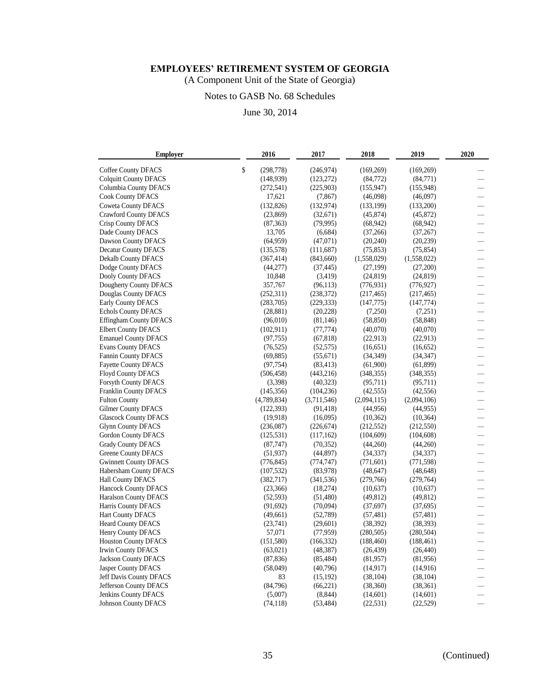(A Component Unit of the State of Georgia)

# Notes to GASB No. 68 Schedules

| <b>Employer</b>                                         | 2016                     | 2017                     | 2018                     | 2019                     | 2020                     |
|---------------------------------------------------------|--------------------------|--------------------------|--------------------------|--------------------------|--------------------------|
| Coffee County DFACS                                     | \$<br>(298, 778)         | (246,974)                | (169, 269)               | (169, 269)               |                          |
| <b>Colquitt County DFACS</b>                            | (148, 939)               | (123, 272)               | (84,772)                 | (84,771)                 |                          |
| Columbia County DFACS                                   | (272, 541)               | (225,903)                | (155, 947)               | (155,948)                |                          |
| <b>Cook County DFACS</b>                                | 17,621                   | (7, 867)                 | (46,098)                 | (46,097)                 |                          |
| <b>Coweta County DFACS</b>                              | (132, 826)               | (132, 974)               | (133, 199)               | (133,200)                |                          |
| <b>Crawford County DFACS</b>                            | (23, 869)                | (32,671)                 | (45, 874)                | (45, 872)                |                          |
| Crisp County DFACS                                      | (87, 363)                | (79, 995)                | (68, 942)                | (68, 942)                | $\overline{\phantom{0}}$ |
| Dade County DFACS                                       | 13,705                   | (6,684)                  | (37,266)                 | (37, 267)                | $\equiv$                 |
| Dawson County DFACS                                     | (64,959)                 | (47,071)                 | (20, 240)                | (20, 239)                |                          |
| <b>Decatur County DFACS</b>                             | (135,578)                | (111,687)                | (75, 853)                | (75, 854)                |                          |
| <b>Dekalb County DFACS</b>                              | (367, 414)               | (843,660)                | (1,558,029)              | (1,558,022)              | $\overline{\phantom{0}}$ |
| Dodge County DFACS                                      | (44,277)                 | (37, 445)                | (27, 199)                | (27,200)                 |                          |
| Dooly County DFACS                                      | 10,848                   | (3, 419)                 | (24, 819)                | (24, 819)                |                          |
| Dougherty County DFACS                                  | 357,767                  | (96, 113)                | (776, 931)               | (776, 927)               | $\overline{\phantom{0}}$ |
| Douglas County DFACS                                    | (252,311)                | (238, 372)               | (217, 465)               | (217, 465)               | $\overline{\phantom{0}}$ |
| <b>Early County DFACS</b>                               | (283,705)                | (229, 333)               | (147, 775)               | (147, 774)               | $\overline{\phantom{0}}$ |
| Echols County DFACS                                     | (28, 881)                | (20, 228)                | (7,250)                  | (7,251)                  |                          |
| <b>Effingham County DFACS</b>                           | (96,010)                 | (81, 146)                | (58, 850)                | (58, 848)                |                          |
| <b>Elbert County DFACS</b>                              | (102, 911)               | (77, 774)                | (40,070)                 | (40,070)                 |                          |
| <b>Emanuel County DFACS</b>                             | (97, 755)                | (67, 818)                | (22, 913)                | (22,913)                 |                          |
| <b>Evans County DFACS</b>                               | (76, 525)                | (52, 575)                | (16, 651)                | (16, 652)                |                          |
| <b>Fannin County DFACS</b>                              | (69, 885)                | (55, 671)                | (34,349)                 | (34, 347)                |                          |
| <b>Fayette County DFACS</b>                             | (97, 754)                | (83, 413)                | (61,900)                 | (61, 899)                | $\qquad \qquad$          |
| <b>Floyd County DFACS</b>                               | (506, 458)               | (443,216)                | (348, 355)               | (348, 355)               | $\overline{\phantom{0}}$ |
| Forsyth County DFACS                                    | (3,398)                  | (40, 323)                | (95,711)                 | (95,711)                 |                          |
| <b>Franklin County DFACS</b>                            | (145, 356)               | (104, 236)               | (42, 555)                | (42, 556)                | —                        |
| <b>Fulton County</b>                                    | (4,789,834)              | (3,711,546)              | (2,094,115)              | (2,094,106)              |                          |
|                                                         |                          |                          |                          | (44, 955)                |                          |
| Gilmer County DFACS                                     | (122, 393)<br>(19, 918)  | (91, 418)                | (44,956)                 |                          |                          |
| <b>Glascock County DFACS</b>                            |                          | (16,095)                 | (10, 362)                | (10, 364)                |                          |
| <b>Glynn County DFACS</b><br><b>Gordon County DFACS</b> | (236,087)<br>(125, 531)  | (226, 674)<br>(117, 162) | (212, 552)<br>(104, 609) | (212, 550)<br>(104, 608) |                          |
|                                                         |                          |                          |                          |                          |                          |
| <b>Grady County DFACS</b>                               | (87, 747)                | (70, 352)                | (44,260)                 | (44,260)                 |                          |
| Greene County DFACS<br><b>Gwinnett County DFACS</b>     | (51, 937)                | (44, 897)                | (34, 337)                | (34, 337)                |                          |
| Habersham County DFACS                                  | (776, 845)<br>(107, 532) | (774, 747)<br>(83,978)   | (771, 601)<br>(48, 647)  | (771, 598)<br>(48, 648)  |                          |
|                                                         |                          |                          |                          | (279, 764)               |                          |
| Hall County DFACS                                       | (382, 717)               | (341, 536)               | (279,766)                |                          |                          |
| Hancock County DFACS<br><b>Haralson County DFACS</b>    | (23,366)                 | (18,274)                 | (10,637)<br>(49, 812)    | (10,637)<br>(49, 812)    | $\overline{\phantom{0}}$ |
| Harris County DFACS                                     | (52, 593)                | (51, 480)                |                          | (37,695)                 |                          |
|                                                         | (91,692)                 | (70,094)                 | (37,697)                 |                          |                          |
| <b>Hart County DFACS</b>                                | (49,661)                 | (52,789)                 | (57, 481)                | (57, 481)                |                          |
| <b>Heard County DFACS</b>                               | (23,741)                 | (29,601)                 | (38, 392)                | (38, 393)                | $\overline{\phantom{0}}$ |
| Henry County DFACS                                      | 57,071                   | (77, 959)                | (280, 505)               | (280, 504)               | $\overline{\phantom{0}}$ |
| <b>Houston County DFACS</b>                             | (151, 580)               | (166, 332)               | (188, 460)               | (188, 461)               | $=$                      |
| <b>Irwin County DFACS</b>                               | (63,021)                 | (48, 387)                | (26, 439)                | (26, 440)                | $\overline{\phantom{0}}$ |
| <b>Jackson County DFACS</b>                             | (87, 836)                | (85, 484)                | (81,957)                 | (81,956)                 |                          |
| Jasper County DFACS                                     | (58,049)                 | (40,796)                 | (14, 917)                | (14,916)                 |                          |
| Jeff Davis County DFACS                                 | 83                       | (15, 192)                | (38, 104)                | (38, 104)                |                          |
| Jefferson County DFACS                                  | (84,796)                 | (66, 221)                | (38,360)                 | (38, 361)                |                          |
| Jenkins County DFACS                                    | (5,007)                  | (8, 844)                 | (14,601)                 | (14,601)                 |                          |
| <b>Johnson County DFACS</b>                             | (74, 118)                | (53, 484)                | (22, 531)                | (22, 529)                |                          |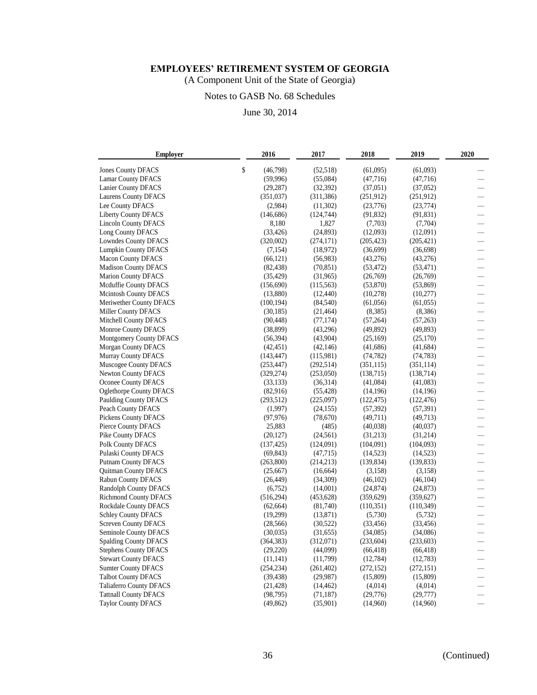(A Component Unit of the State of Georgia)

# Notes to GASB No. 68 Schedules

| <b>Employer</b>                | 2016           | 2017       | 2018       | 2019       | 2020                     |
|--------------------------------|----------------|------------|------------|------------|--------------------------|
| <b>Jones County DFACS</b>      | \$<br>(46,798) | (52,518)   | (61,095)   | (61,093)   |                          |
| <b>Lamar County DFACS</b>      | (59,996)       | (55,084)   | (47,716)   | (47,716)   |                          |
| Lanier County DFACS            | (29, 287)      | (32, 392)  | (37,051)   | (37,052)   |                          |
| <b>Laurens County DFACS</b>    | (351,037)      | (311, 386) | (251,912)  | (251,912)  |                          |
| Lee County DFACS               | (2,984)        | (11,302)   | (23,776)   | (23, 774)  | $\overline{\phantom{0}}$ |
| <b>Liberty County DFACS</b>    | (146, 686)     | (124, 744) | (91, 832)  | (91, 831)  | $\overline{\phantom{0}}$ |
| <b>Lincoln County DFACS</b>    | 8,180          | 1,827      | (7,703)    | (7,704)    | $\overline{\phantom{0}}$ |
| Long County DFACS              | (33, 426)      | (24, 893)  | (12,093)   | (12,091)   | $\overline{\phantom{0}}$ |
| <b>Lowndes County DFACS</b>    | (320,002)      | (274, 171) | (205, 423) | (205, 421) |                          |
| <b>Lumpkin County DFACS</b>    | (7, 154)       | (18,972)   | (36,699)   | (36,698)   |                          |
| <b>Macon County DFACS</b>      | (66, 121)      | (56,983)   | (43,276)   | (43,276)   |                          |
| <b>Madison County DFACS</b>    | (82, 438)      | (70, 851)  | (53, 472)  | (53, 471)  |                          |
| <b>Marion County DFACS</b>     | (35, 429)      | (31,965)   | (26,769)   | (26,769)   |                          |
| Mcduffie County DFACS          | (156,690)      | (115, 563) | (53,870)   | (53,869)   | $\overline{\phantom{0}}$ |
| <b>Mcintosh County DFACS</b>   | (13,880)       | (12, 440)  | (10,278)   | (10,277)   | $\equiv$                 |
| Meriwether County DFACS        | (100, 194)     | (84, 540)  | (61, 056)  | (61, 055)  | -                        |
| Miller County DFACS            | (30, 185)      | (21, 464)  | (8,385)    | (8,386)    |                          |
| Mitchell County DFACS          | (90, 448)      | (77, 174)  | (57, 264)  | (57,263)   | $\overline{\phantom{0}}$ |
| Monroe County DFACS            | (38, 899)      | (43,296)   | (49, 892)  | (49, 893)  |                          |
| Montgomery County DFACS        | (56, 394)      | (43,904)   | (25,169)   | (25,170)   |                          |
| <b>Morgan County DFACS</b>     | (42, 451)      | (42, 146)  | (41,686)   | (41, 684)  |                          |
| <b>Murray County DFACS</b>     | (143, 447)     | (115,981)  | (74, 782)  | (74, 783)  |                          |
| Muscogee County DFACS          | (253, 447)     | (292, 514) | (351, 115) | (351, 114) | $\overline{\phantom{0}}$ |
| <b>Newton County DFACS</b>     | (329, 274)     | (253,050)  | (138, 715) | (138, 714) | $\overline{\phantom{0}}$ |
| Oconee County DFACS            | (33, 133)      | (36,314)   | (41,084)   | (41,083)   | $\overline{\phantom{0}}$ |
| <b>Oglethorpe County DFACS</b> | (82,916)       | (55, 428)  | (14, 196)  | (14,196)   |                          |
| <b>Paulding County DFACS</b>   | (293, 512)     | (225,097)  | (122, 475) | (122, 476) |                          |
| Peach County DFACS             | (1,997)        | (24, 155)  | (57, 392)  | (57, 391)  |                          |
| <b>Pickens County DFACS</b>    | (97, 976)      | (78, 670)  | (49,711)   | (49,713)   |                          |
| Pierce County DFACS            | 25,883         | (485)      | (40,038)   | (40,037)   |                          |
| Pike County DFACS              | (20, 127)      | (24, 561)  | (31,213)   | (31,214)   |                          |
| <b>Polk County DFACS</b>       | (137, 425)     | (124,091)  | (104,091)  | (104,093)  | $\equiv$                 |
| Pulaski County DFACS           | (69, 843)      | (47, 715)  | (14, 523)  | (14,523)   | $\overline{\phantom{0}}$ |
| <b>Putnam County DFACS</b>     | (263, 800)     | (214, 213) | (139, 834) | (139, 833) |                          |
| <b>Quitman County DFACS</b>    | (25,667)       | (16, 664)  | (3,158)    | (3,158)    |                          |
| Rabun County DFACS             | (26, 449)      | (34,309)   | (46,102)   | (46, 104)  |                          |
| <b>Randolph County DFACS</b>   | (6,752)        | (14,001)   | (24, 874)  | (24, 873)  |                          |
| <b>Richmond County DFACS</b>   | (516, 294)     | (453, 628) | (359, 629) | (359, 627) |                          |
| Rockdale County DFACS          | (62, 664)      | (81,740)   | (110, 351) | (110, 349) | $\qquad \qquad$          |
| <b>Schley County DFACS</b>     | (19,299)       | (13, 871)  | (5,730)    | (5, 732)   | $\qquad \qquad$          |
| <b>Screven County DFACS</b>    | (28, 566)      | (30, 522)  | (33, 456)  | (33, 456)  |                          |
| Seminole County DFACS          | (30,035)       | (31,655)   | (34,085)   | (34,086)   |                          |
| <b>Spalding County DFACS</b>   | (364, 383)     | (312,071)  | (233, 604) | (233, 603) | $\overline{\phantom{0}}$ |
| <b>Stephens County DFACS</b>   | (29,220)       | (44,099)   | (66, 418)  | (66, 418)  | $\qquad \qquad$          |
| <b>Stewart County DFACS</b>    | (11, 141)      | (11,799)   | (12, 784)  | (12,783)   |                          |
| <b>Sumter County DFACS</b>     | (254, 234)     | (261, 402) | (272, 152) | (272, 151) |                          |
| <b>Talbot County DFACS</b>     | (39, 438)      | (29,987)   | (15,809)   | (15,809)   |                          |
| <b>Taliaferro County DFACS</b> | (21, 428)      | (14, 462)  | (4,014)    | (4,014)    |                          |
| <b>Tattnall County DFACS</b>   | (98, 795)      | (71, 187)  | (29,776)   | (29,777)   |                          |
| <b>Taylor County DFACS</b>     | (49, 862)      | (35,901)   | (14,960)   | (14,960)   |                          |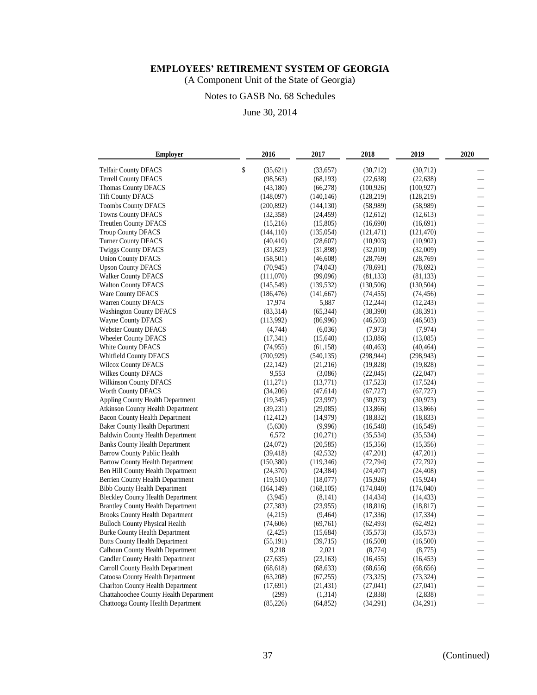(A Component Unit of the State of Georgia)

# Notes to GASB No. 68 Schedules

| <b>Employer</b>                          | 2016            | 2017       | 2018       | 2019       | 2020                     |
|------------------------------------------|-----------------|------------|------------|------------|--------------------------|
| <b>Telfair County DFACS</b>              | \$<br>(35, 621) | (33,657)   | (30,712)   | (30,712)   |                          |
| <b>Terrell County DFACS</b>              | (98, 563)       | (68, 193)  | (22, 638)  | (22, 638)  |                          |
| Thomas County DFACS                      | (43,180)        | (66,278)   | (100, 926) | (100, 927) |                          |
| <b>Tift County DFACS</b>                 | (148,097)       | (140, 146) | (128, 219) | (128, 219) | $\overline{\phantom{0}}$ |
| <b>Toombs County DFACS</b>               | (200, 892)      | (144, 130) | (58,989)   | (58,989)   |                          |
| <b>Towns County DFACS</b>                | (32, 358)       | (24, 459)  | (12,612)   | (12,613)   |                          |
| Treutlen County DFACS                    | (15,216)        | (15,805)   | (16,690)   | (16,691)   |                          |
| <b>Troup County DFACS</b>                | (144, 110)      | (135, 054) | (121, 471) | (121, 470) |                          |
| <b>Turner County DFACS</b>               | (40, 410)       | (28,607)   | (10,903)   | (10,902)   |                          |
| <b>Twiggs County DFACS</b>               | (31, 823)       | (31,898)   | (32,010)   | (32,009)   |                          |
| <b>Union County DFACS</b>                | (58, 501)       | (46, 608)  | (28, 769)  | (28, 769)  |                          |
| <b>Upson County DFACS</b>                | (70, 945)       | (74, 043)  | (78,691)   | (78,692)   |                          |
| <b>Walker County DFACS</b>               | (111,070)       | (99,096)   | (81, 133)  | (81, 133)  |                          |
| <b>Walton County DFACS</b>               | (145, 549)      | (139, 532) | (130, 506) | (130, 504) |                          |
| Ware County DFACS                        | (186, 476)      | (141, 667) | (74, 455)  | (74, 456)  | —                        |
| Warren County DFACS                      | 17,974          | 5,887      | (12, 244)  | (12, 243)  |                          |
| <b>Washington County DFACS</b>           | (83,314)        | (65, 344)  | (38, 390)  | (38, 391)  |                          |
| Wayne County DFACS                       | (113,992)       | (86,996)   | (46,503)   | (46,503)   | —                        |
| <b>Webster County DFACS</b>              | (4,744)         | (6,036)    | (7, 973)   | (7, 974)   |                          |
| <b>Wheeler County DFACS</b>              | (17, 341)       | (15,640)   | (13,086)   | (13,085)   |                          |
| <b>White County DFACS</b>                | (74, 955)       | (61, 158)  | (40, 463)  | (40, 464)  | $\overline{\phantom{0}}$ |
| <b>Whitfield County DFACS</b>            | (700, 929)      | (540, 135) | (298, 944) | (298, 943) |                          |
| <b>Wilcox County DFACS</b>               | (22, 142)       | (21,216)   | (19, 828)  | (19,828)   |                          |
| Wilkes County DFACS                      | 9,553           | (3,086)    | (22,045)   | (22,047)   |                          |
| Wilkinson County DFACS                   | (11,271)        | (13,771)   | (17,523)   | (17,524)   |                          |
| Worth County DFACS                       | (34,206)        | (47, 614)  | (67, 727)  | (67, 727)  |                          |
| Appling County Health Department         | (19, 345)       | (23,997)   | (30, 973)  | (30, 973)  |                          |
| Atkinson County Health Department        | (39, 231)       | (29,085)   | (13,866)   | (13,866)   |                          |
| <b>Bacon County Health Department</b>    | (12, 412)       | (14, 979)  | (18, 832)  | (18, 833)  | —                        |
| <b>Baker County Health Department</b>    | (5,630)         | (9,996)    | (16,548)   | (16,549)   |                          |
| Baldwin County Health Department         | 6,572           | (10,271)   | (35,534)   | (35, 534)  |                          |
| <b>Banks County Health Department</b>    | (24,072)        | (20, 585)  | (15,356)   | (15,356)   | —                        |
| <b>Barrow County Public Health</b>       | (39, 418)       | (42, 532)  | (47,201)   | (47,201)   | $\equiv$                 |
| <b>Bartow County Health Department</b>   | (150, 380)      | (119, 346) | (72, 794)  | (72, 792)  |                          |
| Ben Hill County Health Department        | (24, 370)       | (24, 384)  | (24, 407)  | (24, 408)  | $\overline{\phantom{0}}$ |
| Berrien County Health Department         | (19,510)        | (18,077)   | (15,926)   | (15, 924)  |                          |
| <b>Bibb County Health Department</b>     | (164, 149)      | (168, 105) | (174,040)  | (174,040)  |                          |
| <b>Bleckley County Health Department</b> | (3,945)         | (8,141)    | (14, 434)  | (14, 433)  | $\equiv$                 |
| <b>Brantley County Health Department</b> | (27, 383)       | (23,955)   | (18, 816)  | (18, 817)  |                          |
| <b>Brooks County Health Department</b>   | (4,215)         | (9, 464)   | (17, 336)  | (17, 334)  |                          |
| <b>Bulloch County Physical Health</b>    | (74, 606)       | (69,761)   | (62, 493)  | (62, 492)  |                          |
| <b>Burke County Health Department</b>    | (2, 425)        | (15,684)   | (35,573)   | (35,573)   |                          |
| <b>Butts County Health Department</b>    | (55, 191)       | (39,715)   | (16,500)   | (16,500)   |                          |
| Calhoun County Health Department         | 9,218           | 2,021      | (8,774)    | (8,775)    |                          |
| Candler County Health Department         | (27, 635)       | (23, 163)  | (16, 455)  | (16, 453)  |                          |
| Carroll County Health Department         | (68, 618)       | (68, 633)  | (68, 656)  | (68, 656)  |                          |
| Catoosa County Health Department         | (63,208)        | (67,255)   | (73,325)   | (73, 324)  |                          |
| <b>Charlton County Health Department</b> | (17,691)        | (21, 431)  | (27,041)   | (27,041)   |                          |
| Chattahoochee County Health Department   | (299)           | (1,314)    | (2,838)    | (2,838)    |                          |
| Chattooga County Health Department       | (85,226)        | (64, 852)  | (34,291)   | (34,291)   |                          |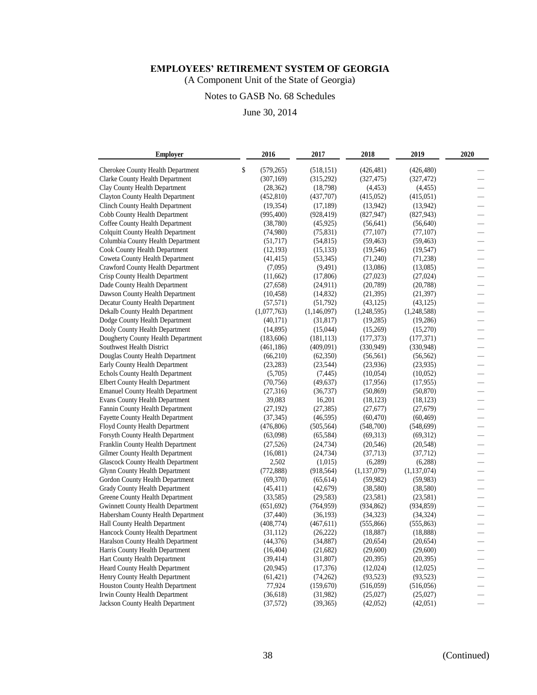(A Component Unit of the State of Georgia)

# Notes to GASB No. 68 Schedules

| <b>Employer</b>                          | 2016             | 2017        | 2018          | 2019          | 2020                     |
|------------------------------------------|------------------|-------------|---------------|---------------|--------------------------|
| Cherokee County Health Department        | \$<br>(579, 265) | (518, 151)  | (426, 481)    | (426, 480)    |                          |
| Clarke County Health Department          | (307, 169)       | (315,292)   | (327, 475)    | (327, 472)    |                          |
| Clay County Health Department            | (28, 362)        | (18,798)    | (4, 453)      | (4, 455)      |                          |
| <b>Clayton County Health Department</b>  | (452, 810)       | (437,707)   | (415,052)     | (415, 051)    | —                        |
| Clinch County Health Department          | (19, 354)        | (17, 189)   | (13,942)      | (13, 942)     | $\equiv$                 |
| Cobb County Health Department            | (995, 400)       | (928, 419)  | (827, 947)    | (827, 943)    |                          |
| Coffee County Health Department          | (38, 780)        | (45, 925)   | (56, 641)     | (56, 640)     | $\equiv$                 |
| Colquitt County Health Department        | (74,980)         | (75, 831)   | (77, 107)     | (77, 107)     |                          |
| Columbia County Health Department        | (51,717)         | (54, 815)   | (59, 463)     | (59, 463)     |                          |
| <b>Cook County Health Department</b>     | (12, 193)        | (15, 133)   | (19, 546)     | (19, 547)     |                          |
| Coweta County Health Department          | (41, 415)        | (53, 345)   | (71,240)      | (71, 238)     |                          |
| Crawford County Health Department        | (7,095)          | (9,491)     | (13,086)      | (13,085)      |                          |
| Crisp County Health Department           | (11,662)         | (17,806)    | (27, 023)     | (27, 024)     |                          |
| Dade County Health Department            | (27, 658)        | (24, 911)   | (20, 789)     | (20, 788)     |                          |
| Dawson County Health Department          | (10, 458)        | (14,832)    | (21, 395)     | (21, 397)     |                          |
| Decatur County Health Department         | (57, 571)        | (51,792)    | (43, 125)     | (43, 125)     | $\equiv$                 |
| Dekalb County Health Department          | (1,077,763)      | (1,146,097) | (1,248,595)   | (1,248,588)   |                          |
| Dodge County Health Department           | (40,171)         | (31, 817)   | (19,285)      | (19,286)      | —                        |
| Dooly County Health Department           | (14,895)         | (15,044)    | (15,269)      | (15,270)      | $\equiv$                 |
| Dougherty County Health Department       | (183, 606)       | (181, 113)  | (177, 373)    | (177, 371)    |                          |
| Southwest Health District                | (461, 186)       | (409,091)   | (330, 949)    | (330, 948)    | $\overline{\phantom{0}}$ |
| Douglas County Health Department         | (66,210)         | (62,350)    | (56, 561)     | (56, 562)     |                          |
| Early County Health Department           | (23, 283)        | (23,544)    | (23,936)      | (23.935)      |                          |
| Echols County Health Department          | (5,705)          | (7, 445)    | (10,054)      | (10,052)      | $\overline{\phantom{0}}$ |
| Elbert County Health Department          | (70, 756)        | (49, 637)   | (17,956)      | (17, 955)     |                          |
| <b>Emanuel County Health Department</b>  | (27,316)         | (36, 737)   | (50, 869)     | (50, 870)     |                          |
| Evans County Health Department           | 39,083           | 16,201      | (18, 123)     | (18, 123)     |                          |
| Fannin County Health Department          | (27, 192)        | (27, 385)   | (27,677)      | (27, 679)     |                          |
| Fayette County Health Department         | (37, 345)        | (46, 595)   | (60, 470)     | (60, 469)     | —                        |
| Floyd County Health Department           | (476, 806)       | (505, 564)  | (548,700)     | (548, 699)    | $\equiv$                 |
| Forsyth County Health Department         | (63,098)         | (65, 584)   | (69,313)      | (69,312)      |                          |
| Franklin County Health Department        | (27,526)         | (24, 734)   | (20, 546)     | (20, 548)     | —                        |
| Gilmer County Health Department          | (16,081)         | (24, 734)   | (37, 713)     | (37, 712)     | $\equiv$                 |
| <b>Glascock County Health Department</b> | 2,502            | (1,015)     | (6,289)       | (6,288)       |                          |
| Glynn County Health Department           | (772, 888)       | (918, 564)  | (1, 137, 079) | (1, 137, 074) | $\overline{\phantom{0}}$ |
| Gordon County Health Department          | (69,370)         | (65, 614)   | (59,982)      | (59, 983)     |                          |
| <b>Grady County Health Department</b>    | (45, 411)        | (42,679)    | (38,580)      | (38,580)      |                          |
| Greene County Health Department          | (33,585)         | (29, 583)   | (23,581)      | (23,581)      | $\overline{\phantom{0}}$ |
| Gwinnett County Health Department        | (651, 692)       | (764, 959)  | (934, 862)    | (934, 859)    |                          |
| Habersham County Health Department       | (37, 440)        | (36, 193)   | (34, 323)     | (34, 324)     |                          |
| Hall County Health Department            | (408, 774)       | (467, 611)  | (555, 866)    | (555, 863)    |                          |
| Hancock County Health Department         | (31, 112)        | (26, 222)   | (18, 887)     | (18, 888)     |                          |
| Haralson County Health Department        | (44, 376)        | (34, 887)   | (20, 654)     | (20, 654)     |                          |
| Harris County Health Department          | (16, 404)        | (21,682)    | (29,600)      | (29,600)      |                          |
| Hart County Health Department            | (39, 414)        | (31,807)    | (20, 395)     | (20, 395)     |                          |
| Heard County Health Department           | (20, 945)        | (17, 376)   | (12,024)      | (12,025)      |                          |
| Henry County Health Department           | (61, 421)        | (74,262)    | (93, 523)     | (93, 523)     |                          |
| Houston County Health Department         | 77,924           | (159,670)   | (516,059)     | (516, 056)    |                          |
| Irwin County Health Department           | (36,618)         | (31,982)    | (25,027)      | (25,027)      |                          |
| Jackson County Health Department         | (37,572)         | (39, 365)   | (42,052)      | (42,051)      |                          |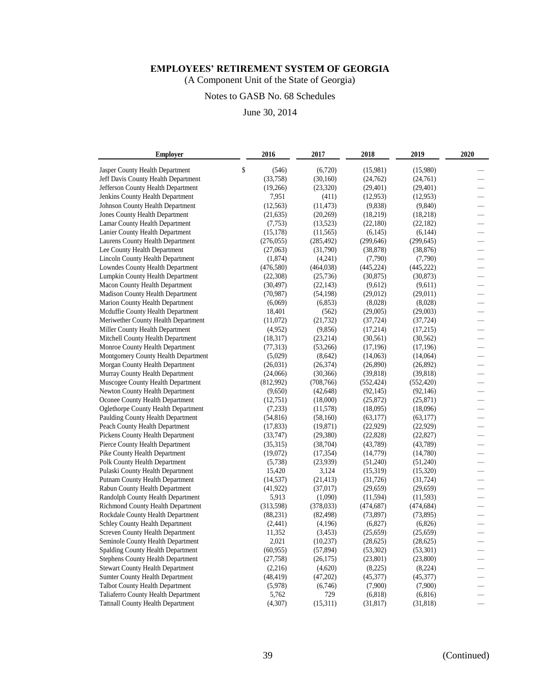(A Component Unit of the State of Georgia)

# Notes to GASB No. 68 Schedules

| <b>Employer</b>                          | 2016        | 2017       | 2018       | 2019       | 2020                           |
|------------------------------------------|-------------|------------|------------|------------|--------------------------------|
| Jasper County Health Department          | \$<br>(546) | (6,720)    | (15,981)   | (15,980)   |                                |
| Jeff Davis County Health Department      | (33,758)    | (30, 160)  | (24,762)   | (24,761)   |                                |
| Jefferson County Health Department       | (19,266)    | (23, 320)  | (29, 401)  | (29, 401)  |                                |
| Jenkins County Health Department         | 7,951       | (411)      | (12, 953)  | (12,953)   | $\overline{\phantom{0}}$       |
| Johnson County Health Department         | (12, 563)   | (11, 473)  | (9,838)    | (9, 840)   |                                |
| Jones County Health Department           | (21, 635)   | (20, 269)  | (18,219)   | (18, 218)  |                                |
| Lamar County Health Department           | (7, 753)    | (13, 523)  | (22,180)   | (22, 182)  |                                |
| Lanier County Health Department          | (15, 178)   | (11, 565)  | (6,145)    | (6,144)    |                                |
| Laurens County Health Department         | (276, 055)  | (285, 492) | (299, 646) | (299, 645) |                                |
| Lee County Health Department             | (27,063)    | (31,790)   | (38, 878)  | (38, 876)  |                                |
| Lincoln County Health Department         | (1,874)     | (4,241)    | (7,790)    | (7,790)    |                                |
| Lowndes County Health Department         | (476, 580)  | (464, 038) | (445, 224) | (445, 222) |                                |
| Lumpkin County Health Department         | (22,308)    | (25, 736)  | (30, 875)  | (30, 873)  |                                |
| Macon County Health Department           | (30, 497)   | (22, 143)  | (9,612)    | (9,611)    |                                |
| Madison County Health Department         | (70, 987)   | (54, 198)  | (29,012)   | (29,011)   | —                              |
| Marion County Health Department          | (6,069)     | (6, 853)   | (8,028)    | (8,028)    |                                |
| Mcduffie County Health Department        | 18,401      | (562)      | (29,005)   | (29,003)   |                                |
| Meriwether County Health Department      | (11,072)    | (21, 732)  | (37, 724)  | (37, 724)  | $\qquad \qquad \longleftarrow$ |
| Miller County Health Department          | (4,952)     | (9,856)    | (17,214)   | (17,215)   |                                |
| Mitchell County Health Department        | (18, 317)   | (23, 214)  | (30, 561)  | (30, 562)  |                                |
| Monroe County Health Department          | (77, 313)   | (53,266)   | (17, 196)  | (17, 196)  | $\overline{\phantom{0}}$       |
| Montgomery County Health Department      | (5,029)     | (8,642)    | (14,063)   | (14,064)   |                                |
| Morgan County Health Department          | (26,031)    | (26, 374)  | (26,890)   | (26,892)   |                                |
| Murray County Health Department          | (24,066)    | (30, 366)  | (39, 818)  | (39, 818)  |                                |
| Muscogee County Health Department        | (812,992)   | (708, 766) | (552, 424) | (552, 420) |                                |
| Newton County Health Department          | (9,650)     | (42, 648)  | (92, 145)  | (92, 146)  |                                |
| Oconee County Health Department          | (12,751)    | (18,000)   | (25,872)   | (25, 871)  |                                |
| Oglethorpe County Health Department      | (7,233)     | (11,578)   | (18,095)   | (18,096)   |                                |
| Paulding County Health Department        | (54, 816)   | (58,160)   | (63, 177)  | (63, 177)  | —                              |
| Peach County Health Department           | (17, 833)   | (19, 871)  | (22, 929)  | (22, 929)  |                                |
| Pickens County Health Department         | (33,747)    | (29, 380)  | (22, 828)  | (22, 827)  |                                |
| Pierce County Health Department          | (35,315)    | (38, 704)  | (43,789)   | (43, 789)  | —                              |
| Pike County Health Department            | (19,072)    | (17, 354)  | (14, 779)  | (14,780)   |                                |
| Polk County Health Department            | (5,738)     | (23,939)   | (51,240)   | (51,240)   |                                |
| Pulaski County Health Department         | 15,420      | 3,124      | (15,319)   | (15,320)   |                                |
| Putnam County Health Department          | (14, 537)   | (21, 413)  | (31, 726)  | (31, 724)  |                                |
| Rabun County Health Department           | (41, 922)   | (37, 017)  | (29,659)   | (29, 659)  |                                |
| Randolph County Health Department        | 5,913       | (1,090)    | (11, 594)  | (11, 593)  |                                |
| Richmond County Health Department        | (313,598)   | (378, 033) | (474, 687) | (474, 684) |                                |
| Rockdale County Health Department        | (88, 231)   | (82, 498)  | (73, 897)  | (73, 895)  |                                |
| Schley County Health Department          | (2, 441)    | (4,196)    | (6,827)    | (6,826)    |                                |
| Screven County Health Department         | 11,352      | (3, 453)   | (25, 659)  | (25, 659)  |                                |
| Seminole County Health Department        | 2,021       | (10, 237)  | (28, 625)  | (28, 625)  |                                |
| Spalding County Health Department        | (60, 955)   | (57, 894)  | (53,302)   | (53,301)   |                                |
| Stephens County Health Department        | (27,758)    | (26, 175)  | (23, 801)  | (23,800)   |                                |
| <b>Stewart County Health Department</b>  | (2,216)     | (4,620)    | (8,225)    | (8,224)    |                                |
| <b>Sumter County Health Department</b>   | (48, 419)   | (47,202)   | (45,377)   | (45,377)   |                                |
| Talbot County Health Department          | (5,978)     | (6,746)    | (7,900)    | (7,900)    |                                |
| Taliaferro County Health Department      | 5,762       | 729        | (6,818)    | (6,816)    |                                |
| <b>Tattnall County Health Department</b> | (4,307)     | (15,311)   | (31, 817)  | (31, 818)  |                                |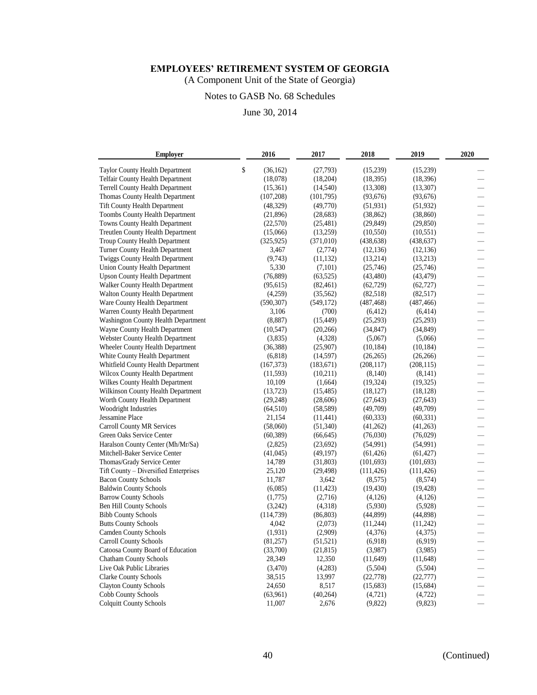(A Component Unit of the State of Georgia)

# Notes to GASB No. 68 Schedules

| <b>Employer</b>                       | 2016            | 2017       | 2018       | 2019       | 2020                     |
|---------------------------------------|-----------------|------------|------------|------------|--------------------------|
| Taylor County Health Department       | \$<br>(36, 162) | (27,793)   | (15,239)   | (15,239)   |                          |
| Telfair County Health Department      | (18,078)        | (18, 204)  | (18, 395)  | (18, 396)  |                          |
| Terrell County Health Department      | (15,361)        | (14, 540)  | (13,308)   | (13,307)   |                          |
| Thomas County Health Department       | (107, 208)      | (101,795)  | (93,676)   | (93,676)   |                          |
| <b>Tift County Health Department</b>  | (48, 329)       | (49,770)   | (51, 931)  | (51, 932)  |                          |
| Toombs County Health Department       | (21,896)        | (28, 683)  | (38, 862)  | (38, 860)  |                          |
| Towns County Health Department        | (22,570)        | (25, 481)  | (29, 849)  | (29, 850)  |                          |
| Treutlen County Health Department     | (15,066)        | (13,259)   | (10, 550)  | (10, 551)  | —                        |
| Troup County Health Department        | (325, 925)      | (371, 010) | (438, 638) | (438, 637) |                          |
| Turner County Health Department       | 3,467           | (2,774)    | (12, 136)  | (12, 136)  | $\overline{\phantom{0}}$ |
| Twiggs County Health Department       | (9,743)         | (11, 132)  | (13,214)   | (13,213)   |                          |
| Union County Health Department        | 5,330           | (7,101)    | (25,746)   | (25,746)   | —                        |
| <b>Upson County Health Department</b> | (76, 889)       | (63, 525)  | (43, 480)  | (43, 479)  |                          |
| Walker County Health Department       | (95, 615)       | (82, 461)  | (62, 729)  | (62, 727)  |                          |
| Walton County Health Department       | (4,259)         | (35, 562)  | (82,518)   | (82,517)   |                          |
| Ware County Health Department         | (590, 307)      | (549, 172) | (487, 468) | (487, 466) |                          |
| Warren County Health Department       | 3,106           | (700)      | (6, 412)   | (6, 414)   | $\qquad \qquad -$        |
| Washington County Health Department   | (8,887)         | (15, 449)  | (25,293)   | (25,293)   |                          |
| Wayne County Health Department        | (10, 547)       | (20, 266)  | (34, 847)  | (34, 849)  |                          |
| Webster County Health Department      | (3,835)         | (4,328)    | (5,067)    | (5,066)    |                          |
| Wheeler County Health Department      | (36, 388)       | (25,907)   | (10, 184)  | (10, 184)  |                          |
| White County Health Department        | (6, 818)        | (14, 597)  | (26, 265)  | (26, 266)  |                          |
| Whitfield County Health Department    | (167, 373)      | (183, 671) | (208, 117) | (208, 115) |                          |
| Wilcox County Health Department       | (11,593)        | (10,211)   | (8,140)    | (8,141)    |                          |
| Wilkes County Health Department       | 10,109          | (1,664)    | (19, 324)  | (19, 325)  | $\equiv$                 |
| Wilkinson County Health Department    | (13, 723)       | (15, 485)  | (18, 127)  | (18, 128)  |                          |
| Worth County Health Department        | (29, 248)       | (28,606)   | (27, 643)  | (27, 643)  |                          |
| Woodright Industries                  | (64, 510)       | (58, 589)  | (49,709)   | (49,709)   |                          |
| Jessamine Place                       | 21,154          | (11, 441)  | (60, 333)  | (60, 331)  |                          |
| Carroll County MR Services            | (58,060)        | (51,340)   | (41,262)   | (41,263)   |                          |
| Green Oaks Service Center             | (60, 389)       | (66, 645)  | (76,030)   | (76,029)   | $\frac{1}{1}$            |
| Haralson County Center (Mh/Mr/Sa)     | (2,825)         | (23,692)   | (54,991)   | (54,991)   |                          |
| Mitchell-Baker Service Center         | (41,045)        | (49, 197)  | (61, 426)  | (61, 427)  |                          |
| Thomas/Grady Service Center           | 14,789          | (31,803)   | (101, 693) | (101, 693) | $\overline{\phantom{0}}$ |
| Tift County - Diversified Enterprises | 25,120          | (29, 498)  | (111, 426) | (111, 426) | —                        |
| <b>Bacon County Schools</b>           | 11,787          | 3,642      | (8,575)    | (8,574)    |                          |
| <b>Baldwin County Schools</b>         | (6,085)         | (11, 423)  | (19, 430)  | (19, 428)  | $\overline{\phantom{0}}$ |
| <b>Barrow County Schools</b>          | (1,775)         | (2,716)    | (4,126)    | (4,126)    |                          |
| <b>Ben Hill County Schools</b>        | (3,242)         | (4,318)    | (5,930)    | (5,928)    |                          |
| <b>Bibb County Schools</b>            | (114, 739)      | (86, 803)  | (44,899)   | (44,898)   |                          |
| <b>Butts County Schools</b>           | 4,042           | (2,073)    | (11,244)   | (11,242)   |                          |
| <b>Camden County Schools</b>          | (1,931)         | (2,909)    | (4,376)    | (4,375)    |                          |
| Carroll County Schools                | (81,257)        | (51, 521)  | (6,918)    | (6,919)    | $\equiv$                 |
| Catoosa County Board of Education     | (33,700)        | (21, 815)  | (3,987)    | (3,985)    |                          |
| <b>Chatham County Schools</b>         | 28,349          | 12,350     | (11,649)   | (11, 648)  |                          |
| Live Oak Public Libraries             | (3,470)         | (4,283)    | (5,504)    | (5,504)    |                          |
| <b>Clarke County Schools</b>          | 38,515          | 13,997     | (22, 778)  | (22, 777)  |                          |
| <b>Clayton County Schools</b>         | 24,650          | 8,517      | (15,683)   | (15,684)   |                          |
| Cobb County Schools                   | (63,961)        | (40, 264)  | (4,721)    | (4, 722)   |                          |
| <b>Colquitt County Schools</b>        | 11,007          | 2,676      | (9,822)    | (9,823)    |                          |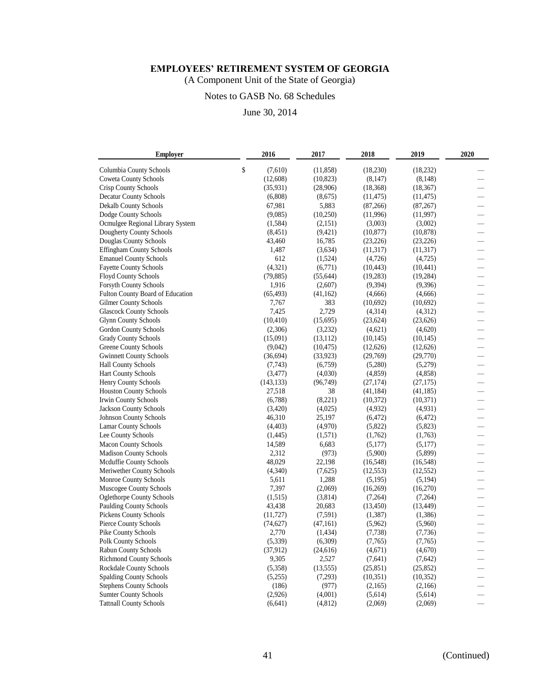(A Component Unit of the State of Georgia)

# Notes to GASB No. 68 Schedules

| <b>Employer</b>                  | 2016          | 2017      | 2018      | 2019      | 2020                     |
|----------------------------------|---------------|-----------|-----------|-----------|--------------------------|
| Columbia County Schools          | \$<br>(7,610) | (11, 858) | (18,230)  | (18, 232) |                          |
| <b>Coweta County Schools</b>     | (12,608)      | (10, 823) | (8,147)   | (8, 148)  |                          |
| Crisp County Schools             | (35, 931)     | (28,906)  | (18, 368) | (18, 367) |                          |
| <b>Decatur County Schools</b>    | (6,808)       | (8,675)   | (11, 475) | (11, 475) |                          |
| Dekalb County Schools            | 67,981        | 5,883     | (87,266)  | (87, 267) | $\overline{\phantom{0}}$ |
| Dodge County Schools             | (9,085)       | (10,250)  | (11,996)  | (11, 997) |                          |
| Ocmulgee Regional Library System | (1,584)       | (2,151)   | (3,003)   | (3,002)   |                          |
| Dougherty County Schools         | (8, 451)      | (9,421)   | (10, 877) | (10, 878) |                          |
| Douglas County Schools           | 43,460        | 16,785    | (23, 226) | (23, 226) |                          |
| <b>Effingham County Schools</b>  | 1,487         | (3,634)   | (11, 317) | (11, 317) |                          |
| <b>Emanuel County Schools</b>    | 612           | (1,524)   | (4,726)   | (4,725)   |                          |
| <b>Fayette County Schools</b>    | (4, 321)      | (6,771)   | (10, 443) | (10, 441) |                          |
| <b>Floyd County Schools</b>      | (79, 885)     | (55, 644) | (19, 283) | (19, 284) |                          |
| <b>Forsyth County Schools</b>    | 1,916         | (2,607)   | (9,394)   | (9,396)   | $\overline{\phantom{0}}$ |
| Fulton County Board of Education | (65, 493)     | (41, 162) | (4,666)   | (4,666)   | $\overline{\phantom{0}}$ |
| Gilmer County Schools            | 7,767         | 383       | (10,692)  | (10,692)  |                          |
| <b>Glascock County Schools</b>   | 7,425         | 2,729     | (4,314)   | (4,312)   |                          |
| <b>Glynn County Schools</b>      | (10, 410)     | (15,695)  | (23, 624) | (23, 626) |                          |
| Gordon County Schools            | (2,306)       | (3,232)   | (4,621)   | (4,620)   |                          |
| <b>Grady County Schools</b>      | (15,091)      | (13, 112) | (10, 145) | (10, 145) |                          |
| <b>Greene County Schools</b>     | (9,042)       | (10, 475) | (12,626)  | (12,626)  |                          |
| <b>Gwinnett County Schools</b>   | (36,694)      | (33, 923) | (29,769)  | (29,770)  |                          |
| <b>Hall County Schools</b>       | (7,743)       | (6,759)   | (5,280)   | (5,279)   |                          |
| <b>Hart County Schools</b>       | (3, 477)      | (4,030)   | (4, 859)  | (4, 858)  | Щ,                       |
| <b>Henry County Schools</b>      | (143, 133)    | (96, 749) | (27, 174) | (27, 175) |                          |
| <b>Houston County Schools</b>    | 27,518        | 38        | (41, 184) | (41, 185) |                          |
| Irwin County Schools             | (6,788)       | (8,221)   | (10, 372) | (10, 371) |                          |
| Jackson County Schools           | (3,420)       | (4,025)   | (4,932)   | (4,931)   |                          |
| <b>Johnson County Schools</b>    | 46,310        | 25,197    | (6, 472)  | (6, 472)  |                          |
| <b>Lamar County Schools</b>      | (4, 403)      | (4,970)   | (5,822)   | (5,823)   |                          |
| Lee County Schools               | (1,445)       | (1,571)   | (1,762)   | (1,763)   |                          |
| <b>Macon County Schools</b>      | 14,589        | 6,683     | (5,177)   | (5,177)   | $\overline{\phantom{0}}$ |
| <b>Madison County Schools</b>    | 2,312         | (973)     | (5,900)   | (5,899)   |                          |
| Mcduffie County Schools          | 48,029        | 22,198    | (16, 548) | (16, 548) |                          |
| Meriwether County Schools        | (4,340)       | (7,625)   | (12, 553) | (12, 552) | $\overline{\phantom{0}}$ |
| Monroe County Schools            | 5,611         | 1,288     | (5,195)   | (5, 194)  |                          |
| Muscogee County Schools          | 7,397         | (2,069)   | (16,269)  | (16,270)  |                          |
| <b>Oglethorpe County Schools</b> | (1,515)       | (3,814)   | (7,264)   | (7,264)   |                          |
| <b>Paulding County Schools</b>   | 43,438        | 20,683    | (13, 450) | (13, 449) |                          |
| <b>Pickens County Schools</b>    | (11, 727)     | (7,591)   | (1,387)   | (1,386)   |                          |
| Pierce County Schools            | (74, 627)     | (47,161)  | (5,962)   | (5,960)   |                          |
| Pike County Schools              | 2,770         | (1, 434)  | (7, 738)  | (7, 736)  |                          |
| Polk County Schools              | (5, 339)      | (6,309)   | (7,765)   | (7,765)   |                          |
| <b>Rabun County Schools</b>      | (37, 912)     | (24,616)  | (4,671)   | (4,670)   |                          |
| <b>Richmond County Schools</b>   | 9,305         | 2,527     | (7,641)   | (7,642)   |                          |
| Rockdale County Schools          | (5,358)       | (13, 555) | (25, 851) | (25, 852) |                          |
| <b>Spalding County Schools</b>   | (5,255)       | (7,293)   | (10, 351) | (10, 352) |                          |
| <b>Stephens County Schools</b>   | (186)         | (977)     | (2,165)   | (2,166)   |                          |
| <b>Sumter County Schools</b>     | (2,926)       | (4,001)   | (5,614)   | (5,614)   |                          |
| <b>Tattnall County Schools</b>   | (6, 641)      | (4,812)   | (2,069)   | (2,069)   |                          |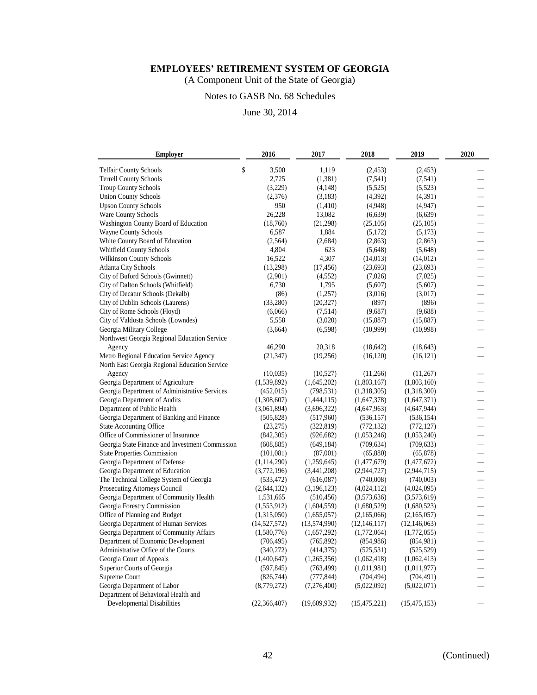(A Component Unit of the State of Georgia)

# Notes to GASB No. 68 Schedules

| <b>Employer</b>                                 | 2016           | 2017         | 2018           | 2019           | 2020                     |
|-------------------------------------------------|----------------|--------------|----------------|----------------|--------------------------|
| <b>Telfair County Schools</b>                   | \$<br>3,500    | 1,119        | (2, 453)       | (2, 453)       |                          |
| <b>Terrell County Schools</b>                   | 2,725          | (1,381)      | (7,541)        | (7, 541)       |                          |
| <b>Troup County Schools</b>                     | (3,229)        | (4,148)      | (5,525)        | (5,523)        |                          |
| <b>Union County Schools</b>                     | (2,376)        | (3,183)      | (4,392)        | (4,391)        |                          |
| <b>Upson County Schools</b>                     | 950            | (1,410)      | (4,948)        | (4,947)        |                          |
| Ware County Schools                             | 26,228         | 13,082       | (6,639)        | (6,639)        |                          |
| Washington County Board of Education            | (18,760)       | (21, 298)    | (25,105)       | (25,105)       |                          |
| Wayne County Schools                            | 6,587          | 1,884        | (5,172)        | (5,173)        |                          |
| White County Board of Education                 | (2,564)        | (2,684)      | (2,863)        | (2,863)        |                          |
| Whitfield County Schools                        | 4,804          | 623          | (5,648)        | (5,648)        |                          |
| <b>Wilkinson County Schools</b>                 | 16,522         | 4,307        | (14, 013)      | (14, 012)      |                          |
| <b>Atlanta City Schools</b>                     | (13,298)       | (17, 456)    | (23, 693)      | (23,693)       | $\overline{\phantom{0}}$ |
| City of Buford Schools (Gwinnett)               | (2,901)        | (4,552)      | (7,026)        | (7,025)        |                          |
| City of Dalton Schools (Whitfield)              | 6,730          | 1,795        | (5,607)        | (5,607)        | $\overline{\phantom{0}}$ |
| City of Decatur Schools (Dekalb)                | (86)           | (1,257)      | (3,016)        | (3,017)        | $\overline{\phantom{0}}$ |
| City of Dublin Schools (Laurens)                | (33,280)       | (20, 327)    | (897)          | (896)          |                          |
| City of Rome Schools (Floyd)                    | (6,066)        | (7,514)      | (9,687)        | (9,688)        |                          |
| City of Valdosta Schools (Lowndes)              | 5,558          | (3,020)      | (15,887)       | (15,887)       |                          |
| Georgia Military College                        | (3,664)        | (6,598)      | (10,999)       | (10,998)       |                          |
| Northwest Georgia Regional Education Service    |                |              |                |                |                          |
| Agency                                          | 46,290         | 20,318       | (18, 642)      | (18, 643)      |                          |
| Metro Regional Education Service Agency         | (21, 347)      | (19,256)     | (16, 120)      | (16, 121)      |                          |
| North East Georgia Regional Education Service   |                |              |                |                |                          |
| Agency                                          | (10,035)       | (10,527)     | (11,266)       | (11,267)       |                          |
| Georgia Department of Agriculture               | (1,539,892)    | (1,645,202)  | (1,803,167)    | (1,803,160)    |                          |
| Georgia Department of Administrative Services   | (452, 015)     | (798, 531)   | (1,318,305)    | (1,318,300)    |                          |
| Georgia Department of Audits                    | (1,308,607)    | (1,444,115)  | (1,647,378)    | (1,647,371)    |                          |
| Department of Public Health                     | (3,061,894)    | (3,696,322)  | (4,647,963)    | (4,647,944)    |                          |
| Georgia Department of Banking and Finance       | (505, 828)     | (517,960)    | (536, 157)     | (536, 154)     |                          |
| <b>State Accounting Office</b>                  | (23, 275)      | (322, 819)   | (772, 132)     | (772, 127)     |                          |
| Office of Commissioner of Insurance             | (842,305)      | (926, 682)   | (1,053,246)    | (1,053,240)    |                          |
| Georgia State Finance and Investment Commission | (608, 885)     | (649, 184)   | (709, 634)     | (709, 633)     | $\overline{\phantom{0}}$ |
| <b>State Properties Commission</b>              | (101,081)      | (87,001)     | (65,880)       | (65, 878)      | $\equiv$                 |
| Georgia Department of Defense                   | (1, 114, 290)  | (1,259,645)  | (1,477,679)    | (1,477,672)    |                          |
| Georgia Department of Education                 | (3,772,196)    | (3,441,208)  | (2,944,727)    | (2,944,715)    |                          |
| The Technical College System of Georgia         | (533, 472)     | (616,087)    | (740,008)      | (740,003)      |                          |
| Prosecuting Attorneys Council                   | (2,644,132)    | (3,196,123)  | (4,024,112)    | (4,024,095)    |                          |
| Georgia Department of Community Health          | 1,531,665      | (510, 456)   | (3,573,636)    | (3,573,619)    |                          |
| Georgia Forestry Commission                     | (1,553,912)    | (1,604,559)  | (1,680,529)    | (1,680,523)    |                          |
| Office of Planning and Budget                   | (1,315,050)    | (1,655,057)  | (2,165,066)    | (2,165,057)    |                          |
| Georgia Department of Human Services            | (14, 527, 572) | (13,574,990) | (12, 146, 117) | (12, 146, 063) |                          |
| Georgia Department of Community Affairs         | (1,580,776)    | (1,657,292)  | (1,772,064)    | (1,772,055)    |                          |
| Department of Economic Development              | (706, 495)     | (765, 892)   | (854,986)      | (854,981)      | —                        |
| Administrative Office of the Courts             | (340,272)      | (414,375)    | (525, 531)     | (525, 529)     |                          |
| Georgia Court of Appeals                        | (1,400,647)    | (1,265,356)  | (1,062,418)    | (1,062,413)    |                          |
| Superior Courts of Georgia                      | (597, 845)     | (763, 499)   | (1,011,981)    | (1,011,977)    |                          |
| Supreme Court                                   | (826,744)      | (777, 844)   | (704, 494)     | (704, 491)     |                          |
| Georgia Department of Labor                     | (8,779,272)    | (7,276,400)  | (5,022,092)    | (5,022,071)    |                          |
| Department of Behavioral Health and             |                |              |                |                |                          |
| Developmental Disabilities                      | (22, 366, 407) | (19,609,932) | (15, 475, 221) | (15, 475, 153) |                          |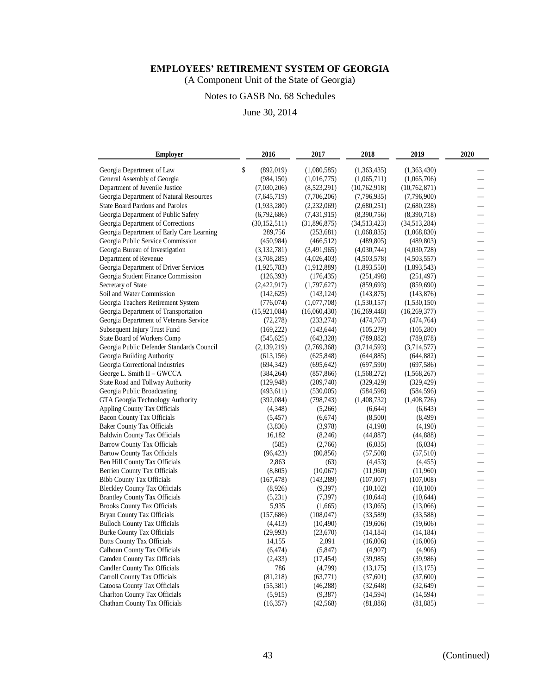(A Component Unit of the State of Georgia)

# Notes to GASB No. 68 Schedules

June 30, 2014

| <b>Employer</b>                                                          | 2016                 | 2017         | 2018                 | 2019           | 2020                                                 |
|--------------------------------------------------------------------------|----------------------|--------------|----------------------|----------------|------------------------------------------------------|
| Georgia Department of Law                                                | \$<br>(892, 019)     | (1,080,585)  | (1,363,435)          | (1,363,430)    |                                                      |
| General Assembly of Georgia                                              | (984, 150)           | (1,016,775)  | (1,065,711)          | (1,065,706)    |                                                      |
| Department of Juvenile Justice                                           | (7,030,206)          | (8,523,291)  | (10,762,918)         | (10,762,871)   |                                                      |
| Georgia Department of Natural Resources                                  | (7,645,719)          | (7,706,206)  | (7,796,935)          | (7,796,900)    |                                                      |
| State Board Pardons and Paroles                                          | (1,933,280)          | (2,232,069)  | (2,680,251)          | (2,680,238)    |                                                      |
| Georgia Department of Public Safety                                      | (6,792,686)          | (7,431,915)  | (8,390,756)          | (8,390,718)    |                                                      |
| Georgia Department of Corrections                                        | (30, 152, 511)       | (31,896,875) | (34,513,423)         | (34,513,284)   | $\overline{\phantom{0}}$                             |
| Georgia Department of Early Care Learning                                | 289,756              | (253, 681)   | (1,068,835)          | (1,068,830)    |                                                      |
| Georgia Public Service Commission                                        | (450, 984)           | (466, 512)   | (489, 805)           | (489, 803)     |                                                      |
| Georgia Bureau of Investigation                                          | (3,132,781)          | (3,491,965)  | (4,030,744)          | (4,030,728)    |                                                      |
| Department of Revenue                                                    | (3,708,285)          | (4,026,403)  | (4,503,578)          | (4,503,557)    |                                                      |
| Georgia Department of Driver Services                                    | (1,925,783)          | (1,912,889)  | (1,893,550)          | (1,893,543)    |                                                      |
| Georgia Student Finance Commission                                       | (126,393)            | (176, 435)   | (251, 498)           | (251, 497)     |                                                      |
| Secretary of State                                                       | (2,422,917)          | (1,797,627)  | (859, 693)           | (859,690)      | $\overline{\phantom{0}}$                             |
| Soil and Water Commission                                                | (142, 625)           | (143, 124)   | (143, 875)           | (143, 876)     | $\overline{\phantom{0}}$                             |
| Georgia Teachers Retirement System                                       | (776, 074)           | (1,077,708)  | (1,530,157)          | (1,530,150)    |                                                      |
| Georgia Department of Transportation                                     | (15,921,084)         | (16,060,430) | (16, 269, 448)       | (16, 269, 377) |                                                      |
| Georgia Department of Veterans Service                                   | (72, 278)            | (233, 274)   | (474, 767)           | (474, 764)     |                                                      |
| Subsequent Injury Trust Fund                                             | (169, 222)           | (143, 644)   | (105, 279)           | (105, 280)     |                                                      |
| State Board of Workers Comp                                              | (545, 625)           | (643, 328)   | (789, 882)           | (789, 878)     |                                                      |
| Georgia Public Defender Standards Council                                | (2,139,219)          | (2,769,368)  | (3,714,593)          | (3,714,577)    |                                                      |
| Georgia Building Authority                                               | (613, 156)           | (625, 848)   | (644, 885)           | (644, 882)     |                                                      |
| Georgia Correctional Industries                                          | (694, 342)           | (695, 642)   | (697,590)            | (697, 586)     |                                                      |
| George L. Smith II - GWCCA                                               | (384, 264)           | (857, 866)   | (1,568,272)          | (1,568,267)    |                                                      |
| State Road and Tollway Authority                                         | (129, 948)           | (209,740)    | (329, 429)           | (329, 429)     | $\overline{\phantom{0}}$                             |
| Georgia Public Broadcasting                                              | (493, 611)           | (530,005)    | (584, 598)           | (584, 596)     |                                                      |
| GTA Georgia Technology Authority                                         | (392,084)            | (798, 743)   | (1,408,732)          | (1,408,726)    |                                                      |
| <b>Appling County Tax Officials</b>                                      | (4,348)              | (5,266)      | (6,644)              | (6,643)        |                                                      |
| <b>Bacon County Tax Officials</b>                                        | (5, 457)             | (6,674)      | (8,500)              | (8, 499)       |                                                      |
| <b>Baker County Tax Officials</b>                                        | (3,836)              | (3,978)      | (4,190)              | (4,190)        |                                                      |
| <b>Baldwin County Tax Officials</b>                                      | 16,182               | (8,246)      | (44,887)             | (44,888)       |                                                      |
| <b>Barrow County Tax Officials</b>                                       | (585)                | (2,766)      | (6,035)              | (6,034)        | $\overline{\phantom{0}}$                             |
| <b>Bartow County Tax Officials</b>                                       | (96, 423)            | (80, 856)    | (57, 508)            | (57, 510)      |                                                      |
| Ben Hill County Tax Officials                                            | 2,863                | (63)         | (4, 453)             | (4, 455)       |                                                      |
| <b>Berrien County Tax Officials</b>                                      | (8, 805)             | (10,067)     | (11,960)             | (11,960)       | $\frac{1}{2}$                                        |
| <b>Bibb County Tax Officials</b>                                         | (167, 478)           | (143, 289)   | (107,007)            | (107,008)      | —                                                    |
| <b>Bleckley County Tax Officials</b>                                     | (8,926)              | (9,397)      | (10,102)             | (10,100)       |                                                      |
| <b>Brantley County Tax Officials</b>                                     |                      | (7, 397)     |                      | (10,644)       |                                                      |
| <b>Brooks County Tax Officials</b>                                       | (5,231)<br>5,935     | (1,665)      | (10,644)<br>(13,065) | (13,066)       |                                                      |
| Bryan County Tax Officials                                               | (157, 686)           | (108, 047)   | (33,589)             | (33,588)       |                                                      |
|                                                                          |                      |              |                      |                |                                                      |
| <b>Bulloch County Tax Officials</b><br><b>Burke County Tax Officials</b> | (4, 413)<br>(29,993) | (10, 490)    | (19,606)             | (19,606)       |                                                      |
|                                                                          |                      | (23,670)     | (14, 184)            | (14, 184)      |                                                      |
| <b>Butts County Tax Officials</b>                                        | 14,155               | 2,091        | (16,006)             | (16,006)       | $\overline{\phantom{0}}$<br>$\overline{\phantom{0}}$ |
| <b>Calhoun County Tax Officials</b>                                      | (6, 474)             | (5,847)      | (4,907)              | (4,906)        |                                                      |
| Camden County Tax Officials                                              | (2, 433)             | (17, 454)    | (39,985)             | (39,986)       |                                                      |
| <b>Candler County Tax Officials</b>                                      | 786<br>(81, 218)     | (4,799)      | (13, 175)            | (13, 175)      |                                                      |
| Carroll County Tax Officials                                             |                      | (63, 771)    | (37,601)             | (37,600)       |                                                      |
| Catoosa County Tax Officials                                             | (55, 381)            | (46, 288)    | (32, 648)            | (32, 649)      |                                                      |
| <b>Charlton County Tax Officials</b>                                     | (5,915)              | (9,387)      | (14, 594)            | (14, 594)      |                                                      |
| Chatham County Tax Officials                                             | (16, 357)            | (42, 568)    | (81, 886)            | (81, 885)      |                                                      |

43 (Continued)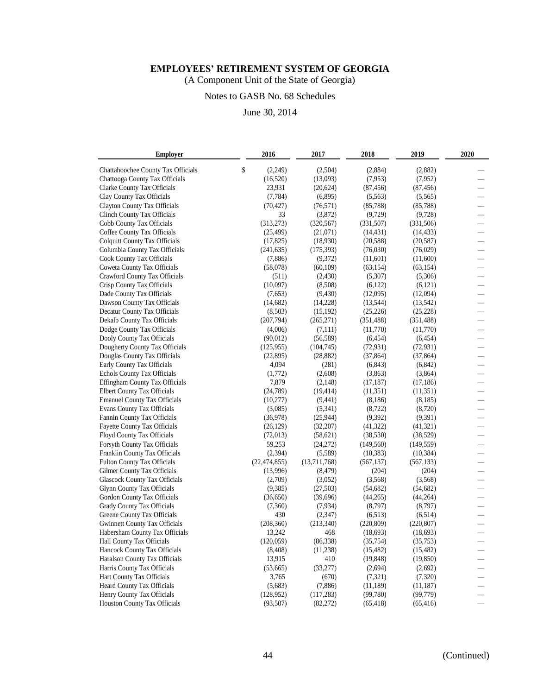(A Component Unit of the State of Georgia)

# Notes to GASB No. 68 Schedules

| <b>Employer</b>                      | 2016           | 2017         | 2018       | 2019       | 2020                     |
|--------------------------------------|----------------|--------------|------------|------------|--------------------------|
| Chattahoochee County Tax Officials   | \$<br>(2,249)  | (2,504)      | (2,884)    | (2,882)    |                          |
| Chattooga County Tax Officials       | (16,520)       | (13,093)     | (7,953)    | (7,952)    |                          |
| Clarke County Tax Officials          | 23,931         | (20,624)     | (87, 456)  | (87, 456)  |                          |
| Clay County Tax Officials            | (7, 784)       | (6,895)      | (5,563)    | (5,565)    |                          |
| Clayton County Tax Officials         | (70, 427)      | (76, 571)    | (85, 788)  | (85, 788)  |                          |
| <b>Clinch County Tax Officials</b>   | 33             | (3,872)      | (9,729)    | (9,728)    |                          |
| Cobb County Tax Officials            | (313, 273)     | (320, 567)   | (331, 507) | (331, 506) | $\overline{\phantom{0}}$ |
| Coffee County Tax Officials          | (25, 499)      | (21,071)     | (14, 431)  | (14, 433)  |                          |
| <b>Colquitt County Tax Officials</b> | (17, 825)      | (18,930)     | (20, 588)  | (20, 587)  |                          |
| Columbia County Tax Officials        | (241, 635)     | (175, 393)   | (76,030)   | (76,029)   |                          |
| Cook County Tax Officials            | (7,886)        | (9,372)      | (11,601)   | (11,600)   |                          |
| Coweta County Tax Officials          | (58,078)       | (60, 109)    | (63, 154)  | (63, 154)  |                          |
| Crawford County Tax Officials        | (511)          | (2,430)      | (5,307)    | (5,306)    |                          |
| Crisp County Tax Officials           | (10,097)       | (8,508)      | (6,122)    | (6,121)    |                          |
| Dade County Tax Officials            | (7,653)        | (9, 430)     | (12,095)   | (12,094)   |                          |
| Dawson County Tax Officials          | (14, 682)      | (14,228)     | (13,544)   | (13, 542)  |                          |
| Decatur County Tax Officials         | (8,503)        | (15, 192)    | (25, 226)  | (25, 228)  |                          |
| Dekalb County Tax Officials          | (207, 794)     | (265, 271)   | (351, 488) | (351, 488) |                          |
| Dodge County Tax Officials           | (4,006)        | (7,111)      | (11,770)   | (11,770)   |                          |
| Dooly County Tax Officials           | (90,012)       | (56, 589)    | (6, 454)   | (6, 454)   |                          |
| Dougherty County Tax Officials       | (125, 955)     | (104, 745)   | (72, 931)  | (72, 931)  |                          |
| Douglas County Tax Officials         | (22, 895)      | (28, 882)    | (37, 864)  | (37, 864)  |                          |
| Early County Tax Officials           | 4,094          | (281)        | (6, 843)   | (6,842)    |                          |
| Echols County Tax Officials          | (1,772)        | (2,608)      | (3,863)    | (3,864)    |                          |
| Effingham County Tax Officials       | 7,879          | (2,148)      | (17, 187)  | (17, 186)  | $\overline{\phantom{0}}$ |
| <b>Elbert County Tax Officials</b>   | (24, 789)      | (19, 414)    | (11,351)   | (11, 351)  | $\frac{1}{2}$            |
| <b>Emanuel County Tax Officials</b>  | (10,277)       | (9, 441)     | (8, 186)   | (8,185)    | —                        |
| <b>Evans County Tax Officials</b>    | (3,085)        | (5,341)      | (8, 722)   | (8,720)    |                          |
| Fannin County Tax Officials          | (36,978)       | (25, 944)    | (9,392)    | (9,391)    |                          |
| <b>Fayette County Tax Officials</b>  | (26, 129)      | (32,207)     | (41, 322)  | (41, 321)  |                          |
| Floyd County Tax Officials           | (72, 013)      | (58, 621)    | (38, 530)  | (38, 529)  |                          |
| Forsyth County Tax Officials         | 59,253         | (24,272)     | (149, 560) | (149, 559) |                          |
| Franklin County Tax Officials        | (2,394)        | (5,589)      | (10, 383)  | (10, 384)  |                          |
| <b>Fulton County Tax Officials</b>   | (22, 474, 855) | (13,711,768) | (567, 137) | (567, 133) | $\overline{\phantom{0}}$ |
| Gilmer County Tax Officials          | (13,996)       | (8, 479)     | (204)      | (204)      | Щ,                       |
| <b>Glascock County Tax Officials</b> | (2,709)        | (3,052)      | (3,568)    | (3,568)    | $\frac{1}{2}$            |
| <b>Glynn County Tax Officials</b>    | (9,385)        | (27,503)     | (54,682)   | (54, 682)  |                          |
| Gordon County Tax Officials          | (36,650)       | (39, 696)    | (44,265)   | (44,264)   |                          |
| Grady County Tax Officials           | (7,360)        | (7,934)      | (8,797)    | (8,797)    |                          |
| Greene County Tax Officials          | 430            | (2,347)      | (6,513)    | (6,514)    |                          |
| <b>Gwinnett County Tax Officials</b> | (208, 360)     | (213, 340)   | (220, 809) | (220, 807) |                          |
| Habersham County Tax Officials       | 13,242         | 468          | (18,693)   | (18,693)   |                          |
| Hall County Tax Officials            | (120,059)      | (86,338)     | (35,754)   | (35,753)   | $\overline{\phantom{0}}$ |
| Hancock County Tax Officials         | (8, 408)       | (11,238)     | (15, 482)  | (15, 482)  |                          |
| Haralson County Tax Officials        | 13,915         | 410          | (19, 848)  | (19, 850)  |                          |
| Harris County Tax Officials          | (53,665)       | (33,277)     | (2,694)    | (2,692)    |                          |
| Hart County Tax Officials            | 3,765          | (670)        | (7, 321)   | (7,320)    |                          |
| Heard County Tax Officials           | (5,683)        | (7,886)      | (11, 189)  | (11, 187)  |                          |
| Henry County Tax Officials           | (128, 952)     | (117, 283)   | (99, 780)  | (99, 779)  |                          |
| <b>Houston County Tax Officials</b>  | (93,507)       | (82, 272)    | (65, 418)  | (65, 416)  |                          |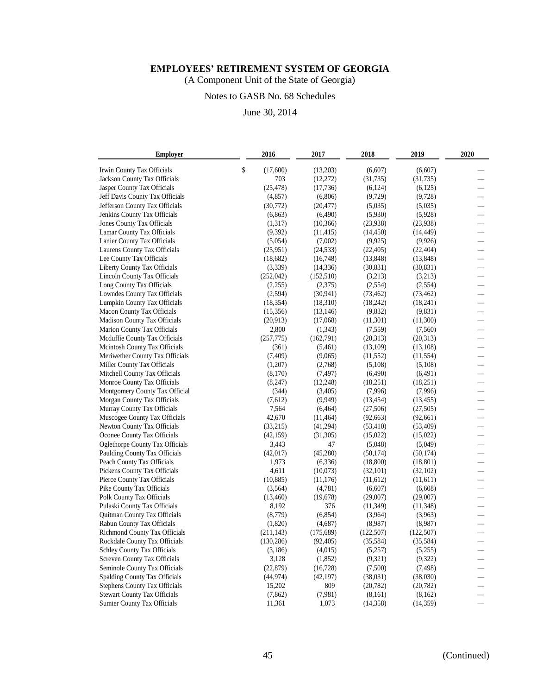(A Component Unit of the State of Georgia)

# Notes to GASB No. 68 Schedules

| <b>Employer</b>                      | 2016           | 2017      | 2018       | 2019       | 2020                     |
|--------------------------------------|----------------|-----------|------------|------------|--------------------------|
| Irwin County Tax Officials           | \$<br>(17,600) | (13,203)  | (6,607)    | (6,607)    |                          |
| Jackson County Tax Officials         | 703            | (12, 272) | (31, 735)  | (31, 735)  |                          |
| Jasper County Tax Officials          | (25, 478)      | (17,736)  | (6,124)    | (6,125)    |                          |
| Jeff Davis County Tax Officials      | (4, 857)       | (6,806)   | (9,729)    | (9,728)    |                          |
| Jefferson County Tax Officials       | (30, 772)      | (20, 477) | (5,035)    | (5,035)    |                          |
| Jenkins County Tax Officials         | (6, 863)       | (6,490)   | (5,930)    | (5,928)    |                          |
| Jones County Tax Officials           | (1,317)        | (10, 366) | (23,938)   | (23,938)   |                          |
| Lamar County Tax Officials           | (9,392)        | (11, 415) | (14, 450)  | (14, 449)  |                          |
| Lanier County Tax Officials          | (5,054)        | (7,002)   | (9,925)    | (9,926)    | $\overline{\phantom{0}}$ |
| Laurens County Tax Officials         | (25,951)       | (24, 533) | (22, 405)  | (22, 404)  |                          |
| Lee County Tax Officials             | (18,682)       | (16,748)  | (13, 848)  | (13, 848)  |                          |
| Liberty County Tax Officials         | (3,339)        | (14, 336) | (30, 831)  | (30, 831)  |                          |
| Lincoln County Tax Officials         | (252,042)      | (152,510) | (3,213)    | (3,213)    |                          |
| Long County Tax Officials            | (2,255)        | (2,375)   | (2,554)    | (2,554)    |                          |
| Lowndes County Tax Officials         | (2,594)        | (30, 941) | (73, 462)  | (73, 462)  |                          |
| Lumpkin County Tax Officials         | (18, 354)      | (18,310)  | (18,242)   | (18,241)   |                          |
| Macon County Tax Officials           | (15,356)       | (13, 146) | (9,832)    | (9,831)    | $\overline{\phantom{0}}$ |
| <b>Madison County Tax Officials</b>  | (20,913)       | (17,068)  | (11,301)   | (11,300)   |                          |
| Marion County Tax Officials          | 2,800          | (1,343)   | (7,559)    | (7,560)    |                          |
| Mcduffie County Tax Officials        | (257, 775)     | (162,791) | (20,313)   | (20,313)   |                          |
| Mcintosh County Tax Officials        | (361)          | (5,461)   | (13,109)   | (13,108)   |                          |
| Meriwether County Tax Officials      | (7, 409)       | (9,065)   | (11, 552)  | (11, 554)  |                          |
| Miller County Tax Officials          | (1,207)        | (2,768)   | (5,108)    | (5,108)    |                          |
| Mitchell County Tax Officials        | (8,170)        | (7, 497)  | (6,490)    | (6,491)    |                          |
| Monroe County Tax Officials          | (8,247)        | (12, 248) | (18,251)   | (18,251)   | $\overline{\phantom{0}}$ |
| Montgomery County Tax Official       | (344)          | (3,405)   | (7,996)    | (7,996)    | $\overline{\phantom{0}}$ |
| Morgan County Tax Officials          | (7,612)        | (9,949)   | (13, 454)  | (13, 455)  |                          |
| Murray County Tax Officials          | 7,564          | (6, 464)  | (27,506)   | (27,505)   |                          |
| Muscogee County Tax Officials        | 42,670         | (11, 464) | (92,663)   | (92,661)   |                          |
| Newton County Tax Officials          | (33,215)       | (41,294)  | (53, 410)  | (53, 409)  |                          |
| Oconee County Tax Officials          | (42, 159)      | (31,305)  | (15,022)   | (15,022)   |                          |
| Oglethorpe County Tax Officials      | 3,443          | 47        | (5,048)    | (5,049)    |                          |
| Paulding County Tax Officials        | (42,017)       | (45,280)  | (50, 174)  | (50, 174)  |                          |
| Peach County Tax Officials           | 1,973          | (6, 336)  | (18,800)   | (18, 801)  | $\overline{\phantom{0}}$ |
| Pickens County Tax Officials         | 4,611          | (10,073)  | (32, 101)  | (32,102)   | $\overline{\phantom{0}}$ |
| Pierce County Tax Officials          | (10, 885)      | (11, 176) | (11,612)   | (11,611)   |                          |
| Pike County Tax Officials            | (3,564)        | (4,781)   | (6,607)    | (6,608)    |                          |
| Polk County Tax Officials            | (13, 460)      | (19, 678) | (29,007)   | (29,007)   |                          |
| Pulaski County Tax Officials         | 8,192          | 376       | (11, 349)  | (11, 348)  |                          |
| Quitman County Tax Officials         | (8,779)        | (6, 854)  | (3,964)    | (3,963)    |                          |
| Rabun County Tax Officials           | (1,820)        | (4,687)   | (8,987)    | (8,987)    |                          |
| Richmond County Tax Officials        | (211, 143)     | (175,689) | (122, 507) | (122, 507) |                          |
| Rockdale County Tax Officials        | (130, 286)     | (92, 405) | (35,584)   | (35,584)   | $\overline{\phantom{0}}$ |
| <b>Schley County Tax Officials</b>   | (3,186)        | (4,015)   | (5,257)    | (5,255)    |                          |
| Screven County Tax Officials         | 3,128          | (1,852)   | (9,321)    | (9,322)    |                          |
| Seminole County Tax Officials        | (22, 879)      | (16, 728) | (7,500)    | (7, 498)   |                          |
| Spalding County Tax Officials        | (44, 974)      | (42, 197) | (38,031)   | (38,030)   |                          |
| <b>Stephens County Tax Officials</b> | 15,202         | 809       | (20, 782)  | (20, 782)  |                          |
| <b>Stewart County Tax Officials</b>  | (7,862)        | (7,981)   | (8,161)    | (8,162)    |                          |
| <b>Sumter County Tax Officials</b>   | 11,361         | 1,073     | (14, 358)  | (14, 359)  |                          |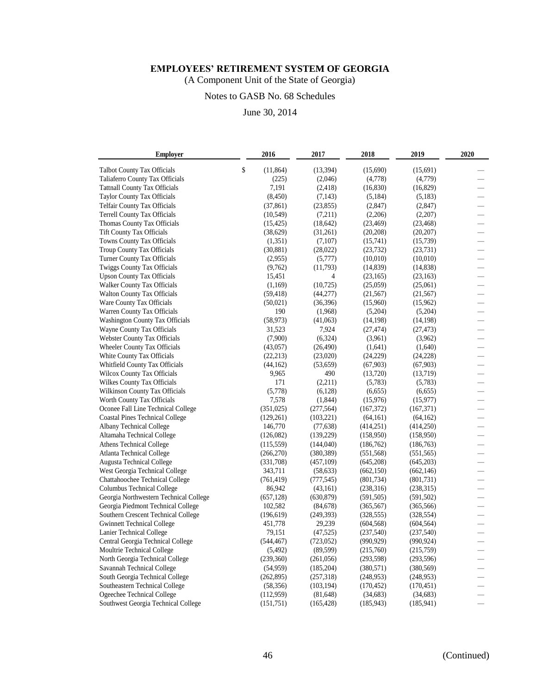(A Component Unit of the State of Georgia)

# Notes to GASB No. 68 Schedules

| <b>Employer</b>                        | 2016            | 2017       | 2018       | 2019       | 2020                     |
|----------------------------------------|-----------------|------------|------------|------------|--------------------------|
| <b>Talbot County Tax Officials</b>     | \$<br>(11, 864) | (13, 394)  | (15,690)   | (15,691)   |                          |
| Taliaferro County Tax Officials        | (225)           | (2,046)    | (4,778)    | (4,779)    |                          |
| <b>Tattnall County Tax Officials</b>   | 7,191           | (2, 418)   | (16, 830)  | (16, 829)  |                          |
| <b>Taylor County Tax Officials</b>     | (8, 450)        | (7, 143)   | (5,184)    | (5,183)    |                          |
| <b>Telfair County Tax Officials</b>    | (37, 861)       | (23, 855)  | (2,847)    | (2,847)    |                          |
| <b>Terrell County Tax Officials</b>    | (10, 549)       | (7,211)    | (2,206)    | (2,207)    | $\overline{\phantom{0}}$ |
| Thomas County Tax Officials            | (15, 425)       | (18, 642)  | (23, 469)  | (23, 468)  | $\equiv$                 |
| <b>Tift County Tax Officials</b>       | (38,629)        | (31,261)   | (20, 208)  | (20, 207)  |                          |
| Towns County Tax Officials             | (1,351)         | (7,107)    | (15,741)   | (15,739)   |                          |
| <b>Troup County Tax Officials</b>      | (30, 881)       | (28,022)   | (23, 732)  | (23, 731)  |                          |
| Turner County Tax Officials            | (2,955)         | (5,777)    | (10,010)   | (10,010)   |                          |
| <b>Twiggs County Tax Officials</b>     | (9,762)         | (11,793)   | (14, 839)  | (14,838)   | $\equiv$                 |
| <b>Upson County Tax Officials</b>      | 15,451          | 4          | (23, 165)  | (23, 163)  |                          |
| <b>Walker County Tax Officials</b>     | (1,169)         | (10, 725)  | (25,059)   | (25,061)   | $\equiv$                 |
| <b>Walton County Tax Officials</b>     | (59, 418)       | (44, 277)  | (21, 567)  | (21, 567)  | $\overline{\phantom{0}}$ |
| Ware County Tax Officials              | (50,021)        | (36, 396)  | (15,960)   | (15,962)   |                          |
| Warren County Tax Officials            | 190             | (1,968)    | (5,204)    | (5,204)    |                          |
| Washington County Tax Officials        | (58, 973)       | (41,063)   | (14, 198)  | (14, 198)  |                          |
| Wayne County Tax Officials             | 31,523          | 7,924      | (27, 474)  | (27, 473)  |                          |
| Webster County Tax Officials           | (7,900)         | (6,324)    | (3,961)    | (3,962)    |                          |
| Wheeler County Tax Officials           | (43,057)        | (26, 490)  | (1,641)    | (1,640)    |                          |
| White County Tax Officials             | (22, 213)       | (23,020)   | (24,229)   | (24, 228)  |                          |
| Whitfield County Tax Officials         | (44, 162)       | (53, 659)  | (67,903)   | (67, 903)  | $\overline{\phantom{0}}$ |
| Wilcox County Tax Officials            | 9,965           | 490        | (13,720)   | (13,719)   |                          |
| Wilkes County Tax Officials            | 171             | (2,211)    | (5,783)    | (5,783)    |                          |
| Wilkinson County Tax Officials         | (5,778)         | (6,128)    | (6,655)    | (6,655)    |                          |
| Worth County Tax Officials             | 7,578           | (1,844)    | (15,976)   | (15, 977)  |                          |
| Oconee Fall Line Technical College     | (351, 025)      | (277, 564) | (167,372)  | (167, 371) | $\overline{\phantom{0}}$ |
| <b>Coastal Pines Technical College</b> | (129, 261)      | (103, 221) | (64,161)   | (64, 162)  |                          |
| Albany Technical College               | 146,770         | (77, 638)  | (414, 251) | (414, 250) | $\overline{\phantom{0}}$ |
| Altamaha Technical College             | (126,082)       | (139,229)  | (158,950)  | (158,950)  | $\overline{\phantom{0}}$ |
| Athens Technical College               | (115, 559)      | (144,040)  | (186,762)  | (186, 763) |                          |
| <b>Atlanta Technical College</b>       | (266, 270)      | (380, 389) | (551, 568) | (551, 565) |                          |
| Augusta Technical College              | (331,708)       | (457,109)  | (645,208)  | (645,203)  |                          |
| West Georgia Technical College         | 343,711         | (58, 633)  | (662, 150) | (662, 146) |                          |
| Chattahoochee Technical College        | (761, 419)      | (777, 545) | (801, 734) | (801, 731) |                          |
| <b>Columbus Technical College</b>      | 86,942          | (43,161)   | (238,316)  | (238, 315) |                          |
| Georgia Northwestern Technical College | (657, 128)      | (630, 879) | (591, 505) | (591, 502) |                          |
| Georgia Piedmont Technical College     | 102,582         | (84, 678)  | (365, 567) | (365, 566) | $\overline{\phantom{0}}$ |
| Southern Crescent Technical College    | (196, 619)      | (249, 393) | (328, 555) | (328, 554) |                          |
| <b>Gwinnett Technical College</b>      | 451,778         | 29,239     | (604, 568) | (604, 564) |                          |
| Lanier Technical College               | 79,151          | (47, 525)  | (237, 540) | (237, 540) |                          |
| Central Georgia Technical College      | (544, 467)      | (723, 052) | (990, 929) | (990, 924) |                          |
| Moultrie Technical College             | (5, 492)        | (89, 599)  | (215,760)  | (215,759)  |                          |
| North Georgia Technical College        | (239,360)       | (261,056)  | (293, 598) | (293, 596) |                          |
| Savannah Technical College             | (54, 959)       | (185,204)  | (380, 571) | (380, 569) | $\overline{\phantom{0}}$ |
| South Georgia Technical College        | (262, 895)      | (257,318)  | (248,953)  | (248, 953) |                          |
| Southeastern Technical College         | (58, 356)       | (103, 194) | (170, 452) | (170, 451) |                          |
| Ogeechee Technical College             | (112,959)       | (81, 648)  | (34, 683)  | (34, 683)  |                          |
| Southwest Georgia Technical College    | (151,751)       | (165, 428) | (185, 943) | (185, 941) |                          |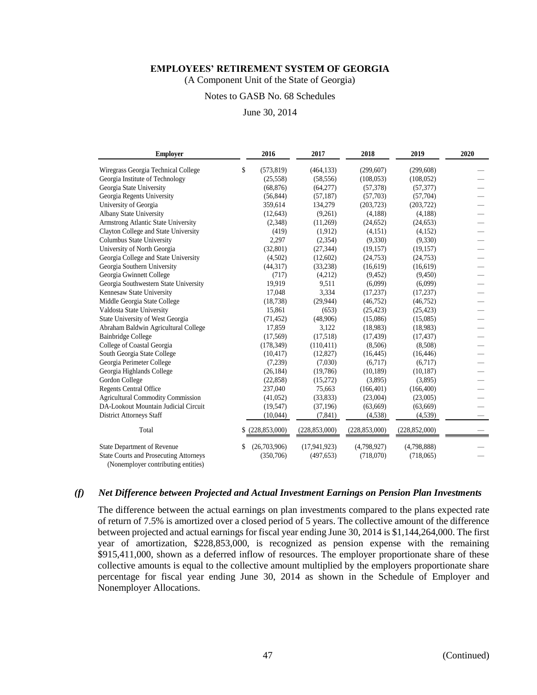(A Component Unit of the State of Georgia)

#### Notes to GASB No. 68 Schedules

June 30, 2014

| <b>Employer</b>                                                                      |    | 2016             | 2017            | 2018            | 2019            | 2020 |
|--------------------------------------------------------------------------------------|----|------------------|-----------------|-----------------|-----------------|------|
| Wiregrass Georgia Technical College                                                  | \$ | (573, 819)       | (464, 133)      | (299,607)       | (299, 608)      |      |
| Georgia Institute of Technology                                                      |    | (25, 558)        | (58, 556)       | (108, 053)      | (108, 052)      |      |
| Georgia State University                                                             |    | (68, 876)        | (64,277)        | (57, 378)       | (57, 377)       |      |
| Georgia Regents University                                                           |    | (56, 844)        | (57, 187)       | (57,703)        | (57, 704)       |      |
| University of Georgia                                                                |    | 359,614          | 134,279         | (203, 723)      | (203, 722)      |      |
| Albany State University                                                              |    | (12, 643)        | (9,261)         | (4,188)         | (4,188)         |      |
| Armstrong Atlantic State University                                                  |    | (2,348)          | (11,269)        | (24, 652)       | (24, 653)       |      |
| Clayton College and State University                                                 |    | (419)            | (1,912)         | (4,151)         | (4,152)         |      |
| Columbus State University                                                            |    | 2,297            | (2,354)         | (9,330)         | (9,330)         |      |
| University of North Georgia                                                          |    | (32,801)         | (27, 344)       | (19, 157)       | (19, 157)       |      |
| Georgia College and State University                                                 |    | (4,502)          | (12,602)        | (24,753)        | (24, 753)       |      |
| Georgia Southern University                                                          |    | (44, 317)        | (33, 238)       | (16,619)        | (16,619)        |      |
| Georgia Gwinnett College                                                             |    | (717)            | (4,212)         | (9, 452)        | (9,450)         |      |
| Georgia Southwestern State University                                                |    | 19,919           | 9,511           | (6,099)         | (6,099)         |      |
| Kennesaw State University                                                            |    | 17,048           | 3,334           | (17, 237)       | (17, 237)       |      |
| Middle Georgia State College                                                         |    | (18, 738)        | (29, 944)       | (46,752)        | (46,752)        |      |
| Valdosta State University                                                            |    | 15,861           | (653)           | (25, 423)       | (25, 423)       |      |
| State University of West Georgia                                                     |    | (71, 452)        | (48,906)        | (15,086)        | (15,085)        |      |
| Abraham Baldwin Agricultural College                                                 |    | 17,859           | 3,122           | (18,983)        | (18,983)        |      |
| <b>Bainbridge College</b>                                                            |    | (17, 569)        | (17,518)        | (17, 439)       | (17, 437)       |      |
| College of Coastal Georgia                                                           |    | (178, 349)       | (110, 411)      | (8,506)         | (8,508)         |      |
| South Georgia State College                                                          |    | (10, 417)        | (12,827)        | (16, 445)       | (16, 446)       |      |
| Georgia Perimeter College                                                            |    | (7,239)          | (7,030)         | (6,717)         | (6,717)         |      |
| Georgia Highlands College                                                            |    | (26, 184)        | (19,786)        | (10, 189)       | (10, 187)       |      |
| Gordon College                                                                       |    | (22, 858)        | (15,272)        | (3,895)         | (3,895)         |      |
| <b>Regents Central Office</b>                                                        |    | 237,040          | 75,663          | (166, 401)      | (166, 400)      |      |
| <b>Agricultural Commodity Commission</b>                                             |    | (41,052)         | (33,833)        | (23,004)        | (23,005)        |      |
| DA-Lookout Mountain Judicial Circuit                                                 |    | (19, 547)        | (37,196)        | (63, 669)       | (63, 669)       |      |
| <b>District Attorneys Staff</b>                                                      |    | (10,044)         | (7, 841)        | (4,538)         | (4,539)         |      |
| Total                                                                                |    | \$ (228,853,000) | (228, 853, 000) | (228, 853, 000) | (228, 852, 000) |      |
| <b>State Department of Revenue</b>                                                   | S  | (26,703,906)     | (17, 941, 923)  | (4,798,927)     | (4,798,888)     |      |
| <b>State Courts and Prosecuting Attorneys</b><br>(Nonemployer contributing entities) |    | (350,706)        | (497, 653)      | (718,070)       | (718,065)       |      |

#### *(f) Net Difference between Projected and Actual Investment Earnings on Pension Plan Investments*

The difference between the actual earnings on plan investments compared to the plans expected rate of return of 7.5% is amortized over a closed period of 5 years. The collective amount of the difference between projected and actual earnings for fiscal year ending June 30, 2014 is \$1,144,264,000. The first year of amortization, \$228,853,000, is recognized as pension expense with the remaining \$915,411,000, shown as a deferred inflow of resources. The employer proportionate share of these collective amounts is equal to the collective amount multiplied by the employers proportionate share percentage for fiscal year ending June 30, 2014 as shown in the Schedule of Employer and Nonemployer Allocations.